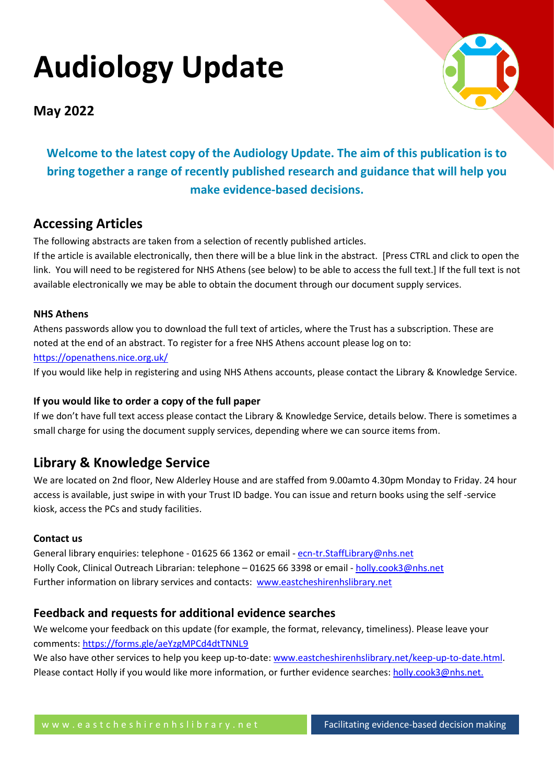# **Audiology Update**



**May 2022**

**Welcome to the latest copy of the Audiology Update. The aim of this publication is to bring together a range of recently published research and guidance that will help you make evidence-based decisions.**

# **Accessing Articles**

The following abstracts are taken from a selection of recently published articles.

If the article is available electronically, then there will be a blue link in the abstract. [Press CTRL and click to open the link. You will need to be registered for NHS Athens (see below) to be able to access the full text.] If the full text is not available electronically we may be able to obtain the document through our document supply services.

# **NHS Athens**

Athens passwords allow you to download the full text of articles, where the Trust has a subscription. These are noted at the end of an abstract. To register for a free NHS Athens account please log on to: <https://openathens.nice.org.uk/>

If you would like help in registering and using NHS Athens accounts, please contact the Library & Knowledge Service.

# **If you would like to order a copy of the full paper**

If we don't have full text access please contact the Library & Knowledge Service, details below. There is sometimes a small charge for using the document supply services, depending where we can source items from.

# **Library & Knowledge Service**

We are located on 2nd floor, New Alderley House and are staffed from 9.00amto 4.30pm Monday to Friday. 24 hour access is available, just swipe in with your Trust ID badge. You can issue and return books using the self -service kiosk, access the PCs and study facilities.

# **Contact us**

General library enquiries: telephone - 01625 66 1362 or email - [ecn-tr.StaffLibrary@nhs.net](mailto:ecn-tr.StaffLibrary@nhs.net) Holly Cook, Clinical Outreach Librarian: telephone – 01625 66 3398 or email - [holly.cook3@nhs.net](mailto:holly.cook3@nhs.net) Further information on library services and contacts: [www.eastcheshirenhslibrary.net](http://www.eastcheshirenhslibrary.net/)

# **Feedback and requests for additional evidence searches**

We welcome your feedback on this update (for example, the format, relevancy, timeliness). Please leave your comments[: https://forms.gle/aeYzgMPCd4dtTNNL9](https://forms.gle/aeYzgMPCd4dtTNNL9)

We also have other services to help you keep up-to-date: [www.eastcheshirenhslibrary.net/keep-up-to-date.html.](http://www.eastcheshirenhslibrary.net/keep-up-to-date.html) Please contact Holly if you would like more information, or further evidence searches: [holly.cook3@nhs.net.](mailto:holly.cook3@nhs.net)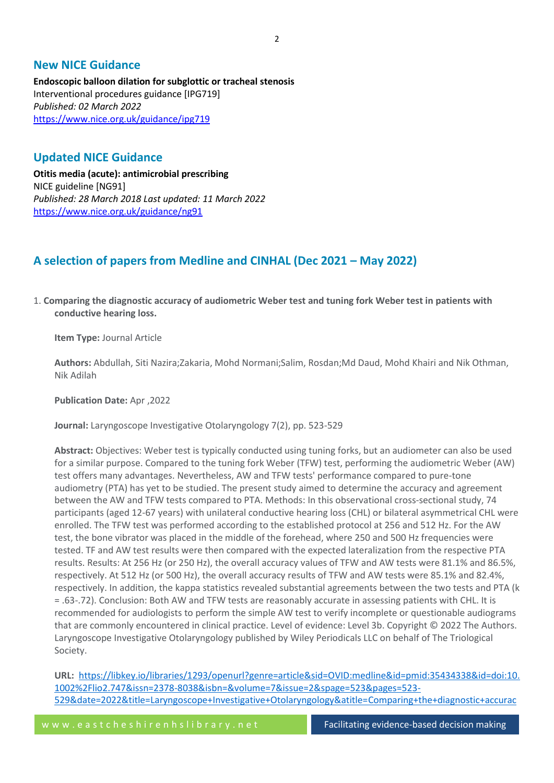# **New NICE Guidance**

**Endoscopic balloon dilation for subglottic or tracheal stenosis** Interventional procedures guidance [IPG719] *Published: 02 March 2022* <https://www.nice.org.uk/guidance/ipg719>

# **Updated NICE Guidance**

**Otitis media (acute): antimicrobial prescribing** NICE guideline [NG91] *Published: 28 March 2018 Last updated: 11 March 2022* <https://www.nice.org.uk/guidance/ng91>

# **A selection of papers from Medline and CINHAL (Dec 2021 – May 2022)**

1. **Comparing the diagnostic accuracy of audiometric Weber test and tuning fork Weber test in patients with conductive hearing loss.**

**Item Type:** Journal Article

**Authors:** Abdullah, Siti Nazira;Zakaria, Mohd Normani;Salim, Rosdan;Md Daud, Mohd Khairi and Nik Othman, Nik Adilah

**Publication Date:** Apr ,2022

**Journal:** Laryngoscope Investigative Otolaryngology 7(2), pp. 523-529

**Abstract:** Objectives: Weber test is typically conducted using tuning forks, but an audiometer can also be used for a similar purpose. Compared to the tuning fork Weber (TFW) test, performing the audiometric Weber (AW) test offers many advantages. Nevertheless, AW and TFW tests' performance compared to pure-tone audiometry (PTA) has yet to be studied. The present study aimed to determine the accuracy and agreement between the AW and TFW tests compared to PTA. Methods: In this observational cross-sectional study, 74 participants (aged 12-67 years) with unilateral conductive hearing loss (CHL) or bilateral asymmetrical CHL were enrolled. The TFW test was performed according to the established protocol at 256 and 512 Hz. For the AW test, the bone vibrator was placed in the middle of the forehead, where 250 and 500 Hz frequencies were tested. TF and AW test results were then compared with the expected lateralization from the respective PTA results. Results: At 256 Hz (or 250 Hz), the overall accuracy values of TFW and AW tests were 81.1% and 86.5%, respectively. At 512 Hz (or 500 Hz), the overall accuracy results of TFW and AW tests were 85.1% and 82.4%, respectively. In addition, the kappa statistics revealed substantial agreements between the two tests and PTA (k = .63-.72). Conclusion: Both AW and TFW tests are reasonably accurate in assessing patients with CHL. It is recommended for audiologists to perform the simple AW test to verify incomplete or questionable audiograms that are commonly encountered in clinical practice. Level of evidence: Level 3b. Copyright © 2022 The Authors. Laryngoscope Investigative Otolaryngology published by Wiley Periodicals LLC on behalf of The Triological Society.

**URL:** [https://libkey.io/libraries/1293/openurl?genre=article&sid=OVID:medline&id=pmid:35434338&id=doi:10.](https://libkey.io/libraries/1293/openurl?genre=article&sid=OVID:medline&id=pmid:35434338&id=doi:10.1002%2Flio2.747&issn=2378-8038&isbn=&volume=7&issue=2&spage=523&pages=523-529&date=2022&title=Laryngoscope+Investigative+Otolaryngology&atitle=Comparing+the+diagnostic+accuracy+of+audiometric+Weber+test+and+tuning+fork+Weber+test+in+patients+with+conductive+hearing+loss.&aulast=Abdullah&pid=%3Cauthor%3EAbdullah+SN%3BZakaria+MN%3BSalim+R%3BMd+Daud+MK%3BNik+Othman+NA%3C%2Fauthor%3E%3CAN%3E35434338%3C%2FAN%3E%3CDT%3EJournal+Article%3C%2FDT%3E) [1002%2Flio2.747&issn=2378-8038&isbn=&volume=7&issue=2&spage=523&pages=523-](https://libkey.io/libraries/1293/openurl?genre=article&sid=OVID:medline&id=pmid:35434338&id=doi:10.1002%2Flio2.747&issn=2378-8038&isbn=&volume=7&issue=2&spage=523&pages=523-529&date=2022&title=Laryngoscope+Investigative+Otolaryngology&atitle=Comparing+the+diagnostic+accuracy+of+audiometric+Weber+test+and+tuning+fork+Weber+test+in+patients+with+conductive+hearing+loss.&aulast=Abdullah&pid=%3Cauthor%3EAbdullah+SN%3BZakaria+MN%3BSalim+R%3BMd+Daud+MK%3BNik+Othman+NA%3C%2Fauthor%3E%3CAN%3E35434338%3C%2FAN%3E%3CDT%3EJournal+Article%3C%2FDT%3E) [529&date=2022&title=Laryngoscope+Investigative+Otolaryngology&atitle=Comparing+the+diagnostic+accurac](https://libkey.io/libraries/1293/openurl?genre=article&sid=OVID:medline&id=pmid:35434338&id=doi:10.1002%2Flio2.747&issn=2378-8038&isbn=&volume=7&issue=2&spage=523&pages=523-529&date=2022&title=Laryngoscope+Investigative+Otolaryngology&atitle=Comparing+the+diagnostic+accuracy+of+audiometric+Weber+test+and+tuning+fork+Weber+test+in+patients+with+conductive+hearing+loss.&aulast=Abdullah&pid=%3Cauthor%3EAbdullah+SN%3BZakaria+MN%3BSalim+R%3BMd+Daud+MK%3BNik+Othman+NA%3C%2Fauthor%3E%3CAN%3E35434338%3C%2FAN%3E%3CDT%3EJournal+Article%3C%2FDT%3E)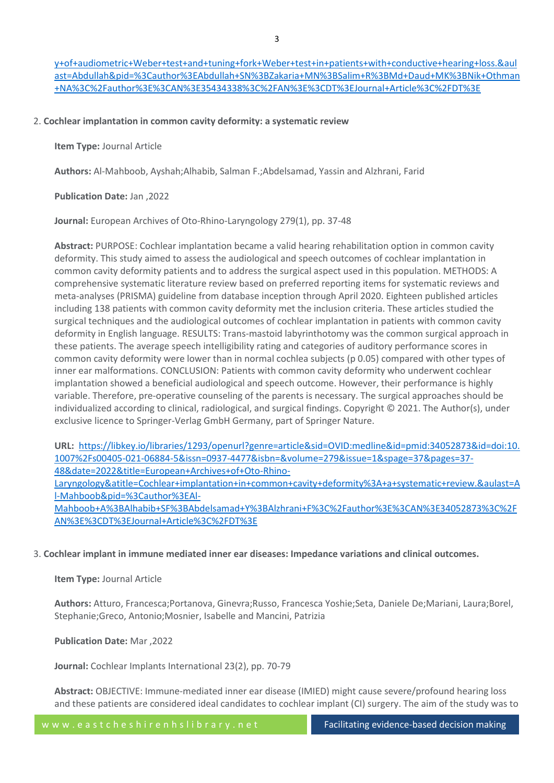[y+of+audiometric+Weber+test+and+tuning+fork+Weber+test+in+patients+with+conductive+hearing+loss.&aul](https://libkey.io/libraries/1293/openurl?genre=article&sid=OVID:medline&id=pmid:35434338&id=doi:10.1002%2Flio2.747&issn=2378-8038&isbn=&volume=7&issue=2&spage=523&pages=523-529&date=2022&title=Laryngoscope+Investigative+Otolaryngology&atitle=Comparing+the+diagnostic+accuracy+of+audiometric+Weber+test+and+tuning+fork+Weber+test+in+patients+with+conductive+hearing+loss.&aulast=Abdullah&pid=%3Cauthor%3EAbdullah+SN%3BZakaria+MN%3BSalim+R%3BMd+Daud+MK%3BNik+Othman+NA%3C%2Fauthor%3E%3CAN%3E35434338%3C%2FAN%3E%3CDT%3EJournal+Article%3C%2FDT%3E) [ast=Abdullah&pid=%3Cauthor%3EAbdullah+SN%3BZakaria+MN%3BSalim+R%3BMd+Daud+MK%3BNik+Othman](https://libkey.io/libraries/1293/openurl?genre=article&sid=OVID:medline&id=pmid:35434338&id=doi:10.1002%2Flio2.747&issn=2378-8038&isbn=&volume=7&issue=2&spage=523&pages=523-529&date=2022&title=Laryngoscope+Investigative+Otolaryngology&atitle=Comparing+the+diagnostic+accuracy+of+audiometric+Weber+test+and+tuning+fork+Weber+test+in+patients+with+conductive+hearing+loss.&aulast=Abdullah&pid=%3Cauthor%3EAbdullah+SN%3BZakaria+MN%3BSalim+R%3BMd+Daud+MK%3BNik+Othman+NA%3C%2Fauthor%3E%3CAN%3E35434338%3C%2FAN%3E%3CDT%3EJournal+Article%3C%2FDT%3E) [+NA%3C%2Fauthor%3E%3CAN%3E35434338%3C%2FAN%3E%3CDT%3EJournal+Article%3C%2FDT%3E](https://libkey.io/libraries/1293/openurl?genre=article&sid=OVID:medline&id=pmid:35434338&id=doi:10.1002%2Flio2.747&issn=2378-8038&isbn=&volume=7&issue=2&spage=523&pages=523-529&date=2022&title=Laryngoscope+Investigative+Otolaryngology&atitle=Comparing+the+diagnostic+accuracy+of+audiometric+Weber+test+and+tuning+fork+Weber+test+in+patients+with+conductive+hearing+loss.&aulast=Abdullah&pid=%3Cauthor%3EAbdullah+SN%3BZakaria+MN%3BSalim+R%3BMd+Daud+MK%3BNik+Othman+NA%3C%2Fauthor%3E%3CAN%3E35434338%3C%2FAN%3E%3CDT%3EJournal+Article%3C%2FDT%3E)

# 2. **Cochlear implantation in common cavity deformity: a systematic review**

**Item Type:** Journal Article

**Authors:** Al-Mahboob, Ayshah;Alhabib, Salman F.;Abdelsamad, Yassin and Alzhrani, Farid

# **Publication Date:** Jan ,2022

**Journal:** European Archives of Oto-Rhino-Laryngology 279(1), pp. 37-48

**Abstract:** PURPOSE: Cochlear implantation became a valid hearing rehabilitation option in common cavity deformity. This study aimed to assess the audiological and speech outcomes of cochlear implantation in common cavity deformity patients and to address the surgical aspect used in this population. METHODS: A comprehensive systematic literature review based on preferred reporting items for systematic reviews and meta-analyses (PRISMA) guideline from database inception through April 2020. Eighteen published articles including 138 patients with common cavity deformity met the inclusion criteria. These articles studied the surgical techniques and the audiological outcomes of cochlear implantation in patients with common cavity deformity in English language. RESULTS: Trans-mastoid labyrinthotomy was the common surgical approach in these patients. The average speech intelligibility rating and categories of auditory performance scores in common cavity deformity were lower than in normal cochlea subjects (p 0.05) compared with other types of inner ear malformations. CONCLUSION: Patients with common cavity deformity who underwent cochlear implantation showed a beneficial audiological and speech outcome. However, their performance is highly variable. Therefore, pre-operative counseling of the parents is necessary. The surgical approaches should be individualized according to clinical, radiological, and surgical findings. Copyright © 2021. The Author(s), under exclusive licence to Springer-Verlag GmbH Germany, part of Springer Nature.

**URL:** [https://libkey.io/libraries/1293/openurl?genre=article&sid=OVID:medline&id=pmid:34052873&id=doi:10.](https://libkey.io/libraries/1293/openurl?genre=article&sid=OVID:medline&id=pmid:34052873&id=doi:10.1007%2Fs00405-021-06884-5&issn=0937-4477&isbn=&volume=279&issue=1&spage=37&pages=37-48&date=2022&title=European+Archives+of+Oto-Rhino-Laryngology&atitle=Cochlear+implantation+in+common+cavity+deformity%3A+a+systematic+review.&aulast=Al-Mahboob&pid=%3Cauthor%3EAl-Mahboob+A%3BAlhabib+SF%3BAbdelsamad+Y%3BAlzhrani+F%3C%2Fauthor%3E%3CAN%3E34052873%3C%2FAN%3E%3CDT%3EJournal+Article%3C%2FDT%3E) [1007%2Fs00405-021-06884-5&issn=0937-4477&isbn=&volume=279&issue=1&spage=37&pages=37-](https://libkey.io/libraries/1293/openurl?genre=article&sid=OVID:medline&id=pmid:34052873&id=doi:10.1007%2Fs00405-021-06884-5&issn=0937-4477&isbn=&volume=279&issue=1&spage=37&pages=37-48&date=2022&title=European+Archives+of+Oto-Rhino-Laryngology&atitle=Cochlear+implantation+in+common+cavity+deformity%3A+a+systematic+review.&aulast=Al-Mahboob&pid=%3Cauthor%3EAl-Mahboob+A%3BAlhabib+SF%3BAbdelsamad+Y%3BAlzhrani+F%3C%2Fauthor%3E%3CAN%3E34052873%3C%2FAN%3E%3CDT%3EJournal+Article%3C%2FDT%3E) [48&date=2022&title=European+Archives+of+Oto-Rhino-](https://libkey.io/libraries/1293/openurl?genre=article&sid=OVID:medline&id=pmid:34052873&id=doi:10.1007%2Fs00405-021-06884-5&issn=0937-4477&isbn=&volume=279&issue=1&spage=37&pages=37-48&date=2022&title=European+Archives+of+Oto-Rhino-Laryngology&atitle=Cochlear+implantation+in+common+cavity+deformity%3A+a+systematic+review.&aulast=Al-Mahboob&pid=%3Cauthor%3EAl-Mahboob+A%3BAlhabib+SF%3BAbdelsamad+Y%3BAlzhrani+F%3C%2Fauthor%3E%3CAN%3E34052873%3C%2FAN%3E%3CDT%3EJournal+Article%3C%2FDT%3E)[Laryngology&atitle=Cochlear+implantation+in+common+cavity+deformity%3A+a+systematic+review.&aulast=A](https://libkey.io/libraries/1293/openurl?genre=article&sid=OVID:medline&id=pmid:34052873&id=doi:10.1007%2Fs00405-021-06884-5&issn=0937-4477&isbn=&volume=279&issue=1&spage=37&pages=37-48&date=2022&title=European+Archives+of+Oto-Rhino-Laryngology&atitle=Cochlear+implantation+in+common+cavity+deformity%3A+a+systematic+review.&aulast=Al-Mahboob&pid=%3Cauthor%3EAl-Mahboob+A%3BAlhabib+SF%3BAbdelsamad+Y%3BAlzhrani+F%3C%2Fauthor%3E%3CAN%3E34052873%3C%2FAN%3E%3CDT%3EJournal+Article%3C%2FDT%3E) [l-Mahboob&pid=%3Cauthor%3EAl-](https://libkey.io/libraries/1293/openurl?genre=article&sid=OVID:medline&id=pmid:34052873&id=doi:10.1007%2Fs00405-021-06884-5&issn=0937-4477&isbn=&volume=279&issue=1&spage=37&pages=37-48&date=2022&title=European+Archives+of+Oto-Rhino-Laryngology&atitle=Cochlear+implantation+in+common+cavity+deformity%3A+a+systematic+review.&aulast=Al-Mahboob&pid=%3Cauthor%3EAl-Mahboob+A%3BAlhabib+SF%3BAbdelsamad+Y%3BAlzhrani+F%3C%2Fauthor%3E%3CAN%3E34052873%3C%2FAN%3E%3CDT%3EJournal+Article%3C%2FDT%3E)[Mahboob+A%3BAlhabib+SF%3BAbdelsamad+Y%3BAlzhrani+F%3C%2Fauthor%3E%3CAN%3E34052873%3C%2F](https://libkey.io/libraries/1293/openurl?genre=article&sid=OVID:medline&id=pmid:34052873&id=doi:10.1007%2Fs00405-021-06884-5&issn=0937-4477&isbn=&volume=279&issue=1&spage=37&pages=37-48&date=2022&title=European+Archives+of+Oto-Rhino-Laryngology&atitle=Cochlear+implantation+in+common+cavity+deformity%3A+a+systematic+review.&aulast=Al-Mahboob&pid=%3Cauthor%3EAl-Mahboob+A%3BAlhabib+SF%3BAbdelsamad+Y%3BAlzhrani+F%3C%2Fauthor%3E%3CAN%3E34052873%3C%2FAN%3E%3CDT%3EJournal+Article%3C%2FDT%3E) [AN%3E%3CDT%3EJournal+Article%3C%2FDT%3E](https://libkey.io/libraries/1293/openurl?genre=article&sid=OVID:medline&id=pmid:34052873&id=doi:10.1007%2Fs00405-021-06884-5&issn=0937-4477&isbn=&volume=279&issue=1&spage=37&pages=37-48&date=2022&title=European+Archives+of+Oto-Rhino-Laryngology&atitle=Cochlear+implantation+in+common+cavity+deformity%3A+a+systematic+review.&aulast=Al-Mahboob&pid=%3Cauthor%3EAl-Mahboob+A%3BAlhabib+SF%3BAbdelsamad+Y%3BAlzhrani+F%3C%2Fauthor%3E%3CAN%3E34052873%3C%2FAN%3E%3CDT%3EJournal+Article%3C%2FDT%3E)

3. **Cochlear implant in immune mediated inner ear diseases: Impedance variations and clinical outcomes.**

**Item Type:** Journal Article

**Authors:** Atturo, Francesca;Portanova, Ginevra;Russo, Francesca Yoshie;Seta, Daniele De;Mariani, Laura;Borel, Stephanie;Greco, Antonio;Mosnier, Isabelle and Mancini, Patrizia

**Publication Date:** Mar ,2022

**Journal:** Cochlear Implants International 23(2), pp. 70-79

**Abstract:** OBJECTIVE: Immune-mediated inner ear disease (IMIED) might cause severe/profound hearing loss and these patients are considered ideal candidates to cochlear implant (CI) surgery. The aim of the study was to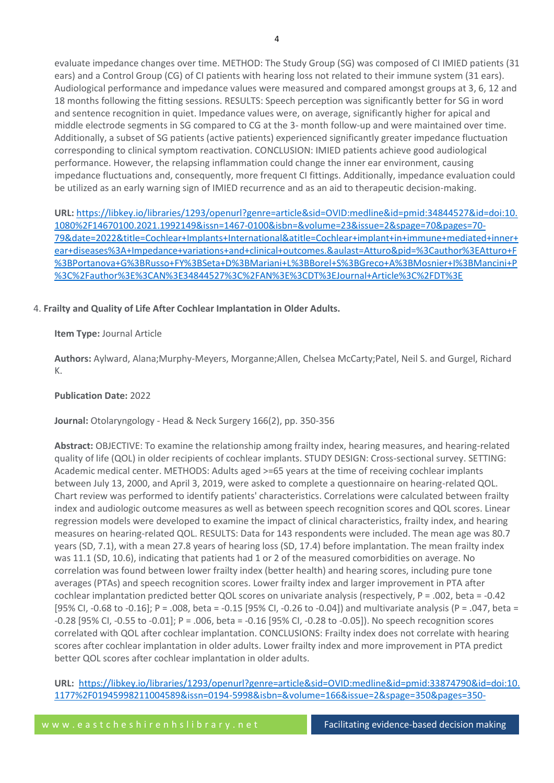evaluate impedance changes over time. METHOD: The Study Group (SG) was composed of CI IMIED patients (31 ears) and a Control Group (CG) of CI patients with hearing loss not related to their immune system (31 ears). Audiological performance and impedance values were measured and compared amongst groups at 3, 6, 12 and 18 months following the fitting sessions. RESULTS: Speech perception was significantly better for SG in word and sentence recognition in quiet. Impedance values were, on average, significantly higher for apical and middle electrode segments in SG compared to CG at the 3- month follow-up and were maintained over time. Additionally, a subset of SG patients (active patients) experienced significantly greater impedance fluctuation corresponding to clinical symptom reactivation. CONCLUSION: IMIED patients achieve good audiological performance. However, the relapsing inflammation could change the inner ear environment, causing impedance fluctuations and, consequently, more frequent CI fittings. Additionally, impedance evaluation could be utilized as an early warning sign of IMIED recurrence and as an aid to therapeutic decision-making.

**URL:** [https://libkey.io/libraries/1293/openurl?genre=article&sid=OVID:medline&id=pmid:34844527&id=doi:10.](https://libkey.io/libraries/1293/openurl?genre=article&sid=OVID:medline&id=pmid:34844527&id=doi:10.1080%2F14670100.2021.1992149&issn=1467-0100&isbn=&volume=23&issue=2&spage=70&pages=70-79&date=2022&title=Cochlear+Implants+International&atitle=Cochlear+implant+in+immune+mediated+inner+ear+diseases%3A+Impedance+variations+and+clinical+outcomes.&aulast=Atturo&pid=%3Cauthor%3EAtturo+F%3BPortanova+G%3BRusso+FY%3BSeta+D%3BMariani+L%3BBorel+S%3BGreco+A%3BMosnier+I%3BMancini+P%3C%2Fauthor%3E%3CAN%3E34844527%3C%2FAN%3E%3CDT%3EJournal+Article%3C%2FDT%3E) [1080%2F14670100.2021.1992149&issn=1467-0100&isbn=&volume=23&issue=2&spage=70&pages=70-](https://libkey.io/libraries/1293/openurl?genre=article&sid=OVID:medline&id=pmid:34844527&id=doi:10.1080%2F14670100.2021.1992149&issn=1467-0100&isbn=&volume=23&issue=2&spage=70&pages=70-79&date=2022&title=Cochlear+Implants+International&atitle=Cochlear+implant+in+immune+mediated+inner+ear+diseases%3A+Impedance+variations+and+clinical+outcomes.&aulast=Atturo&pid=%3Cauthor%3EAtturo+F%3BPortanova+G%3BRusso+FY%3BSeta+D%3BMariani+L%3BBorel+S%3BGreco+A%3BMosnier+I%3BMancini+P%3C%2Fauthor%3E%3CAN%3E34844527%3C%2FAN%3E%3CDT%3EJournal+Article%3C%2FDT%3E) [79&date=2022&title=Cochlear+Implants+International&atitle=Cochlear+implant+in+immune+mediated+inner+](https://libkey.io/libraries/1293/openurl?genre=article&sid=OVID:medline&id=pmid:34844527&id=doi:10.1080%2F14670100.2021.1992149&issn=1467-0100&isbn=&volume=23&issue=2&spage=70&pages=70-79&date=2022&title=Cochlear+Implants+International&atitle=Cochlear+implant+in+immune+mediated+inner+ear+diseases%3A+Impedance+variations+and+clinical+outcomes.&aulast=Atturo&pid=%3Cauthor%3EAtturo+F%3BPortanova+G%3BRusso+FY%3BSeta+D%3BMariani+L%3BBorel+S%3BGreco+A%3BMosnier+I%3BMancini+P%3C%2Fauthor%3E%3CAN%3E34844527%3C%2FAN%3E%3CDT%3EJournal+Article%3C%2FDT%3E) [ear+diseases%3A+Impedance+variations+and+clinical+outcomes.&aulast=Atturo&pid=%3Cauthor%3EAtturo+F](https://libkey.io/libraries/1293/openurl?genre=article&sid=OVID:medline&id=pmid:34844527&id=doi:10.1080%2F14670100.2021.1992149&issn=1467-0100&isbn=&volume=23&issue=2&spage=70&pages=70-79&date=2022&title=Cochlear+Implants+International&atitle=Cochlear+implant+in+immune+mediated+inner+ear+diseases%3A+Impedance+variations+and+clinical+outcomes.&aulast=Atturo&pid=%3Cauthor%3EAtturo+F%3BPortanova+G%3BRusso+FY%3BSeta+D%3BMariani+L%3BBorel+S%3BGreco+A%3BMosnier+I%3BMancini+P%3C%2Fauthor%3E%3CAN%3E34844527%3C%2FAN%3E%3CDT%3EJournal+Article%3C%2FDT%3E) [%3BPortanova+G%3BRusso+FY%3BSeta+D%3BMariani+L%3BBorel+S%3BGreco+A%3BMosnier+I%3BMancini+P](https://libkey.io/libraries/1293/openurl?genre=article&sid=OVID:medline&id=pmid:34844527&id=doi:10.1080%2F14670100.2021.1992149&issn=1467-0100&isbn=&volume=23&issue=2&spage=70&pages=70-79&date=2022&title=Cochlear+Implants+International&atitle=Cochlear+implant+in+immune+mediated+inner+ear+diseases%3A+Impedance+variations+and+clinical+outcomes.&aulast=Atturo&pid=%3Cauthor%3EAtturo+F%3BPortanova+G%3BRusso+FY%3BSeta+D%3BMariani+L%3BBorel+S%3BGreco+A%3BMosnier+I%3BMancini+P%3C%2Fauthor%3E%3CAN%3E34844527%3C%2FAN%3E%3CDT%3EJournal+Article%3C%2FDT%3E) [%3C%2Fauthor%3E%3CAN%3E34844527%3C%2FAN%3E%3CDT%3EJournal+Article%3C%2FDT%3E](https://libkey.io/libraries/1293/openurl?genre=article&sid=OVID:medline&id=pmid:34844527&id=doi:10.1080%2F14670100.2021.1992149&issn=1467-0100&isbn=&volume=23&issue=2&spage=70&pages=70-79&date=2022&title=Cochlear+Implants+International&atitle=Cochlear+implant+in+immune+mediated+inner+ear+diseases%3A+Impedance+variations+and+clinical+outcomes.&aulast=Atturo&pid=%3Cauthor%3EAtturo+F%3BPortanova+G%3BRusso+FY%3BSeta+D%3BMariani+L%3BBorel+S%3BGreco+A%3BMosnier+I%3BMancini+P%3C%2Fauthor%3E%3CAN%3E34844527%3C%2FAN%3E%3CDT%3EJournal+Article%3C%2FDT%3E)

# 4. **Frailty and Quality of Life After Cochlear Implantation in Older Adults.**

**Item Type:** Journal Article

**Authors:** Aylward, Alana;Murphy-Meyers, Morganne;Allen, Chelsea McCarty;Patel, Neil S. and Gurgel, Richard K.

# **Publication Date:** 2022

**Journal:** Otolaryngology - Head & Neck Surgery 166(2), pp. 350-356

**Abstract:** OBJECTIVE: To examine the relationship among frailty index, hearing measures, and hearing-related quality of life (QOL) in older recipients of cochlear implants. STUDY DESIGN: Cross-sectional survey. SETTING: Academic medical center. METHODS: Adults aged >=65 years at the time of receiving cochlear implants between July 13, 2000, and April 3, 2019, were asked to complete a questionnaire on hearing-related QOL. Chart review was performed to identify patients' characteristics. Correlations were calculated between frailty index and audiologic outcome measures as well as between speech recognition scores and QOL scores. Linear regression models were developed to examine the impact of clinical characteristics, frailty index, and hearing measures on hearing-related QOL. RESULTS: Data for 143 respondents were included. The mean age was 80.7 years (SD, 7.1), with a mean 27.8 years of hearing loss (SD, 17.4) before implantation. The mean frailty index was 11.1 (SD, 10.6), indicating that patients had 1 or 2 of the measured comorbidities on average. No correlation was found between lower frailty index (better health) and hearing scores, including pure tone averages (PTAs) and speech recognition scores. Lower frailty index and larger improvement in PTA after cochlear implantation predicted better QOL scores on univariate analysis (respectively, P = .002, beta = -0.42 [95% CI, -0.68 to -0.16]; P = .008, beta = -0.15 [95% CI, -0.26 to -0.04]) and multivariate analysis (P = .047, beta = -0.28 [95% CI, -0.55 to -0.01]; P = .006, beta = -0.16 [95% CI, -0.28 to -0.05]). No speech recognition scores correlated with QOL after cochlear implantation. CONCLUSIONS: Frailty index does not correlate with hearing scores after cochlear implantation in older adults. Lower frailty index and more improvement in PTA predict better QOL scores after cochlear implantation in older adults.

**URL:** [https://libkey.io/libraries/1293/openurl?genre=article&sid=OVID:medline&id=pmid:33874790&id=doi:10.](https://libkey.io/libraries/1293/openurl?genre=article&sid=OVID:medline&id=pmid:33874790&id=doi:10.1177%2F01945998211004589&issn=0194-5998&isbn=&volume=166&issue=2&spage=350&pages=350-356&date=2022&title=Otolaryngology+-+Head+%26+Neck+Surgery&atitle=Frailty+and+Quality+of+Life+After+Cochlear+Implantation+in+Older+Adults.&aulast=Aylward&pid=%3Cauthor%3EAylward+A%3BMurphy-Meyers+M%3BAllen+CM%3BPatel+NS%3BGurgel+RK%3C%2Fauthor%3E%3CAN%3E33874790%3C%2FAN%3E%3CDT%3EJournal+Article%3C%2FDT%3E) [1177%2F01945998211004589&issn=0194-5998&isbn=&volume=166&issue=2&spage=350&pages=350-](https://libkey.io/libraries/1293/openurl?genre=article&sid=OVID:medline&id=pmid:33874790&id=doi:10.1177%2F01945998211004589&issn=0194-5998&isbn=&volume=166&issue=2&spage=350&pages=350-356&date=2022&title=Otolaryngology+-+Head+%26+Neck+Surgery&atitle=Frailty+and+Quality+of+Life+After+Cochlear+Implantation+in+Older+Adults.&aulast=Aylward&pid=%3Cauthor%3EAylward+A%3BMurphy-Meyers+M%3BAllen+CM%3BPatel+NS%3BGurgel+RK%3C%2Fauthor%3E%3CAN%3E33874790%3C%2FAN%3E%3CDT%3EJournal+Article%3C%2FDT%3E)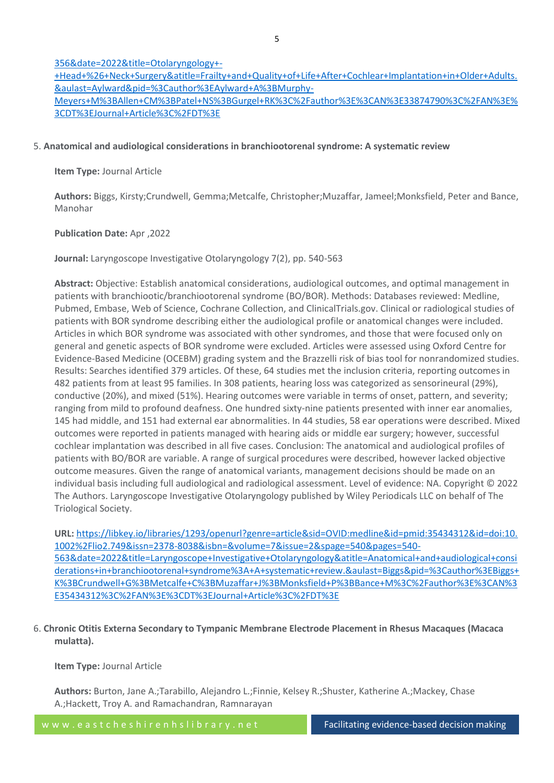# [356&date=2022&title=Otolaryngology+-](https://libkey.io/libraries/1293/openurl?genre=article&sid=OVID:medline&id=pmid:33874790&id=doi:10.1177%2F01945998211004589&issn=0194-5998&isbn=&volume=166&issue=2&spage=350&pages=350-356&date=2022&title=Otolaryngology+-+Head+%26+Neck+Surgery&atitle=Frailty+and+Quality+of+Life+After+Cochlear+Implantation+in+Older+Adults.&aulast=Aylward&pid=%3Cauthor%3EAylward+A%3BMurphy-Meyers+M%3BAllen+CM%3BPatel+NS%3BGurgel+RK%3C%2Fauthor%3E%3CAN%3E33874790%3C%2FAN%3E%3CDT%3EJournal+Article%3C%2FDT%3E)

[+Head+%26+Neck+Surgery&atitle=Frailty+and+Quality+of+Life+After+Cochlear+Implantation+in+Older+Adults.](https://libkey.io/libraries/1293/openurl?genre=article&sid=OVID:medline&id=pmid:33874790&id=doi:10.1177%2F01945998211004589&issn=0194-5998&isbn=&volume=166&issue=2&spage=350&pages=350-356&date=2022&title=Otolaryngology+-+Head+%26+Neck+Surgery&atitle=Frailty+and+Quality+of+Life+After+Cochlear+Implantation+in+Older+Adults.&aulast=Aylward&pid=%3Cauthor%3EAylward+A%3BMurphy-Meyers+M%3BAllen+CM%3BPatel+NS%3BGurgel+RK%3C%2Fauthor%3E%3CAN%3E33874790%3C%2FAN%3E%3CDT%3EJournal+Article%3C%2FDT%3E) [&aulast=Aylward&pid=%3Cauthor%3EAylward+A%3BMurphy-](https://libkey.io/libraries/1293/openurl?genre=article&sid=OVID:medline&id=pmid:33874790&id=doi:10.1177%2F01945998211004589&issn=0194-5998&isbn=&volume=166&issue=2&spage=350&pages=350-356&date=2022&title=Otolaryngology+-+Head+%26+Neck+Surgery&atitle=Frailty+and+Quality+of+Life+After+Cochlear+Implantation+in+Older+Adults.&aulast=Aylward&pid=%3Cauthor%3EAylward+A%3BMurphy-Meyers+M%3BAllen+CM%3BPatel+NS%3BGurgel+RK%3C%2Fauthor%3E%3CAN%3E33874790%3C%2FAN%3E%3CDT%3EJournal+Article%3C%2FDT%3E)[Meyers+M%3BAllen+CM%3BPatel+NS%3BGurgel+RK%3C%2Fauthor%3E%3CAN%3E33874790%3C%2FAN%3E%](https://libkey.io/libraries/1293/openurl?genre=article&sid=OVID:medline&id=pmid:33874790&id=doi:10.1177%2F01945998211004589&issn=0194-5998&isbn=&volume=166&issue=2&spage=350&pages=350-356&date=2022&title=Otolaryngology+-+Head+%26+Neck+Surgery&atitle=Frailty+and+Quality+of+Life+After+Cochlear+Implantation+in+Older+Adults.&aulast=Aylward&pid=%3Cauthor%3EAylward+A%3BMurphy-Meyers+M%3BAllen+CM%3BPatel+NS%3BGurgel+RK%3C%2Fauthor%3E%3CAN%3E33874790%3C%2FAN%3E%3CDT%3EJournal+Article%3C%2FDT%3E) [3CDT%3EJournal+Article%3C%2FDT%3E](https://libkey.io/libraries/1293/openurl?genre=article&sid=OVID:medline&id=pmid:33874790&id=doi:10.1177%2F01945998211004589&issn=0194-5998&isbn=&volume=166&issue=2&spage=350&pages=350-356&date=2022&title=Otolaryngology+-+Head+%26+Neck+Surgery&atitle=Frailty+and+Quality+of+Life+After+Cochlear+Implantation+in+Older+Adults.&aulast=Aylward&pid=%3Cauthor%3EAylward+A%3BMurphy-Meyers+M%3BAllen+CM%3BPatel+NS%3BGurgel+RK%3C%2Fauthor%3E%3CAN%3E33874790%3C%2FAN%3E%3CDT%3EJournal+Article%3C%2FDT%3E)

# 5. **Anatomical and audiological considerations in branchiootorenal syndrome: A systematic review**

## **Item Type:** Journal Article

**Authors:** Biggs, Kirsty;Crundwell, Gemma;Metcalfe, Christopher;Muzaffar, Jameel;Monksfield, Peter and Bance, Manohar

## **Publication Date:** Apr ,2022

**Journal:** Laryngoscope Investigative Otolaryngology 7(2), pp. 540-563

**Abstract:** Objective: Establish anatomical considerations, audiological outcomes, and optimal management in patients with branchiootic/branchiootorenal syndrome (BO/BOR). Methods: Databases reviewed: Medline, Pubmed, Embase, Web of Science, Cochrane Collection, and ClinicalTrials.gov. Clinical or radiological studies of patients with BOR syndrome describing either the audiological profile or anatomical changes were included. Articles in which BOR syndrome was associated with other syndromes, and those that were focused only on general and genetic aspects of BOR syndrome were excluded. Articles were assessed using Oxford Centre for Evidence-Based Medicine (OCEBM) grading system and the Brazzelli risk of bias tool for nonrandomized studies. Results: Searches identified 379 articles. Of these, 64 studies met the inclusion criteria, reporting outcomes in 482 patients from at least 95 families. In 308 patients, hearing loss was categorized as sensorineural (29%), conductive (20%), and mixed (51%). Hearing outcomes were variable in terms of onset, pattern, and severity; ranging from mild to profound deafness. One hundred sixty-nine patients presented with inner ear anomalies, 145 had middle, and 151 had external ear abnormalities. In 44 studies, 58 ear operations were described. Mixed outcomes were reported in patients managed with hearing aids or middle ear surgery; however, successful cochlear implantation was described in all five cases. Conclusion: The anatomical and audiological profiles of patients with BO/BOR are variable. A range of surgical procedures were described, however lacked objective outcome measures. Given the range of anatomical variants, management decisions should be made on an individual basis including full audiological and radiological assessment. Level of evidence: NA. Copyright © 2022 The Authors. Laryngoscope Investigative Otolaryngology published by Wiley Periodicals LLC on behalf of The Triological Society.

**URL:** [https://libkey.io/libraries/1293/openurl?genre=article&sid=OVID:medline&id=pmid:35434312&id=doi:10.](https://libkey.io/libraries/1293/openurl?genre=article&sid=OVID:medline&id=pmid:35434312&id=doi:10.1002%2Flio2.749&issn=2378-8038&isbn=&volume=7&issue=2&spage=540&pages=540-563&date=2022&title=Laryngoscope+Investigative+Otolaryngology&atitle=Anatomical+and+audiological+considerations+in+branchiootorenal+syndrome%3A+A+systematic+review.&aulast=Biggs&pid=%3Cauthor%3EBiggs+K%3BCrundwell+G%3BMetcalfe+C%3BMuzaffar+J%3BMonksfield+P%3BBance+M%3C%2Fauthor%3E%3CAN%3E35434312%3C%2FAN%3E%3CDT%3EJournal+Article%3C%2FDT%3E) [1002%2Flio2.749&issn=2378-8038&isbn=&volume=7&issue=2&spage=540&pages=540-](https://libkey.io/libraries/1293/openurl?genre=article&sid=OVID:medline&id=pmid:35434312&id=doi:10.1002%2Flio2.749&issn=2378-8038&isbn=&volume=7&issue=2&spage=540&pages=540-563&date=2022&title=Laryngoscope+Investigative+Otolaryngology&atitle=Anatomical+and+audiological+considerations+in+branchiootorenal+syndrome%3A+A+systematic+review.&aulast=Biggs&pid=%3Cauthor%3EBiggs+K%3BCrundwell+G%3BMetcalfe+C%3BMuzaffar+J%3BMonksfield+P%3BBance+M%3C%2Fauthor%3E%3CAN%3E35434312%3C%2FAN%3E%3CDT%3EJournal+Article%3C%2FDT%3E) [563&date=2022&title=Laryngoscope+Investigative+Otolaryngology&atitle=Anatomical+and+audiological+consi](https://libkey.io/libraries/1293/openurl?genre=article&sid=OVID:medline&id=pmid:35434312&id=doi:10.1002%2Flio2.749&issn=2378-8038&isbn=&volume=7&issue=2&spage=540&pages=540-563&date=2022&title=Laryngoscope+Investigative+Otolaryngology&atitle=Anatomical+and+audiological+considerations+in+branchiootorenal+syndrome%3A+A+systematic+review.&aulast=Biggs&pid=%3Cauthor%3EBiggs+K%3BCrundwell+G%3BMetcalfe+C%3BMuzaffar+J%3BMonksfield+P%3BBance+M%3C%2Fauthor%3E%3CAN%3E35434312%3C%2FAN%3E%3CDT%3EJournal+Article%3C%2FDT%3E) [derations+in+branchiootorenal+syndrome%3A+A+systematic+review.&aulast=Biggs&pid=%3Cauthor%3EBiggs+](https://libkey.io/libraries/1293/openurl?genre=article&sid=OVID:medline&id=pmid:35434312&id=doi:10.1002%2Flio2.749&issn=2378-8038&isbn=&volume=7&issue=2&spage=540&pages=540-563&date=2022&title=Laryngoscope+Investigative+Otolaryngology&atitle=Anatomical+and+audiological+considerations+in+branchiootorenal+syndrome%3A+A+systematic+review.&aulast=Biggs&pid=%3Cauthor%3EBiggs+K%3BCrundwell+G%3BMetcalfe+C%3BMuzaffar+J%3BMonksfield+P%3BBance+M%3C%2Fauthor%3E%3CAN%3E35434312%3C%2FAN%3E%3CDT%3EJournal+Article%3C%2FDT%3E) [K%3BCrundwell+G%3BMetcalfe+C%3BMuzaffar+J%3BMonksfield+P%3BBance+M%3C%2Fauthor%3E%3CAN%3](https://libkey.io/libraries/1293/openurl?genre=article&sid=OVID:medline&id=pmid:35434312&id=doi:10.1002%2Flio2.749&issn=2378-8038&isbn=&volume=7&issue=2&spage=540&pages=540-563&date=2022&title=Laryngoscope+Investigative+Otolaryngology&atitle=Anatomical+and+audiological+considerations+in+branchiootorenal+syndrome%3A+A+systematic+review.&aulast=Biggs&pid=%3Cauthor%3EBiggs+K%3BCrundwell+G%3BMetcalfe+C%3BMuzaffar+J%3BMonksfield+P%3BBance+M%3C%2Fauthor%3E%3CAN%3E35434312%3C%2FAN%3E%3CDT%3EJournal+Article%3C%2FDT%3E) [E35434312%3C%2FAN%3E%3CDT%3EJournal+Article%3C%2FDT%3E](https://libkey.io/libraries/1293/openurl?genre=article&sid=OVID:medline&id=pmid:35434312&id=doi:10.1002%2Flio2.749&issn=2378-8038&isbn=&volume=7&issue=2&spage=540&pages=540-563&date=2022&title=Laryngoscope+Investigative+Otolaryngology&atitle=Anatomical+and+audiological+considerations+in+branchiootorenal+syndrome%3A+A+systematic+review.&aulast=Biggs&pid=%3Cauthor%3EBiggs+K%3BCrundwell+G%3BMetcalfe+C%3BMuzaffar+J%3BMonksfield+P%3BBance+M%3C%2Fauthor%3E%3CAN%3E35434312%3C%2FAN%3E%3CDT%3EJournal+Article%3C%2FDT%3E)

6. **Chronic Otitis Externa Secondary to Tympanic Membrane Electrode Placement in Rhesus Macaques (Macaca mulatta).**

**Item Type:** Journal Article

**Authors:** Burton, Jane A.;Tarabillo, Alejandro L.;Finnie, Kelsey R.;Shuster, Katherine A.;Mackey, Chase A.;Hackett, Troy A. and Ramachandran, Ramnarayan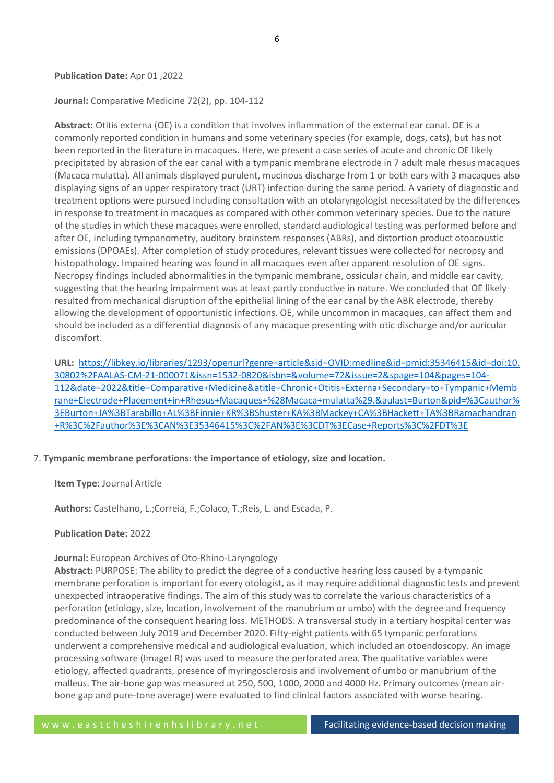#### **Publication Date:** Apr 01 ,2022

#### **Journal:** Comparative Medicine 72(2), pp. 104-112

**Abstract:** Otitis externa (OE) is a condition that involves inflammation of the external ear canal. OE is a commonly reported condition in humans and some veterinary species (for example, dogs, cats), but has not been reported in the literature in macaques. Here, we present a case series of acute and chronic OE likely precipitated by abrasion of the ear canal with a tympanic membrane electrode in 7 adult male rhesus macaques (Macaca mulatta). All animals displayed purulent, mucinous discharge from 1 or both ears with 3 macaques also displaying signs of an upper respiratory tract (URT) infection during the same period. A variety of diagnostic and treatment options were pursued including consultation with an otolaryngologist necessitated by the differences in response to treatment in macaques as compared with other common veterinary species. Due to the nature of the studies in which these macaques were enrolled, standard audiological testing was performed before and after OE, including tympanometry, auditory brainstem responses (ABRs), and distortion product otoacoustic emissions (DPOAEs). After completion of study procedures, relevant tissues were collected for necropsy and histopathology. Impaired hearing was found in all macaques even after apparent resolution of OE signs. Necropsy findings included abnormalities in the tympanic membrane, ossicular chain, and middle ear cavity, suggesting that the hearing impairment was at least partly conductive in nature. We concluded that OE likely resulted from mechanical disruption of the epithelial lining of the ear canal by the ABR electrode, thereby allowing the development of opportunistic infections. OE, while uncommon in macaques, can affect them and should be included as a differential diagnosis of any macaque presenting with otic discharge and/or auricular discomfort.

**URL:** [https://libkey.io/libraries/1293/openurl?genre=article&sid=OVID:medline&id=pmid:35346415&id=doi:10.](https://libkey.io/libraries/1293/openurl?genre=article&sid=OVID:medline&id=pmid:35346415&id=doi:10.30802%2FAALAS-CM-21-000071&issn=1532-0820&isbn=&volume=72&issue=2&spage=104&pages=104-112&date=2022&title=Comparative+Medicine&atitle=Chronic+Otitis+Externa+Secondary+to+Tympanic+Membrane+Electrode+Placement+in+Rhesus+Macaques+%28Macaca+mulatta%29.&aulast=Burton&pid=%3Cauthor%3EBurton+JA%3BTarabillo+AL%3BFinnie+KR%3BShuster+KA%3BMackey+CA%3BHackett+TA%3BRamachandran+R%3C%2Fauthor%3E%3CAN%3E35346415%3C%2FAN%3E%3CDT%3ECase+Reports%3C%2FDT%3E) [30802%2FAALAS-CM-21-000071&issn=1532-0820&isbn=&volume=72&issue=2&spage=104&pages=104-](https://libkey.io/libraries/1293/openurl?genre=article&sid=OVID:medline&id=pmid:35346415&id=doi:10.30802%2FAALAS-CM-21-000071&issn=1532-0820&isbn=&volume=72&issue=2&spage=104&pages=104-112&date=2022&title=Comparative+Medicine&atitle=Chronic+Otitis+Externa+Secondary+to+Tympanic+Membrane+Electrode+Placement+in+Rhesus+Macaques+%28Macaca+mulatta%29.&aulast=Burton&pid=%3Cauthor%3EBurton+JA%3BTarabillo+AL%3BFinnie+KR%3BShuster+KA%3BMackey+CA%3BHackett+TA%3BRamachandran+R%3C%2Fauthor%3E%3CAN%3E35346415%3C%2FAN%3E%3CDT%3ECase+Reports%3C%2FDT%3E) [112&date=2022&title=Comparative+Medicine&atitle=Chronic+Otitis+Externa+Secondary+to+Tympanic+Memb](https://libkey.io/libraries/1293/openurl?genre=article&sid=OVID:medline&id=pmid:35346415&id=doi:10.30802%2FAALAS-CM-21-000071&issn=1532-0820&isbn=&volume=72&issue=2&spage=104&pages=104-112&date=2022&title=Comparative+Medicine&atitle=Chronic+Otitis+Externa+Secondary+to+Tympanic+Membrane+Electrode+Placement+in+Rhesus+Macaques+%28Macaca+mulatta%29.&aulast=Burton&pid=%3Cauthor%3EBurton+JA%3BTarabillo+AL%3BFinnie+KR%3BShuster+KA%3BMackey+CA%3BHackett+TA%3BRamachandran+R%3C%2Fauthor%3E%3CAN%3E35346415%3C%2FAN%3E%3CDT%3ECase+Reports%3C%2FDT%3E) [rane+Electrode+Placement+in+Rhesus+Macaques+%28Macaca+mulatta%29.&aulast=Burton&pid=%3Cauthor%](https://libkey.io/libraries/1293/openurl?genre=article&sid=OVID:medline&id=pmid:35346415&id=doi:10.30802%2FAALAS-CM-21-000071&issn=1532-0820&isbn=&volume=72&issue=2&spage=104&pages=104-112&date=2022&title=Comparative+Medicine&atitle=Chronic+Otitis+Externa+Secondary+to+Tympanic+Membrane+Electrode+Placement+in+Rhesus+Macaques+%28Macaca+mulatta%29.&aulast=Burton&pid=%3Cauthor%3EBurton+JA%3BTarabillo+AL%3BFinnie+KR%3BShuster+KA%3BMackey+CA%3BHackett+TA%3BRamachandran+R%3C%2Fauthor%3E%3CAN%3E35346415%3C%2FAN%3E%3CDT%3ECase+Reports%3C%2FDT%3E) [3EBurton+JA%3BTarabillo+AL%3BFinnie+KR%3BShuster+KA%3BMackey+CA%3BHackett+TA%3BRamachandran](https://libkey.io/libraries/1293/openurl?genre=article&sid=OVID:medline&id=pmid:35346415&id=doi:10.30802%2FAALAS-CM-21-000071&issn=1532-0820&isbn=&volume=72&issue=2&spage=104&pages=104-112&date=2022&title=Comparative+Medicine&atitle=Chronic+Otitis+Externa+Secondary+to+Tympanic+Membrane+Electrode+Placement+in+Rhesus+Macaques+%28Macaca+mulatta%29.&aulast=Burton&pid=%3Cauthor%3EBurton+JA%3BTarabillo+AL%3BFinnie+KR%3BShuster+KA%3BMackey+CA%3BHackett+TA%3BRamachandran+R%3C%2Fauthor%3E%3CAN%3E35346415%3C%2FAN%3E%3CDT%3ECase+Reports%3C%2FDT%3E) [+R%3C%2Fauthor%3E%3CAN%3E35346415%3C%2FAN%3E%3CDT%3ECase+Reports%3C%2FDT%3E](https://libkey.io/libraries/1293/openurl?genre=article&sid=OVID:medline&id=pmid:35346415&id=doi:10.30802%2FAALAS-CM-21-000071&issn=1532-0820&isbn=&volume=72&issue=2&spage=104&pages=104-112&date=2022&title=Comparative+Medicine&atitle=Chronic+Otitis+Externa+Secondary+to+Tympanic+Membrane+Electrode+Placement+in+Rhesus+Macaques+%28Macaca+mulatta%29.&aulast=Burton&pid=%3Cauthor%3EBurton+JA%3BTarabillo+AL%3BFinnie+KR%3BShuster+KA%3BMackey+CA%3BHackett+TA%3BRamachandran+R%3C%2Fauthor%3E%3CAN%3E35346415%3C%2FAN%3E%3CDT%3ECase+Reports%3C%2FDT%3E)

#### 7. **Tympanic membrane perforations: the importance of etiology, size and location.**

**Item Type:** Journal Article

**Authors:** Castelhano, L.;Correia, F.;Colaco, T.;Reis, L. and Escada, P.

**Publication Date:** 2022

#### **Journal:** European Archives of Oto-Rhino-Laryngology

**Abstract:** PURPOSE: The ability to predict the degree of a conductive hearing loss caused by a tympanic membrane perforation is important for every otologist, as it may require additional diagnostic tests and prevent unexpected intraoperative findings. The aim of this study was to correlate the various characteristics of a perforation (etiology, size, location, involvement of the manubrium or umbo) with the degree and frequency predominance of the consequent hearing loss. METHODS: A transversal study in a tertiary hospital center was conducted between July 2019 and December 2020. Fifty-eight patients with 65 tympanic perforations underwent a comprehensive medical and audiological evaluation, which included an otoendoscopy. An image processing software (ImageJ R) was used to measure the perforated area. The qualitative variables were etiology, affected quadrants, presence of myringosclerosis and involvement of umbo or manubrium of the malleus. The air-bone gap was measured at 250, 500, 1000, 2000 and 4000 Hz. Primary outcomes (mean airbone gap and pure-tone average) were evaluated to find clinical factors associated with worse hearing.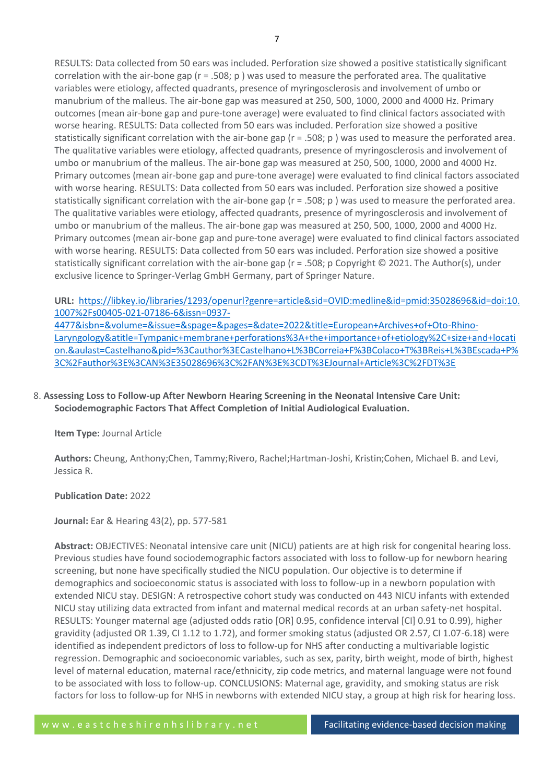RESULTS: Data collected from 50 ears was included. Perforation size showed a positive statistically significant correlation with the air-bone gap  $(r = .508; p)$  was used to measure the perforated area. The qualitative variables were etiology, affected quadrants, presence of myringosclerosis and involvement of umbo or manubrium of the malleus. The air-bone gap was measured at 250, 500, 1000, 2000 and 4000 Hz. Primary outcomes (mean air-bone gap and pure-tone average) were evaluated to find clinical factors associated with worse hearing. RESULTS: Data collected from 50 ears was included. Perforation size showed a positive statistically significant correlation with the air-bone gap (r = .508; p ) was used to measure the perforated area. The qualitative variables were etiology, affected quadrants, presence of myringosclerosis and involvement of umbo or manubrium of the malleus. The air-bone gap was measured at 250, 500, 1000, 2000 and 4000 Hz. Primary outcomes (mean air-bone gap and pure-tone average) were evaluated to find clinical factors associated with worse hearing. RESULTS: Data collected from 50 ears was included. Perforation size showed a positive statistically significant correlation with the air-bone gap (r = .508; p ) was used to measure the perforated area. The qualitative variables were etiology, affected quadrants, presence of myringosclerosis and involvement of umbo or manubrium of the malleus. The air-bone gap was measured at 250, 500, 1000, 2000 and 4000 Hz. Primary outcomes (mean air-bone gap and pure-tone average) were evaluated to find clinical factors associated with worse hearing. RESULTS: Data collected from 50 ears was included. Perforation size showed a positive statistically significant correlation with the air-bone gap (r = .508; p Copyright © 2021. The Author(s), under exclusive licence to Springer-Verlag GmbH Germany, part of Springer Nature.

**URL:** [https://libkey.io/libraries/1293/openurl?genre=article&sid=OVID:medline&id=pmid:35028696&id=doi:10.](https://libkey.io/libraries/1293/openurl?genre=article&sid=OVID:medline&id=pmid:35028696&id=doi:10.1007%2Fs00405-021-07186-6&issn=0937-4477&isbn=&volume=&issue=&spage=&pages=&date=2022&title=European+Archives+of+Oto-Rhino-Laryngology&atitle=Tympanic+membrane+perforations%3A+the+importance+of+etiology%2C+size+and+location.&aulast=Castelhano&pid=%3Cauthor%3ECastelhano+L%3BCorreia+F%3BColaco+T%3BReis+L%3BEscada+P%3C%2Fauthor%3E%3CAN%3E35028696%3C%2FAN%3E%3CDT%3EJournal+Article%3C%2FDT%3E) [1007%2Fs00405-021-07186-6&issn=0937-](https://libkey.io/libraries/1293/openurl?genre=article&sid=OVID:medline&id=pmid:35028696&id=doi:10.1007%2Fs00405-021-07186-6&issn=0937-4477&isbn=&volume=&issue=&spage=&pages=&date=2022&title=European+Archives+of+Oto-Rhino-Laryngology&atitle=Tympanic+membrane+perforations%3A+the+importance+of+etiology%2C+size+and+location.&aulast=Castelhano&pid=%3Cauthor%3ECastelhano+L%3BCorreia+F%3BColaco+T%3BReis+L%3BEscada+P%3C%2Fauthor%3E%3CAN%3E35028696%3C%2FAN%3E%3CDT%3EJournal+Article%3C%2FDT%3E)

[4477&isbn=&volume=&issue=&spage=&pages=&date=2022&title=European+Archives+of+Oto-Rhino-](https://libkey.io/libraries/1293/openurl?genre=article&sid=OVID:medline&id=pmid:35028696&id=doi:10.1007%2Fs00405-021-07186-6&issn=0937-4477&isbn=&volume=&issue=&spage=&pages=&date=2022&title=European+Archives+of+Oto-Rhino-Laryngology&atitle=Tympanic+membrane+perforations%3A+the+importance+of+etiology%2C+size+and+location.&aulast=Castelhano&pid=%3Cauthor%3ECastelhano+L%3BCorreia+F%3BColaco+T%3BReis+L%3BEscada+P%3C%2Fauthor%3E%3CAN%3E35028696%3C%2FAN%3E%3CDT%3EJournal+Article%3C%2FDT%3E)[Laryngology&atitle=Tympanic+membrane+perforations%3A+the+importance+of+etiology%2C+size+and+locati](https://libkey.io/libraries/1293/openurl?genre=article&sid=OVID:medline&id=pmid:35028696&id=doi:10.1007%2Fs00405-021-07186-6&issn=0937-4477&isbn=&volume=&issue=&spage=&pages=&date=2022&title=European+Archives+of+Oto-Rhino-Laryngology&atitle=Tympanic+membrane+perforations%3A+the+importance+of+etiology%2C+size+and+location.&aulast=Castelhano&pid=%3Cauthor%3ECastelhano+L%3BCorreia+F%3BColaco+T%3BReis+L%3BEscada+P%3C%2Fauthor%3E%3CAN%3E35028696%3C%2FAN%3E%3CDT%3EJournal+Article%3C%2FDT%3E) [on.&aulast=Castelhano&pid=%3Cauthor%3ECastelhano+L%3BCorreia+F%3BColaco+T%3BReis+L%3BEscada+P%](https://libkey.io/libraries/1293/openurl?genre=article&sid=OVID:medline&id=pmid:35028696&id=doi:10.1007%2Fs00405-021-07186-6&issn=0937-4477&isbn=&volume=&issue=&spage=&pages=&date=2022&title=European+Archives+of+Oto-Rhino-Laryngology&atitle=Tympanic+membrane+perforations%3A+the+importance+of+etiology%2C+size+and+location.&aulast=Castelhano&pid=%3Cauthor%3ECastelhano+L%3BCorreia+F%3BColaco+T%3BReis+L%3BEscada+P%3C%2Fauthor%3E%3CAN%3E35028696%3C%2FAN%3E%3CDT%3EJournal+Article%3C%2FDT%3E) [3C%2Fauthor%3E%3CAN%3E35028696%3C%2FAN%3E%3CDT%3EJournal+Article%3C%2FDT%3E](https://libkey.io/libraries/1293/openurl?genre=article&sid=OVID:medline&id=pmid:35028696&id=doi:10.1007%2Fs00405-021-07186-6&issn=0937-4477&isbn=&volume=&issue=&spage=&pages=&date=2022&title=European+Archives+of+Oto-Rhino-Laryngology&atitle=Tympanic+membrane+perforations%3A+the+importance+of+etiology%2C+size+and+location.&aulast=Castelhano&pid=%3Cauthor%3ECastelhano+L%3BCorreia+F%3BColaco+T%3BReis+L%3BEscada+P%3C%2Fauthor%3E%3CAN%3E35028696%3C%2FAN%3E%3CDT%3EJournal+Article%3C%2FDT%3E)

# 8. **Assessing Loss to Follow-up After Newborn Hearing Screening in the Neonatal Intensive Care Unit: Sociodemographic Factors That Affect Completion of Initial Audiological Evaluation.**

# **Item Type:** Journal Article

**Authors:** Cheung, Anthony;Chen, Tammy;Rivero, Rachel;Hartman-Joshi, Kristin;Cohen, Michael B. and Levi, Jessica R.

# **Publication Date:** 2022

**Journal:** Ear & Hearing 43(2), pp. 577-581

**Abstract:** OBJECTIVES: Neonatal intensive care unit (NICU) patients are at high risk for congenital hearing loss. Previous studies have found sociodemographic factors associated with loss to follow-up for newborn hearing screening, but none have specifically studied the NICU population. Our objective is to determine if demographics and socioeconomic status is associated with loss to follow-up in a newborn population with extended NICU stay. DESIGN: A retrospective cohort study was conducted on 443 NICU infants with extended NICU stay utilizing data extracted from infant and maternal medical records at an urban safety-net hospital. RESULTS: Younger maternal age (adjusted odds ratio [OR] 0.95, confidence interval [CI] 0.91 to 0.99), higher gravidity (adjusted OR 1.39, CI 1.12 to 1.72), and former smoking status (adjusted OR 2.57, CI 1.07-6.18) were identified as independent predictors of loss to follow-up for NHS after conducting a multivariable logistic regression. Demographic and socioeconomic variables, such as sex, parity, birth weight, mode of birth, highest level of maternal education, maternal race/ethnicity, zip code metrics, and maternal language were not found to be associated with loss to follow-up. CONCLUSIONS: Maternal age, gravidity, and smoking status are risk factors for loss to follow-up for NHS in newborns with extended NICU stay, a group at high risk for hearing loss.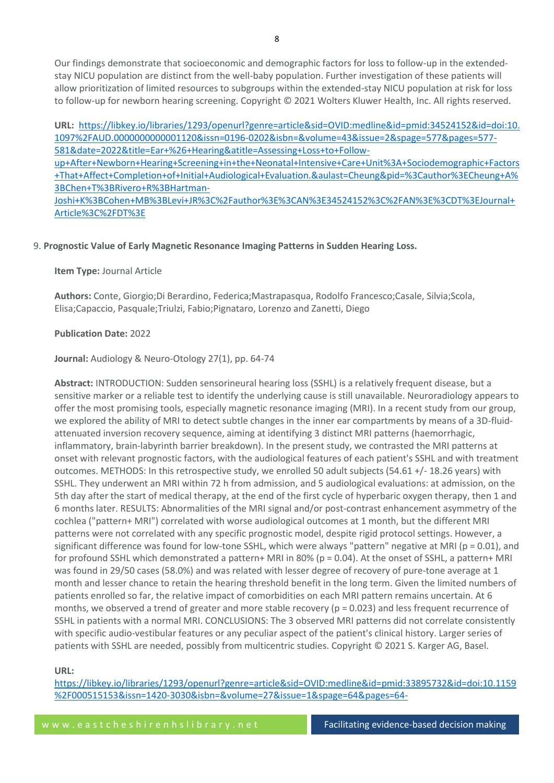Our findings demonstrate that socioeconomic and demographic factors for loss to follow-up in the extendedstay NICU population are distinct from the well-baby population. Further investigation of these patients will allow prioritization of limited resources to subgroups within the extended-stay NICU population at risk for loss to follow-up for newborn hearing screening. Copyright © 2021 Wolters Kluwer Health, Inc. All rights reserved.

**URL:** [https://libkey.io/libraries/1293/openurl?genre=article&sid=OVID:medline&id=pmid:34524152&id=doi:10.](https://libkey.io/libraries/1293/openurl?genre=article&sid=OVID:medline&id=pmid:34524152&id=doi:10.1097%2FAUD.0000000000001120&issn=0196-0202&isbn=&volume=43&issue=2&spage=577&pages=577-581&date=2022&title=Ear+%26+Hearing&atitle=Assessing+Loss+to+Follow-up+After+Newborn+Hearing+Screening+in+the+Neonatal+Intensive+Care+Unit%3A+Sociodemographic+Factors+That+Affect+Completion+of+Initial+Audiological+Evaluation.&aulast=Cheung&pid=%3Cauthor%3ECheung+A%3BChen+T%3BRivero+R%3BHartman-Joshi+K%3BCohen+MB%3BLevi+JR%3C%2Fauthor%3E%3CAN%3E34524152%3C%2FAN%3E%3CDT%3EJournal+Article%3C%2FDT%3E) [1097%2FAUD.0000000000001120&issn=0196-0202&isbn=&volume=43&issue=2&spage=577&pages=577-](https://libkey.io/libraries/1293/openurl?genre=article&sid=OVID:medline&id=pmid:34524152&id=doi:10.1097%2FAUD.0000000000001120&issn=0196-0202&isbn=&volume=43&issue=2&spage=577&pages=577-581&date=2022&title=Ear+%26+Hearing&atitle=Assessing+Loss+to+Follow-up+After+Newborn+Hearing+Screening+in+the+Neonatal+Intensive+Care+Unit%3A+Sociodemographic+Factors+That+Affect+Completion+of+Initial+Audiological+Evaluation.&aulast=Cheung&pid=%3Cauthor%3ECheung+A%3BChen+T%3BRivero+R%3BHartman-Joshi+K%3BCohen+MB%3BLevi+JR%3C%2Fauthor%3E%3CAN%3E34524152%3C%2FAN%3E%3CDT%3EJournal+Article%3C%2FDT%3E) [581&date=2022&title=Ear+%26+Hearing&atitle=Assessing+Loss+to+Follow-](https://libkey.io/libraries/1293/openurl?genre=article&sid=OVID:medline&id=pmid:34524152&id=doi:10.1097%2FAUD.0000000000001120&issn=0196-0202&isbn=&volume=43&issue=2&spage=577&pages=577-581&date=2022&title=Ear+%26+Hearing&atitle=Assessing+Loss+to+Follow-up+After+Newborn+Hearing+Screening+in+the+Neonatal+Intensive+Care+Unit%3A+Sociodemographic+Factors+That+Affect+Completion+of+Initial+Audiological+Evaluation.&aulast=Cheung&pid=%3Cauthor%3ECheung+A%3BChen+T%3BRivero+R%3BHartman-Joshi+K%3BCohen+MB%3BLevi+JR%3C%2Fauthor%3E%3CAN%3E34524152%3C%2FAN%3E%3CDT%3EJournal+Article%3C%2FDT%3E)

[up+After+Newborn+Hearing+Screening+in+the+Neonatal+Intensive+Care+Unit%3A+Sociodemographic+Factors](https://libkey.io/libraries/1293/openurl?genre=article&sid=OVID:medline&id=pmid:34524152&id=doi:10.1097%2FAUD.0000000000001120&issn=0196-0202&isbn=&volume=43&issue=2&spage=577&pages=577-581&date=2022&title=Ear+%26+Hearing&atitle=Assessing+Loss+to+Follow-up+After+Newborn+Hearing+Screening+in+the+Neonatal+Intensive+Care+Unit%3A+Sociodemographic+Factors+That+Affect+Completion+of+Initial+Audiological+Evaluation.&aulast=Cheung&pid=%3Cauthor%3ECheung+A%3BChen+T%3BRivero+R%3BHartman-Joshi+K%3BCohen+MB%3BLevi+JR%3C%2Fauthor%3E%3CAN%3E34524152%3C%2FAN%3E%3CDT%3EJournal+Article%3C%2FDT%3E) [+That+Affect+Completion+of+Initial+Audiological+Evaluation.&aulast=Cheung&pid=%3Cauthor%3ECheung+A%](https://libkey.io/libraries/1293/openurl?genre=article&sid=OVID:medline&id=pmid:34524152&id=doi:10.1097%2FAUD.0000000000001120&issn=0196-0202&isbn=&volume=43&issue=2&spage=577&pages=577-581&date=2022&title=Ear+%26+Hearing&atitle=Assessing+Loss+to+Follow-up+After+Newborn+Hearing+Screening+in+the+Neonatal+Intensive+Care+Unit%3A+Sociodemographic+Factors+That+Affect+Completion+of+Initial+Audiological+Evaluation.&aulast=Cheung&pid=%3Cauthor%3ECheung+A%3BChen+T%3BRivero+R%3BHartman-Joshi+K%3BCohen+MB%3BLevi+JR%3C%2Fauthor%3E%3CAN%3E34524152%3C%2FAN%3E%3CDT%3EJournal+Article%3C%2FDT%3E) [3BChen+T%3BRivero+R%3BHartman-](https://libkey.io/libraries/1293/openurl?genre=article&sid=OVID:medline&id=pmid:34524152&id=doi:10.1097%2FAUD.0000000000001120&issn=0196-0202&isbn=&volume=43&issue=2&spage=577&pages=577-581&date=2022&title=Ear+%26+Hearing&atitle=Assessing+Loss+to+Follow-up+After+Newborn+Hearing+Screening+in+the+Neonatal+Intensive+Care+Unit%3A+Sociodemographic+Factors+That+Affect+Completion+of+Initial+Audiological+Evaluation.&aulast=Cheung&pid=%3Cauthor%3ECheung+A%3BChen+T%3BRivero+R%3BHartman-Joshi+K%3BCohen+MB%3BLevi+JR%3C%2Fauthor%3E%3CAN%3E34524152%3C%2FAN%3E%3CDT%3EJournal+Article%3C%2FDT%3E)[Joshi+K%3BCohen+MB%3BLevi+JR%3C%2Fauthor%3E%3CAN%3E34524152%3C%2FAN%3E%3CDT%3EJournal+](https://libkey.io/libraries/1293/openurl?genre=article&sid=OVID:medline&id=pmid:34524152&id=doi:10.1097%2FAUD.0000000000001120&issn=0196-0202&isbn=&volume=43&issue=2&spage=577&pages=577-581&date=2022&title=Ear+%26+Hearing&atitle=Assessing+Loss+to+Follow-up+After+Newborn+Hearing+Screening+in+the+Neonatal+Intensive+Care+Unit%3A+Sociodemographic+Factors+That+Affect+Completion+of+Initial+Audiological+Evaluation.&aulast=Cheung&pid=%3Cauthor%3ECheung+A%3BChen+T%3BRivero+R%3BHartman-Joshi+K%3BCohen+MB%3BLevi+JR%3C%2Fauthor%3E%3CAN%3E34524152%3C%2FAN%3E%3CDT%3EJournal+Article%3C%2FDT%3E) [Article%3C%2FDT%3E](https://libkey.io/libraries/1293/openurl?genre=article&sid=OVID:medline&id=pmid:34524152&id=doi:10.1097%2FAUD.0000000000001120&issn=0196-0202&isbn=&volume=43&issue=2&spage=577&pages=577-581&date=2022&title=Ear+%26+Hearing&atitle=Assessing+Loss+to+Follow-up+After+Newborn+Hearing+Screening+in+the+Neonatal+Intensive+Care+Unit%3A+Sociodemographic+Factors+That+Affect+Completion+of+Initial+Audiological+Evaluation.&aulast=Cheung&pid=%3Cauthor%3ECheung+A%3BChen+T%3BRivero+R%3BHartman-Joshi+K%3BCohen+MB%3BLevi+JR%3C%2Fauthor%3E%3CAN%3E34524152%3C%2FAN%3E%3CDT%3EJournal+Article%3C%2FDT%3E)

# 9. **Prognostic Value of Early Magnetic Resonance Imaging Patterns in Sudden Hearing Loss.**

**Item Type:** Journal Article

**Authors:** Conte, Giorgio;Di Berardino, Federica;Mastrapasqua, Rodolfo Francesco;Casale, Silvia;Scola, Elisa;Capaccio, Pasquale;Triulzi, Fabio;Pignataro, Lorenzo and Zanetti, Diego

#### **Publication Date:** 2022

#### **Journal:** Audiology & Neuro-Otology 27(1), pp. 64-74

**Abstract:** INTRODUCTION: Sudden sensorineural hearing loss (SSHL) is a relatively frequent disease, but a sensitive marker or a reliable test to identify the underlying cause is still unavailable. Neuroradiology appears to offer the most promising tools, especially magnetic resonance imaging (MRI). In a recent study from our group, we explored the ability of MRI to detect subtle changes in the inner ear compartments by means of a 3D-fluidattenuated inversion recovery sequence, aiming at identifying 3 distinct MRI patterns (haemorrhagic, inflammatory, brain-labyrinth barrier breakdown). In the present study, we contrasted the MRI patterns at onset with relevant prognostic factors, with the audiological features of each patient's SSHL and with treatment outcomes. METHODS: In this retrospective study, we enrolled 50 adult subjects (54.61 +/- 18.26 years) with SSHL. They underwent an MRI within 72 h from admission, and 5 audiological evaluations: at admission, on the 5th day after the start of medical therapy, at the end of the first cycle of hyperbaric oxygen therapy, then 1 and 6 months later. RESULTS: Abnormalities of the MRI signal and/or post-contrast enhancement asymmetry of the cochlea ("pattern+ MRI") correlated with worse audiological outcomes at 1 month, but the different MRI patterns were not correlated with any specific prognostic model, despite rigid protocol settings. However, a significant difference was found for low-tone SSHL, which were always "pattern" negative at MRI ( $p = 0.01$ ), and for profound SSHL which demonstrated a pattern+ MRI in 80% (p = 0.04). At the onset of SSHL, a pattern+ MRI was found in 29/50 cases (58.0%) and was related with lesser degree of recovery of pure-tone average at 1 month and lesser chance to retain the hearing threshold benefit in the long term. Given the limited numbers of patients enrolled so far, the relative impact of comorbidities on each MRI pattern remains uncertain. At 6 months, we observed a trend of greater and more stable recovery ( $p = 0.023$ ) and less frequent recurrence of SSHL in patients with a normal MRI. CONCLUSIONS: The 3 observed MRI patterns did not correlate consistently with specific audio-vestibular features or any peculiar aspect of the patient's clinical history. Larger series of patients with SSHL are needed, possibly from multicentric studies. Copyright © 2021 S. Karger AG, Basel.

## **URL:**

[https://libkey.io/libraries/1293/openurl?genre=article&sid=OVID:medline&id=pmid:33895732&id=doi:10.1159](https://libkey.io/libraries/1293/openurl?genre=article&sid=OVID:medline&id=pmid:33895732&id=doi:10.1159%2F000515153&issn=1420-3030&isbn=&volume=27&issue=1&spage=64&pages=64-74&date=2022&title=Audiology+%26+Neuro-Otology&atitle=Prognostic+Value+of+Early+Magnetic+Resonance+Imaging+Patterns+in+Sudden+Hearing+Loss.&aulast=Conte&pid=%3Cauthor%3EConte+G%3BDi+Berardino+F%3BMastrapasqua+RF%3BCasale+S%3BScola+E%3BCapaccio+P%3BTriulzi+F%3BPignataro+L%3BZanetti+D%3C%2Fauthor%3E%3CAN%3E33895732%3C%2FAN%3E%3CDT%3EJournal+Article%3C%2FDT%3E) [%2F000515153&issn=1420-3030&isbn=&volume=27&issue=1&spage=64&pages=64-](https://libkey.io/libraries/1293/openurl?genre=article&sid=OVID:medline&id=pmid:33895732&id=doi:10.1159%2F000515153&issn=1420-3030&isbn=&volume=27&issue=1&spage=64&pages=64-74&date=2022&title=Audiology+%26+Neuro-Otology&atitle=Prognostic+Value+of+Early+Magnetic+Resonance+Imaging+Patterns+in+Sudden+Hearing+Loss.&aulast=Conte&pid=%3Cauthor%3EConte+G%3BDi+Berardino+F%3BMastrapasqua+RF%3BCasale+S%3BScola+E%3BCapaccio+P%3BTriulzi+F%3BPignataro+L%3BZanetti+D%3C%2Fauthor%3E%3CAN%3E33895732%3C%2FAN%3E%3CDT%3EJournal+Article%3C%2FDT%3E)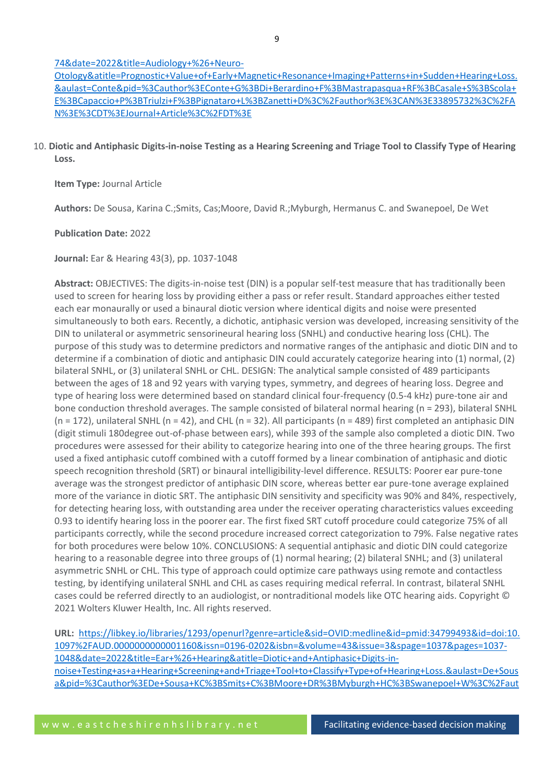# [74&date=2022&title=Audiology+%26+Neuro-](https://libkey.io/libraries/1293/openurl?genre=article&sid=OVID:medline&id=pmid:33895732&id=doi:10.1159%2F000515153&issn=1420-3030&isbn=&volume=27&issue=1&spage=64&pages=64-74&date=2022&title=Audiology+%26+Neuro-Otology&atitle=Prognostic+Value+of+Early+Magnetic+Resonance+Imaging+Patterns+in+Sudden+Hearing+Loss.&aulast=Conte&pid=%3Cauthor%3EConte+G%3BDi+Berardino+F%3BMastrapasqua+RF%3BCasale+S%3BScola+E%3BCapaccio+P%3BTriulzi+F%3BPignataro+L%3BZanetti+D%3C%2Fauthor%3E%3CAN%3E33895732%3C%2FAN%3E%3CDT%3EJournal+Article%3C%2FDT%3E)

[Otology&atitle=Prognostic+Value+of+Early+Magnetic+Resonance+Imaging+Patterns+in+Sudden+Hearing+Loss.](https://libkey.io/libraries/1293/openurl?genre=article&sid=OVID:medline&id=pmid:33895732&id=doi:10.1159%2F000515153&issn=1420-3030&isbn=&volume=27&issue=1&spage=64&pages=64-74&date=2022&title=Audiology+%26+Neuro-Otology&atitle=Prognostic+Value+of+Early+Magnetic+Resonance+Imaging+Patterns+in+Sudden+Hearing+Loss.&aulast=Conte&pid=%3Cauthor%3EConte+G%3BDi+Berardino+F%3BMastrapasqua+RF%3BCasale+S%3BScola+E%3BCapaccio+P%3BTriulzi+F%3BPignataro+L%3BZanetti+D%3C%2Fauthor%3E%3CAN%3E33895732%3C%2FAN%3E%3CDT%3EJournal+Article%3C%2FDT%3E) [&aulast=Conte&pid=%3Cauthor%3EConte+G%3BDi+Berardino+F%3BMastrapasqua+RF%3BCasale+S%3BScola+](https://libkey.io/libraries/1293/openurl?genre=article&sid=OVID:medline&id=pmid:33895732&id=doi:10.1159%2F000515153&issn=1420-3030&isbn=&volume=27&issue=1&spage=64&pages=64-74&date=2022&title=Audiology+%26+Neuro-Otology&atitle=Prognostic+Value+of+Early+Magnetic+Resonance+Imaging+Patterns+in+Sudden+Hearing+Loss.&aulast=Conte&pid=%3Cauthor%3EConte+G%3BDi+Berardino+F%3BMastrapasqua+RF%3BCasale+S%3BScola+E%3BCapaccio+P%3BTriulzi+F%3BPignataro+L%3BZanetti+D%3C%2Fauthor%3E%3CAN%3E33895732%3C%2FAN%3E%3CDT%3EJournal+Article%3C%2FDT%3E) [E%3BCapaccio+P%3BTriulzi+F%3BPignataro+L%3BZanetti+D%3C%2Fauthor%3E%3CAN%3E33895732%3C%2FA](https://libkey.io/libraries/1293/openurl?genre=article&sid=OVID:medline&id=pmid:33895732&id=doi:10.1159%2F000515153&issn=1420-3030&isbn=&volume=27&issue=1&spage=64&pages=64-74&date=2022&title=Audiology+%26+Neuro-Otology&atitle=Prognostic+Value+of+Early+Magnetic+Resonance+Imaging+Patterns+in+Sudden+Hearing+Loss.&aulast=Conte&pid=%3Cauthor%3EConte+G%3BDi+Berardino+F%3BMastrapasqua+RF%3BCasale+S%3BScola+E%3BCapaccio+P%3BTriulzi+F%3BPignataro+L%3BZanetti+D%3C%2Fauthor%3E%3CAN%3E33895732%3C%2FAN%3E%3CDT%3EJournal+Article%3C%2FDT%3E) [N%3E%3CDT%3EJournal+Article%3C%2FDT%3E](https://libkey.io/libraries/1293/openurl?genre=article&sid=OVID:medline&id=pmid:33895732&id=doi:10.1159%2F000515153&issn=1420-3030&isbn=&volume=27&issue=1&spage=64&pages=64-74&date=2022&title=Audiology+%26+Neuro-Otology&atitle=Prognostic+Value+of+Early+Magnetic+Resonance+Imaging+Patterns+in+Sudden+Hearing+Loss.&aulast=Conte&pid=%3Cauthor%3EConte+G%3BDi+Berardino+F%3BMastrapasqua+RF%3BCasale+S%3BScola+E%3BCapaccio+P%3BTriulzi+F%3BPignataro+L%3BZanetti+D%3C%2Fauthor%3E%3CAN%3E33895732%3C%2FAN%3E%3CDT%3EJournal+Article%3C%2FDT%3E)

# 10. **Diotic and Antiphasic Digits-in-noise Testing as a Hearing Screening and Triage Tool to Classify Type of Hearing Loss.**

**Item Type:** Journal Article

**Authors:** De Sousa, Karina C.;Smits, Cas;Moore, David R.;Myburgh, Hermanus C. and Swanepoel, De Wet

#### **Publication Date:** 2022

**Journal:** Ear & Hearing 43(3), pp. 1037-1048

**Abstract:** OBJECTIVES: The digits-in-noise test (DIN) is a popular self-test measure that has traditionally been used to screen for hearing loss by providing either a pass or refer result. Standard approaches either tested each ear monaurally or used a binaural diotic version where identical digits and noise were presented simultaneously to both ears. Recently, a dichotic, antiphasic version was developed, increasing sensitivity of the DIN to unilateral or asymmetric sensorineural hearing loss (SNHL) and conductive hearing loss (CHL). The purpose of this study was to determine predictors and normative ranges of the antiphasic and diotic DIN and to determine if a combination of diotic and antiphasic DIN could accurately categorize hearing into (1) normal, (2) bilateral SNHL, or (3) unilateral SNHL or CHL. DESIGN: The analytical sample consisted of 489 participants between the ages of 18 and 92 years with varying types, symmetry, and degrees of hearing loss. Degree and type of hearing loss were determined based on standard clinical four-frequency (0.5-4 kHz) pure-tone air and bone conduction threshold averages. The sample consisted of bilateral normal hearing (n = 293), bilateral SNHL (n = 172), unilateral SNHL (n = 42), and CHL (n = 32). All participants (n = 489) first completed an antiphasic DIN (digit stimuli 180degree out-of-phase between ears), while 393 of the sample also completed a diotic DIN. Two procedures were assessed for their ability to categorize hearing into one of the three hearing groups. The first used a fixed antiphasic cutoff combined with a cutoff formed by a linear combination of antiphasic and diotic speech recognition threshold (SRT) or binaural intelligibility-level difference. RESULTS: Poorer ear pure-tone average was the strongest predictor of antiphasic DIN score, whereas better ear pure-tone average explained more of the variance in diotic SRT. The antiphasic DIN sensitivity and specificity was 90% and 84%, respectively, for detecting hearing loss, with outstanding area under the receiver operating characteristics values exceeding 0.93 to identify hearing loss in the poorer ear. The first fixed SRT cutoff procedure could categorize 75% of all participants correctly, while the second procedure increased correct categorization to 79%. False negative rates for both procedures were below 10%. CONCLUSIONS: A sequential antiphasic and diotic DIN could categorize hearing to a reasonable degree into three groups of (1) normal hearing; (2) bilateral SNHL; and (3) unilateral asymmetric SNHL or CHL. This type of approach could optimize care pathways using remote and contactless testing, by identifying unilateral SNHL and CHL as cases requiring medical referral. In contrast, bilateral SNHL cases could be referred directly to an audiologist, or nontraditional models like OTC hearing aids. Copyright © 2021 Wolters Kluwer Health, Inc. All rights reserved.

**URL:** [https://libkey.io/libraries/1293/openurl?genre=article&sid=OVID:medline&id=pmid:34799493&id=doi:10.](https://libkey.io/libraries/1293/openurl?genre=article&sid=OVID:medline&id=pmid:34799493&id=doi:10.1097%2FAUD.0000000000001160&issn=0196-0202&isbn=&volume=43&issue=3&spage=1037&pages=1037-1048&date=2022&title=Ear+%26+Hearing&atitle=Diotic+and+Antiphasic+Digits-in-noise+Testing+as+a+Hearing+Screening+and+Triage+Tool+to+Classify+Type+of+Hearing+Loss.&aulast=De+Sousa&pid=%3Cauthor%3EDe+Sousa+KC%3BSmits+C%3BMoore+DR%3BMyburgh+HC%3BSwanepoel+W%3C%2Fauthor%3E%3CAN%3E34799493%3C%2FAN%3E%3CDT%3EJournal+Article%3C%2FDT%3E) [1097%2FAUD.0000000000001160&issn=0196-0202&isbn=&volume=43&issue=3&spage=1037&pages=1037-](https://libkey.io/libraries/1293/openurl?genre=article&sid=OVID:medline&id=pmid:34799493&id=doi:10.1097%2FAUD.0000000000001160&issn=0196-0202&isbn=&volume=43&issue=3&spage=1037&pages=1037-1048&date=2022&title=Ear+%26+Hearing&atitle=Diotic+and+Antiphasic+Digits-in-noise+Testing+as+a+Hearing+Screening+and+Triage+Tool+to+Classify+Type+of+Hearing+Loss.&aulast=De+Sousa&pid=%3Cauthor%3EDe+Sousa+KC%3BSmits+C%3BMoore+DR%3BMyburgh+HC%3BSwanepoel+W%3C%2Fauthor%3E%3CAN%3E34799493%3C%2FAN%3E%3CDT%3EJournal+Article%3C%2FDT%3E) [1048&date=2022&title=Ear+%26+Hearing&atitle=Diotic+and+Antiphasic+Digits-in](https://libkey.io/libraries/1293/openurl?genre=article&sid=OVID:medline&id=pmid:34799493&id=doi:10.1097%2FAUD.0000000000001160&issn=0196-0202&isbn=&volume=43&issue=3&spage=1037&pages=1037-1048&date=2022&title=Ear+%26+Hearing&atitle=Diotic+and+Antiphasic+Digits-in-noise+Testing+as+a+Hearing+Screening+and+Triage+Tool+to+Classify+Type+of+Hearing+Loss.&aulast=De+Sousa&pid=%3Cauthor%3EDe+Sousa+KC%3BSmits+C%3BMoore+DR%3BMyburgh+HC%3BSwanepoel+W%3C%2Fauthor%3E%3CAN%3E34799493%3C%2FAN%3E%3CDT%3EJournal+Article%3C%2FDT%3E)[noise+Testing+as+a+Hearing+Screening+and+Triage+Tool+to+Classify+Type+of+Hearing+Loss.&aulast=De+Sous](https://libkey.io/libraries/1293/openurl?genre=article&sid=OVID:medline&id=pmid:34799493&id=doi:10.1097%2FAUD.0000000000001160&issn=0196-0202&isbn=&volume=43&issue=3&spage=1037&pages=1037-1048&date=2022&title=Ear+%26+Hearing&atitle=Diotic+and+Antiphasic+Digits-in-noise+Testing+as+a+Hearing+Screening+and+Triage+Tool+to+Classify+Type+of+Hearing+Loss.&aulast=De+Sousa&pid=%3Cauthor%3EDe+Sousa+KC%3BSmits+C%3BMoore+DR%3BMyburgh+HC%3BSwanepoel+W%3C%2Fauthor%3E%3CAN%3E34799493%3C%2FAN%3E%3CDT%3EJournal+Article%3C%2FDT%3E) [a&pid=%3Cauthor%3EDe+Sousa+KC%3BSmits+C%3BMoore+DR%3BMyburgh+HC%3BSwanepoel+W%3C%2Faut](https://libkey.io/libraries/1293/openurl?genre=article&sid=OVID:medline&id=pmid:34799493&id=doi:10.1097%2FAUD.0000000000001160&issn=0196-0202&isbn=&volume=43&issue=3&spage=1037&pages=1037-1048&date=2022&title=Ear+%26+Hearing&atitle=Diotic+and+Antiphasic+Digits-in-noise+Testing+as+a+Hearing+Screening+and+Triage+Tool+to+Classify+Type+of+Hearing+Loss.&aulast=De+Sousa&pid=%3Cauthor%3EDe+Sousa+KC%3BSmits+C%3BMoore+DR%3BMyburgh+HC%3BSwanepoel+W%3C%2Fauthor%3E%3CAN%3E34799493%3C%2FAN%3E%3CDT%3EJournal+Article%3C%2FDT%3E)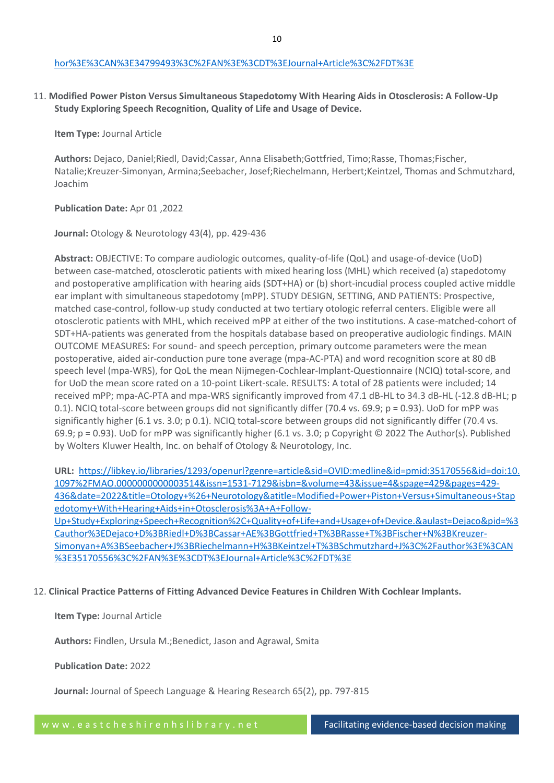11. **Modified Power Piston Versus Simultaneous Stapedotomy With Hearing Aids in Otosclerosis: A Follow-Up Study Exploring Speech Recognition, Quality of Life and Usage of Device.**

**Item Type:** Journal Article

**Authors:** Dejaco, Daniel;Riedl, David;Cassar, Anna Elisabeth;Gottfried, Timo;Rasse, Thomas;Fischer, Natalie;Kreuzer-Simonyan, Armina;Seebacher, Josef;Riechelmann, Herbert;Keintzel, Thomas and Schmutzhard, Joachim

# **Publication Date:** Apr 01 ,2022

**Journal:** Otology & Neurotology 43(4), pp. 429-436

**Abstract:** OBJECTIVE: To compare audiologic outcomes, quality-of-life (QoL) and usage-of-device (UoD) between case-matched, otosclerotic patients with mixed hearing loss (MHL) which received (a) stapedotomy and postoperative amplification with hearing aids (SDT+HA) or (b) short-incudial process coupled active middle ear implant with simultaneous stapedotomy (mPP). STUDY DESIGN, SETTING, AND PATIENTS: Prospective, matched case-control, follow-up study conducted at two tertiary otologic referral centers. Eligible were all otosclerotic patients with MHL, which received mPP at either of the two institutions. A case-matched-cohort of SDT+HA-patients was generated from the hospitals database based on preoperative audiologic findings. MAIN OUTCOME MEASURES: For sound- and speech perception, primary outcome parameters were the mean postoperative, aided air-conduction pure tone average (mpa-AC-PTA) and word recognition score at 80 dB speech level (mpa-WRS), for QoL the mean Nijmegen-Cochlear-Implant-Questionnaire (NCIQ) total-score, and for UoD the mean score rated on a 10-point Likert-scale. RESULTS: A total of 28 patients were included; 14 received mPP; mpa-AC-PTA and mpa-WRS significantly improved from 47.1 dB-HL to 34.3 dB-HL (-12.8 dB-HL; p 0.1). NCIQ total-score between groups did not significantly differ (70.4 vs. 69.9; p = 0.93). UoD for mPP was significantly higher (6.1 vs. 3.0; p 0.1). NCIQ total-score between groups did not significantly differ (70.4 vs. 69.9; p = 0.93). UoD for mPP was significantly higher (6.1 vs. 3.0; p Copyright © 2022 The Author(s). Published by Wolters Kluwer Health, Inc. on behalf of Otology & Neurotology, Inc.

**URL:** [https://libkey.io/libraries/1293/openurl?genre=article&sid=OVID:medline&id=pmid:35170556&id=doi:10.](https://libkey.io/libraries/1293/openurl?genre=article&sid=OVID:medline&id=pmid:35170556&id=doi:10.1097%2FMAO.0000000000003514&issn=1531-7129&isbn=&volume=43&issue=4&spage=429&pages=429-436&date=2022&title=Otology+%26+Neurotology&atitle=Modified+Power+Piston+Versus+Simultaneous+Stapedotomy+With+Hearing+Aids+in+Otosclerosis%3A+A+Follow-Up+Study+Exploring+Speech+Recognition%2C+Quality+of+Life+and+Usage+of+Device.&aulast=Dejaco&pid=%3Cauthor%3EDejaco+D%3BRiedl+D%3BCassar+AE%3BGottfried+T%3BRasse+T%3BFischer+N%3BKreuzer-Simonyan+A%3BSeebacher+J%3BRiechelmann+H%3BKeintzel+T%3BSchmutzhard+J%3C%2Fauthor%3E%3CAN%3E35170556%3C%2FAN%3E%3CDT%3EJournal+Article%3C%2FDT%3E) [1097%2FMAO.0000000000003514&issn=1531-7129&isbn=&volume=43&issue=4&spage=429&pages=429-](https://libkey.io/libraries/1293/openurl?genre=article&sid=OVID:medline&id=pmid:35170556&id=doi:10.1097%2FMAO.0000000000003514&issn=1531-7129&isbn=&volume=43&issue=4&spage=429&pages=429-436&date=2022&title=Otology+%26+Neurotology&atitle=Modified+Power+Piston+Versus+Simultaneous+Stapedotomy+With+Hearing+Aids+in+Otosclerosis%3A+A+Follow-Up+Study+Exploring+Speech+Recognition%2C+Quality+of+Life+and+Usage+of+Device.&aulast=Dejaco&pid=%3Cauthor%3EDejaco+D%3BRiedl+D%3BCassar+AE%3BGottfried+T%3BRasse+T%3BFischer+N%3BKreuzer-Simonyan+A%3BSeebacher+J%3BRiechelmann+H%3BKeintzel+T%3BSchmutzhard+J%3C%2Fauthor%3E%3CAN%3E35170556%3C%2FAN%3E%3CDT%3EJournal+Article%3C%2FDT%3E) [436&date=2022&title=Otology+%26+Neurotology&atitle=Modified+Power+Piston+Versus+Simultaneous+Stap](https://libkey.io/libraries/1293/openurl?genre=article&sid=OVID:medline&id=pmid:35170556&id=doi:10.1097%2FMAO.0000000000003514&issn=1531-7129&isbn=&volume=43&issue=4&spage=429&pages=429-436&date=2022&title=Otology+%26+Neurotology&atitle=Modified+Power+Piston+Versus+Simultaneous+Stapedotomy+With+Hearing+Aids+in+Otosclerosis%3A+A+Follow-Up+Study+Exploring+Speech+Recognition%2C+Quality+of+Life+and+Usage+of+Device.&aulast=Dejaco&pid=%3Cauthor%3EDejaco+D%3BRiedl+D%3BCassar+AE%3BGottfried+T%3BRasse+T%3BFischer+N%3BKreuzer-Simonyan+A%3BSeebacher+J%3BRiechelmann+H%3BKeintzel+T%3BSchmutzhard+J%3C%2Fauthor%3E%3CAN%3E35170556%3C%2FAN%3E%3CDT%3EJournal+Article%3C%2FDT%3E) [edotomy+With+Hearing+Aids+in+Otosclerosis%3A+A+Follow-](https://libkey.io/libraries/1293/openurl?genre=article&sid=OVID:medline&id=pmid:35170556&id=doi:10.1097%2FMAO.0000000000003514&issn=1531-7129&isbn=&volume=43&issue=4&spage=429&pages=429-436&date=2022&title=Otology+%26+Neurotology&atitle=Modified+Power+Piston+Versus+Simultaneous+Stapedotomy+With+Hearing+Aids+in+Otosclerosis%3A+A+Follow-Up+Study+Exploring+Speech+Recognition%2C+Quality+of+Life+and+Usage+of+Device.&aulast=Dejaco&pid=%3Cauthor%3EDejaco+D%3BRiedl+D%3BCassar+AE%3BGottfried+T%3BRasse+T%3BFischer+N%3BKreuzer-Simonyan+A%3BSeebacher+J%3BRiechelmann+H%3BKeintzel+T%3BSchmutzhard+J%3C%2Fauthor%3E%3CAN%3E35170556%3C%2FAN%3E%3CDT%3EJournal+Article%3C%2FDT%3E)[Up+Study+Exploring+Speech+Recognition%2C+Quality+of+Life+and+Usage+of+Device.&aulast=Dejaco&pid=%3](https://libkey.io/libraries/1293/openurl?genre=article&sid=OVID:medline&id=pmid:35170556&id=doi:10.1097%2FMAO.0000000000003514&issn=1531-7129&isbn=&volume=43&issue=4&spage=429&pages=429-436&date=2022&title=Otology+%26+Neurotology&atitle=Modified+Power+Piston+Versus+Simultaneous+Stapedotomy+With+Hearing+Aids+in+Otosclerosis%3A+A+Follow-Up+Study+Exploring+Speech+Recognition%2C+Quality+of+Life+and+Usage+of+Device.&aulast=Dejaco&pid=%3Cauthor%3EDejaco+D%3BRiedl+D%3BCassar+AE%3BGottfried+T%3BRasse+T%3BFischer+N%3BKreuzer-Simonyan+A%3BSeebacher+J%3BRiechelmann+H%3BKeintzel+T%3BSchmutzhard+J%3C%2Fauthor%3E%3CAN%3E35170556%3C%2FAN%3E%3CDT%3EJournal+Article%3C%2FDT%3E)

[Cauthor%3EDejaco+D%3BRiedl+D%3BCassar+AE%3BGottfried+T%3BRasse+T%3BFischer+N%3BKreuzer-](https://libkey.io/libraries/1293/openurl?genre=article&sid=OVID:medline&id=pmid:35170556&id=doi:10.1097%2FMAO.0000000000003514&issn=1531-7129&isbn=&volume=43&issue=4&spage=429&pages=429-436&date=2022&title=Otology+%26+Neurotology&atitle=Modified+Power+Piston+Versus+Simultaneous+Stapedotomy+With+Hearing+Aids+in+Otosclerosis%3A+A+Follow-Up+Study+Exploring+Speech+Recognition%2C+Quality+of+Life+and+Usage+of+Device.&aulast=Dejaco&pid=%3Cauthor%3EDejaco+D%3BRiedl+D%3BCassar+AE%3BGottfried+T%3BRasse+T%3BFischer+N%3BKreuzer-Simonyan+A%3BSeebacher+J%3BRiechelmann+H%3BKeintzel+T%3BSchmutzhard+J%3C%2Fauthor%3E%3CAN%3E35170556%3C%2FAN%3E%3CDT%3EJournal+Article%3C%2FDT%3E)[Simonyan+A%3BSeebacher+J%3BRiechelmann+H%3BKeintzel+T%3BSchmutzhard+J%3C%2Fauthor%3E%3CAN](https://libkey.io/libraries/1293/openurl?genre=article&sid=OVID:medline&id=pmid:35170556&id=doi:10.1097%2FMAO.0000000000003514&issn=1531-7129&isbn=&volume=43&issue=4&spage=429&pages=429-436&date=2022&title=Otology+%26+Neurotology&atitle=Modified+Power+Piston+Versus+Simultaneous+Stapedotomy+With+Hearing+Aids+in+Otosclerosis%3A+A+Follow-Up+Study+Exploring+Speech+Recognition%2C+Quality+of+Life+and+Usage+of+Device.&aulast=Dejaco&pid=%3Cauthor%3EDejaco+D%3BRiedl+D%3BCassar+AE%3BGottfried+T%3BRasse+T%3BFischer+N%3BKreuzer-Simonyan+A%3BSeebacher+J%3BRiechelmann+H%3BKeintzel+T%3BSchmutzhard+J%3C%2Fauthor%3E%3CAN%3E35170556%3C%2FAN%3E%3CDT%3EJournal+Article%3C%2FDT%3E) [%3E35170556%3C%2FAN%3E%3CDT%3EJournal+Article%3C%2FDT%3E](https://libkey.io/libraries/1293/openurl?genre=article&sid=OVID:medline&id=pmid:35170556&id=doi:10.1097%2FMAO.0000000000003514&issn=1531-7129&isbn=&volume=43&issue=4&spage=429&pages=429-436&date=2022&title=Otology+%26+Neurotology&atitle=Modified+Power+Piston+Versus+Simultaneous+Stapedotomy+With+Hearing+Aids+in+Otosclerosis%3A+A+Follow-Up+Study+Exploring+Speech+Recognition%2C+Quality+of+Life+and+Usage+of+Device.&aulast=Dejaco&pid=%3Cauthor%3EDejaco+D%3BRiedl+D%3BCassar+AE%3BGottfried+T%3BRasse+T%3BFischer+N%3BKreuzer-Simonyan+A%3BSeebacher+J%3BRiechelmann+H%3BKeintzel+T%3BSchmutzhard+J%3C%2Fauthor%3E%3CAN%3E35170556%3C%2FAN%3E%3CDT%3EJournal+Article%3C%2FDT%3E)

# 12. **Clinical Practice Patterns of Fitting Advanced Device Features in Children With Cochlear Implants.**

## **Item Type:** Journal Article

**Authors:** Findlen, Ursula M.;Benedict, Jason and Agrawal, Smita

## **Publication Date:** 2022

**Journal:** Journal of Speech Language & Hearing Research 65(2), pp. 797-815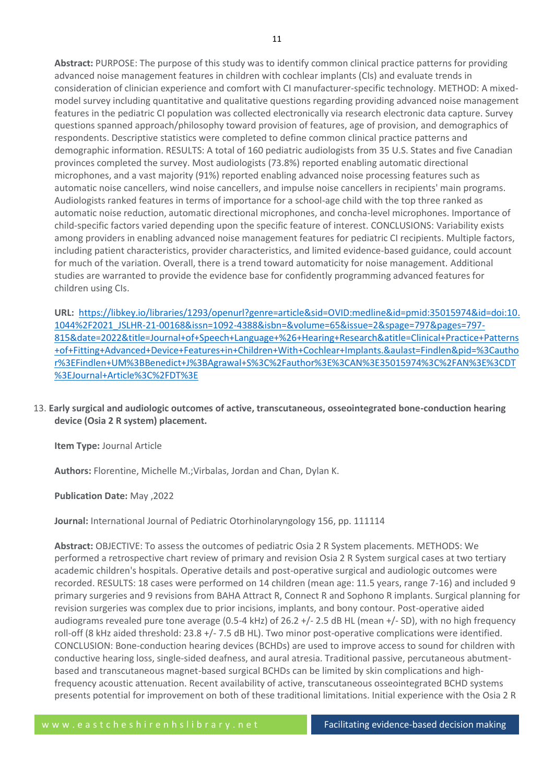**Abstract:** PURPOSE: The purpose of this study was to identify common clinical practice patterns for providing advanced noise management features in children with cochlear implants (CIs) and evaluate trends in consideration of clinician experience and comfort with CI manufacturer-specific technology. METHOD: A mixedmodel survey including quantitative and qualitative questions regarding providing advanced noise management features in the pediatric CI population was collected electronically via research electronic data capture. Survey questions spanned approach/philosophy toward provision of features, age of provision, and demographics of respondents. Descriptive statistics were completed to define common clinical practice patterns and demographic information. RESULTS: A total of 160 pediatric audiologists from 35 U.S. States and five Canadian provinces completed the survey. Most audiologists (73.8%) reported enabling automatic directional microphones, and a vast majority (91%) reported enabling advanced noise processing features such as automatic noise cancellers, wind noise cancellers, and impulse noise cancellers in recipients' main programs. Audiologists ranked features in terms of importance for a school-age child with the top three ranked as automatic noise reduction, automatic directional microphones, and concha-level microphones. Importance of child-specific factors varied depending upon the specific feature of interest. CONCLUSIONS: Variability exists among providers in enabling advanced noise management features for pediatric CI recipients. Multiple factors, including patient characteristics, provider characteristics, and limited evidence-based guidance, could account for much of the variation. Overall, there is a trend toward automaticity for noise management. Additional studies are warranted to provide the evidence base for confidently programming advanced features for children using CIs.

**URL:** [https://libkey.io/libraries/1293/openurl?genre=article&sid=OVID:medline&id=pmid:35015974&id=doi:10.](https://libkey.io/libraries/1293/openurl?genre=article&sid=OVID:medline&id=pmid:35015974&id=doi:10.1044%2F2021_JSLHR-21-00168&issn=1092-4388&isbn=&volume=65&issue=2&spage=797&pages=797-815&date=2022&title=Journal+of+Speech+Language+%26+Hearing+Research&atitle=Clinical+Practice+Patterns+of+Fitting+Advanced+Device+Features+in+Children+With+Cochlear+Implants.&aulast=Findlen&pid=%3Cauthor%3EFindlen+UM%3BBenedict+J%3BAgrawal+S%3C%2Fauthor%3E%3CAN%3E35015974%3C%2FAN%3E%3CDT%3EJournal+Article%3C%2FDT%3E) [1044%2F2021\\_JSLHR-21-00168&issn=1092-4388&isbn=&volume=65&issue=2&spage=797&pages=797-](https://libkey.io/libraries/1293/openurl?genre=article&sid=OVID:medline&id=pmid:35015974&id=doi:10.1044%2F2021_JSLHR-21-00168&issn=1092-4388&isbn=&volume=65&issue=2&spage=797&pages=797-815&date=2022&title=Journal+of+Speech+Language+%26+Hearing+Research&atitle=Clinical+Practice+Patterns+of+Fitting+Advanced+Device+Features+in+Children+With+Cochlear+Implants.&aulast=Findlen&pid=%3Cauthor%3EFindlen+UM%3BBenedict+J%3BAgrawal+S%3C%2Fauthor%3E%3CAN%3E35015974%3C%2FAN%3E%3CDT%3EJournal+Article%3C%2FDT%3E) [815&date=2022&title=Journal+of+Speech+Language+%26+Hearing+Research&atitle=Clinical+Practice+Patterns](https://libkey.io/libraries/1293/openurl?genre=article&sid=OVID:medline&id=pmid:35015974&id=doi:10.1044%2F2021_JSLHR-21-00168&issn=1092-4388&isbn=&volume=65&issue=2&spage=797&pages=797-815&date=2022&title=Journal+of+Speech+Language+%26+Hearing+Research&atitle=Clinical+Practice+Patterns+of+Fitting+Advanced+Device+Features+in+Children+With+Cochlear+Implants.&aulast=Findlen&pid=%3Cauthor%3EFindlen+UM%3BBenedict+J%3BAgrawal+S%3C%2Fauthor%3E%3CAN%3E35015974%3C%2FAN%3E%3CDT%3EJournal+Article%3C%2FDT%3E) [+of+Fitting+Advanced+Device+Features+in+Children+With+Cochlear+Implants.&aulast=Findlen&pid=%3Cautho](https://libkey.io/libraries/1293/openurl?genre=article&sid=OVID:medline&id=pmid:35015974&id=doi:10.1044%2F2021_JSLHR-21-00168&issn=1092-4388&isbn=&volume=65&issue=2&spage=797&pages=797-815&date=2022&title=Journal+of+Speech+Language+%26+Hearing+Research&atitle=Clinical+Practice+Patterns+of+Fitting+Advanced+Device+Features+in+Children+With+Cochlear+Implants.&aulast=Findlen&pid=%3Cauthor%3EFindlen+UM%3BBenedict+J%3BAgrawal+S%3C%2Fauthor%3E%3CAN%3E35015974%3C%2FAN%3E%3CDT%3EJournal+Article%3C%2FDT%3E) [r%3EFindlen+UM%3BBenedict+J%3BAgrawal+S%3C%2Fauthor%3E%3CAN%3E35015974%3C%2FAN%3E%3CDT](https://libkey.io/libraries/1293/openurl?genre=article&sid=OVID:medline&id=pmid:35015974&id=doi:10.1044%2F2021_JSLHR-21-00168&issn=1092-4388&isbn=&volume=65&issue=2&spage=797&pages=797-815&date=2022&title=Journal+of+Speech+Language+%26+Hearing+Research&atitle=Clinical+Practice+Patterns+of+Fitting+Advanced+Device+Features+in+Children+With+Cochlear+Implants.&aulast=Findlen&pid=%3Cauthor%3EFindlen+UM%3BBenedict+J%3BAgrawal+S%3C%2Fauthor%3E%3CAN%3E35015974%3C%2FAN%3E%3CDT%3EJournal+Article%3C%2FDT%3E) [%3EJournal+Article%3C%2FDT%3E](https://libkey.io/libraries/1293/openurl?genre=article&sid=OVID:medline&id=pmid:35015974&id=doi:10.1044%2F2021_JSLHR-21-00168&issn=1092-4388&isbn=&volume=65&issue=2&spage=797&pages=797-815&date=2022&title=Journal+of+Speech+Language+%26+Hearing+Research&atitle=Clinical+Practice+Patterns+of+Fitting+Advanced+Device+Features+in+Children+With+Cochlear+Implants.&aulast=Findlen&pid=%3Cauthor%3EFindlen+UM%3BBenedict+J%3BAgrawal+S%3C%2Fauthor%3E%3CAN%3E35015974%3C%2FAN%3E%3CDT%3EJournal+Article%3C%2FDT%3E)

13. **Early surgical and audiologic outcomes of active, transcutaneous, osseointegrated bone-conduction hearing device (Osia 2 R system) placement.**

**Item Type:** Journal Article

**Authors:** Florentine, Michelle M.;Virbalas, Jordan and Chan, Dylan K.

**Publication Date:** May ,2022

**Journal:** International Journal of Pediatric Otorhinolaryngology 156, pp. 111114

**Abstract:** OBJECTIVE: To assess the outcomes of pediatric Osia 2 R System placements. METHODS: We performed a retrospective chart review of primary and revision Osia 2 R System surgical cases at two tertiary academic children's hospitals. Operative details and post-operative surgical and audiologic outcomes were recorded. RESULTS: 18 cases were performed on 14 children (mean age: 11.5 years, range 7-16) and included 9 primary surgeries and 9 revisions from BAHA Attract R, Connect R and Sophono R implants. Surgical planning for revision surgeries was complex due to prior incisions, implants, and bony contour. Post-operative aided audiograms revealed pure tone average (0.5-4 kHz) of 26.2 +/- 2.5 dB HL (mean +/- SD), with no high frequency roll-off (8 kHz aided threshold: 23.8 +/- 7.5 dB HL). Two minor post-operative complications were identified. CONCLUSION: Bone-conduction hearing devices (BCHDs) are used to improve access to sound for children with conductive hearing loss, single-sided deafness, and aural atresia. Traditional passive, percutaneous abutmentbased and transcutaneous magnet-based surgical BCHDs can be limited by skin complications and highfrequency acoustic attenuation. Recent availability of active, transcutaneous osseointegrated BCHD systems presents potential for improvement on both of these traditional limitations. Initial experience with the Osia 2 R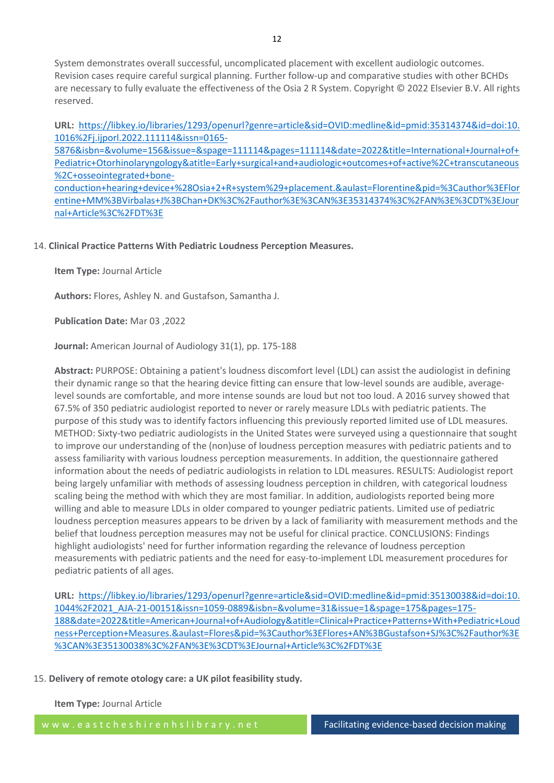System demonstrates overall successful, uncomplicated placement with excellent audiologic outcomes. Revision cases require careful surgical planning. Further follow-up and comparative studies with other BCHDs are necessary to fully evaluate the effectiveness of the Osia 2 R System. Copyright © 2022 Elsevier B.V. All rights reserved.

**URL:** [https://libkey.io/libraries/1293/openurl?genre=article&sid=OVID:medline&id=pmid:35314374&id=doi:10.](https://libkey.io/libraries/1293/openurl?genre=article&sid=OVID:medline&id=pmid:35314374&id=doi:10.1016%2Fj.ijporl.2022.111114&issn=0165-5876&isbn=&volume=156&issue=&spage=111114&pages=111114&date=2022&title=International+Journal+of+Pediatric+Otorhinolaryngology&atitle=Early+surgical+and+audiologic+outcomes+of+active%2C+transcutaneous%2C+osseointegrated+bone-conduction+hearing+device+%28Osia+2+R+system%29+placement.&aulast=Florentine&pid=%3Cauthor%3EFlorentine+MM%3BVirbalas+J%3BChan+DK%3C%2Fauthor%3E%3CAN%3E35314374%3C%2FAN%3E%3CDT%3EJournal+Article%3C%2FDT%3E) [1016%2Fj.ijporl.2022.111114&issn=0165-](https://libkey.io/libraries/1293/openurl?genre=article&sid=OVID:medline&id=pmid:35314374&id=doi:10.1016%2Fj.ijporl.2022.111114&issn=0165-5876&isbn=&volume=156&issue=&spage=111114&pages=111114&date=2022&title=International+Journal+of+Pediatric+Otorhinolaryngology&atitle=Early+surgical+and+audiologic+outcomes+of+active%2C+transcutaneous%2C+osseointegrated+bone-conduction+hearing+device+%28Osia+2+R+system%29+placement.&aulast=Florentine&pid=%3Cauthor%3EFlorentine+MM%3BVirbalas+J%3BChan+DK%3C%2Fauthor%3E%3CAN%3E35314374%3C%2FAN%3E%3CDT%3EJournal+Article%3C%2FDT%3E)

[5876&isbn=&volume=156&issue=&spage=111114&pages=111114&date=2022&title=International+Journal+of+](https://libkey.io/libraries/1293/openurl?genre=article&sid=OVID:medline&id=pmid:35314374&id=doi:10.1016%2Fj.ijporl.2022.111114&issn=0165-5876&isbn=&volume=156&issue=&spage=111114&pages=111114&date=2022&title=International+Journal+of+Pediatric+Otorhinolaryngology&atitle=Early+surgical+and+audiologic+outcomes+of+active%2C+transcutaneous%2C+osseointegrated+bone-conduction+hearing+device+%28Osia+2+R+system%29+placement.&aulast=Florentine&pid=%3Cauthor%3EFlorentine+MM%3BVirbalas+J%3BChan+DK%3C%2Fauthor%3E%3CAN%3E35314374%3C%2FAN%3E%3CDT%3EJournal+Article%3C%2FDT%3E) [Pediatric+Otorhinolaryngology&atitle=Early+surgical+and+audiologic+outcomes+of+active%2C+transcutaneous](https://libkey.io/libraries/1293/openurl?genre=article&sid=OVID:medline&id=pmid:35314374&id=doi:10.1016%2Fj.ijporl.2022.111114&issn=0165-5876&isbn=&volume=156&issue=&spage=111114&pages=111114&date=2022&title=International+Journal+of+Pediatric+Otorhinolaryngology&atitle=Early+surgical+and+audiologic+outcomes+of+active%2C+transcutaneous%2C+osseointegrated+bone-conduction+hearing+device+%28Osia+2+R+system%29+placement.&aulast=Florentine&pid=%3Cauthor%3EFlorentine+MM%3BVirbalas+J%3BChan+DK%3C%2Fauthor%3E%3CAN%3E35314374%3C%2FAN%3E%3CDT%3EJournal+Article%3C%2FDT%3E) [%2C+osseointegrated+bone](https://libkey.io/libraries/1293/openurl?genre=article&sid=OVID:medline&id=pmid:35314374&id=doi:10.1016%2Fj.ijporl.2022.111114&issn=0165-5876&isbn=&volume=156&issue=&spage=111114&pages=111114&date=2022&title=International+Journal+of+Pediatric+Otorhinolaryngology&atitle=Early+surgical+and+audiologic+outcomes+of+active%2C+transcutaneous%2C+osseointegrated+bone-conduction+hearing+device+%28Osia+2+R+system%29+placement.&aulast=Florentine&pid=%3Cauthor%3EFlorentine+MM%3BVirbalas+J%3BChan+DK%3C%2Fauthor%3E%3CAN%3E35314374%3C%2FAN%3E%3CDT%3EJournal+Article%3C%2FDT%3E)[conduction+hearing+device+%28Osia+2+R+system%29+placement.&aulast=Florentine&pid=%3Cauthor%3EFlor](https://libkey.io/libraries/1293/openurl?genre=article&sid=OVID:medline&id=pmid:35314374&id=doi:10.1016%2Fj.ijporl.2022.111114&issn=0165-5876&isbn=&volume=156&issue=&spage=111114&pages=111114&date=2022&title=International+Journal+of+Pediatric+Otorhinolaryngology&atitle=Early+surgical+and+audiologic+outcomes+of+active%2C+transcutaneous%2C+osseointegrated+bone-conduction+hearing+device+%28Osia+2+R+system%29+placement.&aulast=Florentine&pid=%3Cauthor%3EFlorentine+MM%3BVirbalas+J%3BChan+DK%3C%2Fauthor%3E%3CAN%3E35314374%3C%2FAN%3E%3CDT%3EJournal+Article%3C%2FDT%3E) [entine+MM%3BVirbalas+J%3BChan+DK%3C%2Fauthor%3E%3CAN%3E35314374%3C%2FAN%3E%3CDT%3EJour](https://libkey.io/libraries/1293/openurl?genre=article&sid=OVID:medline&id=pmid:35314374&id=doi:10.1016%2Fj.ijporl.2022.111114&issn=0165-5876&isbn=&volume=156&issue=&spage=111114&pages=111114&date=2022&title=International+Journal+of+Pediatric+Otorhinolaryngology&atitle=Early+surgical+and+audiologic+outcomes+of+active%2C+transcutaneous%2C+osseointegrated+bone-conduction+hearing+device+%28Osia+2+R+system%29+placement.&aulast=Florentine&pid=%3Cauthor%3EFlorentine+MM%3BVirbalas+J%3BChan+DK%3C%2Fauthor%3E%3CAN%3E35314374%3C%2FAN%3E%3CDT%3EJournal+Article%3C%2FDT%3E) [nal+Article%3C%2FDT%3E](https://libkey.io/libraries/1293/openurl?genre=article&sid=OVID:medline&id=pmid:35314374&id=doi:10.1016%2Fj.ijporl.2022.111114&issn=0165-5876&isbn=&volume=156&issue=&spage=111114&pages=111114&date=2022&title=International+Journal+of+Pediatric+Otorhinolaryngology&atitle=Early+surgical+and+audiologic+outcomes+of+active%2C+transcutaneous%2C+osseointegrated+bone-conduction+hearing+device+%28Osia+2+R+system%29+placement.&aulast=Florentine&pid=%3Cauthor%3EFlorentine+MM%3BVirbalas+J%3BChan+DK%3C%2Fauthor%3E%3CAN%3E35314374%3C%2FAN%3E%3CDT%3EJournal+Article%3C%2FDT%3E)

# 14. **Clinical Practice Patterns With Pediatric Loudness Perception Measures.**

**Item Type:** Journal Article

**Authors:** Flores, Ashley N. and Gustafson, Samantha J.

**Publication Date:** Mar 03 ,2022

**Journal:** American Journal of Audiology 31(1), pp. 175-188

**Abstract:** PURPOSE: Obtaining a patient's loudness discomfort level (LDL) can assist the audiologist in defining their dynamic range so that the hearing device fitting can ensure that low-level sounds are audible, averagelevel sounds are comfortable, and more intense sounds are loud but not too loud. A 2016 survey showed that 67.5% of 350 pediatric audiologist reported to never or rarely measure LDLs with pediatric patients. The purpose of this study was to identify factors influencing this previously reported limited use of LDL measures. METHOD: Sixty-two pediatric audiologists in the United States were surveyed using a questionnaire that sought to improve our understanding of the (non)use of loudness perception measures with pediatric patients and to assess familiarity with various loudness perception measurements. In addition, the questionnaire gathered information about the needs of pediatric audiologists in relation to LDL measures. RESULTS: Audiologist report being largely unfamiliar with methods of assessing loudness perception in children, with categorical loudness scaling being the method with which they are most familiar. In addition, audiologists reported being more willing and able to measure LDLs in older compared to younger pediatric patients. Limited use of pediatric loudness perception measures appears to be driven by a lack of familiarity with measurement methods and the belief that loudness perception measures may not be useful for clinical practice. CONCLUSIONS: Findings highlight audiologists' need for further information regarding the relevance of loudness perception measurements with pediatric patients and the need for easy-to-implement LDL measurement procedures for pediatric patients of all ages.

**URL:** [https://libkey.io/libraries/1293/openurl?genre=article&sid=OVID:medline&id=pmid:35130038&id=doi:10.](https://libkey.io/libraries/1293/openurl?genre=article&sid=OVID:medline&id=pmid:35130038&id=doi:10.1044%2F2021_AJA-21-00151&issn=1059-0889&isbn=&volume=31&issue=1&spage=175&pages=175-188&date=2022&title=American+Journal+of+Audiology&atitle=Clinical+Practice+Patterns+With+Pediatric+Loudness+Perception+Measures.&aulast=Flores&pid=%3Cauthor%3EFlores+AN%3BGustafson+SJ%3C%2Fauthor%3E%3CAN%3E35130038%3C%2FAN%3E%3CDT%3EJournal+Article%3C%2FDT%3E) [1044%2F2021\\_AJA-21-00151&issn=1059-0889&isbn=&volume=31&issue=1&spage=175&pages=175-](https://libkey.io/libraries/1293/openurl?genre=article&sid=OVID:medline&id=pmid:35130038&id=doi:10.1044%2F2021_AJA-21-00151&issn=1059-0889&isbn=&volume=31&issue=1&spage=175&pages=175-188&date=2022&title=American+Journal+of+Audiology&atitle=Clinical+Practice+Patterns+With+Pediatric+Loudness+Perception+Measures.&aulast=Flores&pid=%3Cauthor%3EFlores+AN%3BGustafson+SJ%3C%2Fauthor%3E%3CAN%3E35130038%3C%2FAN%3E%3CDT%3EJournal+Article%3C%2FDT%3E) [188&date=2022&title=American+Journal+of+Audiology&atitle=Clinical+Practice+Patterns+With+Pediatric+Loud](https://libkey.io/libraries/1293/openurl?genre=article&sid=OVID:medline&id=pmid:35130038&id=doi:10.1044%2F2021_AJA-21-00151&issn=1059-0889&isbn=&volume=31&issue=1&spage=175&pages=175-188&date=2022&title=American+Journal+of+Audiology&atitle=Clinical+Practice+Patterns+With+Pediatric+Loudness+Perception+Measures.&aulast=Flores&pid=%3Cauthor%3EFlores+AN%3BGustafson+SJ%3C%2Fauthor%3E%3CAN%3E35130038%3C%2FAN%3E%3CDT%3EJournal+Article%3C%2FDT%3E) [ness+Perception+Measures.&aulast=Flores&pid=%3Cauthor%3EFlores+AN%3BGustafson+SJ%3C%2Fauthor%3E](https://libkey.io/libraries/1293/openurl?genre=article&sid=OVID:medline&id=pmid:35130038&id=doi:10.1044%2F2021_AJA-21-00151&issn=1059-0889&isbn=&volume=31&issue=1&spage=175&pages=175-188&date=2022&title=American+Journal+of+Audiology&atitle=Clinical+Practice+Patterns+With+Pediatric+Loudness+Perception+Measures.&aulast=Flores&pid=%3Cauthor%3EFlores+AN%3BGustafson+SJ%3C%2Fauthor%3E%3CAN%3E35130038%3C%2FAN%3E%3CDT%3EJournal+Article%3C%2FDT%3E) [%3CAN%3E35130038%3C%2FAN%3E%3CDT%3EJournal+Article%3C%2FDT%3E](https://libkey.io/libraries/1293/openurl?genre=article&sid=OVID:medline&id=pmid:35130038&id=doi:10.1044%2F2021_AJA-21-00151&issn=1059-0889&isbn=&volume=31&issue=1&spage=175&pages=175-188&date=2022&title=American+Journal+of+Audiology&atitle=Clinical+Practice+Patterns+With+Pediatric+Loudness+Perception+Measures.&aulast=Flores&pid=%3Cauthor%3EFlores+AN%3BGustafson+SJ%3C%2Fauthor%3E%3CAN%3E35130038%3C%2FAN%3E%3CDT%3EJournal+Article%3C%2FDT%3E)

# 15. **Delivery of remote otology care: a UK pilot feasibility study.**

**Item Type:** Journal Article

w w w . e a s t c h e s h i r e n h s l i b r a r y . n e t Facilitating evidence-based decision making

12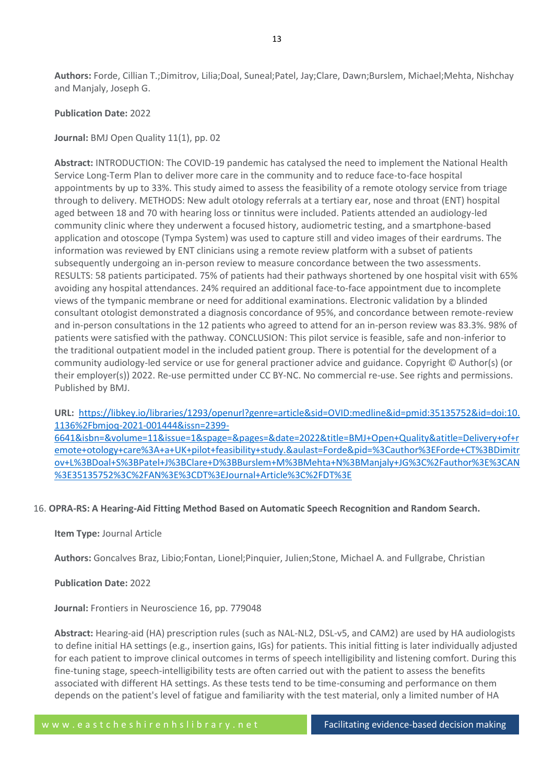**Authors:** Forde, Cillian T.;Dimitrov, Lilia;Doal, Suneal;Patel, Jay;Clare, Dawn;Burslem, Michael;Mehta, Nishchay and Manjaly, Joseph G.

## **Publication Date:** 2022

# **Journal:** BMJ Open Quality 11(1), pp. 02

**Abstract:** INTRODUCTION: The COVID-19 pandemic has catalysed the need to implement the National Health Service Long-Term Plan to deliver more care in the community and to reduce face-to-face hospital appointments by up to 33%. This study aimed to assess the feasibility of a remote otology service from triage through to delivery. METHODS: New adult otology referrals at a tertiary ear, nose and throat (ENT) hospital aged between 18 and 70 with hearing loss or tinnitus were included. Patients attended an audiology-led community clinic where they underwent a focused history, audiometric testing, and a smartphone-based application and otoscope (Tympa System) was used to capture still and video images of their eardrums. The information was reviewed by ENT clinicians using a remote review platform with a subset of patients subsequently undergoing an in-person review to measure concordance between the two assessments. RESULTS: 58 patients participated. 75% of patients had their pathways shortened by one hospital visit with 65% avoiding any hospital attendances. 24% required an additional face-to-face appointment due to incomplete views of the tympanic membrane or need for additional examinations. Electronic validation by a blinded consultant otologist demonstrated a diagnosis concordance of 95%, and concordance between remote-review and in-person consultations in the 12 patients who agreed to attend for an in-person review was 83.3%. 98% of patients were satisfied with the pathway. CONCLUSION: This pilot service is feasible, safe and non-inferior to the traditional outpatient model in the included patient group. There is potential for the development of a community audiology-led service or use for general practioner advice and guidance. Copyright © Author(s) (or their employer(s)) 2022. Re-use permitted under CC BY-NC. No commercial re-use. See rights and permissions. Published by BMJ.

**URL:** [https://libkey.io/libraries/1293/openurl?genre=article&sid=OVID:medline&id=pmid:35135752&id=doi:10.](https://libkey.io/libraries/1293/openurl?genre=article&sid=OVID:medline&id=pmid:35135752&id=doi:10.1136%2Fbmjoq-2021-001444&issn=2399-6641&isbn=&volume=11&issue=1&spage=&pages=&date=2022&title=BMJ+Open+Quality&atitle=Delivery+of+remote+otology+care%3A+a+UK+pilot+feasibility+study.&aulast=Forde&pid=%3Cauthor%3EForde+CT%3BDimitrov+L%3BDoal+S%3BPatel+J%3BClare+D%3BBurslem+M%3BMehta+N%3BManjaly+JG%3C%2Fauthor%3E%3CAN%3E35135752%3C%2FAN%3E%3CDT%3EJournal+Article%3C%2FDT%3E) [1136%2Fbmjoq-2021-001444&issn=2399-](https://libkey.io/libraries/1293/openurl?genre=article&sid=OVID:medline&id=pmid:35135752&id=doi:10.1136%2Fbmjoq-2021-001444&issn=2399-6641&isbn=&volume=11&issue=1&spage=&pages=&date=2022&title=BMJ+Open+Quality&atitle=Delivery+of+remote+otology+care%3A+a+UK+pilot+feasibility+study.&aulast=Forde&pid=%3Cauthor%3EForde+CT%3BDimitrov+L%3BDoal+S%3BPatel+J%3BClare+D%3BBurslem+M%3BMehta+N%3BManjaly+JG%3C%2Fauthor%3E%3CAN%3E35135752%3C%2FAN%3E%3CDT%3EJournal+Article%3C%2FDT%3E)

[6641&isbn=&volume=11&issue=1&spage=&pages=&date=2022&title=BMJ+Open+Quality&atitle=Delivery+of+r](https://libkey.io/libraries/1293/openurl?genre=article&sid=OVID:medline&id=pmid:35135752&id=doi:10.1136%2Fbmjoq-2021-001444&issn=2399-6641&isbn=&volume=11&issue=1&spage=&pages=&date=2022&title=BMJ+Open+Quality&atitle=Delivery+of+remote+otology+care%3A+a+UK+pilot+feasibility+study.&aulast=Forde&pid=%3Cauthor%3EForde+CT%3BDimitrov+L%3BDoal+S%3BPatel+J%3BClare+D%3BBurslem+M%3BMehta+N%3BManjaly+JG%3C%2Fauthor%3E%3CAN%3E35135752%3C%2FAN%3E%3CDT%3EJournal+Article%3C%2FDT%3E) [emote+otology+care%3A+a+UK+pilot+feasibility+study.&aulast=Forde&pid=%3Cauthor%3EForde+CT%3BDimitr](https://libkey.io/libraries/1293/openurl?genre=article&sid=OVID:medline&id=pmid:35135752&id=doi:10.1136%2Fbmjoq-2021-001444&issn=2399-6641&isbn=&volume=11&issue=1&spage=&pages=&date=2022&title=BMJ+Open+Quality&atitle=Delivery+of+remote+otology+care%3A+a+UK+pilot+feasibility+study.&aulast=Forde&pid=%3Cauthor%3EForde+CT%3BDimitrov+L%3BDoal+S%3BPatel+J%3BClare+D%3BBurslem+M%3BMehta+N%3BManjaly+JG%3C%2Fauthor%3E%3CAN%3E35135752%3C%2FAN%3E%3CDT%3EJournal+Article%3C%2FDT%3E) [ov+L%3BDoal+S%3BPatel+J%3BClare+D%3BBurslem+M%3BMehta+N%3BManjaly+JG%3C%2Fauthor%3E%3CAN](https://libkey.io/libraries/1293/openurl?genre=article&sid=OVID:medline&id=pmid:35135752&id=doi:10.1136%2Fbmjoq-2021-001444&issn=2399-6641&isbn=&volume=11&issue=1&spage=&pages=&date=2022&title=BMJ+Open+Quality&atitle=Delivery+of+remote+otology+care%3A+a+UK+pilot+feasibility+study.&aulast=Forde&pid=%3Cauthor%3EForde+CT%3BDimitrov+L%3BDoal+S%3BPatel+J%3BClare+D%3BBurslem+M%3BMehta+N%3BManjaly+JG%3C%2Fauthor%3E%3CAN%3E35135752%3C%2FAN%3E%3CDT%3EJournal+Article%3C%2FDT%3E) [%3E35135752%3C%2FAN%3E%3CDT%3EJournal+Article%3C%2FDT%3E](https://libkey.io/libraries/1293/openurl?genre=article&sid=OVID:medline&id=pmid:35135752&id=doi:10.1136%2Fbmjoq-2021-001444&issn=2399-6641&isbn=&volume=11&issue=1&spage=&pages=&date=2022&title=BMJ+Open+Quality&atitle=Delivery+of+remote+otology+care%3A+a+UK+pilot+feasibility+study.&aulast=Forde&pid=%3Cauthor%3EForde+CT%3BDimitrov+L%3BDoal+S%3BPatel+J%3BClare+D%3BBurslem+M%3BMehta+N%3BManjaly+JG%3C%2Fauthor%3E%3CAN%3E35135752%3C%2FAN%3E%3CDT%3EJournal+Article%3C%2FDT%3E)

## 16. **OPRA-RS: A Hearing-Aid Fitting Method Based on Automatic Speech Recognition and Random Search.**

## **Item Type:** Journal Article

**Authors:** Goncalves Braz, Libio;Fontan, Lionel;Pinquier, Julien;Stone, Michael A. and Fullgrabe, Christian

## **Publication Date:** 2022

**Journal:** Frontiers in Neuroscience 16, pp. 779048

**Abstract:** Hearing-aid (HA) prescription rules (such as NAL-NL2, DSL-v5, and CAM2) are used by HA audiologists to define initial HA settings (e.g., insertion gains, IGs) for patients. This initial fitting is later individually adjusted for each patient to improve clinical outcomes in terms of speech intelligibility and listening comfort. During this fine-tuning stage, speech-intelligibility tests are often carried out with the patient to assess the benefits associated with different HA settings. As these tests tend to be time-consuming and performance on them depends on the patient's level of fatigue and familiarity with the test material, only a limited number of HA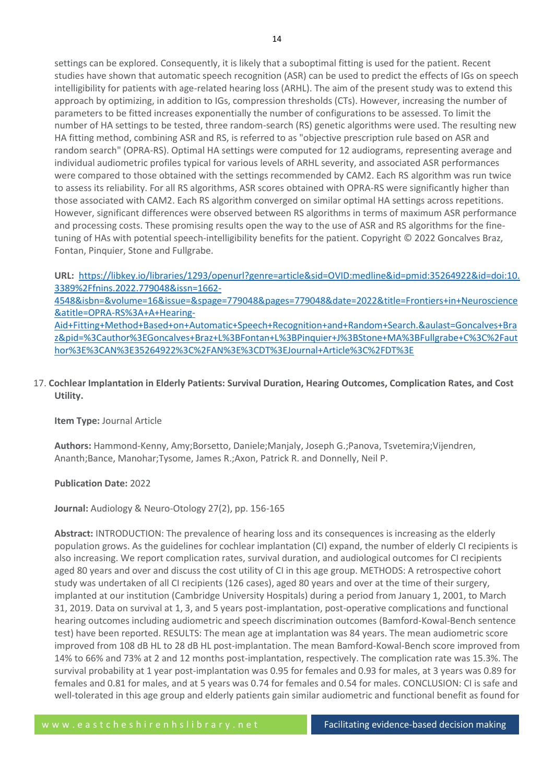settings can be explored. Consequently, it is likely that a suboptimal fitting is used for the patient. Recent studies have shown that automatic speech recognition (ASR) can be used to predict the effects of IGs on speech intelligibility for patients with age-related hearing loss (ARHL). The aim of the present study was to extend this approach by optimizing, in addition to IGs, compression thresholds (CTs). However, increasing the number of parameters to be fitted increases exponentially the number of configurations to be assessed. To limit the number of HA settings to be tested, three random-search (RS) genetic algorithms were used. The resulting new HA fitting method, combining ASR and RS, is referred to as "objective prescription rule based on ASR and random search" (OPRA-RS). Optimal HA settings were computed for 12 audiograms, representing average and individual audiometric profiles typical for various levels of ARHL severity, and associated ASR performances were compared to those obtained with the settings recommended by CAM2. Each RS algorithm was run twice to assess its reliability. For all RS algorithms, ASR scores obtained with OPRA-RS were significantly higher than those associated with CAM2. Each RS algorithm converged on similar optimal HA settings across repetitions. However, significant differences were observed between RS algorithms in terms of maximum ASR performance and processing costs. These promising results open the way to the use of ASR and RS algorithms for the finetuning of HAs with potential speech-intelligibility benefits for the patient. Copyright © 2022 Goncalves Braz, Fontan, Pinquier, Stone and Fullgrabe.

**URL:** [https://libkey.io/libraries/1293/openurl?genre=article&sid=OVID:medline&id=pmid:35264922&id=doi:10.](https://libkey.io/libraries/1293/openurl?genre=article&sid=OVID:medline&id=pmid:35264922&id=doi:10.3389%2Ffnins.2022.779048&issn=1662-4548&isbn=&volume=16&issue=&spage=779048&pages=779048&date=2022&title=Frontiers+in+Neuroscience&atitle=OPRA-RS%3A+A+Hearing-Aid+Fitting+Method+Based+on+Automatic+Speech+Recognition+and+Random+Search.&aulast=Goncalves+Braz&pid=%3Cauthor%3EGoncalves+Braz+L%3BFontan+L%3BPinquier+J%3BStone+MA%3BFullgrabe+C%3C%2Fauthor%3E%3CAN%3E35264922%3C%2FAN%3E%3CDT%3EJournal+Article%3C%2FDT%3E) [3389%2Ffnins.2022.779048&issn=1662-](https://libkey.io/libraries/1293/openurl?genre=article&sid=OVID:medline&id=pmid:35264922&id=doi:10.3389%2Ffnins.2022.779048&issn=1662-4548&isbn=&volume=16&issue=&spage=779048&pages=779048&date=2022&title=Frontiers+in+Neuroscience&atitle=OPRA-RS%3A+A+Hearing-Aid+Fitting+Method+Based+on+Automatic+Speech+Recognition+and+Random+Search.&aulast=Goncalves+Braz&pid=%3Cauthor%3EGoncalves+Braz+L%3BFontan+L%3BPinquier+J%3BStone+MA%3BFullgrabe+C%3C%2Fauthor%3E%3CAN%3E35264922%3C%2FAN%3E%3CDT%3EJournal+Article%3C%2FDT%3E)

[4548&isbn=&volume=16&issue=&spage=779048&pages=779048&date=2022&title=Frontiers+in+Neuroscience](https://libkey.io/libraries/1293/openurl?genre=article&sid=OVID:medline&id=pmid:35264922&id=doi:10.3389%2Ffnins.2022.779048&issn=1662-4548&isbn=&volume=16&issue=&spage=779048&pages=779048&date=2022&title=Frontiers+in+Neuroscience&atitle=OPRA-RS%3A+A+Hearing-Aid+Fitting+Method+Based+on+Automatic+Speech+Recognition+and+Random+Search.&aulast=Goncalves+Braz&pid=%3Cauthor%3EGoncalves+Braz+L%3BFontan+L%3BPinquier+J%3BStone+MA%3BFullgrabe+C%3C%2Fauthor%3E%3CAN%3E35264922%3C%2FAN%3E%3CDT%3EJournal+Article%3C%2FDT%3E) [&atitle=OPRA-RS%3A+A+Hearing-](https://libkey.io/libraries/1293/openurl?genre=article&sid=OVID:medline&id=pmid:35264922&id=doi:10.3389%2Ffnins.2022.779048&issn=1662-4548&isbn=&volume=16&issue=&spage=779048&pages=779048&date=2022&title=Frontiers+in+Neuroscience&atitle=OPRA-RS%3A+A+Hearing-Aid+Fitting+Method+Based+on+Automatic+Speech+Recognition+and+Random+Search.&aulast=Goncalves+Braz&pid=%3Cauthor%3EGoncalves+Braz+L%3BFontan+L%3BPinquier+J%3BStone+MA%3BFullgrabe+C%3C%2Fauthor%3E%3CAN%3E35264922%3C%2FAN%3E%3CDT%3EJournal+Article%3C%2FDT%3E)

[Aid+Fitting+Method+Based+on+Automatic+Speech+Recognition+and+Random+Search.&aulast=Goncalves+Bra](https://libkey.io/libraries/1293/openurl?genre=article&sid=OVID:medline&id=pmid:35264922&id=doi:10.3389%2Ffnins.2022.779048&issn=1662-4548&isbn=&volume=16&issue=&spage=779048&pages=779048&date=2022&title=Frontiers+in+Neuroscience&atitle=OPRA-RS%3A+A+Hearing-Aid+Fitting+Method+Based+on+Automatic+Speech+Recognition+and+Random+Search.&aulast=Goncalves+Braz&pid=%3Cauthor%3EGoncalves+Braz+L%3BFontan+L%3BPinquier+J%3BStone+MA%3BFullgrabe+C%3C%2Fauthor%3E%3CAN%3E35264922%3C%2FAN%3E%3CDT%3EJournal+Article%3C%2FDT%3E) [z&pid=%3Cauthor%3EGoncalves+Braz+L%3BFontan+L%3BPinquier+J%3BStone+MA%3BFullgrabe+C%3C%2Faut](https://libkey.io/libraries/1293/openurl?genre=article&sid=OVID:medline&id=pmid:35264922&id=doi:10.3389%2Ffnins.2022.779048&issn=1662-4548&isbn=&volume=16&issue=&spage=779048&pages=779048&date=2022&title=Frontiers+in+Neuroscience&atitle=OPRA-RS%3A+A+Hearing-Aid+Fitting+Method+Based+on+Automatic+Speech+Recognition+and+Random+Search.&aulast=Goncalves+Braz&pid=%3Cauthor%3EGoncalves+Braz+L%3BFontan+L%3BPinquier+J%3BStone+MA%3BFullgrabe+C%3C%2Fauthor%3E%3CAN%3E35264922%3C%2FAN%3E%3CDT%3EJournal+Article%3C%2FDT%3E) [hor%3E%3CAN%3E35264922%3C%2FAN%3E%3CDT%3EJournal+Article%3C%2FDT%3E](https://libkey.io/libraries/1293/openurl?genre=article&sid=OVID:medline&id=pmid:35264922&id=doi:10.3389%2Ffnins.2022.779048&issn=1662-4548&isbn=&volume=16&issue=&spage=779048&pages=779048&date=2022&title=Frontiers+in+Neuroscience&atitle=OPRA-RS%3A+A+Hearing-Aid+Fitting+Method+Based+on+Automatic+Speech+Recognition+and+Random+Search.&aulast=Goncalves+Braz&pid=%3Cauthor%3EGoncalves+Braz+L%3BFontan+L%3BPinquier+J%3BStone+MA%3BFullgrabe+C%3C%2Fauthor%3E%3CAN%3E35264922%3C%2FAN%3E%3CDT%3EJournal+Article%3C%2FDT%3E)

17. **Cochlear Implantation in Elderly Patients: Survival Duration, Hearing Outcomes, Complication Rates, and Cost Utility.**

# **Item Type:** Journal Article

**Authors:** Hammond-Kenny, Amy;Borsetto, Daniele;Manjaly, Joseph G.;Panova, Tsvetemira;Vijendren, Ananth;Bance, Manohar;Tysome, James R.;Axon, Patrick R. and Donnelly, Neil P.

# **Publication Date:** 2022

**Journal:** Audiology & Neuro-Otology 27(2), pp. 156-165

**Abstract:** INTRODUCTION: The prevalence of hearing loss and its consequences is increasing as the elderly population grows. As the guidelines for cochlear implantation (CI) expand, the number of elderly CI recipients is also increasing. We report complication rates, survival duration, and audiological outcomes for CI recipients aged 80 years and over and discuss the cost utility of CI in this age group. METHODS: A retrospective cohort study was undertaken of all CI recipients (126 cases), aged 80 years and over at the time of their surgery, implanted at our institution (Cambridge University Hospitals) during a period from January 1, 2001, to March 31, 2019. Data on survival at 1, 3, and 5 years post-implantation, post-operative complications and functional hearing outcomes including audiometric and speech discrimination outcomes (Bamford-Kowal-Bench sentence test) have been reported. RESULTS: The mean age at implantation was 84 years. The mean audiometric score improved from 108 dB HL to 28 dB HL post-implantation. The mean Bamford-Kowal-Bench score improved from 14% to 66% and 73% at 2 and 12 months post-implantation, respectively. The complication rate was 15.3%. The survival probability at 1 year post-implantation was 0.95 for females and 0.93 for males, at 3 years was 0.89 for females and 0.81 for males, and at 5 years was 0.74 for females and 0.54 for males. CONCLUSION: CI is safe and well-tolerated in this age group and elderly patients gain similar audiometric and functional benefit as found for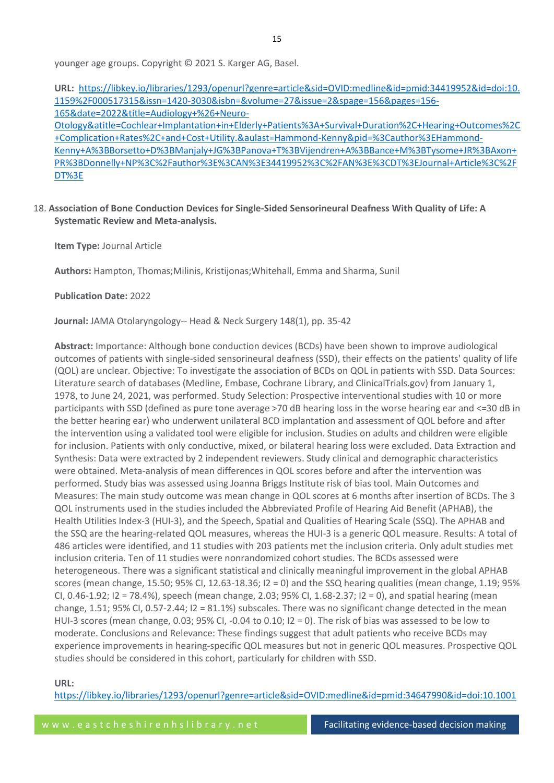15

younger age groups. Copyright © 2021 S. Karger AG, Basel.

**URL:** [https://libkey.io/libraries/1293/openurl?genre=article&sid=OVID:medline&id=pmid:34419952&id=doi:10.](https://libkey.io/libraries/1293/openurl?genre=article&sid=OVID:medline&id=pmid:34419952&id=doi:10.1159%2F000517315&issn=1420-3030&isbn=&volume=27&issue=2&spage=156&pages=156-165&date=2022&title=Audiology+%26+Neuro-Otology&atitle=Cochlear+Implantation+in+Elderly+Patients%3A+Survival+Duration%2C+Hearing+Outcomes%2C+Complication+Rates%2C+and+Cost+Utility.&aulast=Hammond-Kenny&pid=%3Cauthor%3EHammond-Kenny+A%3BBorsetto+D%3BManjaly+JG%3BPanova+T%3BVijendren+A%3BBance+M%3BTysome+JR%3BAxon+PR%3BDonnelly+NP%3C%2Fauthor%3E%3CAN%3E34419952%3C%2FAN%3E%3CDT%3EJournal+Article%3C%2FDT%3E) [1159%2F000517315&issn=1420-3030&isbn=&volume=27&issue=2&spage=156&pages=156-](https://libkey.io/libraries/1293/openurl?genre=article&sid=OVID:medline&id=pmid:34419952&id=doi:10.1159%2F000517315&issn=1420-3030&isbn=&volume=27&issue=2&spage=156&pages=156-165&date=2022&title=Audiology+%26+Neuro-Otology&atitle=Cochlear+Implantation+in+Elderly+Patients%3A+Survival+Duration%2C+Hearing+Outcomes%2C+Complication+Rates%2C+and+Cost+Utility.&aulast=Hammond-Kenny&pid=%3Cauthor%3EHammond-Kenny+A%3BBorsetto+D%3BManjaly+JG%3BPanova+T%3BVijendren+A%3BBance+M%3BTysome+JR%3BAxon+PR%3BDonnelly+NP%3C%2Fauthor%3E%3CAN%3E34419952%3C%2FAN%3E%3CDT%3EJournal+Article%3C%2FDT%3E) [165&date=2022&title=Audiology+%26+Neuro-](https://libkey.io/libraries/1293/openurl?genre=article&sid=OVID:medline&id=pmid:34419952&id=doi:10.1159%2F000517315&issn=1420-3030&isbn=&volume=27&issue=2&spage=156&pages=156-165&date=2022&title=Audiology+%26+Neuro-Otology&atitle=Cochlear+Implantation+in+Elderly+Patients%3A+Survival+Duration%2C+Hearing+Outcomes%2C+Complication+Rates%2C+and+Cost+Utility.&aulast=Hammond-Kenny&pid=%3Cauthor%3EHammond-Kenny+A%3BBorsetto+D%3BManjaly+JG%3BPanova+T%3BVijendren+A%3BBance+M%3BTysome+JR%3BAxon+PR%3BDonnelly+NP%3C%2Fauthor%3E%3CAN%3E34419952%3C%2FAN%3E%3CDT%3EJournal+Article%3C%2FDT%3E)[Otology&atitle=Cochlear+Implantation+in+Elderly+Patients%3A+Survival+Duration%2C+Hearing+Outcomes%2C](https://libkey.io/libraries/1293/openurl?genre=article&sid=OVID:medline&id=pmid:34419952&id=doi:10.1159%2F000517315&issn=1420-3030&isbn=&volume=27&issue=2&spage=156&pages=156-165&date=2022&title=Audiology+%26+Neuro-Otology&atitle=Cochlear+Implantation+in+Elderly+Patients%3A+Survival+Duration%2C+Hearing+Outcomes%2C+Complication+Rates%2C+and+Cost+Utility.&aulast=Hammond-Kenny&pid=%3Cauthor%3EHammond-Kenny+A%3BBorsetto+D%3BManjaly+JG%3BPanova+T%3BVijendren+A%3BBance+M%3BTysome+JR%3BAxon+PR%3BDonnelly+NP%3C%2Fauthor%3E%3CAN%3E34419952%3C%2FAN%3E%3CDT%3EJournal+Article%3C%2FDT%3E) [+Complication+Rates%2C+and+Cost+Utility.&aulast=Hammond-Kenny&pid=%3Cauthor%3EHammond-](https://libkey.io/libraries/1293/openurl?genre=article&sid=OVID:medline&id=pmid:34419952&id=doi:10.1159%2F000517315&issn=1420-3030&isbn=&volume=27&issue=2&spage=156&pages=156-165&date=2022&title=Audiology+%26+Neuro-Otology&atitle=Cochlear+Implantation+in+Elderly+Patients%3A+Survival+Duration%2C+Hearing+Outcomes%2C+Complication+Rates%2C+and+Cost+Utility.&aulast=Hammond-Kenny&pid=%3Cauthor%3EHammond-Kenny+A%3BBorsetto+D%3BManjaly+JG%3BPanova+T%3BVijendren+A%3BBance+M%3BTysome+JR%3BAxon+PR%3BDonnelly+NP%3C%2Fauthor%3E%3CAN%3E34419952%3C%2FAN%3E%3CDT%3EJournal+Article%3C%2FDT%3E)[Kenny+A%3BBorsetto+D%3BManjaly+JG%3BPanova+T%3BVijendren+A%3BBance+M%3BTysome+JR%3BAxon+](https://libkey.io/libraries/1293/openurl?genre=article&sid=OVID:medline&id=pmid:34419952&id=doi:10.1159%2F000517315&issn=1420-3030&isbn=&volume=27&issue=2&spage=156&pages=156-165&date=2022&title=Audiology+%26+Neuro-Otology&atitle=Cochlear+Implantation+in+Elderly+Patients%3A+Survival+Duration%2C+Hearing+Outcomes%2C+Complication+Rates%2C+and+Cost+Utility.&aulast=Hammond-Kenny&pid=%3Cauthor%3EHammond-Kenny+A%3BBorsetto+D%3BManjaly+JG%3BPanova+T%3BVijendren+A%3BBance+M%3BTysome+JR%3BAxon+PR%3BDonnelly+NP%3C%2Fauthor%3E%3CAN%3E34419952%3C%2FAN%3E%3CDT%3EJournal+Article%3C%2FDT%3E) [PR%3BDonnelly+NP%3C%2Fauthor%3E%3CAN%3E34419952%3C%2FAN%3E%3CDT%3EJournal+Article%3C%2F](https://libkey.io/libraries/1293/openurl?genre=article&sid=OVID:medline&id=pmid:34419952&id=doi:10.1159%2F000517315&issn=1420-3030&isbn=&volume=27&issue=2&spage=156&pages=156-165&date=2022&title=Audiology+%26+Neuro-Otology&atitle=Cochlear+Implantation+in+Elderly+Patients%3A+Survival+Duration%2C+Hearing+Outcomes%2C+Complication+Rates%2C+and+Cost+Utility.&aulast=Hammond-Kenny&pid=%3Cauthor%3EHammond-Kenny+A%3BBorsetto+D%3BManjaly+JG%3BPanova+T%3BVijendren+A%3BBance+M%3BTysome+JR%3BAxon+PR%3BDonnelly+NP%3C%2Fauthor%3E%3CAN%3E34419952%3C%2FAN%3E%3CDT%3EJournal+Article%3C%2FDT%3E) [DT%3E](https://libkey.io/libraries/1293/openurl?genre=article&sid=OVID:medline&id=pmid:34419952&id=doi:10.1159%2F000517315&issn=1420-3030&isbn=&volume=27&issue=2&spage=156&pages=156-165&date=2022&title=Audiology+%26+Neuro-Otology&atitle=Cochlear+Implantation+in+Elderly+Patients%3A+Survival+Duration%2C+Hearing+Outcomes%2C+Complication+Rates%2C+and+Cost+Utility.&aulast=Hammond-Kenny&pid=%3Cauthor%3EHammond-Kenny+A%3BBorsetto+D%3BManjaly+JG%3BPanova+T%3BVijendren+A%3BBance+M%3BTysome+JR%3BAxon+PR%3BDonnelly+NP%3C%2Fauthor%3E%3CAN%3E34419952%3C%2FAN%3E%3CDT%3EJournal+Article%3C%2FDT%3E)

# 18. **Association of Bone Conduction Devices for Single-Sided Sensorineural Deafness With Quality of Life: A Systematic Review and Meta-analysis.**

**Item Type:** Journal Article

**Authors:** Hampton, Thomas;Milinis, Kristijonas;Whitehall, Emma and Sharma, Sunil

**Publication Date:** 2022

**Journal:** JAMA Otolaryngology-- Head & Neck Surgery 148(1), pp. 35-42

**Abstract:** Importance: Although bone conduction devices (BCDs) have been shown to improve audiological outcomes of patients with single-sided sensorineural deafness (SSD), their effects on the patients' quality of life (QOL) are unclear. Objective: To investigate the association of BCDs on QOL in patients with SSD. Data Sources: Literature search of databases (Medline, Embase, Cochrane Library, and ClinicalTrials.gov) from January 1, 1978, to June 24, 2021, was performed. Study Selection: Prospective interventional studies with 10 or more participants with SSD (defined as pure tone average >70 dB hearing loss in the worse hearing ear and <=30 dB in the better hearing ear) who underwent unilateral BCD implantation and assessment of QOL before and after the intervention using a validated tool were eligible for inclusion. Studies on adults and children were eligible for inclusion. Patients with only conductive, mixed, or bilateral hearing loss were excluded. Data Extraction and Synthesis: Data were extracted by 2 independent reviewers. Study clinical and demographic characteristics were obtained. Meta-analysis of mean differences in QOL scores before and after the intervention was performed. Study bias was assessed using Joanna Briggs Institute risk of bias tool. Main Outcomes and Measures: The main study outcome was mean change in QOL scores at 6 months after insertion of BCDs. The 3 QOL instruments used in the studies included the Abbreviated Profile of Hearing Aid Benefit (APHAB), the Health Utilities Index-3 (HUI-3), and the Speech, Spatial and Qualities of Hearing Scale (SSQ). The APHAB and the SSQ are the hearing-related QOL measures, whereas the HUI-3 is a generic QOL measure. Results: A total of 486 articles were identified, and 11 studies with 203 patients met the inclusion criteria. Only adult studies met inclusion criteria. Ten of 11 studies were nonrandomized cohort studies. The BCDs assessed were heterogeneous. There was a significant statistical and clinically meaningful improvement in the global APHAB scores (mean change, 15.50; 95% CI, 12.63-18.36; I2 = 0) and the SSQ hearing qualities (mean change, 1.19; 95% CI, 0.46-1.92; I2 = 78.4%), speech (mean change, 2.03; 95% CI, 1.68-2.37; I2 = 0), and spatial hearing (mean change, 1.51; 95% CI, 0.57-2.44; I2 = 81.1%) subscales. There was no significant change detected in the mean HUI-3 scores (mean change, 0.03; 95% CI, -0.04 to 0.10; I2 = 0). The risk of bias was assessed to be low to moderate. Conclusions and Relevance: These findings suggest that adult patients who receive BCDs may experience improvements in hearing-specific QOL measures but not in generic QOL measures. Prospective QOL studies should be considered in this cohort, particularly for children with SSD.

#### **URL:**

[https://libkey.io/libraries/1293/openurl?genre=article&sid=OVID:medline&id=pmid:34647990&id=doi:10.1001](https://libkey.io/libraries/1293/openurl?genre=article&sid=OVID:medline&id=pmid:34647990&id=doi:10.1001%2Fjamaoto.2021.2769&issn=2168-6181&isbn=&volume=148&issue=1&spage=35&pages=35-42&date=2022&title=JAMA+Otolaryngology--+Head+%26+Neck+Surgery&atitle=Association+of+Bone+Conduction+Devices+for+Single-Sided+Sensorineural+Deafness+With+Quality+of+Life%3A+A+Systematic+Review+and+Meta-analysis.&aulast=Hampton&pid=%3Cauthor%3EHampton+T%3BMilinis+K%3BWhitehall+E%3BSharma+S%3C%2Fauthor%3E%3CAN%3E34647990%3C%2FAN%3E%3CDT%3EJournal+Article%3C%2FDT%3E)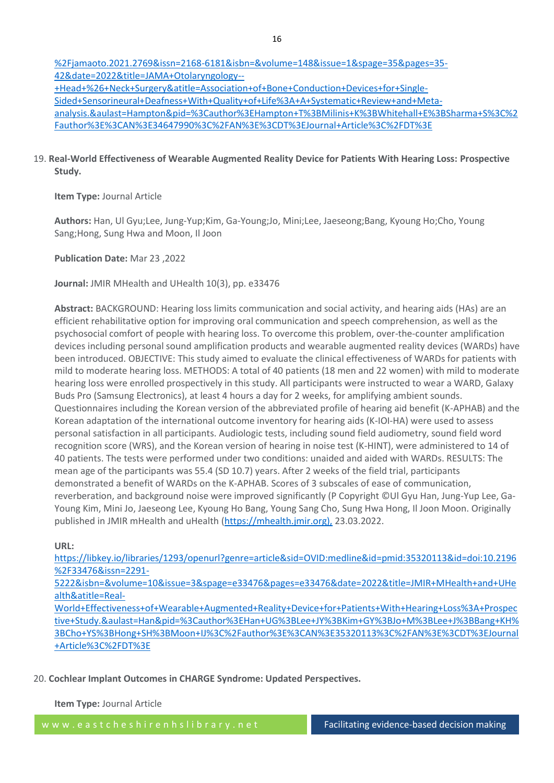[%2Fjamaoto.2021.2769&issn=2168-6181&isbn=&volume=148&issue=1&spage=35&pages=35-](https://libkey.io/libraries/1293/openurl?genre=article&sid=OVID:medline&id=pmid:34647990&id=doi:10.1001%2Fjamaoto.2021.2769&issn=2168-6181&isbn=&volume=148&issue=1&spage=35&pages=35-42&date=2022&title=JAMA+Otolaryngology--+Head+%26+Neck+Surgery&atitle=Association+of+Bone+Conduction+Devices+for+Single-Sided+Sensorineural+Deafness+With+Quality+of+Life%3A+A+Systematic+Review+and+Meta-analysis.&aulast=Hampton&pid=%3Cauthor%3EHampton+T%3BMilinis+K%3BWhitehall+E%3BSharma+S%3C%2Fauthor%3E%3CAN%3E34647990%3C%2FAN%3E%3CDT%3EJournal+Article%3C%2FDT%3E) [42&date=2022&title=JAMA+Otolaryngology--](https://libkey.io/libraries/1293/openurl?genre=article&sid=OVID:medline&id=pmid:34647990&id=doi:10.1001%2Fjamaoto.2021.2769&issn=2168-6181&isbn=&volume=148&issue=1&spage=35&pages=35-42&date=2022&title=JAMA+Otolaryngology--+Head+%26+Neck+Surgery&atitle=Association+of+Bone+Conduction+Devices+for+Single-Sided+Sensorineural+Deafness+With+Quality+of+Life%3A+A+Systematic+Review+and+Meta-analysis.&aulast=Hampton&pid=%3Cauthor%3EHampton+T%3BMilinis+K%3BWhitehall+E%3BSharma+S%3C%2Fauthor%3E%3CAN%3E34647990%3C%2FAN%3E%3CDT%3EJournal+Article%3C%2FDT%3E) [+Head+%26+Neck+Surgery&atitle=Association+of+Bone+Conduction+Devices+for+Single-](https://libkey.io/libraries/1293/openurl?genre=article&sid=OVID:medline&id=pmid:34647990&id=doi:10.1001%2Fjamaoto.2021.2769&issn=2168-6181&isbn=&volume=148&issue=1&spage=35&pages=35-42&date=2022&title=JAMA+Otolaryngology--+Head+%26+Neck+Surgery&atitle=Association+of+Bone+Conduction+Devices+for+Single-Sided+Sensorineural+Deafness+With+Quality+of+Life%3A+A+Systematic+Review+and+Meta-analysis.&aulast=Hampton&pid=%3Cauthor%3EHampton+T%3BMilinis+K%3BWhitehall+E%3BSharma+S%3C%2Fauthor%3E%3CAN%3E34647990%3C%2FAN%3E%3CDT%3EJournal+Article%3C%2FDT%3E)[Sided+Sensorineural+Deafness+With+Quality+of+Life%3A+A+Systematic+Review+and+Meta](https://libkey.io/libraries/1293/openurl?genre=article&sid=OVID:medline&id=pmid:34647990&id=doi:10.1001%2Fjamaoto.2021.2769&issn=2168-6181&isbn=&volume=148&issue=1&spage=35&pages=35-42&date=2022&title=JAMA+Otolaryngology--+Head+%26+Neck+Surgery&atitle=Association+of+Bone+Conduction+Devices+for+Single-Sided+Sensorineural+Deafness+With+Quality+of+Life%3A+A+Systematic+Review+and+Meta-analysis.&aulast=Hampton&pid=%3Cauthor%3EHampton+T%3BMilinis+K%3BWhitehall+E%3BSharma+S%3C%2Fauthor%3E%3CAN%3E34647990%3C%2FAN%3E%3CDT%3EJournal+Article%3C%2FDT%3E)[analysis.&aulast=Hampton&pid=%3Cauthor%3EHampton+T%3BMilinis+K%3BWhitehall+E%3BSharma+S%3C%2](https://libkey.io/libraries/1293/openurl?genre=article&sid=OVID:medline&id=pmid:34647990&id=doi:10.1001%2Fjamaoto.2021.2769&issn=2168-6181&isbn=&volume=148&issue=1&spage=35&pages=35-42&date=2022&title=JAMA+Otolaryngology--+Head+%26+Neck+Surgery&atitle=Association+of+Bone+Conduction+Devices+for+Single-Sided+Sensorineural+Deafness+With+Quality+of+Life%3A+A+Systematic+Review+and+Meta-analysis.&aulast=Hampton&pid=%3Cauthor%3EHampton+T%3BMilinis+K%3BWhitehall+E%3BSharma+S%3C%2Fauthor%3E%3CAN%3E34647990%3C%2FAN%3E%3CDT%3EJournal+Article%3C%2FDT%3E) [Fauthor%3E%3CAN%3E34647990%3C%2FAN%3E%3CDT%3EJournal+Article%3C%2FDT%3E](https://libkey.io/libraries/1293/openurl?genre=article&sid=OVID:medline&id=pmid:34647990&id=doi:10.1001%2Fjamaoto.2021.2769&issn=2168-6181&isbn=&volume=148&issue=1&spage=35&pages=35-42&date=2022&title=JAMA+Otolaryngology--+Head+%26+Neck+Surgery&atitle=Association+of+Bone+Conduction+Devices+for+Single-Sided+Sensorineural+Deafness+With+Quality+of+Life%3A+A+Systematic+Review+and+Meta-analysis.&aulast=Hampton&pid=%3Cauthor%3EHampton+T%3BMilinis+K%3BWhitehall+E%3BSharma+S%3C%2Fauthor%3E%3CAN%3E34647990%3C%2FAN%3E%3CDT%3EJournal+Article%3C%2FDT%3E)

# 19. **Real-World Effectiveness of Wearable Augmented Reality Device for Patients With Hearing Loss: Prospective Study.**

**Item Type:** Journal Article

**Authors:** Han, Ul Gyu;Lee, Jung-Yup;Kim, Ga-Young;Jo, Mini;Lee, Jaeseong;Bang, Kyoung Ho;Cho, Young Sang;Hong, Sung Hwa and Moon, Il Joon

**Publication Date:** Mar 23 ,2022

**Journal:** JMIR MHealth and UHealth 10(3), pp. e33476

**Abstract:** BACKGROUND: Hearing loss limits communication and social activity, and hearing aids (HAs) are an efficient rehabilitative option for improving oral communication and speech comprehension, as well as the psychosocial comfort of people with hearing loss. To overcome this problem, over-the-counter amplification devices including personal sound amplification products and wearable augmented reality devices (WARDs) have been introduced. OBJECTIVE: This study aimed to evaluate the clinical effectiveness of WARDs for patients with mild to moderate hearing loss. METHODS: A total of 40 patients (18 men and 22 women) with mild to moderate hearing loss were enrolled prospectively in this study. All participants were instructed to wear a WARD, Galaxy Buds Pro (Samsung Electronics), at least 4 hours a day for 2 weeks, for amplifying ambient sounds. Questionnaires including the Korean version of the abbreviated profile of hearing aid benefit (K-APHAB) and the Korean adaptation of the international outcome inventory for hearing aids (K-IOI-HA) were used to assess personal satisfaction in all participants. Audiologic tests, including sound field audiometry, sound field word recognition score (WRS), and the Korean version of hearing in noise test (K-HINT), were administered to 14 of 40 patients. The tests were performed under two conditions: unaided and aided with WARDs. RESULTS: The mean age of the participants was 55.4 (SD 10.7) years. After 2 weeks of the field trial, participants demonstrated a benefit of WARDs on the K-APHAB. Scores of 3 subscales of ease of communication, reverberation, and background noise were improved significantly (P Copyright ©Ul Gyu Han, Jung-Yup Lee, Ga-Young Kim, Mini Jo, Jaeseong Lee, Kyoung Ho Bang, Young Sang Cho, Sung Hwa Hong, Il Joon Moon. Originally published in JMIR mHealth and uHealth (https://mhealth.jmir.org), 23.03.2022.

**URL:**

[https://libkey.io/libraries/1293/openurl?genre=article&sid=OVID:medline&id=pmid:35320113&id=doi:10.2196](https://libkey.io/libraries/1293/openurl?genre=article&sid=OVID:medline&id=pmid:35320113&id=doi:10.2196%2F33476&issn=2291-5222&isbn=&volume=10&issue=3&spage=e33476&pages=e33476&date=2022&title=JMIR+MHealth+and+UHealth&atitle=Real-World+Effectiveness+of+Wearable+Augmented+Reality+Device+for+Patients+With+Hearing+Loss%3A+Prospective+Study.&aulast=Han&pid=%3Cauthor%3EHan+UG%3BLee+JY%3BKim+GY%3BJo+M%3BLee+J%3BBang+KH%3BCho+YS%3BHong+SH%3BMoon+IJ%3C%2Fauthor%3E%3CAN%3E35320113%3C%2FAN%3E%3CDT%3EJournal+Article%3C%2FDT%3E) [%2F33476&issn=2291-](https://libkey.io/libraries/1293/openurl?genre=article&sid=OVID:medline&id=pmid:35320113&id=doi:10.2196%2F33476&issn=2291-5222&isbn=&volume=10&issue=3&spage=e33476&pages=e33476&date=2022&title=JMIR+MHealth+and+UHealth&atitle=Real-World+Effectiveness+of+Wearable+Augmented+Reality+Device+for+Patients+With+Hearing+Loss%3A+Prospective+Study.&aulast=Han&pid=%3Cauthor%3EHan+UG%3BLee+JY%3BKim+GY%3BJo+M%3BLee+J%3BBang+KH%3BCho+YS%3BHong+SH%3BMoon+IJ%3C%2Fauthor%3E%3CAN%3E35320113%3C%2FAN%3E%3CDT%3EJournal+Article%3C%2FDT%3E)

[5222&isbn=&volume=10&issue=3&spage=e33476&pages=e33476&date=2022&title=JMIR+MHealth+and+UHe](https://libkey.io/libraries/1293/openurl?genre=article&sid=OVID:medline&id=pmid:35320113&id=doi:10.2196%2F33476&issn=2291-5222&isbn=&volume=10&issue=3&spage=e33476&pages=e33476&date=2022&title=JMIR+MHealth+and+UHealth&atitle=Real-World+Effectiveness+of+Wearable+Augmented+Reality+Device+for+Patients+With+Hearing+Loss%3A+Prospective+Study.&aulast=Han&pid=%3Cauthor%3EHan+UG%3BLee+JY%3BKim+GY%3BJo+M%3BLee+J%3BBang+KH%3BCho+YS%3BHong+SH%3BMoon+IJ%3C%2Fauthor%3E%3CAN%3E35320113%3C%2FAN%3E%3CDT%3EJournal+Article%3C%2FDT%3E) [alth&atitle=Real-](https://libkey.io/libraries/1293/openurl?genre=article&sid=OVID:medline&id=pmid:35320113&id=doi:10.2196%2F33476&issn=2291-5222&isbn=&volume=10&issue=3&spage=e33476&pages=e33476&date=2022&title=JMIR+MHealth+and+UHealth&atitle=Real-World+Effectiveness+of+Wearable+Augmented+Reality+Device+for+Patients+With+Hearing+Loss%3A+Prospective+Study.&aulast=Han&pid=%3Cauthor%3EHan+UG%3BLee+JY%3BKim+GY%3BJo+M%3BLee+J%3BBang+KH%3BCho+YS%3BHong+SH%3BMoon+IJ%3C%2Fauthor%3E%3CAN%3E35320113%3C%2FAN%3E%3CDT%3EJournal+Article%3C%2FDT%3E)

[World+Effectiveness+of+Wearable+Augmented+Reality+Device+for+Patients+With+Hearing+Loss%3A+Prospec](https://libkey.io/libraries/1293/openurl?genre=article&sid=OVID:medline&id=pmid:35320113&id=doi:10.2196%2F33476&issn=2291-5222&isbn=&volume=10&issue=3&spage=e33476&pages=e33476&date=2022&title=JMIR+MHealth+and+UHealth&atitle=Real-World+Effectiveness+of+Wearable+Augmented+Reality+Device+for+Patients+With+Hearing+Loss%3A+Prospective+Study.&aulast=Han&pid=%3Cauthor%3EHan+UG%3BLee+JY%3BKim+GY%3BJo+M%3BLee+J%3BBang+KH%3BCho+YS%3BHong+SH%3BMoon+IJ%3C%2Fauthor%3E%3CAN%3E35320113%3C%2FAN%3E%3CDT%3EJournal+Article%3C%2FDT%3E) [tive+Study.&aulast=Han&pid=%3Cauthor%3EHan+UG%3BLee+JY%3BKim+GY%3BJo+M%3BLee+J%3BBang+KH%](https://libkey.io/libraries/1293/openurl?genre=article&sid=OVID:medline&id=pmid:35320113&id=doi:10.2196%2F33476&issn=2291-5222&isbn=&volume=10&issue=3&spage=e33476&pages=e33476&date=2022&title=JMIR+MHealth+and+UHealth&atitle=Real-World+Effectiveness+of+Wearable+Augmented+Reality+Device+for+Patients+With+Hearing+Loss%3A+Prospective+Study.&aulast=Han&pid=%3Cauthor%3EHan+UG%3BLee+JY%3BKim+GY%3BJo+M%3BLee+J%3BBang+KH%3BCho+YS%3BHong+SH%3BMoon+IJ%3C%2Fauthor%3E%3CAN%3E35320113%3C%2FAN%3E%3CDT%3EJournal+Article%3C%2FDT%3E) [3BCho+YS%3BHong+SH%3BMoon+IJ%3C%2Fauthor%3E%3CAN%3E35320113%3C%2FAN%3E%3CDT%3EJournal](https://libkey.io/libraries/1293/openurl?genre=article&sid=OVID:medline&id=pmid:35320113&id=doi:10.2196%2F33476&issn=2291-5222&isbn=&volume=10&issue=3&spage=e33476&pages=e33476&date=2022&title=JMIR+MHealth+and+UHealth&atitle=Real-World+Effectiveness+of+Wearable+Augmented+Reality+Device+for+Patients+With+Hearing+Loss%3A+Prospective+Study.&aulast=Han&pid=%3Cauthor%3EHan+UG%3BLee+JY%3BKim+GY%3BJo+M%3BLee+J%3BBang+KH%3BCho+YS%3BHong+SH%3BMoon+IJ%3C%2Fauthor%3E%3CAN%3E35320113%3C%2FAN%3E%3CDT%3EJournal+Article%3C%2FDT%3E) [+Article%3C%2FDT%3E](https://libkey.io/libraries/1293/openurl?genre=article&sid=OVID:medline&id=pmid:35320113&id=doi:10.2196%2F33476&issn=2291-5222&isbn=&volume=10&issue=3&spage=e33476&pages=e33476&date=2022&title=JMIR+MHealth+and+UHealth&atitle=Real-World+Effectiveness+of+Wearable+Augmented+Reality+Device+for+Patients+With+Hearing+Loss%3A+Prospective+Study.&aulast=Han&pid=%3Cauthor%3EHan+UG%3BLee+JY%3BKim+GY%3BJo+M%3BLee+J%3BBang+KH%3BCho+YS%3BHong+SH%3BMoon+IJ%3C%2Fauthor%3E%3CAN%3E35320113%3C%2FAN%3E%3CDT%3EJournal+Article%3C%2FDT%3E)

20. **Cochlear Implant Outcomes in CHARGE Syndrome: Updated Perspectives.**

**Item Type:** Journal Article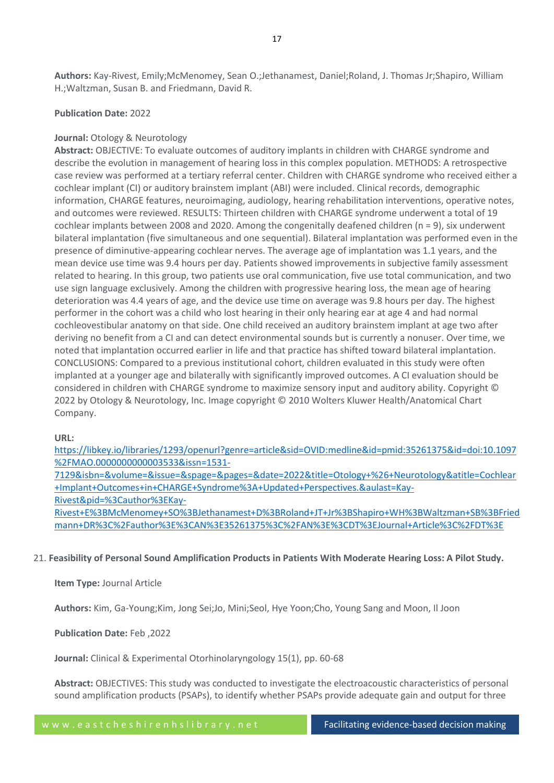# **Publication Date:** 2022

# **Journal:** Otology & Neurotology

**Abstract:** OBJECTIVE: To evaluate outcomes of auditory implants in children with CHARGE syndrome and describe the evolution in management of hearing loss in this complex population. METHODS: A retrospective case review was performed at a tertiary referral center. Children with CHARGE syndrome who received either a cochlear implant (CI) or auditory brainstem implant (ABI) were included. Clinical records, demographic information, CHARGE features, neuroimaging, audiology, hearing rehabilitation interventions, operative notes, and outcomes were reviewed. RESULTS: Thirteen children with CHARGE syndrome underwent a total of 19 cochlear implants between 2008 and 2020. Among the congenitally deafened children (n = 9), six underwent bilateral implantation (five simultaneous and one sequential). Bilateral implantation was performed even in the presence of diminutive-appearing cochlear nerves. The average age of implantation was 1.1 years, and the mean device use time was 9.4 hours per day. Patients showed improvements in subjective family assessment related to hearing. In this group, two patients use oral communication, five use total communication, and two use sign language exclusively. Among the children with progressive hearing loss, the mean age of hearing deterioration was 4.4 years of age, and the device use time on average was 9.8 hours per day. The highest performer in the cohort was a child who lost hearing in their only hearing ear at age 4 and had normal cochleovestibular anatomy on that side. One child received an auditory brainstem implant at age two after deriving no benefit from a CI and can detect environmental sounds but is currently a nonuser. Over time, we noted that implantation occurred earlier in life and that practice has shifted toward bilateral implantation. CONCLUSIONS: Compared to a previous institutional cohort, children evaluated in this study were often implanted at a younger age and bilaterally with significantly improved outcomes. A CI evaluation should be considered in children with CHARGE syndrome to maximize sensory input and auditory ability. Copyright © 2022 by Otology & Neurotology, Inc. Image copyright © 2010 Wolters Kluwer Health/Anatomical Chart Company.

## **URL:**

[https://libkey.io/libraries/1293/openurl?genre=article&sid=OVID:medline&id=pmid:35261375&id=doi:10.1097](https://libkey.io/libraries/1293/openurl?genre=article&sid=OVID:medline&id=pmid:35261375&id=doi:10.1097%2FMAO.0000000000003533&issn=1531-7129&isbn=&volume=&issue=&spage=&pages=&date=2022&title=Otology+%26+Neurotology&atitle=Cochlear+Implant+Outcomes+in+CHARGE+Syndrome%3A+Updated+Perspectives.&aulast=Kay-Rivest&pid=%3Cauthor%3EKay-Rivest+E%3BMcMenomey+SO%3BJethanamest+D%3BRoland+JT+Jr%3BShapiro+WH%3BWaltzman+SB%3BFriedmann+DR%3C%2Fauthor%3E%3CAN%3E35261375%3C%2FAN%3E%3CDT%3EJournal+Article%3C%2FDT%3E) [%2FMAO.0000000000003533&issn=1531-](https://libkey.io/libraries/1293/openurl?genre=article&sid=OVID:medline&id=pmid:35261375&id=doi:10.1097%2FMAO.0000000000003533&issn=1531-7129&isbn=&volume=&issue=&spage=&pages=&date=2022&title=Otology+%26+Neurotology&atitle=Cochlear+Implant+Outcomes+in+CHARGE+Syndrome%3A+Updated+Perspectives.&aulast=Kay-Rivest&pid=%3Cauthor%3EKay-Rivest+E%3BMcMenomey+SO%3BJethanamest+D%3BRoland+JT+Jr%3BShapiro+WH%3BWaltzman+SB%3BFriedmann+DR%3C%2Fauthor%3E%3CAN%3E35261375%3C%2FAN%3E%3CDT%3EJournal+Article%3C%2FDT%3E)

[7129&isbn=&volume=&issue=&spage=&pages=&date=2022&title=Otology+%26+Neurotology&atitle=Cochlear](https://libkey.io/libraries/1293/openurl?genre=article&sid=OVID:medline&id=pmid:35261375&id=doi:10.1097%2FMAO.0000000000003533&issn=1531-7129&isbn=&volume=&issue=&spage=&pages=&date=2022&title=Otology+%26+Neurotology&atitle=Cochlear+Implant+Outcomes+in+CHARGE+Syndrome%3A+Updated+Perspectives.&aulast=Kay-Rivest&pid=%3Cauthor%3EKay-Rivest+E%3BMcMenomey+SO%3BJethanamest+D%3BRoland+JT+Jr%3BShapiro+WH%3BWaltzman+SB%3BFriedmann+DR%3C%2Fauthor%3E%3CAN%3E35261375%3C%2FAN%3E%3CDT%3EJournal+Article%3C%2FDT%3E) [+Implant+Outcomes+in+CHARGE+Syndrome%3A+Updated+Perspectives.&aulast=Kay-](https://libkey.io/libraries/1293/openurl?genre=article&sid=OVID:medline&id=pmid:35261375&id=doi:10.1097%2FMAO.0000000000003533&issn=1531-7129&isbn=&volume=&issue=&spage=&pages=&date=2022&title=Otology+%26+Neurotology&atitle=Cochlear+Implant+Outcomes+in+CHARGE+Syndrome%3A+Updated+Perspectives.&aulast=Kay-Rivest&pid=%3Cauthor%3EKay-Rivest+E%3BMcMenomey+SO%3BJethanamest+D%3BRoland+JT+Jr%3BShapiro+WH%3BWaltzman+SB%3BFriedmann+DR%3C%2Fauthor%3E%3CAN%3E35261375%3C%2FAN%3E%3CDT%3EJournal+Article%3C%2FDT%3E)[Rivest&pid=%3Cauthor%3EKay-](https://libkey.io/libraries/1293/openurl?genre=article&sid=OVID:medline&id=pmid:35261375&id=doi:10.1097%2FMAO.0000000000003533&issn=1531-7129&isbn=&volume=&issue=&spage=&pages=&date=2022&title=Otology+%26+Neurotology&atitle=Cochlear+Implant+Outcomes+in+CHARGE+Syndrome%3A+Updated+Perspectives.&aulast=Kay-Rivest&pid=%3Cauthor%3EKay-Rivest+E%3BMcMenomey+SO%3BJethanamest+D%3BRoland+JT+Jr%3BShapiro+WH%3BWaltzman+SB%3BFriedmann+DR%3C%2Fauthor%3E%3CAN%3E35261375%3C%2FAN%3E%3CDT%3EJournal+Article%3C%2FDT%3E)

[Rivest+E%3BMcMenomey+SO%3BJethanamest+D%3BRoland+JT+Jr%3BShapiro+WH%3BWaltzman+SB%3BFried](https://libkey.io/libraries/1293/openurl?genre=article&sid=OVID:medline&id=pmid:35261375&id=doi:10.1097%2FMAO.0000000000003533&issn=1531-7129&isbn=&volume=&issue=&spage=&pages=&date=2022&title=Otology+%26+Neurotology&atitle=Cochlear+Implant+Outcomes+in+CHARGE+Syndrome%3A+Updated+Perspectives.&aulast=Kay-Rivest&pid=%3Cauthor%3EKay-Rivest+E%3BMcMenomey+SO%3BJethanamest+D%3BRoland+JT+Jr%3BShapiro+WH%3BWaltzman+SB%3BFriedmann+DR%3C%2Fauthor%3E%3CAN%3E35261375%3C%2FAN%3E%3CDT%3EJournal+Article%3C%2FDT%3E) [mann+DR%3C%2Fauthor%3E%3CAN%3E35261375%3C%2FAN%3E%3CDT%3EJournal+Article%3C%2FDT%3E](https://libkey.io/libraries/1293/openurl?genre=article&sid=OVID:medline&id=pmid:35261375&id=doi:10.1097%2FMAO.0000000000003533&issn=1531-7129&isbn=&volume=&issue=&spage=&pages=&date=2022&title=Otology+%26+Neurotology&atitle=Cochlear+Implant+Outcomes+in+CHARGE+Syndrome%3A+Updated+Perspectives.&aulast=Kay-Rivest&pid=%3Cauthor%3EKay-Rivest+E%3BMcMenomey+SO%3BJethanamest+D%3BRoland+JT+Jr%3BShapiro+WH%3BWaltzman+SB%3BFriedmann+DR%3C%2Fauthor%3E%3CAN%3E35261375%3C%2FAN%3E%3CDT%3EJournal+Article%3C%2FDT%3E)

# 21. **Feasibility of Personal Sound Amplification Products in Patients With Moderate Hearing Loss: A Pilot Study.**

# **Item Type:** Journal Article

**Authors:** Kim, Ga-Young;Kim, Jong Sei;Jo, Mini;Seol, Hye Yoon;Cho, Young Sang and Moon, Il Joon

**Publication Date:** Feb ,2022

**Journal:** Clinical & Experimental Otorhinolaryngology 15(1), pp. 60-68

**Abstract:** OBJECTIVES: This study was conducted to investigate the electroacoustic characteristics of personal sound amplification products (PSAPs), to identify whether PSAPs provide adequate gain and output for three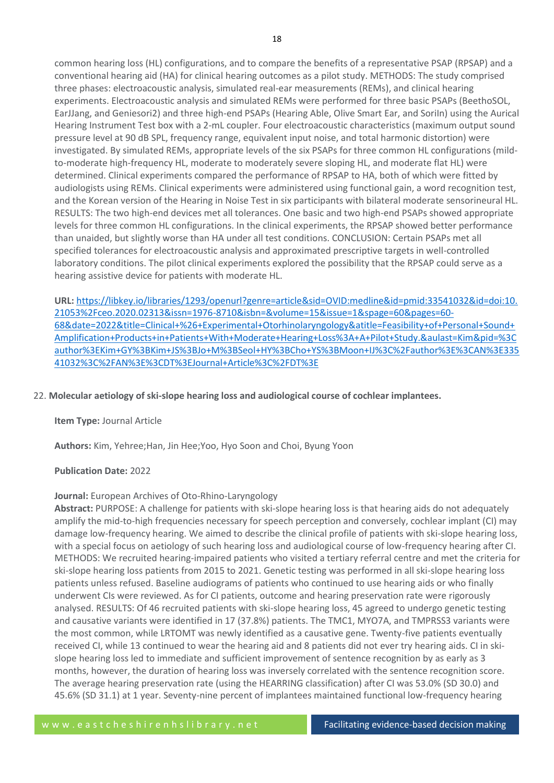common hearing loss (HL) configurations, and to compare the benefits of a representative PSAP (RPSAP) and a conventional hearing aid (HA) for clinical hearing outcomes as a pilot study. METHODS: The study comprised three phases: electroacoustic analysis, simulated real-ear measurements (REMs), and clinical hearing experiments. Electroacoustic analysis and simulated REMs were performed for three basic PSAPs (BeethoSOL, EarJJang, and Geniesori2) and three high-end PSAPs (Hearing Able, Olive Smart Ear, and SoriIn) using the Aurical Hearing Instrument Test box with a 2-mL coupler. Four electroacoustic characteristics (maximum output sound pressure level at 90 dB SPL, frequency range, equivalent input noise, and total harmonic distortion) were investigated. By simulated REMs, appropriate levels of the six PSAPs for three common HL configurations (mildto-moderate high-frequency HL, moderate to moderately severe sloping HL, and moderate flat HL) were determined. Clinical experiments compared the performance of RPSAP to HA, both of which were fitted by audiologists using REMs. Clinical experiments were administered using functional gain, a word recognition test, and the Korean version of the Hearing in Noise Test in six participants with bilateral moderate sensorineural HL. RESULTS: The two high-end devices met all tolerances. One basic and two high-end PSAPs showed appropriate levels for three common HL configurations. In the clinical experiments, the RPSAP showed better performance than unaided, but slightly worse than HA under all test conditions. CONCLUSION: Certain PSAPs met all specified tolerances for electroacoustic analysis and approximated prescriptive targets in well-controlled laboratory conditions. The pilot clinical experiments explored the possibility that the RPSAP could serve as a hearing assistive device for patients with moderate HL.

**URL:** [https://libkey.io/libraries/1293/openurl?genre=article&sid=OVID:medline&id=pmid:33541032&id=doi:10.](https://libkey.io/libraries/1293/openurl?genre=article&sid=OVID:medline&id=pmid:33541032&id=doi:10.21053%2Fceo.2020.02313&issn=1976-8710&isbn=&volume=15&issue=1&spage=60&pages=60-68&date=2022&title=Clinical+%26+Experimental+Otorhinolaryngology&atitle=Feasibility+of+Personal+Sound+Amplification+Products+in+Patients+With+Moderate+Hearing+Loss%3A+A+Pilot+Study.&aulast=Kim&pid=%3Cauthor%3EKim+GY%3BKim+JS%3BJo+M%3BSeol+HY%3BCho+YS%3BMoon+IJ%3C%2Fauthor%3E%3CAN%3E33541032%3C%2FAN%3E%3CDT%3EJournal+Article%3C%2FDT%3E) [21053%2Fceo.2020.02313&issn=1976-8710&isbn=&volume=15&issue=1&spage=60&pages=60-](https://libkey.io/libraries/1293/openurl?genre=article&sid=OVID:medline&id=pmid:33541032&id=doi:10.21053%2Fceo.2020.02313&issn=1976-8710&isbn=&volume=15&issue=1&spage=60&pages=60-68&date=2022&title=Clinical+%26+Experimental+Otorhinolaryngology&atitle=Feasibility+of+Personal+Sound+Amplification+Products+in+Patients+With+Moderate+Hearing+Loss%3A+A+Pilot+Study.&aulast=Kim&pid=%3Cauthor%3EKim+GY%3BKim+JS%3BJo+M%3BSeol+HY%3BCho+YS%3BMoon+IJ%3C%2Fauthor%3E%3CAN%3E33541032%3C%2FAN%3E%3CDT%3EJournal+Article%3C%2FDT%3E) [68&date=2022&title=Clinical+%26+Experimental+Otorhinolaryngology&atitle=Feasibility+of+Personal+Sound+](https://libkey.io/libraries/1293/openurl?genre=article&sid=OVID:medline&id=pmid:33541032&id=doi:10.21053%2Fceo.2020.02313&issn=1976-8710&isbn=&volume=15&issue=1&spage=60&pages=60-68&date=2022&title=Clinical+%26+Experimental+Otorhinolaryngology&atitle=Feasibility+of+Personal+Sound+Amplification+Products+in+Patients+With+Moderate+Hearing+Loss%3A+A+Pilot+Study.&aulast=Kim&pid=%3Cauthor%3EKim+GY%3BKim+JS%3BJo+M%3BSeol+HY%3BCho+YS%3BMoon+IJ%3C%2Fauthor%3E%3CAN%3E33541032%3C%2FAN%3E%3CDT%3EJournal+Article%3C%2FDT%3E) [Amplification+Products+in+Patients+With+Moderate+Hearing+Loss%3A+A+Pilot+Study.&aulast=Kim&pid=%3C](https://libkey.io/libraries/1293/openurl?genre=article&sid=OVID:medline&id=pmid:33541032&id=doi:10.21053%2Fceo.2020.02313&issn=1976-8710&isbn=&volume=15&issue=1&spage=60&pages=60-68&date=2022&title=Clinical+%26+Experimental+Otorhinolaryngology&atitle=Feasibility+of+Personal+Sound+Amplification+Products+in+Patients+With+Moderate+Hearing+Loss%3A+A+Pilot+Study.&aulast=Kim&pid=%3Cauthor%3EKim+GY%3BKim+JS%3BJo+M%3BSeol+HY%3BCho+YS%3BMoon+IJ%3C%2Fauthor%3E%3CAN%3E33541032%3C%2FAN%3E%3CDT%3EJournal+Article%3C%2FDT%3E) [author%3EKim+GY%3BKim+JS%3BJo+M%3BSeol+HY%3BCho+YS%3BMoon+IJ%3C%2Fauthor%3E%3CAN%3E335](https://libkey.io/libraries/1293/openurl?genre=article&sid=OVID:medline&id=pmid:33541032&id=doi:10.21053%2Fceo.2020.02313&issn=1976-8710&isbn=&volume=15&issue=1&spage=60&pages=60-68&date=2022&title=Clinical+%26+Experimental+Otorhinolaryngology&atitle=Feasibility+of+Personal+Sound+Amplification+Products+in+Patients+With+Moderate+Hearing+Loss%3A+A+Pilot+Study.&aulast=Kim&pid=%3Cauthor%3EKim+GY%3BKim+JS%3BJo+M%3BSeol+HY%3BCho+YS%3BMoon+IJ%3C%2Fauthor%3E%3CAN%3E33541032%3C%2FAN%3E%3CDT%3EJournal+Article%3C%2FDT%3E) [41032%3C%2FAN%3E%3CDT%3EJournal+Article%3C%2FDT%3E](https://libkey.io/libraries/1293/openurl?genre=article&sid=OVID:medline&id=pmid:33541032&id=doi:10.21053%2Fceo.2020.02313&issn=1976-8710&isbn=&volume=15&issue=1&spage=60&pages=60-68&date=2022&title=Clinical+%26+Experimental+Otorhinolaryngology&atitle=Feasibility+of+Personal+Sound+Amplification+Products+in+Patients+With+Moderate+Hearing+Loss%3A+A+Pilot+Study.&aulast=Kim&pid=%3Cauthor%3EKim+GY%3BKim+JS%3BJo+M%3BSeol+HY%3BCho+YS%3BMoon+IJ%3C%2Fauthor%3E%3CAN%3E33541032%3C%2FAN%3E%3CDT%3EJournal+Article%3C%2FDT%3E)

# 22. **Molecular aetiology of ski-slope hearing loss and audiological course of cochlear implantees.**

## **Item Type:** Journal Article

**Authors:** Kim, Yehree;Han, Jin Hee;Yoo, Hyo Soon and Choi, Byung Yoon

## **Publication Date:** 2022

## **Journal:** European Archives of Oto-Rhino-Laryngology

**Abstract:** PURPOSE: A challenge for patients with ski-slope hearing loss is that hearing aids do not adequately amplify the mid-to-high frequencies necessary for speech perception and conversely, cochlear implant (CI) may damage low-frequency hearing. We aimed to describe the clinical profile of patients with ski-slope hearing loss, with a special focus on aetiology of such hearing loss and audiological course of low-frequency hearing after CI. METHODS: We recruited hearing-impaired patients who visited a tertiary referral centre and met the criteria for ski-slope hearing loss patients from 2015 to 2021. Genetic testing was performed in all ski-slope hearing loss patients unless refused. Baseline audiograms of patients who continued to use hearing aids or who finally underwent CIs were reviewed. As for CI patients, outcome and hearing preservation rate were rigorously analysed. RESULTS: Of 46 recruited patients with ski-slope hearing loss, 45 agreed to undergo genetic testing and causative variants were identified in 17 (37.8%) patients. The TMC1, MYO7A, and TMPRSS3 variants were the most common, while LRTOMT was newly identified as a causative gene. Twenty-five patients eventually received CI, while 13 continued to wear the hearing aid and 8 patients did not ever try hearing aids. CI in skislope hearing loss led to immediate and sufficient improvement of sentence recognition by as early as 3 months, however, the duration of hearing loss was inversely correlated with the sentence recognition score. The average hearing preservation rate (using the HEARRING classification) after CI was 53.0% (SD 30.0) and 45.6% (SD 31.1) at 1 year. Seventy-nine percent of implantees maintained functional low-frequency hearing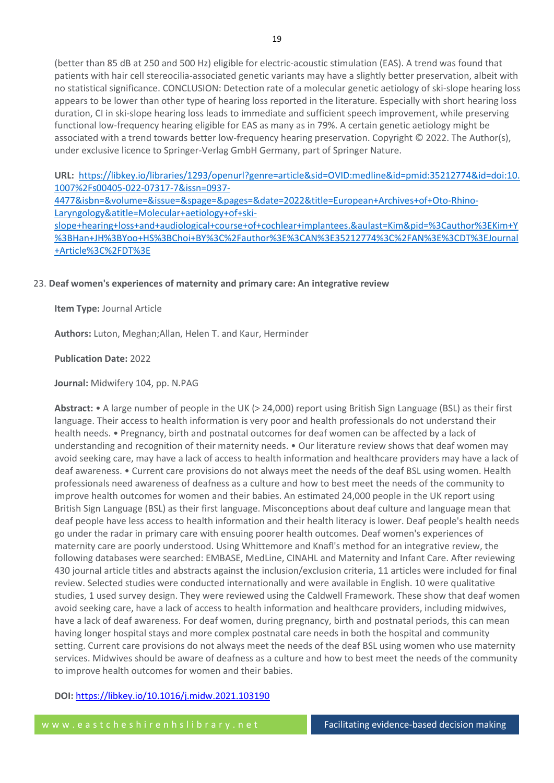(better than 85 dB at 250 and 500 Hz) eligible for electric-acoustic stimulation (EAS). A trend was found that patients with hair cell stereocilia-associated genetic variants may have a slightly better preservation, albeit with no statistical significance. CONCLUSION: Detection rate of a molecular genetic aetiology of ski-slope hearing loss appears to be lower than other type of hearing loss reported in the literature. Especially with short hearing loss duration, CI in ski-slope hearing loss leads to immediate and sufficient speech improvement, while preserving functional low-frequency hearing eligible for EAS as many as in 79%. A certain genetic aetiology might be associated with a trend towards better low-frequency hearing preservation. Copyright © 2022. The Author(s), under exclusive licence to Springer-Verlag GmbH Germany, part of Springer Nature.

**URL:** [https://libkey.io/libraries/1293/openurl?genre=article&sid=OVID:medline&id=pmid:35212774&id=doi:10.](https://libkey.io/libraries/1293/openurl?genre=article&sid=OVID:medline&id=pmid:35212774&id=doi:10.1007%2Fs00405-022-07317-7&issn=0937-4477&isbn=&volume=&issue=&spage=&pages=&date=2022&title=European+Archives+of+Oto-Rhino-Laryngology&atitle=Molecular+aetiology+of+ski-slope+hearing+loss+and+audiological+course+of+cochlear+implantees.&aulast=Kim&pid=%3Cauthor%3EKim+Y%3BHan+JH%3BYoo+HS%3BChoi+BY%3C%2Fauthor%3E%3CAN%3E35212774%3C%2FAN%3E%3CDT%3EJournal+Article%3C%2FDT%3E) [1007%2Fs00405-022-07317-7&issn=0937-](https://libkey.io/libraries/1293/openurl?genre=article&sid=OVID:medline&id=pmid:35212774&id=doi:10.1007%2Fs00405-022-07317-7&issn=0937-4477&isbn=&volume=&issue=&spage=&pages=&date=2022&title=European+Archives+of+Oto-Rhino-Laryngology&atitle=Molecular+aetiology+of+ski-slope+hearing+loss+and+audiological+course+of+cochlear+implantees.&aulast=Kim&pid=%3Cauthor%3EKim+Y%3BHan+JH%3BYoo+HS%3BChoi+BY%3C%2Fauthor%3E%3CAN%3E35212774%3C%2FAN%3E%3CDT%3EJournal+Article%3C%2FDT%3E)

[4477&isbn=&volume=&issue=&spage=&pages=&date=2022&title=European+Archives+of+Oto-Rhino-](https://libkey.io/libraries/1293/openurl?genre=article&sid=OVID:medline&id=pmid:35212774&id=doi:10.1007%2Fs00405-022-07317-7&issn=0937-4477&isbn=&volume=&issue=&spage=&pages=&date=2022&title=European+Archives+of+Oto-Rhino-Laryngology&atitle=Molecular+aetiology+of+ski-slope+hearing+loss+and+audiological+course+of+cochlear+implantees.&aulast=Kim&pid=%3Cauthor%3EKim+Y%3BHan+JH%3BYoo+HS%3BChoi+BY%3C%2Fauthor%3E%3CAN%3E35212774%3C%2FAN%3E%3CDT%3EJournal+Article%3C%2FDT%3E)[Laryngology&atitle=Molecular+aetiology+of+ski](https://libkey.io/libraries/1293/openurl?genre=article&sid=OVID:medline&id=pmid:35212774&id=doi:10.1007%2Fs00405-022-07317-7&issn=0937-4477&isbn=&volume=&issue=&spage=&pages=&date=2022&title=European+Archives+of+Oto-Rhino-Laryngology&atitle=Molecular+aetiology+of+ski-slope+hearing+loss+and+audiological+course+of+cochlear+implantees.&aulast=Kim&pid=%3Cauthor%3EKim+Y%3BHan+JH%3BYoo+HS%3BChoi+BY%3C%2Fauthor%3E%3CAN%3E35212774%3C%2FAN%3E%3CDT%3EJournal+Article%3C%2FDT%3E)[slope+hearing+loss+and+audiological+course+of+cochlear+implantees.&aulast=Kim&pid=%3Cauthor%3EKim+Y](https://libkey.io/libraries/1293/openurl?genre=article&sid=OVID:medline&id=pmid:35212774&id=doi:10.1007%2Fs00405-022-07317-7&issn=0937-4477&isbn=&volume=&issue=&spage=&pages=&date=2022&title=European+Archives+of+Oto-Rhino-Laryngology&atitle=Molecular+aetiology+of+ski-slope+hearing+loss+and+audiological+course+of+cochlear+implantees.&aulast=Kim&pid=%3Cauthor%3EKim+Y%3BHan+JH%3BYoo+HS%3BChoi+BY%3C%2Fauthor%3E%3CAN%3E35212774%3C%2FAN%3E%3CDT%3EJournal+Article%3C%2FDT%3E) [%3BHan+JH%3BYoo+HS%3BChoi+BY%3C%2Fauthor%3E%3CAN%3E35212774%3C%2FAN%3E%3CDT%3EJournal](https://libkey.io/libraries/1293/openurl?genre=article&sid=OVID:medline&id=pmid:35212774&id=doi:10.1007%2Fs00405-022-07317-7&issn=0937-4477&isbn=&volume=&issue=&spage=&pages=&date=2022&title=European+Archives+of+Oto-Rhino-Laryngology&atitle=Molecular+aetiology+of+ski-slope+hearing+loss+and+audiological+course+of+cochlear+implantees.&aulast=Kim&pid=%3Cauthor%3EKim+Y%3BHan+JH%3BYoo+HS%3BChoi+BY%3C%2Fauthor%3E%3CAN%3E35212774%3C%2FAN%3E%3CDT%3EJournal+Article%3C%2FDT%3E)

[+Article%3C%2FDT%3E](https://libkey.io/libraries/1293/openurl?genre=article&sid=OVID:medline&id=pmid:35212774&id=doi:10.1007%2Fs00405-022-07317-7&issn=0937-4477&isbn=&volume=&issue=&spage=&pages=&date=2022&title=European+Archives+of+Oto-Rhino-Laryngology&atitle=Molecular+aetiology+of+ski-slope+hearing+loss+and+audiological+course+of+cochlear+implantees.&aulast=Kim&pid=%3Cauthor%3EKim+Y%3BHan+JH%3BYoo+HS%3BChoi+BY%3C%2Fauthor%3E%3CAN%3E35212774%3C%2FAN%3E%3CDT%3EJournal+Article%3C%2FDT%3E)

# 23. **Deaf women's experiences of maternity and primary care: An integrative review**

**Item Type:** Journal Article

**Authors:** Luton, Meghan;Allan, Helen T. and Kaur, Herminder

**Publication Date:** 2022

**Journal:** Midwifery 104, pp. N.PAG

**Abstract:** • A large number of people in the UK (> 24,000) report using British Sign Language (BSL) as their first language. Their access to health information is very poor and health professionals do not understand their health needs. • Pregnancy, birth and postnatal outcomes for deaf women can be affected by a lack of understanding and recognition of their maternity needs. • Our literature review shows that deaf women may avoid seeking care, may have a lack of access to health information and healthcare providers may have a lack of deaf awareness. • Current care provisions do not always meet the needs of the deaf BSL using women. Health professionals need awareness of deafness as a culture and how to best meet the needs of the community to improve health outcomes for women and their babies. An estimated 24,000 people in the UK report using British Sign Language (BSL) as their first language. Misconceptions about deaf culture and language mean that deaf people have less access to health information and their health literacy is lower. Deaf people's health needs go under the radar in primary care with ensuing poorer health outcomes. Deaf women's experiences of maternity care are poorly understood. Using Whittemore and Knafl's method for an integrative review, the following databases were searched: EMBASE, MedLine, CINAHL and Maternity and Infant Care. After reviewing 430 journal article titles and abstracts against the inclusion/exclusion criteria, 11 articles were included for final review. Selected studies were conducted internationally and were available in English. 10 were qualitative studies, 1 used survey design. They were reviewed using the Caldwell Framework. These show that deaf women avoid seeking care, have a lack of access to health information and healthcare providers, including midwives, have a lack of deaf awareness. For deaf women, during pregnancy, birth and postnatal periods, this can mean having longer hospital stays and more complex postnatal care needs in both the hospital and community setting. Current care provisions do not always meet the needs of the deaf BSL using women who use maternity services. Midwives should be aware of deafness as a culture and how to best meet the needs of the community to improve health outcomes for women and their babies.

# **DOI:** <https://libkey.io/10.1016/j.midw.2021.103190>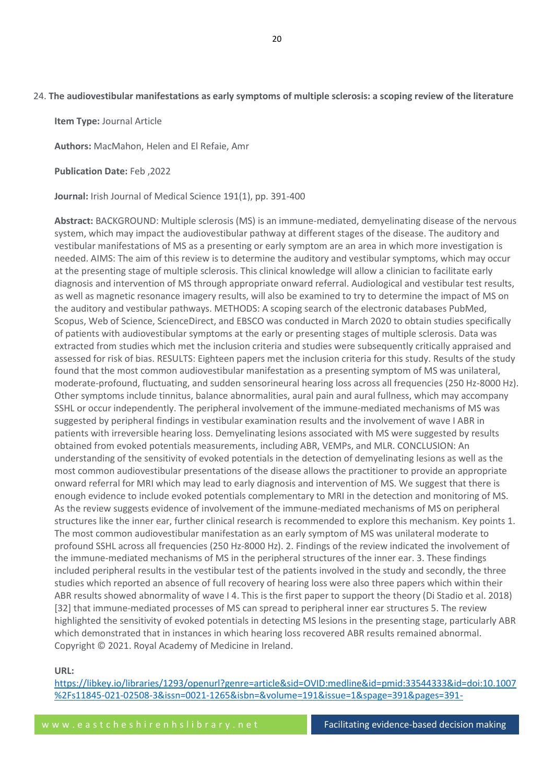**Item Type:** Journal Article

**Authors:** MacMahon, Helen and El Refaie, Amr

**Publication Date:** Feb ,2022

**Journal:** Irish Journal of Medical Science 191(1), pp. 391-400

**Abstract:** BACKGROUND: Multiple sclerosis (MS) is an immune-mediated, demyelinating disease of the nervous system, which may impact the audiovestibular pathway at different stages of the disease. The auditory and vestibular manifestations of MS as a presenting or early symptom are an area in which more investigation is needed. AIMS: The aim of this review is to determine the auditory and vestibular symptoms, which may occur at the presenting stage of multiple sclerosis. This clinical knowledge will allow a clinician to facilitate early diagnosis and intervention of MS through appropriate onward referral. Audiological and vestibular test results, as well as magnetic resonance imagery results, will also be examined to try to determine the impact of MS on the auditory and vestibular pathways. METHODS: A scoping search of the electronic databases PubMed, Scopus, Web of Science, ScienceDirect, and EBSCO was conducted in March 2020 to obtain studies specifically of patients with audiovestibular symptoms at the early or presenting stages of multiple sclerosis. Data was extracted from studies which met the inclusion criteria and studies were subsequently critically appraised and assessed for risk of bias. RESULTS: Eighteen papers met the inclusion criteria for this study. Results of the study found that the most common audiovestibular manifestation as a presenting symptom of MS was unilateral, moderate-profound, fluctuating, and sudden sensorineural hearing loss across all frequencies (250 Hz-8000 Hz). Other symptoms include tinnitus, balance abnormalities, aural pain and aural fullness, which may accompany SSHL or occur independently. The peripheral involvement of the immune-mediated mechanisms of MS was suggested by peripheral findings in vestibular examination results and the involvement of wave I ABR in patients with irreversible hearing loss. Demyelinating lesions associated with MS were suggested by results obtained from evoked potentials measurements, including ABR, VEMPs, and MLR. CONCLUSION: An understanding of the sensitivity of evoked potentials in the detection of demyelinating lesions as well as the most common audiovestibular presentations of the disease allows the practitioner to provide an appropriate onward referral for MRI which may lead to early diagnosis and intervention of MS. We suggest that there is enough evidence to include evoked potentials complementary to MRI in the detection and monitoring of MS. As the review suggests evidence of involvement of the immune-mediated mechanisms of MS on peripheral structures like the inner ear, further clinical research is recommended to explore this mechanism. Key points 1. The most common audiovestibular manifestation as an early symptom of MS was unilateral moderate to profound SSHL across all frequencies (250 Hz-8000 Hz). 2. Findings of the review indicated the involvement of the immune-mediated mechanisms of MS in the peripheral structures of the inner ear. 3. These findings included peripheral results in the vestibular test of the patients involved in the study and secondly, the three studies which reported an absence of full recovery of hearing loss were also three papers which within their ABR results showed abnormality of wave I 4. This is the first paper to support the theory (Di Stadio et al. 2018) [32] that immune-mediated processes of MS can spread to peripheral inner ear structures 5. The review highlighted the sensitivity of evoked potentials in detecting MS lesions in the presenting stage, particularly ABR which demonstrated that in instances in which hearing loss recovered ABR results remained abnormal. Copyright © 2021. Royal Academy of Medicine in Ireland.

## **URL:**

[https://libkey.io/libraries/1293/openurl?genre=article&sid=OVID:medline&id=pmid:33544333&id=doi:10.1007](https://libkey.io/libraries/1293/openurl?genre=article&sid=OVID:medline&id=pmid:33544333&id=doi:10.1007%2Fs11845-021-02508-3&issn=0021-1265&isbn=&volume=191&issue=1&spage=391&pages=391-400&date=2022&title=Irish+Journal+of+Medical+Science&atitle=The+audiovestibular+manifestations+as+early+symptoms+of+multiple+sclerosis%3A+a+scoping+review+of+the+literature.&aulast=MacMahon&pid=%3Cauthor%3EMacMahon+H%3BEl+Refaie+A%3C%2Fauthor%3E%3CAN%3E33544333%3C%2FAN%3E%3CDT%3EJournal+Article%3C%2FDT%3E) [%2Fs11845-021-02508-3&issn=0021-1265&isbn=&volume=191&issue=1&spage=391&pages=391-](https://libkey.io/libraries/1293/openurl?genre=article&sid=OVID:medline&id=pmid:33544333&id=doi:10.1007%2Fs11845-021-02508-3&issn=0021-1265&isbn=&volume=191&issue=1&spage=391&pages=391-400&date=2022&title=Irish+Journal+of+Medical+Science&atitle=The+audiovestibular+manifestations+as+early+symptoms+of+multiple+sclerosis%3A+a+scoping+review+of+the+literature.&aulast=MacMahon&pid=%3Cauthor%3EMacMahon+H%3BEl+Refaie+A%3C%2Fauthor%3E%3CAN%3E33544333%3C%2FAN%3E%3CDT%3EJournal+Article%3C%2FDT%3E)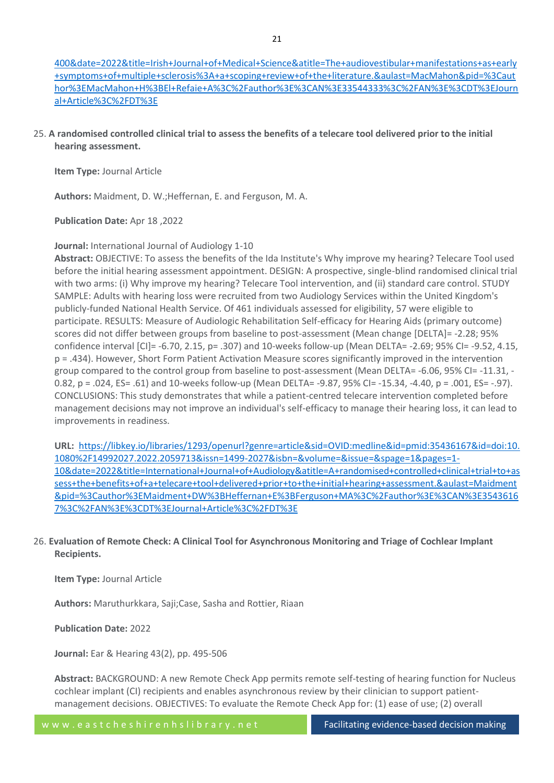[400&date=2022&title=Irish+Journal+of+Medical+Science&atitle=The+audiovestibular+manifestations+as+early](https://libkey.io/libraries/1293/openurl?genre=article&sid=OVID:medline&id=pmid:33544333&id=doi:10.1007%2Fs11845-021-02508-3&issn=0021-1265&isbn=&volume=191&issue=1&spage=391&pages=391-400&date=2022&title=Irish+Journal+of+Medical+Science&atitle=The+audiovestibular+manifestations+as+early+symptoms+of+multiple+sclerosis%3A+a+scoping+review+of+the+literature.&aulast=MacMahon&pid=%3Cauthor%3EMacMahon+H%3BEl+Refaie+A%3C%2Fauthor%3E%3CAN%3E33544333%3C%2FAN%3E%3CDT%3EJournal+Article%3C%2FDT%3E) [+symptoms+of+multiple+sclerosis%3A+a+scoping+review+of+the+literature.&aulast=MacMahon&pid=%3Caut](https://libkey.io/libraries/1293/openurl?genre=article&sid=OVID:medline&id=pmid:33544333&id=doi:10.1007%2Fs11845-021-02508-3&issn=0021-1265&isbn=&volume=191&issue=1&spage=391&pages=391-400&date=2022&title=Irish+Journal+of+Medical+Science&atitle=The+audiovestibular+manifestations+as+early+symptoms+of+multiple+sclerosis%3A+a+scoping+review+of+the+literature.&aulast=MacMahon&pid=%3Cauthor%3EMacMahon+H%3BEl+Refaie+A%3C%2Fauthor%3E%3CAN%3E33544333%3C%2FAN%3E%3CDT%3EJournal+Article%3C%2FDT%3E) [hor%3EMacMahon+H%3BEl+Refaie+A%3C%2Fauthor%3E%3CAN%3E33544333%3C%2FAN%3E%3CDT%3EJourn](https://libkey.io/libraries/1293/openurl?genre=article&sid=OVID:medline&id=pmid:33544333&id=doi:10.1007%2Fs11845-021-02508-3&issn=0021-1265&isbn=&volume=191&issue=1&spage=391&pages=391-400&date=2022&title=Irish+Journal+of+Medical+Science&atitle=The+audiovestibular+manifestations+as+early+symptoms+of+multiple+sclerosis%3A+a+scoping+review+of+the+literature.&aulast=MacMahon&pid=%3Cauthor%3EMacMahon+H%3BEl+Refaie+A%3C%2Fauthor%3E%3CAN%3E33544333%3C%2FAN%3E%3CDT%3EJournal+Article%3C%2FDT%3E) [al+Article%3C%2FDT%3E](https://libkey.io/libraries/1293/openurl?genre=article&sid=OVID:medline&id=pmid:33544333&id=doi:10.1007%2Fs11845-021-02508-3&issn=0021-1265&isbn=&volume=191&issue=1&spage=391&pages=391-400&date=2022&title=Irish+Journal+of+Medical+Science&atitle=The+audiovestibular+manifestations+as+early+symptoms+of+multiple+sclerosis%3A+a+scoping+review+of+the+literature.&aulast=MacMahon&pid=%3Cauthor%3EMacMahon+H%3BEl+Refaie+A%3C%2Fauthor%3E%3CAN%3E33544333%3C%2FAN%3E%3CDT%3EJournal+Article%3C%2FDT%3E)

25. **A randomised controlled clinical trial to assess the benefits of a telecare tool delivered prior to the initial hearing assessment.**

**Item Type:** Journal Article

**Authors:** Maidment, D. W.;Heffernan, E. and Ferguson, M. A.

**Publication Date:** Apr 18 ,2022

# **Journal:** International Journal of Audiology 1-10

**Abstract:** OBJECTIVE: To assess the benefits of the Ida Institute's Why improve my hearing? Telecare Tool used before the initial hearing assessment appointment. DESIGN: A prospective, single-blind randomised clinical trial with two arms: (i) Why improve my hearing? Telecare Tool intervention, and (ii) standard care control. STUDY SAMPLE: Adults with hearing loss were recruited from two Audiology Services within the United Kingdom's publicly-funded National Health Service. Of 461 individuals assessed for eligibility, 57 were eligible to participate. RESULTS: Measure of Audiologic Rehabilitation Self-efficacy for Hearing Aids (primary outcome) scores did not differ between groups from baseline to post-assessment (Mean change [DELTA]= -2.28; 95% confidence interval [CI]= -6.70, 2.15, p= .307) and 10-weeks follow-up (Mean DELTA= -2.69; 95% CI= -9.52, 4.15, p = .434). However, Short Form Patient Activation Measure scores significantly improved in the intervention group compared to the control group from baseline to post-assessment (Mean DELTA= -6.06, 95% CI= -11.31, - 0.82, p = .024, ES= .61) and 10-weeks follow-up (Mean DELTA= -9.87, 95% CI= -15.34, -4.40, p = .001, ES= -.97). CONCLUSIONS: This study demonstrates that while a patient-centred telecare intervention completed before management decisions may not improve an individual's self-efficacy to manage their hearing loss, it can lead to improvements in readiness.

**URL:** [https://libkey.io/libraries/1293/openurl?genre=article&sid=OVID:medline&id=pmid:35436167&id=doi:10.](https://libkey.io/libraries/1293/openurl?genre=article&sid=OVID:medline&id=pmid:35436167&id=doi:10.1080%2F14992027.2022.2059713&issn=1499-2027&isbn=&volume=&issue=&spage=1&pages=1-10&date=2022&title=International+Journal+of+Audiology&atitle=A+randomised+controlled+clinical+trial+to+assess+the+benefits+of+a+telecare+tool+delivered+prior+to+the+initial+hearing+assessment.&aulast=Maidment&pid=%3Cauthor%3EMaidment+DW%3BHeffernan+E%3BFerguson+MA%3C%2Fauthor%3E%3CAN%3E35436167%3C%2FAN%3E%3CDT%3EJournal+Article%3C%2FDT%3E) [1080%2F14992027.2022.2059713&issn=1499-2027&isbn=&volume=&issue=&spage=1&pages=1-](https://libkey.io/libraries/1293/openurl?genre=article&sid=OVID:medline&id=pmid:35436167&id=doi:10.1080%2F14992027.2022.2059713&issn=1499-2027&isbn=&volume=&issue=&spage=1&pages=1-10&date=2022&title=International+Journal+of+Audiology&atitle=A+randomised+controlled+clinical+trial+to+assess+the+benefits+of+a+telecare+tool+delivered+prior+to+the+initial+hearing+assessment.&aulast=Maidment&pid=%3Cauthor%3EMaidment+DW%3BHeffernan+E%3BFerguson+MA%3C%2Fauthor%3E%3CAN%3E35436167%3C%2FAN%3E%3CDT%3EJournal+Article%3C%2FDT%3E) [10&date=2022&title=International+Journal+of+Audiology&atitle=A+randomised+controlled+clinical+trial+to+as](https://libkey.io/libraries/1293/openurl?genre=article&sid=OVID:medline&id=pmid:35436167&id=doi:10.1080%2F14992027.2022.2059713&issn=1499-2027&isbn=&volume=&issue=&spage=1&pages=1-10&date=2022&title=International+Journal+of+Audiology&atitle=A+randomised+controlled+clinical+trial+to+assess+the+benefits+of+a+telecare+tool+delivered+prior+to+the+initial+hearing+assessment.&aulast=Maidment&pid=%3Cauthor%3EMaidment+DW%3BHeffernan+E%3BFerguson+MA%3C%2Fauthor%3E%3CAN%3E35436167%3C%2FAN%3E%3CDT%3EJournal+Article%3C%2FDT%3E) [sess+the+benefits+of+a+telecare+tool+delivered+prior+to+the+initial+hearing+assessment.&aulast=Maidment](https://libkey.io/libraries/1293/openurl?genre=article&sid=OVID:medline&id=pmid:35436167&id=doi:10.1080%2F14992027.2022.2059713&issn=1499-2027&isbn=&volume=&issue=&spage=1&pages=1-10&date=2022&title=International+Journal+of+Audiology&atitle=A+randomised+controlled+clinical+trial+to+assess+the+benefits+of+a+telecare+tool+delivered+prior+to+the+initial+hearing+assessment.&aulast=Maidment&pid=%3Cauthor%3EMaidment+DW%3BHeffernan+E%3BFerguson+MA%3C%2Fauthor%3E%3CAN%3E35436167%3C%2FAN%3E%3CDT%3EJournal+Article%3C%2FDT%3E) [&pid=%3Cauthor%3EMaidment+DW%3BHeffernan+E%3BFerguson+MA%3C%2Fauthor%3E%3CAN%3E3543616](https://libkey.io/libraries/1293/openurl?genre=article&sid=OVID:medline&id=pmid:35436167&id=doi:10.1080%2F14992027.2022.2059713&issn=1499-2027&isbn=&volume=&issue=&spage=1&pages=1-10&date=2022&title=International+Journal+of+Audiology&atitle=A+randomised+controlled+clinical+trial+to+assess+the+benefits+of+a+telecare+tool+delivered+prior+to+the+initial+hearing+assessment.&aulast=Maidment&pid=%3Cauthor%3EMaidment+DW%3BHeffernan+E%3BFerguson+MA%3C%2Fauthor%3E%3CAN%3E35436167%3C%2FAN%3E%3CDT%3EJournal+Article%3C%2FDT%3E) [7%3C%2FAN%3E%3CDT%3EJournal+Article%3C%2FDT%3E](https://libkey.io/libraries/1293/openurl?genre=article&sid=OVID:medline&id=pmid:35436167&id=doi:10.1080%2F14992027.2022.2059713&issn=1499-2027&isbn=&volume=&issue=&spage=1&pages=1-10&date=2022&title=International+Journal+of+Audiology&atitle=A+randomised+controlled+clinical+trial+to+assess+the+benefits+of+a+telecare+tool+delivered+prior+to+the+initial+hearing+assessment.&aulast=Maidment&pid=%3Cauthor%3EMaidment+DW%3BHeffernan+E%3BFerguson+MA%3C%2Fauthor%3E%3CAN%3E35436167%3C%2FAN%3E%3CDT%3EJournal+Article%3C%2FDT%3E)

# 26. **Evaluation of Remote Check: A Clinical Tool for Asynchronous Monitoring and Triage of Cochlear Implant Recipients.**

**Item Type:** Journal Article

**Authors:** Maruthurkkara, Saji;Case, Sasha and Rottier, Riaan

**Publication Date:** 2022

**Journal:** Ear & Hearing 43(2), pp. 495-506

**Abstract:** BACKGROUND: A new Remote Check App permits remote self-testing of hearing function for Nucleus cochlear implant (CI) recipients and enables asynchronous review by their clinician to support patientmanagement decisions. OBJECTIVES: To evaluate the Remote Check App for: (1) ease of use; (2) overall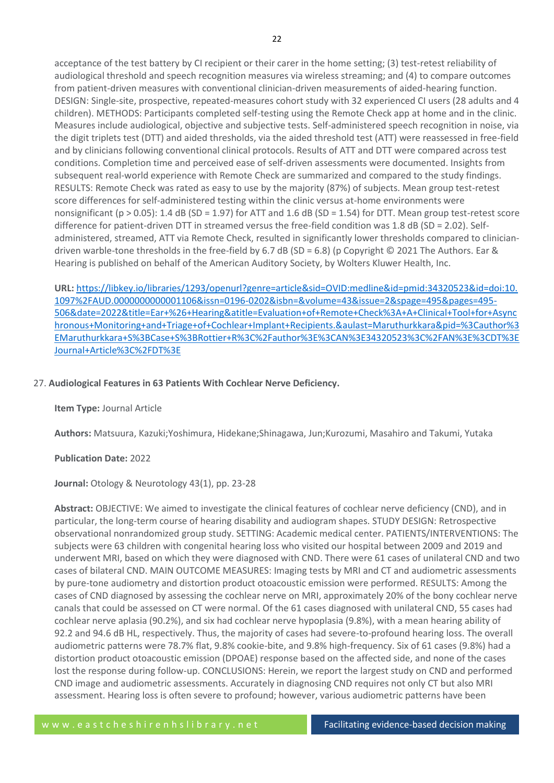acceptance of the test battery by CI recipient or their carer in the home setting; (3) test-retest reliability of audiological threshold and speech recognition measures via wireless streaming; and (4) to compare outcomes from patient-driven measures with conventional clinician-driven measurements of aided-hearing function. DESIGN: Single-site, prospective, repeated-measures cohort study with 32 experienced CI users (28 adults and 4 children). METHODS: Participants completed self-testing using the Remote Check app at home and in the clinic. Measures include audiological, objective and subjective tests. Self-administered speech recognition in noise, via the digit triplets test (DTT) and aided thresholds, via the aided threshold test (ATT) were reassessed in free-field and by clinicians following conventional clinical protocols. Results of ATT and DTT were compared across test conditions. Completion time and perceived ease of self-driven assessments were documented. Insights from subsequent real-world experience with Remote Check are summarized and compared to the study findings. RESULTS: Remote Check was rated as easy to use by the majority (87%) of subjects. Mean group test-retest score differences for self-administered testing within the clinic versus at-home environments were nonsignificant (p > 0.05): 1.4 dB (SD = 1.97) for ATT and 1.6 dB (SD = 1.54) for DTT. Mean group test-retest score difference for patient-driven DTT in streamed versus the free-field condition was 1.8 dB (SD = 2.02). Selfadministered, streamed, ATT via Remote Check, resulted in significantly lower thresholds compared to cliniciandriven warble-tone thresholds in the free-field by 6.7 dB (SD = 6.8) (p Copyright © 2021 The Authors. Ear & Hearing is published on behalf of the American Auditory Society, by Wolters Kluwer Health, Inc.

**URL:** [https://libkey.io/libraries/1293/openurl?genre=article&sid=OVID:medline&id=pmid:34320523&id=doi:10.](https://libkey.io/libraries/1293/openurl?genre=article&sid=OVID:medline&id=pmid:34320523&id=doi:10.1097%2FAUD.0000000000001106&issn=0196-0202&isbn=&volume=43&issue=2&spage=495&pages=495-506&date=2022&title=Ear+%26+Hearing&atitle=Evaluation+of+Remote+Check%3A+A+Clinical+Tool+for+Asynchronous+Monitoring+and+Triage+of+Cochlear+Implant+Recipients.&aulast=Maruthurkkara&pid=%3Cauthor%3EMaruthurkkara+S%3BCase+S%3BRottier+R%3C%2Fauthor%3E%3CAN%3E34320523%3C%2FAN%3E%3CDT%3EJournal+Article%3C%2FDT%3E) [1097%2FAUD.0000000000001106&issn=0196-0202&isbn=&volume=43&issue=2&spage=495&pages=495-](https://libkey.io/libraries/1293/openurl?genre=article&sid=OVID:medline&id=pmid:34320523&id=doi:10.1097%2FAUD.0000000000001106&issn=0196-0202&isbn=&volume=43&issue=2&spage=495&pages=495-506&date=2022&title=Ear+%26+Hearing&atitle=Evaluation+of+Remote+Check%3A+A+Clinical+Tool+for+Asynchronous+Monitoring+and+Triage+of+Cochlear+Implant+Recipients.&aulast=Maruthurkkara&pid=%3Cauthor%3EMaruthurkkara+S%3BCase+S%3BRottier+R%3C%2Fauthor%3E%3CAN%3E34320523%3C%2FAN%3E%3CDT%3EJournal+Article%3C%2FDT%3E) [506&date=2022&title=Ear+%26+Hearing&atitle=Evaluation+of+Remote+Check%3A+A+Clinical+Tool+for+Async](https://libkey.io/libraries/1293/openurl?genre=article&sid=OVID:medline&id=pmid:34320523&id=doi:10.1097%2FAUD.0000000000001106&issn=0196-0202&isbn=&volume=43&issue=2&spage=495&pages=495-506&date=2022&title=Ear+%26+Hearing&atitle=Evaluation+of+Remote+Check%3A+A+Clinical+Tool+for+Asynchronous+Monitoring+and+Triage+of+Cochlear+Implant+Recipients.&aulast=Maruthurkkara&pid=%3Cauthor%3EMaruthurkkara+S%3BCase+S%3BRottier+R%3C%2Fauthor%3E%3CAN%3E34320523%3C%2FAN%3E%3CDT%3EJournal+Article%3C%2FDT%3E) [hronous+Monitoring+and+Triage+of+Cochlear+Implant+Recipients.&aulast=Maruthurkkara&pid=%3Cauthor%3](https://libkey.io/libraries/1293/openurl?genre=article&sid=OVID:medline&id=pmid:34320523&id=doi:10.1097%2FAUD.0000000000001106&issn=0196-0202&isbn=&volume=43&issue=2&spage=495&pages=495-506&date=2022&title=Ear+%26+Hearing&atitle=Evaluation+of+Remote+Check%3A+A+Clinical+Tool+for+Asynchronous+Monitoring+and+Triage+of+Cochlear+Implant+Recipients.&aulast=Maruthurkkara&pid=%3Cauthor%3EMaruthurkkara+S%3BCase+S%3BRottier+R%3C%2Fauthor%3E%3CAN%3E34320523%3C%2FAN%3E%3CDT%3EJournal+Article%3C%2FDT%3E) [EMaruthurkkara+S%3BCase+S%3BRottier+R%3C%2Fauthor%3E%3CAN%3E34320523%3C%2FAN%3E%3CDT%3E](https://libkey.io/libraries/1293/openurl?genre=article&sid=OVID:medline&id=pmid:34320523&id=doi:10.1097%2FAUD.0000000000001106&issn=0196-0202&isbn=&volume=43&issue=2&spage=495&pages=495-506&date=2022&title=Ear+%26+Hearing&atitle=Evaluation+of+Remote+Check%3A+A+Clinical+Tool+for+Asynchronous+Monitoring+and+Triage+of+Cochlear+Implant+Recipients.&aulast=Maruthurkkara&pid=%3Cauthor%3EMaruthurkkara+S%3BCase+S%3BRottier+R%3C%2Fauthor%3E%3CAN%3E34320523%3C%2FAN%3E%3CDT%3EJournal+Article%3C%2FDT%3E) [Journal+Article%3C%2FDT%3E](https://libkey.io/libraries/1293/openurl?genre=article&sid=OVID:medline&id=pmid:34320523&id=doi:10.1097%2FAUD.0000000000001106&issn=0196-0202&isbn=&volume=43&issue=2&spage=495&pages=495-506&date=2022&title=Ear+%26+Hearing&atitle=Evaluation+of+Remote+Check%3A+A+Clinical+Tool+for+Asynchronous+Monitoring+and+Triage+of+Cochlear+Implant+Recipients.&aulast=Maruthurkkara&pid=%3Cauthor%3EMaruthurkkara+S%3BCase+S%3BRottier+R%3C%2Fauthor%3E%3CAN%3E34320523%3C%2FAN%3E%3CDT%3EJournal+Article%3C%2FDT%3E)

# 27. **Audiological Features in 63 Patients With Cochlear Nerve Deficiency.**

**Item Type:** Journal Article

**Authors:** Matsuura, Kazuki;Yoshimura, Hidekane;Shinagawa, Jun;Kurozumi, Masahiro and Takumi, Yutaka

# **Publication Date:** 2022

**Journal:** Otology & Neurotology 43(1), pp. 23-28

**Abstract:** OBJECTIVE: We aimed to investigate the clinical features of cochlear nerve deficiency (CND), and in particular, the long-term course of hearing disability and audiogram shapes. STUDY DESIGN: Retrospective observational nonrandomized group study. SETTING: Academic medical center. PATIENTS/INTERVENTIONS: The subjects were 63 children with congenital hearing loss who visited our hospital between 2009 and 2019 and underwent MRI, based on which they were diagnosed with CND. There were 61 cases of unilateral CND and two cases of bilateral CND. MAIN OUTCOME MEASURES: Imaging tests by MRI and CT and audiometric assessments by pure-tone audiometry and distortion product otoacoustic emission were performed. RESULTS: Among the cases of CND diagnosed by assessing the cochlear nerve on MRI, approximately 20% of the bony cochlear nerve canals that could be assessed on CT were normal. Of the 61 cases diagnosed with unilateral CND, 55 cases had cochlear nerve aplasia (90.2%), and six had cochlear nerve hypoplasia (9.8%), with a mean hearing ability of 92.2 and 94.6 dB HL, respectively. Thus, the majority of cases had severe-to-profound hearing loss. The overall audiometric patterns were 78.7% flat, 9.8% cookie-bite, and 9.8% high-frequency. Six of 61 cases (9.8%) had a distortion product otoacoustic emission (DPOAE) response based on the affected side, and none of the cases lost the response during follow-up. CONCLUSIONS: Herein, we report the largest study on CND and performed CND image and audiometric assessments. Accurately in diagnosing CND requires not only CT but also MRI assessment. Hearing loss is often severe to profound; however, various audiometric patterns have been

22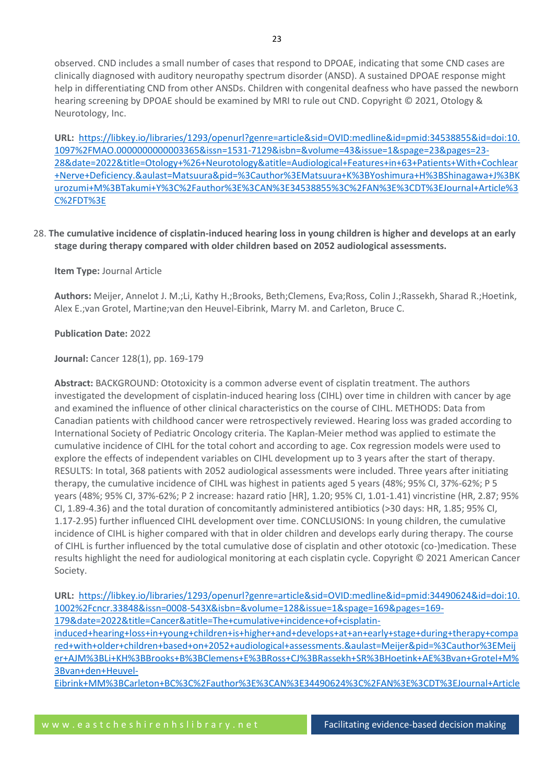**URL:** [https://libkey.io/libraries/1293/openurl?genre=article&sid=OVID:medline&id=pmid:34538855&id=doi:10.](https://libkey.io/libraries/1293/openurl?genre=article&sid=OVID:medline&id=pmid:34538855&id=doi:10.1097%2FMAO.0000000000003365&issn=1531-7129&isbn=&volume=43&issue=1&spage=23&pages=23-28&date=2022&title=Otology+%26+Neurotology&atitle=Audiological+Features+in+63+Patients+With+Cochlear+Nerve+Deficiency.&aulast=Matsuura&pid=%3Cauthor%3EMatsuura+K%3BYoshimura+H%3BShinagawa+J%3BKurozumi+M%3BTakumi+Y%3C%2Fauthor%3E%3CAN%3E34538855%3C%2FAN%3E%3CDT%3EJournal+Article%3C%2FDT%3E) [1097%2FMAO.0000000000003365&issn=1531-7129&isbn=&volume=43&issue=1&spage=23&pages=23-](https://libkey.io/libraries/1293/openurl?genre=article&sid=OVID:medline&id=pmid:34538855&id=doi:10.1097%2FMAO.0000000000003365&issn=1531-7129&isbn=&volume=43&issue=1&spage=23&pages=23-28&date=2022&title=Otology+%26+Neurotology&atitle=Audiological+Features+in+63+Patients+With+Cochlear+Nerve+Deficiency.&aulast=Matsuura&pid=%3Cauthor%3EMatsuura+K%3BYoshimura+H%3BShinagawa+J%3BKurozumi+M%3BTakumi+Y%3C%2Fauthor%3E%3CAN%3E34538855%3C%2FAN%3E%3CDT%3EJournal+Article%3C%2FDT%3E) [28&date=2022&title=Otology+%26+Neurotology&atitle=Audiological+Features+in+63+Patients+With+Cochlear](https://libkey.io/libraries/1293/openurl?genre=article&sid=OVID:medline&id=pmid:34538855&id=doi:10.1097%2FMAO.0000000000003365&issn=1531-7129&isbn=&volume=43&issue=1&spage=23&pages=23-28&date=2022&title=Otology+%26+Neurotology&atitle=Audiological+Features+in+63+Patients+With+Cochlear+Nerve+Deficiency.&aulast=Matsuura&pid=%3Cauthor%3EMatsuura+K%3BYoshimura+H%3BShinagawa+J%3BKurozumi+M%3BTakumi+Y%3C%2Fauthor%3E%3CAN%3E34538855%3C%2FAN%3E%3CDT%3EJournal+Article%3C%2FDT%3E) [+Nerve+Deficiency.&aulast=Matsuura&pid=%3Cauthor%3EMatsuura+K%3BYoshimura+H%3BShinagawa+J%3BK](https://libkey.io/libraries/1293/openurl?genre=article&sid=OVID:medline&id=pmid:34538855&id=doi:10.1097%2FMAO.0000000000003365&issn=1531-7129&isbn=&volume=43&issue=1&spage=23&pages=23-28&date=2022&title=Otology+%26+Neurotology&atitle=Audiological+Features+in+63+Patients+With+Cochlear+Nerve+Deficiency.&aulast=Matsuura&pid=%3Cauthor%3EMatsuura+K%3BYoshimura+H%3BShinagawa+J%3BKurozumi+M%3BTakumi+Y%3C%2Fauthor%3E%3CAN%3E34538855%3C%2FAN%3E%3CDT%3EJournal+Article%3C%2FDT%3E) [urozumi+M%3BTakumi+Y%3C%2Fauthor%3E%3CAN%3E34538855%3C%2FAN%3E%3CDT%3EJournal+Article%3](https://libkey.io/libraries/1293/openurl?genre=article&sid=OVID:medline&id=pmid:34538855&id=doi:10.1097%2FMAO.0000000000003365&issn=1531-7129&isbn=&volume=43&issue=1&spage=23&pages=23-28&date=2022&title=Otology+%26+Neurotology&atitle=Audiological+Features+in+63+Patients+With+Cochlear+Nerve+Deficiency.&aulast=Matsuura&pid=%3Cauthor%3EMatsuura+K%3BYoshimura+H%3BShinagawa+J%3BKurozumi+M%3BTakumi+Y%3C%2Fauthor%3E%3CAN%3E34538855%3C%2FAN%3E%3CDT%3EJournal+Article%3C%2FDT%3E) [C%2FDT%3E](https://libkey.io/libraries/1293/openurl?genre=article&sid=OVID:medline&id=pmid:34538855&id=doi:10.1097%2FMAO.0000000000003365&issn=1531-7129&isbn=&volume=43&issue=1&spage=23&pages=23-28&date=2022&title=Otology+%26+Neurotology&atitle=Audiological+Features+in+63+Patients+With+Cochlear+Nerve+Deficiency.&aulast=Matsuura&pid=%3Cauthor%3EMatsuura+K%3BYoshimura+H%3BShinagawa+J%3BKurozumi+M%3BTakumi+Y%3C%2Fauthor%3E%3CAN%3E34538855%3C%2FAN%3E%3CDT%3EJournal+Article%3C%2FDT%3E)

# 28. **The cumulative incidence of cisplatin-induced hearing loss in young children is higher and develops at an early stage during therapy compared with older children based on 2052 audiological assessments.**

# **Item Type:** Journal Article

**Authors:** Meijer, Annelot J. M.;Li, Kathy H.;Brooks, Beth;Clemens, Eva;Ross, Colin J.;Rassekh, Sharad R.;Hoetink, Alex E.;van Grotel, Martine;van den Heuvel-Eibrink, Marry M. and Carleton, Bruce C.

# **Publication Date:** 2022

# **Journal:** Cancer 128(1), pp. 169-179

**Abstract:** BACKGROUND: Ototoxicity is a common adverse event of cisplatin treatment. The authors investigated the development of cisplatin-induced hearing loss (CIHL) over time in children with cancer by age and examined the influence of other clinical characteristics on the course of CIHL. METHODS: Data from Canadian patients with childhood cancer were retrospectively reviewed. Hearing loss was graded according to International Society of Pediatric Oncology criteria. The Kaplan-Meier method was applied to estimate the cumulative incidence of CIHL for the total cohort and according to age. Cox regression models were used to explore the effects of independent variables on CIHL development up to 3 years after the start of therapy. RESULTS: In total, 368 patients with 2052 audiological assessments were included. Three years after initiating therapy, the cumulative incidence of CIHL was highest in patients aged 5 years (48%; 95% CI, 37%-62%; P 5 years (48%; 95% CI, 37%-62%; P 2 increase: hazard ratio [HR], 1.20; 95% CI, 1.01-1.41) vincristine (HR, 2.87; 95% CI, 1.89-4.36) and the total duration of concomitantly administered antibiotics (>30 days: HR, 1.85; 95% CI, 1.17-2.95) further influenced CIHL development over time. CONCLUSIONS: In young children, the cumulative incidence of CIHL is higher compared with that in older children and develops early during therapy. The course of CIHL is further influenced by the total cumulative dose of cisplatin and other ototoxic (co-)medication. These results highlight the need for audiological monitoring at each cisplatin cycle. Copyright © 2021 American Cancer Society.

**URL:** [https://libkey.io/libraries/1293/openurl?genre=article&sid=OVID:medline&id=pmid:34490624&id=doi:10.](https://libkey.io/libraries/1293/openurl?genre=article&sid=OVID:medline&id=pmid:34490624&id=doi:10.1002%2Fcncr.33848&issn=0008-543X&isbn=&volume=128&issue=1&spage=169&pages=169-179&date=2022&title=Cancer&atitle=The+cumulative+incidence+of+cisplatin-induced+hearing+loss+in+young+children+is+higher+and+develops+at+an+early+stage+during+therapy+compared+with+older+children+based+on+2052+audiological+assessments.&aulast=Meijer&pid=%3Cauthor%3EMeijer+AJM%3BLi+KH%3BBrooks+B%3BClemens+E%3BRoss+CJ%3BRassekh+SR%3BHoetink+AE%3Bvan+Grotel+M%3Bvan+den+Heuvel-Eibrink+MM%3BCarleton+BC%3C%2Fauthor%3E%3CAN%3E34490624%3C%2FAN%3E%3CDT%3EJournal+Article%3C%2FDT%3E) [1002%2Fcncr.33848&issn=0008-543X&isbn=&volume=128&issue=1&spage=169&pages=169-](https://libkey.io/libraries/1293/openurl?genre=article&sid=OVID:medline&id=pmid:34490624&id=doi:10.1002%2Fcncr.33848&issn=0008-543X&isbn=&volume=128&issue=1&spage=169&pages=169-179&date=2022&title=Cancer&atitle=The+cumulative+incidence+of+cisplatin-induced+hearing+loss+in+young+children+is+higher+and+develops+at+an+early+stage+during+therapy+compared+with+older+children+based+on+2052+audiological+assessments.&aulast=Meijer&pid=%3Cauthor%3EMeijer+AJM%3BLi+KH%3BBrooks+B%3BClemens+E%3BRoss+CJ%3BRassekh+SR%3BHoetink+AE%3Bvan+Grotel+M%3Bvan+den+Heuvel-Eibrink+MM%3BCarleton+BC%3C%2Fauthor%3E%3CAN%3E34490624%3C%2FAN%3E%3CDT%3EJournal+Article%3C%2FDT%3E) [179&date=2022&title=Cancer&atitle=The+cumulative+incidence+of+cisplatin](https://libkey.io/libraries/1293/openurl?genre=article&sid=OVID:medline&id=pmid:34490624&id=doi:10.1002%2Fcncr.33848&issn=0008-543X&isbn=&volume=128&issue=1&spage=169&pages=169-179&date=2022&title=Cancer&atitle=The+cumulative+incidence+of+cisplatin-induced+hearing+loss+in+young+children+is+higher+and+develops+at+an+early+stage+during+therapy+compared+with+older+children+based+on+2052+audiological+assessments.&aulast=Meijer&pid=%3Cauthor%3EMeijer+AJM%3BLi+KH%3BBrooks+B%3BClemens+E%3BRoss+CJ%3BRassekh+SR%3BHoetink+AE%3Bvan+Grotel+M%3Bvan+den+Heuvel-Eibrink+MM%3BCarleton+BC%3C%2Fauthor%3E%3CAN%3E34490624%3C%2FAN%3E%3CDT%3EJournal+Article%3C%2FDT%3E)[induced+hearing+loss+in+young+children+is+higher+and+develops+at+an+early+stage+during+therapy+compa](https://libkey.io/libraries/1293/openurl?genre=article&sid=OVID:medline&id=pmid:34490624&id=doi:10.1002%2Fcncr.33848&issn=0008-543X&isbn=&volume=128&issue=1&spage=169&pages=169-179&date=2022&title=Cancer&atitle=The+cumulative+incidence+of+cisplatin-induced+hearing+loss+in+young+children+is+higher+and+develops+at+an+early+stage+during+therapy+compared+with+older+children+based+on+2052+audiological+assessments.&aulast=Meijer&pid=%3Cauthor%3EMeijer+AJM%3BLi+KH%3BBrooks+B%3BClemens+E%3BRoss+CJ%3BRassekh+SR%3BHoetink+AE%3Bvan+Grotel+M%3Bvan+den+Heuvel-Eibrink+MM%3BCarleton+BC%3C%2Fauthor%3E%3CAN%3E34490624%3C%2FAN%3E%3CDT%3EJournal+Article%3C%2FDT%3E) [red+with+older+children+based+on+2052+audiological+assessments.&aulast=Meijer&pid=%3Cauthor%3EMeij](https://libkey.io/libraries/1293/openurl?genre=article&sid=OVID:medline&id=pmid:34490624&id=doi:10.1002%2Fcncr.33848&issn=0008-543X&isbn=&volume=128&issue=1&spage=169&pages=169-179&date=2022&title=Cancer&atitle=The+cumulative+incidence+of+cisplatin-induced+hearing+loss+in+young+children+is+higher+and+develops+at+an+early+stage+during+therapy+compared+with+older+children+based+on+2052+audiological+assessments.&aulast=Meijer&pid=%3Cauthor%3EMeijer+AJM%3BLi+KH%3BBrooks+B%3BClemens+E%3BRoss+CJ%3BRassekh+SR%3BHoetink+AE%3Bvan+Grotel+M%3Bvan+den+Heuvel-Eibrink+MM%3BCarleton+BC%3C%2Fauthor%3E%3CAN%3E34490624%3C%2FAN%3E%3CDT%3EJournal+Article%3C%2FDT%3E) [er+AJM%3BLi+KH%3BBrooks+B%3BClemens+E%3BRoss+CJ%3BRassekh+SR%3BHoetink+AE%3Bvan+Grotel+M%](https://libkey.io/libraries/1293/openurl?genre=article&sid=OVID:medline&id=pmid:34490624&id=doi:10.1002%2Fcncr.33848&issn=0008-543X&isbn=&volume=128&issue=1&spage=169&pages=169-179&date=2022&title=Cancer&atitle=The+cumulative+incidence+of+cisplatin-induced+hearing+loss+in+young+children+is+higher+and+develops+at+an+early+stage+during+therapy+compared+with+older+children+based+on+2052+audiological+assessments.&aulast=Meijer&pid=%3Cauthor%3EMeijer+AJM%3BLi+KH%3BBrooks+B%3BClemens+E%3BRoss+CJ%3BRassekh+SR%3BHoetink+AE%3Bvan+Grotel+M%3Bvan+den+Heuvel-Eibrink+MM%3BCarleton+BC%3C%2Fauthor%3E%3CAN%3E34490624%3C%2FAN%3E%3CDT%3EJournal+Article%3C%2FDT%3E) [3Bvan+den+Heuvel-](https://libkey.io/libraries/1293/openurl?genre=article&sid=OVID:medline&id=pmid:34490624&id=doi:10.1002%2Fcncr.33848&issn=0008-543X&isbn=&volume=128&issue=1&spage=169&pages=169-179&date=2022&title=Cancer&atitle=The+cumulative+incidence+of+cisplatin-induced+hearing+loss+in+young+children+is+higher+and+develops+at+an+early+stage+during+therapy+compared+with+older+children+based+on+2052+audiological+assessments.&aulast=Meijer&pid=%3Cauthor%3EMeijer+AJM%3BLi+KH%3BBrooks+B%3BClemens+E%3BRoss+CJ%3BRassekh+SR%3BHoetink+AE%3Bvan+Grotel+M%3Bvan+den+Heuvel-Eibrink+MM%3BCarleton+BC%3C%2Fauthor%3E%3CAN%3E34490624%3C%2FAN%3E%3CDT%3EJournal+Article%3C%2FDT%3E)

[Eibrink+MM%3BCarleton+BC%3C%2Fauthor%3E%3CAN%3E34490624%3C%2FAN%3E%3CDT%3EJournal+Article](https://libkey.io/libraries/1293/openurl?genre=article&sid=OVID:medline&id=pmid:34490624&id=doi:10.1002%2Fcncr.33848&issn=0008-543X&isbn=&volume=128&issue=1&spage=169&pages=169-179&date=2022&title=Cancer&atitle=The+cumulative+incidence+of+cisplatin-induced+hearing+loss+in+young+children+is+higher+and+develops+at+an+early+stage+during+therapy+compared+with+older+children+based+on+2052+audiological+assessments.&aulast=Meijer&pid=%3Cauthor%3EMeijer+AJM%3BLi+KH%3BBrooks+B%3BClemens+E%3BRoss+CJ%3BRassekh+SR%3BHoetink+AE%3Bvan+Grotel+M%3Bvan+den+Heuvel-Eibrink+MM%3BCarleton+BC%3C%2Fauthor%3E%3CAN%3E34490624%3C%2FAN%3E%3CDT%3EJournal+Article%3C%2FDT%3E)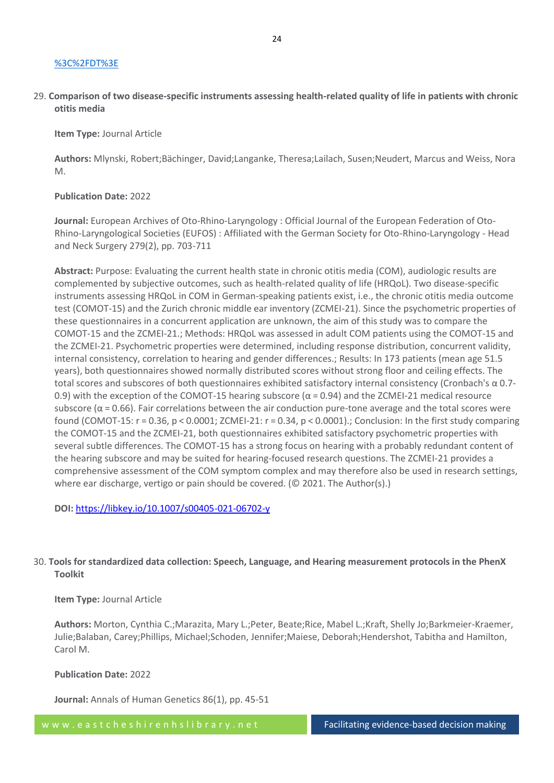#### [%3C%2FDT%3E](https://libkey.io/libraries/1293/openurl?genre=article&sid=OVID:medline&id=pmid:34490624&id=doi:10.1002%2Fcncr.33848&issn=0008-543X&isbn=&volume=128&issue=1&spage=169&pages=169-179&date=2022&title=Cancer&atitle=The+cumulative+incidence+of+cisplatin-induced+hearing+loss+in+young+children+is+higher+and+develops+at+an+early+stage+during+therapy+compared+with+older+children+based+on+2052+audiological+assessments.&aulast=Meijer&pid=%3Cauthor%3EMeijer+AJM%3BLi+KH%3BBrooks+B%3BClemens+E%3BRoss+CJ%3BRassekh+SR%3BHoetink+AE%3Bvan+Grotel+M%3Bvan+den+Heuvel-Eibrink+MM%3BCarleton+BC%3C%2Fauthor%3E%3CAN%3E34490624%3C%2FAN%3E%3CDT%3EJournal+Article%3C%2FDT%3E)

29. **Comparison of two disease-specific instruments assessing health-related quality of life in patients with chronic otitis media**

**Item Type:** Journal Article

**Authors:** Mlynski, Robert;Bächinger, David;Langanke, Theresa;Lailach, Susen;Neudert, Marcus and Weiss, Nora M.

#### **Publication Date:** 2022

**Journal:** European Archives of Oto-Rhino-Laryngology : Official Journal of the European Federation of Oto-Rhino-Laryngological Societies (EUFOS) : Affiliated with the German Society for Oto-Rhino-Laryngology - Head and Neck Surgery 279(2), pp. 703-711

**Abstract:** Purpose: Evaluating the current health state in chronic otitis media (COM), audiologic results are complemented by subjective outcomes, such as health-related quality of life (HRQoL). Two disease-specific instruments assessing HRQoL in COM in German-speaking patients exist, i.e., the chronic otitis media outcome test (COMOT-15) and the Zurich chronic middle ear inventory (ZCMEI-21). Since the psychometric properties of these questionnaires in a concurrent application are unknown, the aim of this study was to compare the COMOT-15 and the ZCMEI-21.; Methods: HRQoL was assessed in adult COM patients using the COMOT-15 and the ZCMEI-21. Psychometric properties were determined, including response distribution, concurrent validity, internal consistency, correlation to hearing and gender differences.; Results: In 173 patients (mean age 51.5 years), both questionnaires showed normally distributed scores without strong floor and ceiling effects. The total scores and subscores of both questionnaires exhibited satisfactory internal consistency (Cronbach's α 0.7- 0.9) with the exception of the COMOT-15 hearing subscore ( $\alpha$  = 0.94) and the ZCMEI-21 medical resource subscore ( $\alpha$  = 0.66). Fair correlations between the air conduction pure-tone average and the total scores were found (COMOT-15: r = 0.36, p < 0.0001; ZCMEI-21: r = 0.34, p < 0.0001).; Conclusion: In the first study comparing the COMOT-15 and the ZCMEI-21, both questionnaires exhibited satisfactory psychometric properties with several subtle differences. The COMOT-15 has a strong focus on hearing with a probably redundant content of the hearing subscore and may be suited for hearing-focused research questions. The ZCMEI-21 provides a comprehensive assessment of the COM symptom complex and may therefore also be used in research settings, where ear discharge, vertigo or pain should be covered. (© 2021. The Author(s).)

**DOI:** <https://libkey.io/10.1007/s00405-021-06702-y>

# 30. **Tools for standardized data collection: Speech, Language, and Hearing measurement protocols in the PhenX Toolkit**

## **Item Type:** Journal Article

**Authors:** Morton, Cynthia C.;Marazita, Mary L.;Peter, Beate;Rice, Mabel L.;Kraft, Shelly Jo;Barkmeier-Kraemer, Julie;Balaban, Carey;Phillips, Michael;Schoden, Jennifer;Maiese, Deborah;Hendershot, Tabitha and Hamilton, Carol M.

## **Publication Date:** 2022

**Journal:** Annals of Human Genetics 86(1), pp. 45-51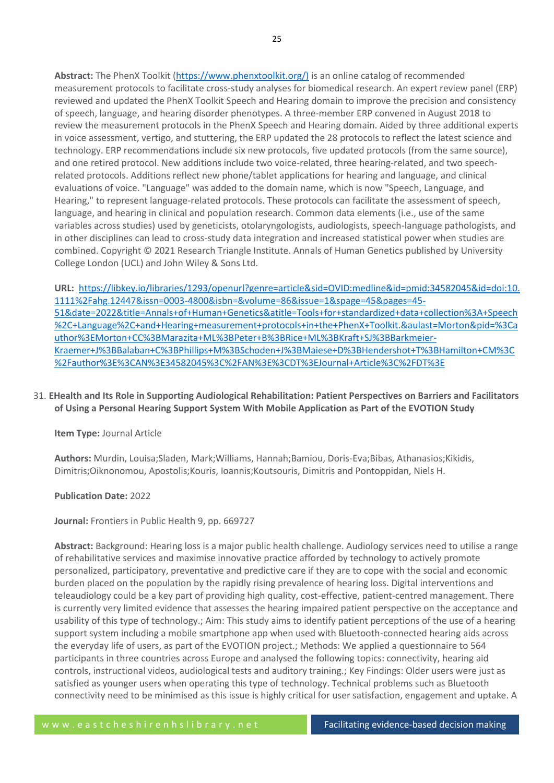**Abstract:** The PhenX Toolkit [\(https://www.phenxtoolkit.org/\)](https://www.phenxtoolkit.org/)) is an online catalog of recommended measurement protocols to facilitate cross-study analyses for biomedical research. An expert review panel (ERP) reviewed and updated the PhenX Toolkit Speech and Hearing domain to improve the precision and consistency of speech, language, and hearing disorder phenotypes. A three-member ERP convened in August 2018 to review the measurement protocols in the PhenX Speech and Hearing domain. Aided by three additional experts in voice assessment, vertigo, and stuttering, the ERP updated the 28 protocols to reflect the latest science and technology. ERP recommendations include six new protocols, five updated protocols (from the same source), and one retired protocol. New additions include two voice-related, three hearing-related, and two speechrelated protocols. Additions reflect new phone/tablet applications for hearing and language, and clinical evaluations of voice. "Language" was added to the domain name, which is now "Speech, Language, and Hearing," to represent language-related protocols. These protocols can facilitate the assessment of speech, language, and hearing in clinical and population research. Common data elements (i.e., use of the same variables across studies) used by geneticists, otolaryngologists, audiologists, speech-language pathologists, and in other disciplines can lead to cross-study data integration and increased statistical power when studies are combined. Copyright © 2021 Research Triangle Institute. Annals of Human Genetics published by University College London (UCL) and John Wiley & Sons Ltd.

**URL:** [https://libkey.io/libraries/1293/openurl?genre=article&sid=OVID:medline&id=pmid:34582045&id=doi:10.](https://libkey.io/libraries/1293/openurl?genre=article&sid=OVID:medline&id=pmid:34582045&id=doi:10.1111%2Fahg.12447&issn=0003-4800&isbn=&volume=86&issue=1&spage=45&pages=45-51&date=2022&title=Annals+of+Human+Genetics&atitle=Tools+for+standardized+data+collection%3A+Speech%2C+Language%2C+and+Hearing+measurement+protocols+in+the+PhenX+Toolkit.&aulast=Morton&pid=%3Cauthor%3EMorton+CC%3BMarazita+ML%3BPeter+B%3BRice+ML%3BKraft+SJ%3BBarkmeier-Kraemer+J%3BBalaban+C%3BPhillips+M%3BSchoden+J%3BMaiese+D%3BHendershot+T%3BHamilton+CM%3C%2Fauthor%3E%3CAN%3E34582045%3C%2FAN%3E%3CDT%3EJournal+Article%3C%2FDT%3E) [1111%2Fahg.12447&issn=0003-4800&isbn=&volume=86&issue=1&spage=45&pages=45-](https://libkey.io/libraries/1293/openurl?genre=article&sid=OVID:medline&id=pmid:34582045&id=doi:10.1111%2Fahg.12447&issn=0003-4800&isbn=&volume=86&issue=1&spage=45&pages=45-51&date=2022&title=Annals+of+Human+Genetics&atitle=Tools+for+standardized+data+collection%3A+Speech%2C+Language%2C+and+Hearing+measurement+protocols+in+the+PhenX+Toolkit.&aulast=Morton&pid=%3Cauthor%3EMorton+CC%3BMarazita+ML%3BPeter+B%3BRice+ML%3BKraft+SJ%3BBarkmeier-Kraemer+J%3BBalaban+C%3BPhillips+M%3BSchoden+J%3BMaiese+D%3BHendershot+T%3BHamilton+CM%3C%2Fauthor%3E%3CAN%3E34582045%3C%2FAN%3E%3CDT%3EJournal+Article%3C%2FDT%3E) [51&date=2022&title=Annals+of+Human+Genetics&atitle=Tools+for+standardized+data+collection%3A+Speech](https://libkey.io/libraries/1293/openurl?genre=article&sid=OVID:medline&id=pmid:34582045&id=doi:10.1111%2Fahg.12447&issn=0003-4800&isbn=&volume=86&issue=1&spage=45&pages=45-51&date=2022&title=Annals+of+Human+Genetics&atitle=Tools+for+standardized+data+collection%3A+Speech%2C+Language%2C+and+Hearing+measurement+protocols+in+the+PhenX+Toolkit.&aulast=Morton&pid=%3Cauthor%3EMorton+CC%3BMarazita+ML%3BPeter+B%3BRice+ML%3BKraft+SJ%3BBarkmeier-Kraemer+J%3BBalaban+C%3BPhillips+M%3BSchoden+J%3BMaiese+D%3BHendershot+T%3BHamilton+CM%3C%2Fauthor%3E%3CAN%3E34582045%3C%2FAN%3E%3CDT%3EJournal+Article%3C%2FDT%3E) [%2C+Language%2C+and+Hearing+measurement+protocols+in+the+PhenX+Toolkit.&aulast=Morton&pid=%3Ca](https://libkey.io/libraries/1293/openurl?genre=article&sid=OVID:medline&id=pmid:34582045&id=doi:10.1111%2Fahg.12447&issn=0003-4800&isbn=&volume=86&issue=1&spage=45&pages=45-51&date=2022&title=Annals+of+Human+Genetics&atitle=Tools+for+standardized+data+collection%3A+Speech%2C+Language%2C+and+Hearing+measurement+protocols+in+the+PhenX+Toolkit.&aulast=Morton&pid=%3Cauthor%3EMorton+CC%3BMarazita+ML%3BPeter+B%3BRice+ML%3BKraft+SJ%3BBarkmeier-Kraemer+J%3BBalaban+C%3BPhillips+M%3BSchoden+J%3BMaiese+D%3BHendershot+T%3BHamilton+CM%3C%2Fauthor%3E%3CAN%3E34582045%3C%2FAN%3E%3CDT%3EJournal+Article%3C%2FDT%3E) [uthor%3EMorton+CC%3BMarazita+ML%3BPeter+B%3BRice+ML%3BKraft+SJ%3BBarkmeier-](https://libkey.io/libraries/1293/openurl?genre=article&sid=OVID:medline&id=pmid:34582045&id=doi:10.1111%2Fahg.12447&issn=0003-4800&isbn=&volume=86&issue=1&spage=45&pages=45-51&date=2022&title=Annals+of+Human+Genetics&atitle=Tools+for+standardized+data+collection%3A+Speech%2C+Language%2C+and+Hearing+measurement+protocols+in+the+PhenX+Toolkit.&aulast=Morton&pid=%3Cauthor%3EMorton+CC%3BMarazita+ML%3BPeter+B%3BRice+ML%3BKraft+SJ%3BBarkmeier-Kraemer+J%3BBalaban+C%3BPhillips+M%3BSchoden+J%3BMaiese+D%3BHendershot+T%3BHamilton+CM%3C%2Fauthor%3E%3CAN%3E34582045%3C%2FAN%3E%3CDT%3EJournal+Article%3C%2FDT%3E)[Kraemer+J%3BBalaban+C%3BPhillips+M%3BSchoden+J%3BMaiese+D%3BHendershot+T%3BHamilton+CM%3C](https://libkey.io/libraries/1293/openurl?genre=article&sid=OVID:medline&id=pmid:34582045&id=doi:10.1111%2Fahg.12447&issn=0003-4800&isbn=&volume=86&issue=1&spage=45&pages=45-51&date=2022&title=Annals+of+Human+Genetics&atitle=Tools+for+standardized+data+collection%3A+Speech%2C+Language%2C+and+Hearing+measurement+protocols+in+the+PhenX+Toolkit.&aulast=Morton&pid=%3Cauthor%3EMorton+CC%3BMarazita+ML%3BPeter+B%3BRice+ML%3BKraft+SJ%3BBarkmeier-Kraemer+J%3BBalaban+C%3BPhillips+M%3BSchoden+J%3BMaiese+D%3BHendershot+T%3BHamilton+CM%3C%2Fauthor%3E%3CAN%3E34582045%3C%2FAN%3E%3CDT%3EJournal+Article%3C%2FDT%3E) [%2Fauthor%3E%3CAN%3E34582045%3C%2FAN%3E%3CDT%3EJournal+Article%3C%2FDT%3E](https://libkey.io/libraries/1293/openurl?genre=article&sid=OVID:medline&id=pmid:34582045&id=doi:10.1111%2Fahg.12447&issn=0003-4800&isbn=&volume=86&issue=1&spage=45&pages=45-51&date=2022&title=Annals+of+Human+Genetics&atitle=Tools+for+standardized+data+collection%3A+Speech%2C+Language%2C+and+Hearing+measurement+protocols+in+the+PhenX+Toolkit.&aulast=Morton&pid=%3Cauthor%3EMorton+CC%3BMarazita+ML%3BPeter+B%3BRice+ML%3BKraft+SJ%3BBarkmeier-Kraemer+J%3BBalaban+C%3BPhillips+M%3BSchoden+J%3BMaiese+D%3BHendershot+T%3BHamilton+CM%3C%2Fauthor%3E%3CAN%3E34582045%3C%2FAN%3E%3CDT%3EJournal+Article%3C%2FDT%3E)

# 31. **EHealth and Its Role in Supporting Audiological Rehabilitation: Patient Perspectives on Barriers and Facilitators of Using a Personal Hearing Support System With Mobile Application as Part of the EVOTION Study**

# **Item Type:** Journal Article

**Authors:** Murdin, Louisa;Sladen, Mark;Williams, Hannah;Bamiou, Doris-Eva;Bibas, Athanasios;Kikidis, Dimitris;Oiknonomou, Apostolis;Kouris, Ioannis;Koutsouris, Dimitris and Pontoppidan, Niels H.

## **Publication Date:** 2022

**Journal:** Frontiers in Public Health 9, pp. 669727

**Abstract:** Background: Hearing loss is a major public health challenge. Audiology services need to utilise a range of rehabilitative services and maximise innovative practice afforded by technology to actively promote personalized, participatory, preventative and predictive care if they are to cope with the social and economic burden placed on the population by the rapidly rising prevalence of hearing loss. Digital interventions and teleaudiology could be a key part of providing high quality, cost-effective, patient-centred management. There is currently very limited evidence that assesses the hearing impaired patient perspective on the acceptance and usability of this type of technology.; Aim: This study aims to identify patient perceptions of the use of a hearing support system including a mobile smartphone app when used with Bluetooth-connected hearing aids across the everyday life of users, as part of the EVOTION project.; Methods: We applied a questionnaire to 564 participants in three countries across Europe and analysed the following topics: connectivity, hearing aid controls, instructional videos, audiological tests and auditory training.; Key Findings: Older users were just as satisfied as younger users when operating this type of technology. Technical problems such as Bluetooth connectivity need to be minimised as this issue is highly critical for user satisfaction, engagement and uptake. A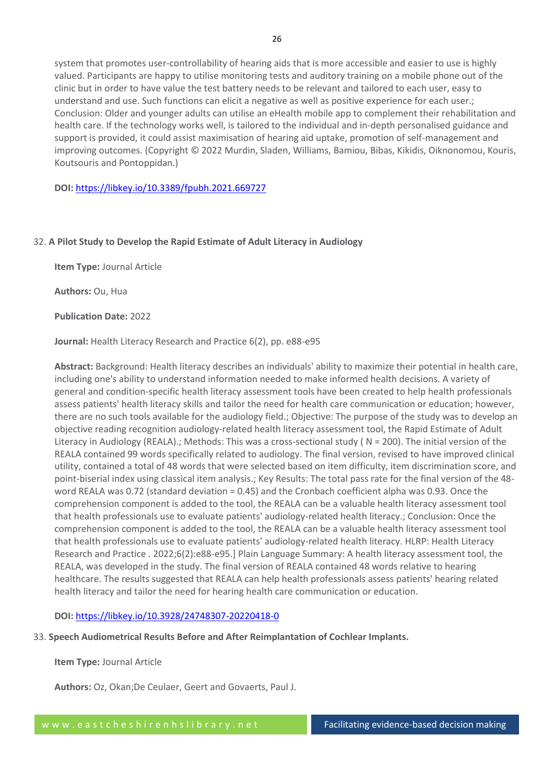system that promotes user-controllability of hearing aids that is more accessible and easier to use is highly valued. Participants are happy to utilise monitoring tests and auditory training on a mobile phone out of the clinic but in order to have value the test battery needs to be relevant and tailored to each user, easy to understand and use. Such functions can elicit a negative as well as positive experience for each user.; Conclusion: Older and younger adults can utilise an eHealth mobile app to complement their rehabilitation and health care. If the technology works well, is tailored to the individual and in-depth personalised guidance and support is provided, it could assist maximisation of hearing aid uptake, promotion of self-management and improving outcomes. (Copyright © 2022 Murdin, Sladen, Williams, Bamiou, Bibas, Kikidis, Oiknonomou, Kouris, Koutsouris and Pontoppidan.)

**DOI:** <https://libkey.io/10.3389/fpubh.2021.669727>

# 32. **A Pilot Study to Develop the Rapid Estimate of Adult Literacy in Audiology**

**Item Type:** Journal Article

**Authors:** Ou, Hua

**Publication Date:** 2022

**Journal:** Health Literacy Research and Practice 6(2), pp. e88-e95

**Abstract:** Background: Health literacy describes an individuals' ability to maximize their potential in health care, including one's ability to understand information needed to make informed health decisions. A variety of general and condition-specific health literacy assessment tools have been created to help health professionals assess patients' health literacy skills and tailor the need for health care communication or education; however, there are no such tools available for the audiology field.; Objective: The purpose of the study was to develop an objective reading recognition audiology-related health literacy assessment tool, the Rapid Estimate of Adult Literacy in Audiology (REALA).; Methods: This was a cross-sectional study (N = 200). The initial version of the REALA contained 99 words specifically related to audiology. The final version, revised to have improved clinical utility, contained a total of 48 words that were selected based on item difficulty, item discrimination score, and point-biserial index using classical item analysis.; Key Results: The total pass rate for the final version of the 48 word REALA was 0.72 (standard deviation = 0.45) and the Cronbach coefficient alpha was 0.93. Once the comprehension component is added to the tool, the REALA can be a valuable health literacy assessment tool that health professionals use to evaluate patients' audiology-related health literacy.; Conclusion: Once the comprehension component is added to the tool, the REALA can be a valuable health literacy assessment tool that health professionals use to evaluate patients' audiology-related health literacy. HLRP: Health Literacy Research and Practice . 2022;6(2):e88-e95.] Plain Language Summary: A health literacy assessment tool, the REALA, was developed in the study. The final version of REALA contained 48 words relative to hearing healthcare. The results suggested that REALA can help health professionals assess patients' hearing related health literacy and tailor the need for hearing health care communication or education.

# **DOI:** <https://libkey.io/10.3928/24748307-20220418-0>

33. **Speech Audiometrical Results Before and After Reimplantation of Cochlear Implants.**

**Item Type:** Journal Article

**Authors:** Oz, Okan;De Ceulaer, Geert and Govaerts, Paul J.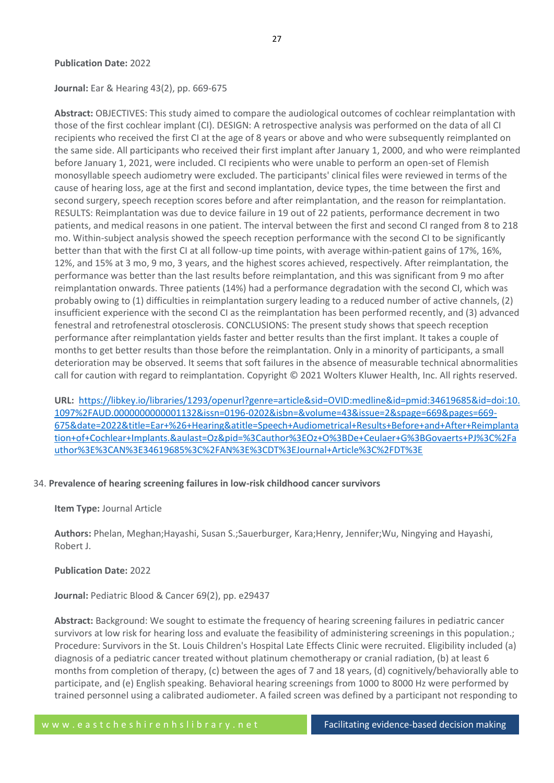## **Publication Date:** 2022

#### **Journal:** Ear & Hearing 43(2), pp. 669-675

**Abstract:** OBJECTIVES: This study aimed to compare the audiological outcomes of cochlear reimplantation with those of the first cochlear implant (CI). DESIGN: A retrospective analysis was performed on the data of all CI recipients who received the first CI at the age of 8 years or above and who were subsequently reimplanted on the same side. All participants who received their first implant after January 1, 2000, and who were reimplanted before January 1, 2021, were included. CI recipients who were unable to perform an open-set of Flemish monosyllable speech audiometry were excluded. The participants' clinical files were reviewed in terms of the cause of hearing loss, age at the first and second implantation, device types, the time between the first and second surgery, speech reception scores before and after reimplantation, and the reason for reimplantation. RESULTS: Reimplantation was due to device failure in 19 out of 22 patients, performance decrement in two patients, and medical reasons in one patient. The interval between the first and second CI ranged from 8 to 218 mo. Within-subject analysis showed the speech reception performance with the second CI to be significantly better than that with the first CI at all follow-up time points, with average within-patient gains of 17%, 16%, 12%, and 15% at 3 mo, 9 mo, 3 years, and the highest scores achieved, respectively. After reimplantation, the performance was better than the last results before reimplantation, and this was significant from 9 mo after reimplantation onwards. Three patients (14%) had a performance degradation with the second CI, which was probably owing to (1) difficulties in reimplantation surgery leading to a reduced number of active channels, (2) insufficient experience with the second CI as the reimplantation has been performed recently, and (3) advanced fenestral and retrofenestral otosclerosis. CONCLUSIONS: The present study shows that speech reception performance after reimplantation yields faster and better results than the first implant. It takes a couple of months to get better results than those before the reimplantation. Only in a minority of participants, a small deterioration may be observed. It seems that soft failures in the absence of measurable technical abnormalities call for caution with regard to reimplantation. Copyright © 2021 Wolters Kluwer Health, Inc. All rights reserved.

**URL:** [https://libkey.io/libraries/1293/openurl?genre=article&sid=OVID:medline&id=pmid:34619685&id=doi:10.](https://libkey.io/libraries/1293/openurl?genre=article&sid=OVID:medline&id=pmid:34619685&id=doi:10.1097%2FAUD.0000000000001132&issn=0196-0202&isbn=&volume=43&issue=2&spage=669&pages=669-675&date=2022&title=Ear+%26+Hearing&atitle=Speech+Audiometrical+Results+Before+and+After+Reimplantation+of+Cochlear+Implants.&aulast=Oz&pid=%3Cauthor%3EOz+O%3BDe+Ceulaer+G%3BGovaerts+PJ%3C%2Fauthor%3E%3CAN%3E34619685%3C%2FAN%3E%3CDT%3EJournal+Article%3C%2FDT%3E) [1097%2FAUD.0000000000001132&issn=0196-0202&isbn=&volume=43&issue=2&spage=669&pages=669-](https://libkey.io/libraries/1293/openurl?genre=article&sid=OVID:medline&id=pmid:34619685&id=doi:10.1097%2FAUD.0000000000001132&issn=0196-0202&isbn=&volume=43&issue=2&spage=669&pages=669-675&date=2022&title=Ear+%26+Hearing&atitle=Speech+Audiometrical+Results+Before+and+After+Reimplantation+of+Cochlear+Implants.&aulast=Oz&pid=%3Cauthor%3EOz+O%3BDe+Ceulaer+G%3BGovaerts+PJ%3C%2Fauthor%3E%3CAN%3E34619685%3C%2FAN%3E%3CDT%3EJournal+Article%3C%2FDT%3E) [675&date=2022&title=Ear+%26+Hearing&atitle=Speech+Audiometrical+Results+Before+and+After+Reimplanta](https://libkey.io/libraries/1293/openurl?genre=article&sid=OVID:medline&id=pmid:34619685&id=doi:10.1097%2FAUD.0000000000001132&issn=0196-0202&isbn=&volume=43&issue=2&spage=669&pages=669-675&date=2022&title=Ear+%26+Hearing&atitle=Speech+Audiometrical+Results+Before+and+After+Reimplantation+of+Cochlear+Implants.&aulast=Oz&pid=%3Cauthor%3EOz+O%3BDe+Ceulaer+G%3BGovaerts+PJ%3C%2Fauthor%3E%3CAN%3E34619685%3C%2FAN%3E%3CDT%3EJournal+Article%3C%2FDT%3E) [tion+of+Cochlear+Implants.&aulast=Oz&pid=%3Cauthor%3EOz+O%3BDe+Ceulaer+G%3BGovaerts+PJ%3C%2Fa](https://libkey.io/libraries/1293/openurl?genre=article&sid=OVID:medline&id=pmid:34619685&id=doi:10.1097%2FAUD.0000000000001132&issn=0196-0202&isbn=&volume=43&issue=2&spage=669&pages=669-675&date=2022&title=Ear+%26+Hearing&atitle=Speech+Audiometrical+Results+Before+and+After+Reimplantation+of+Cochlear+Implants.&aulast=Oz&pid=%3Cauthor%3EOz+O%3BDe+Ceulaer+G%3BGovaerts+PJ%3C%2Fauthor%3E%3CAN%3E34619685%3C%2FAN%3E%3CDT%3EJournal+Article%3C%2FDT%3E) [uthor%3E%3CAN%3E34619685%3C%2FAN%3E%3CDT%3EJournal+Article%3C%2FDT%3E](https://libkey.io/libraries/1293/openurl?genre=article&sid=OVID:medline&id=pmid:34619685&id=doi:10.1097%2FAUD.0000000000001132&issn=0196-0202&isbn=&volume=43&issue=2&spage=669&pages=669-675&date=2022&title=Ear+%26+Hearing&atitle=Speech+Audiometrical+Results+Before+and+After+Reimplantation+of+Cochlear+Implants.&aulast=Oz&pid=%3Cauthor%3EOz+O%3BDe+Ceulaer+G%3BGovaerts+PJ%3C%2Fauthor%3E%3CAN%3E34619685%3C%2FAN%3E%3CDT%3EJournal+Article%3C%2FDT%3E)

## 34. **Prevalence of hearing screening failures in low-risk childhood cancer survivors**

#### **Item Type:** Journal Article

**Authors:** Phelan, Meghan;Hayashi, Susan S.;Sauerburger, Kara;Henry, Jennifer;Wu, Ningying and Hayashi, Robert J.

#### **Publication Date:** 2022

**Journal:** Pediatric Blood & Cancer 69(2), pp. e29437

**Abstract:** Background: We sought to estimate the frequency of hearing screening failures in pediatric cancer survivors at low risk for hearing loss and evaluate the feasibility of administering screenings in this population.; Procedure: Survivors in the St. Louis Children's Hospital Late Effects Clinic were recruited. Eligibility included (a) diagnosis of a pediatric cancer treated without platinum chemotherapy or cranial radiation, (b) at least 6 months from completion of therapy, (c) between the ages of 7 and 18 years, (d) cognitively/behaviorally able to participate, and (e) English speaking. Behavioral hearing screenings from 1000 to 8000 Hz were performed by trained personnel using a calibrated audiometer. A failed screen was defined by a participant not responding to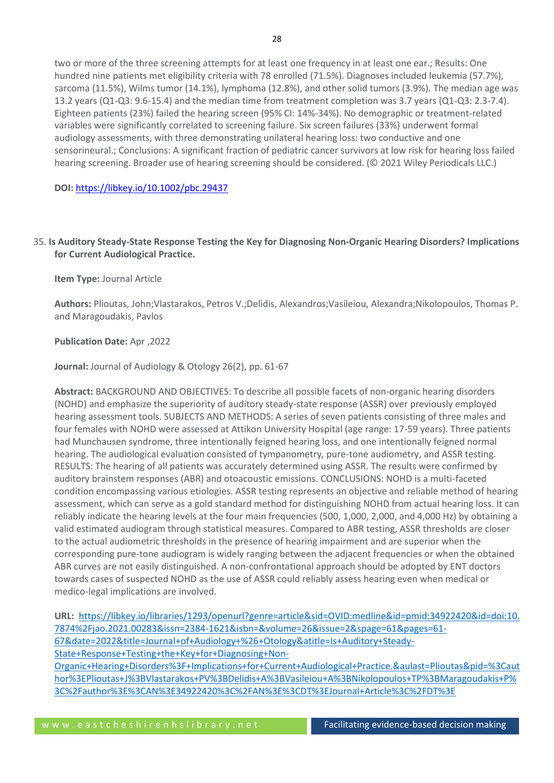two or more of the three screening attempts for at least one frequency in at least one ear.; Results: One hundred nine patients met eligibility criteria with 78 enrolled (71.5%). Diagnoses included leukemia (57.7%), sarcoma (11.5%), Wilms tumor (14.1%), lymphoma (12.8%), and other solid tumors (3.9%). The median age was 13.2 years (Q1-Q3: 9.6-15.4) and the median time from treatment completion was 3.7 years (Q1-Q3: 2.3-7.4). Eighteen patients (23%) failed the hearing screen (95% CI: 14%-34%). No demographic or treatment-related variables were significantly correlated to screening failure. Six screen failures (33%) underwent formal audiology assessments, with three demonstrating unilateral hearing loss: two conductive and one sensorineural.; Conclusions: A significant fraction of pediatric cancer survivors at low risk for hearing loss failed hearing screening. Broader use of hearing screening should be considered. (© 2021 Wiley Periodicals LLC.)

**DOI:** <https://libkey.io/10.1002/pbc.29437>

# 35. **Is Auditory Steady-State Response Testing the Key for Diagnosing Non-Organic Hearing Disorders? Implications for Current Audiological Practice.**

**Item Type:** Journal Article

**Authors:** Plioutas, John;Vlastarakos, Petros V.;Delidis, Alexandros;Vasileiou, Alexandra;Nikolopoulos, Thomas P. and Maragoudakis, Pavlos

## **Publication Date:** Apr ,2022

**Journal:** Journal of Audiology & Otology 26(2), pp. 61-67

**Abstract:** BACKGROUND AND OBJECTIVES: To describe all possible facets of non-organic hearing disorders (NOHD) and emphasize the superiority of auditory steady-state response (ASSR) over previously employed hearing assessment tools. SUBJECTS AND METHODS: A series of seven patients consisting of three males and four females with NOHD were assessed at Attikon University Hospital (age range: 17-59 years). Three patients had Munchausen syndrome, three intentionally feigned hearing loss, and one intentionally feigned normal hearing. The audiological evaluation consisted of tympanometry, pure-tone audiometry, and ASSR testing. RESULTS: The hearing of all patients was accurately determined using ASSR. The results were confirmed by auditory brainstem responses (ABR) and otoacoustic emissions. CONCLUSIONS: NOHD is a multi-faceted condition encompassing various etiologies. ASSR testing represents an objective and reliable method of hearing assessment, which can serve as a gold standard method for distinguishing NOHD from actual hearing loss. It can reliably indicate the hearing levels at the four main frequencies (500, 1,000, 2,000, and 4,000 Hz) by obtaining a valid estimated audiogram through statistical measures. Compared to ABR testing, ASSR thresholds are closer to the actual audiometric thresholds in the presence of hearing impairment and are superior when the corresponding pure-tone audiogram is widely ranging between the adjacent frequencies or when the obtained ABR curves are not easily distinguished. A non-confrontational approach should be adopted by ENT doctors towards cases of suspected NOHD as the use of ASSR could reliably assess hearing even when medical or medico-legal implications are involved.

**URL:** [https://libkey.io/libraries/1293/openurl?genre=article&sid=OVID:medline&id=pmid:34922420&id=doi:10.](https://libkey.io/libraries/1293/openurl?genre=article&sid=OVID:medline&id=pmid:34922420&id=doi:10.7874%2Fjao.2021.00283&issn=2384-1621&isbn=&volume=26&issue=2&spage=61&pages=61-67&date=2022&title=Journal+of+Audiology+%26+Otology&atitle=Is+Auditory+Steady-State+Response+Testing+the+Key+for+Diagnosing+Non-Organic+Hearing+Disorders%3F+Implications+for+Current+Audiological+Practice.&aulast=Plioutas&pid=%3Cauthor%3EPlioutas+J%3BVlastarakos+PV%3BDelidis+A%3BVasileiou+A%3BNikolopoulos+TP%3BMaragoudakis+P%3C%2Fauthor%3E%3CAN%3E34922420%3C%2FAN%3E%3CDT%3EJournal+Article%3C%2FDT%3E) [7874%2Fjao.2021.00283&issn=2384-1621&isbn=&volume=26&issue=2&spage=61&pages=61-](https://libkey.io/libraries/1293/openurl?genre=article&sid=OVID:medline&id=pmid:34922420&id=doi:10.7874%2Fjao.2021.00283&issn=2384-1621&isbn=&volume=26&issue=2&spage=61&pages=61-67&date=2022&title=Journal+of+Audiology+%26+Otology&atitle=Is+Auditory+Steady-State+Response+Testing+the+Key+for+Diagnosing+Non-Organic+Hearing+Disorders%3F+Implications+for+Current+Audiological+Practice.&aulast=Plioutas&pid=%3Cauthor%3EPlioutas+J%3BVlastarakos+PV%3BDelidis+A%3BVasileiou+A%3BNikolopoulos+TP%3BMaragoudakis+P%3C%2Fauthor%3E%3CAN%3E34922420%3C%2FAN%3E%3CDT%3EJournal+Article%3C%2FDT%3E) [67&date=2022&title=Journal+of+Audiology+%26+Otology&atitle=Is+Auditory+Steady-](https://libkey.io/libraries/1293/openurl?genre=article&sid=OVID:medline&id=pmid:34922420&id=doi:10.7874%2Fjao.2021.00283&issn=2384-1621&isbn=&volume=26&issue=2&spage=61&pages=61-67&date=2022&title=Journal+of+Audiology+%26+Otology&atitle=Is+Auditory+Steady-State+Response+Testing+the+Key+for+Diagnosing+Non-Organic+Hearing+Disorders%3F+Implications+for+Current+Audiological+Practice.&aulast=Plioutas&pid=%3Cauthor%3EPlioutas+J%3BVlastarakos+PV%3BDelidis+A%3BVasileiou+A%3BNikolopoulos+TP%3BMaragoudakis+P%3C%2Fauthor%3E%3CAN%3E34922420%3C%2FAN%3E%3CDT%3EJournal+Article%3C%2FDT%3E)[State+Response+Testing+the+Key+for+Diagnosing+Non-](https://libkey.io/libraries/1293/openurl?genre=article&sid=OVID:medline&id=pmid:34922420&id=doi:10.7874%2Fjao.2021.00283&issn=2384-1621&isbn=&volume=26&issue=2&spage=61&pages=61-67&date=2022&title=Journal+of+Audiology+%26+Otology&atitle=Is+Auditory+Steady-State+Response+Testing+the+Key+for+Diagnosing+Non-Organic+Hearing+Disorders%3F+Implications+for+Current+Audiological+Practice.&aulast=Plioutas&pid=%3Cauthor%3EPlioutas+J%3BVlastarakos+PV%3BDelidis+A%3BVasileiou+A%3BNikolopoulos+TP%3BMaragoudakis+P%3C%2Fauthor%3E%3CAN%3E34922420%3C%2FAN%3E%3CDT%3EJournal+Article%3C%2FDT%3E)[Organic+Hearing+Disorders%3F+Implications+for+Current+Audiological+Practice.&aulast=Plioutas&pid=%3Caut](https://libkey.io/libraries/1293/openurl?genre=article&sid=OVID:medline&id=pmid:34922420&id=doi:10.7874%2Fjao.2021.00283&issn=2384-1621&isbn=&volume=26&issue=2&spage=61&pages=61-67&date=2022&title=Journal+of+Audiology+%26+Otology&atitle=Is+Auditory+Steady-State+Response+Testing+the+Key+for+Diagnosing+Non-Organic+Hearing+Disorders%3F+Implications+for+Current+Audiological+Practice.&aulast=Plioutas&pid=%3Cauthor%3EPlioutas+J%3BVlastarakos+PV%3BDelidis+A%3BVasileiou+A%3BNikolopoulos+TP%3BMaragoudakis+P%3C%2Fauthor%3E%3CAN%3E34922420%3C%2FAN%3E%3CDT%3EJournal+Article%3C%2FDT%3E) [hor%3EPlioutas+J%3BVlastarakos+PV%3BDelidis+A%3BVasileiou+A%3BNikolopoulos+TP%3BMaragoudakis+P%](https://libkey.io/libraries/1293/openurl?genre=article&sid=OVID:medline&id=pmid:34922420&id=doi:10.7874%2Fjao.2021.00283&issn=2384-1621&isbn=&volume=26&issue=2&spage=61&pages=61-67&date=2022&title=Journal+of+Audiology+%26+Otology&atitle=Is+Auditory+Steady-State+Response+Testing+the+Key+for+Diagnosing+Non-Organic+Hearing+Disorders%3F+Implications+for+Current+Audiological+Practice.&aulast=Plioutas&pid=%3Cauthor%3EPlioutas+J%3BVlastarakos+PV%3BDelidis+A%3BVasileiou+A%3BNikolopoulos+TP%3BMaragoudakis+P%3C%2Fauthor%3E%3CAN%3E34922420%3C%2FAN%3E%3CDT%3EJournal+Article%3C%2FDT%3E) [3C%2Fauthor%3E%3CAN%3E34922420%3C%2FAN%3E%3CDT%3EJournal+Article%3C%2FDT%3E](https://libkey.io/libraries/1293/openurl?genre=article&sid=OVID:medline&id=pmid:34922420&id=doi:10.7874%2Fjao.2021.00283&issn=2384-1621&isbn=&volume=26&issue=2&spage=61&pages=61-67&date=2022&title=Journal+of+Audiology+%26+Otology&atitle=Is+Auditory+Steady-State+Response+Testing+the+Key+for+Diagnosing+Non-Organic+Hearing+Disorders%3F+Implications+for+Current+Audiological+Practice.&aulast=Plioutas&pid=%3Cauthor%3EPlioutas+J%3BVlastarakos+PV%3BDelidis+A%3BVasileiou+A%3BNikolopoulos+TP%3BMaragoudakis+P%3C%2Fauthor%3E%3CAN%3E34922420%3C%2FAN%3E%3CDT%3EJournal+Article%3C%2FDT%3E)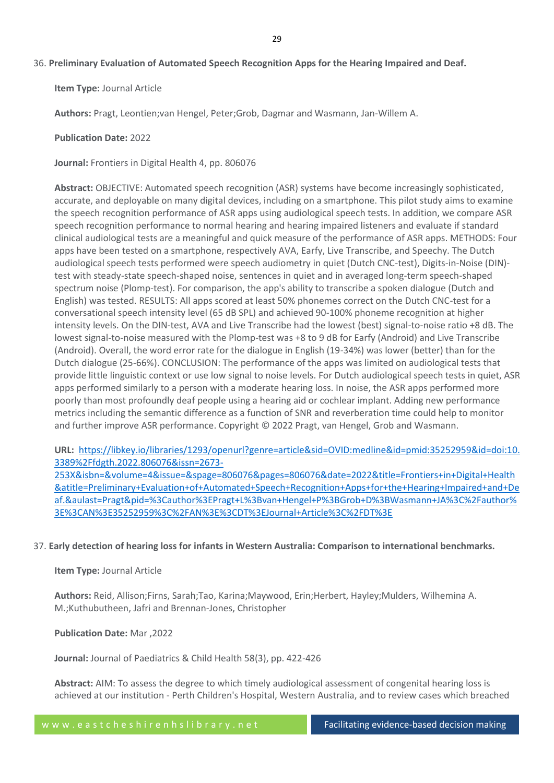# 36. **Preliminary Evaluation of Automated Speech Recognition Apps for the Hearing Impaired and Deaf.**

**Item Type:** Journal Article

**Authors:** Pragt, Leontien;van Hengel, Peter;Grob, Dagmar and Wasmann, Jan-Willem A.

## **Publication Date:** 2022

**Journal:** Frontiers in Digital Health 4, pp. 806076

**Abstract:** OBJECTIVE: Automated speech recognition (ASR) systems have become increasingly sophisticated, accurate, and deployable on many digital devices, including on a smartphone. This pilot study aims to examine the speech recognition performance of ASR apps using audiological speech tests. In addition, we compare ASR speech recognition performance to normal hearing and hearing impaired listeners and evaluate if standard clinical audiological tests are a meaningful and quick measure of the performance of ASR apps. METHODS: Four apps have been tested on a smartphone, respectively AVA, Earfy, Live Transcribe, and Speechy. The Dutch audiological speech tests performed were speech audiometry in quiet (Dutch CNC-test), Digits-in-Noise (DIN) test with steady-state speech-shaped noise, sentences in quiet and in averaged long-term speech-shaped spectrum noise (Plomp-test). For comparison, the app's ability to transcribe a spoken dialogue (Dutch and English) was tested. RESULTS: All apps scored at least 50% phonemes correct on the Dutch CNC-test for a conversational speech intensity level (65 dB SPL) and achieved 90-100% phoneme recognition at higher intensity levels. On the DIN-test, AVA and Live Transcribe had the lowest (best) signal-to-noise ratio +8 dB. The lowest signal-to-noise measured with the Plomp-test was +8 to 9 dB for Earfy (Android) and Live Transcribe (Android). Overall, the word error rate for the dialogue in English (19-34%) was lower (better) than for the Dutch dialogue (25-66%). CONCLUSION: The performance of the apps was limited on audiological tests that provide little linguistic context or use low signal to noise levels. For Dutch audiological speech tests in quiet, ASR apps performed similarly to a person with a moderate hearing loss. In noise, the ASR apps performed more poorly than most profoundly deaf people using a hearing aid or cochlear implant. Adding new performance metrics including the semantic difference as a function of SNR and reverberation time could help to monitor and further improve ASR performance. Copyright © 2022 Pragt, van Hengel, Grob and Wasmann.

**URL:** [https://libkey.io/libraries/1293/openurl?genre=article&sid=OVID:medline&id=pmid:35252959&id=doi:10.](https://libkey.io/libraries/1293/openurl?genre=article&sid=OVID:medline&id=pmid:35252959&id=doi:10.3389%2Ffdgth.2022.806076&issn=2673-253X&isbn=&volume=4&issue=&spage=806076&pages=806076&date=2022&title=Frontiers+in+Digital+Health&atitle=Preliminary+Evaluation+of+Automated+Speech+Recognition+Apps+for+the+Hearing+Impaired+and+Deaf.&aulast=Pragt&pid=%3Cauthor%3EPragt+L%3Bvan+Hengel+P%3BGrob+D%3BWasmann+JA%3C%2Fauthor%3E%3CAN%3E35252959%3C%2FAN%3E%3CDT%3EJournal+Article%3C%2FDT%3E) [3389%2Ffdgth.2022.806076&issn=2673-](https://libkey.io/libraries/1293/openurl?genre=article&sid=OVID:medline&id=pmid:35252959&id=doi:10.3389%2Ffdgth.2022.806076&issn=2673-253X&isbn=&volume=4&issue=&spage=806076&pages=806076&date=2022&title=Frontiers+in+Digital+Health&atitle=Preliminary+Evaluation+of+Automated+Speech+Recognition+Apps+for+the+Hearing+Impaired+and+Deaf.&aulast=Pragt&pid=%3Cauthor%3EPragt+L%3Bvan+Hengel+P%3BGrob+D%3BWasmann+JA%3C%2Fauthor%3E%3CAN%3E35252959%3C%2FAN%3E%3CDT%3EJournal+Article%3C%2FDT%3E)

[253X&isbn=&volume=4&issue=&spage=806076&pages=806076&date=2022&title=Frontiers+in+Digital+Health](https://libkey.io/libraries/1293/openurl?genre=article&sid=OVID:medline&id=pmid:35252959&id=doi:10.3389%2Ffdgth.2022.806076&issn=2673-253X&isbn=&volume=4&issue=&spage=806076&pages=806076&date=2022&title=Frontiers+in+Digital+Health&atitle=Preliminary+Evaluation+of+Automated+Speech+Recognition+Apps+for+the+Hearing+Impaired+and+Deaf.&aulast=Pragt&pid=%3Cauthor%3EPragt+L%3Bvan+Hengel+P%3BGrob+D%3BWasmann+JA%3C%2Fauthor%3E%3CAN%3E35252959%3C%2FAN%3E%3CDT%3EJournal+Article%3C%2FDT%3E) [&atitle=Preliminary+Evaluation+of+Automated+Speech+Recognition+Apps+for+the+Hearing+Impaired+and+De](https://libkey.io/libraries/1293/openurl?genre=article&sid=OVID:medline&id=pmid:35252959&id=doi:10.3389%2Ffdgth.2022.806076&issn=2673-253X&isbn=&volume=4&issue=&spage=806076&pages=806076&date=2022&title=Frontiers+in+Digital+Health&atitle=Preliminary+Evaluation+of+Automated+Speech+Recognition+Apps+for+the+Hearing+Impaired+and+Deaf.&aulast=Pragt&pid=%3Cauthor%3EPragt+L%3Bvan+Hengel+P%3BGrob+D%3BWasmann+JA%3C%2Fauthor%3E%3CAN%3E35252959%3C%2FAN%3E%3CDT%3EJournal+Article%3C%2FDT%3E) [af.&aulast=Pragt&pid=%3Cauthor%3EPragt+L%3Bvan+Hengel+P%3BGrob+D%3BWasmann+JA%3C%2Fauthor%](https://libkey.io/libraries/1293/openurl?genre=article&sid=OVID:medline&id=pmid:35252959&id=doi:10.3389%2Ffdgth.2022.806076&issn=2673-253X&isbn=&volume=4&issue=&spage=806076&pages=806076&date=2022&title=Frontiers+in+Digital+Health&atitle=Preliminary+Evaluation+of+Automated+Speech+Recognition+Apps+for+the+Hearing+Impaired+and+Deaf.&aulast=Pragt&pid=%3Cauthor%3EPragt+L%3Bvan+Hengel+P%3BGrob+D%3BWasmann+JA%3C%2Fauthor%3E%3CAN%3E35252959%3C%2FAN%3E%3CDT%3EJournal+Article%3C%2FDT%3E) [3E%3CAN%3E35252959%3C%2FAN%3E%3CDT%3EJournal+Article%3C%2FDT%3E](https://libkey.io/libraries/1293/openurl?genre=article&sid=OVID:medline&id=pmid:35252959&id=doi:10.3389%2Ffdgth.2022.806076&issn=2673-253X&isbn=&volume=4&issue=&spage=806076&pages=806076&date=2022&title=Frontiers+in+Digital+Health&atitle=Preliminary+Evaluation+of+Automated+Speech+Recognition+Apps+for+the+Hearing+Impaired+and+Deaf.&aulast=Pragt&pid=%3Cauthor%3EPragt+L%3Bvan+Hengel+P%3BGrob+D%3BWasmann+JA%3C%2Fauthor%3E%3CAN%3E35252959%3C%2FAN%3E%3CDT%3EJournal+Article%3C%2FDT%3E)

37. **Early detection of hearing loss for infants in Western Australia: Comparison to international benchmarks.**

## **Item Type:** Journal Article

**Authors:** Reid, Allison;Firns, Sarah;Tao, Karina;Maywood, Erin;Herbert, Hayley;Mulders, Wilhemina A. M.;Kuthubutheen, Jafri and Brennan-Jones, Christopher

**Publication Date:** Mar ,2022

**Journal:** Journal of Paediatrics & Child Health 58(3), pp. 422-426

**Abstract:** AIM: To assess the degree to which timely audiological assessment of congenital hearing loss is achieved at our institution - Perth Children's Hospital, Western Australia, and to review cases which breached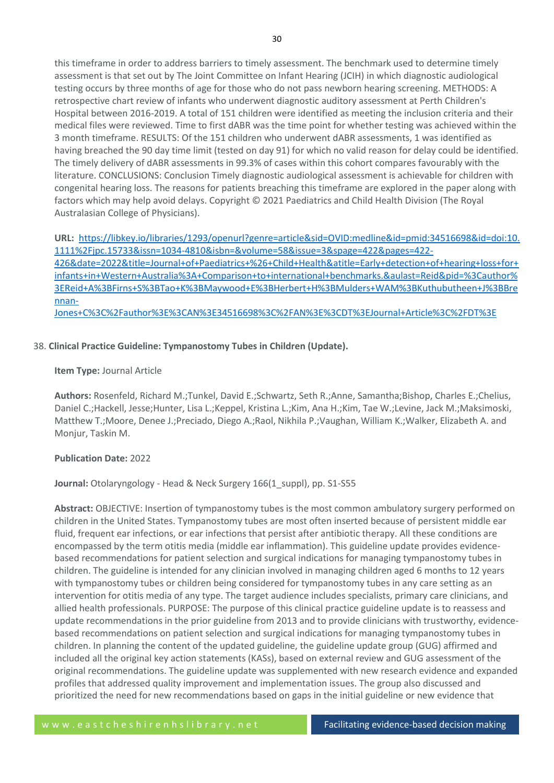this timeframe in order to address barriers to timely assessment. The benchmark used to determine timely assessment is that set out by The Joint Committee on Infant Hearing (JCIH) in which diagnostic audiological testing occurs by three months of age for those who do not pass newborn hearing screening. METHODS: A retrospective chart review of infants who underwent diagnostic auditory assessment at Perth Children's Hospital between 2016-2019. A total of 151 children were identified as meeting the inclusion criteria and their medical files were reviewed. Time to first dABR was the time point for whether testing was achieved within the 3 month timeframe. RESULTS: Of the 151 children who underwent dABR assessments, 1 was identified as having breached the 90 day time limit (tested on day 91) for which no valid reason for delay could be identified. The timely delivery of dABR assessments in 99.3% of cases within this cohort compares favourably with the literature. CONCLUSIONS: Conclusion Timely diagnostic audiological assessment is achievable for children with congenital hearing loss. The reasons for patients breaching this timeframe are explored in the paper along with factors which may help avoid delays. Copyright © 2021 Paediatrics and Child Health Division (The Royal Australasian College of Physicians).

**URL:** [https://libkey.io/libraries/1293/openurl?genre=article&sid=OVID:medline&id=pmid:34516698&id=doi:10.](https://libkey.io/libraries/1293/openurl?genre=article&sid=OVID:medline&id=pmid:34516698&id=doi:10.1111%2Fjpc.15733&issn=1034-4810&isbn=&volume=58&issue=3&spage=422&pages=422-426&date=2022&title=Journal+of+Paediatrics+%26+Child+Health&atitle=Early+detection+of+hearing+loss+for+infants+in+Western+Australia%3A+Comparison+to+international+benchmarks.&aulast=Reid&pid=%3Cauthor%3EReid+A%3BFirns+S%3BTao+K%3BMaywood+E%3BHerbert+H%3BMulders+WAM%3BKuthubutheen+J%3BBrennan-Jones+C%3C%2Fauthor%3E%3CAN%3E34516698%3C%2FAN%3E%3CDT%3EJournal+Article%3C%2FDT%3E) [1111%2Fjpc.15733&issn=1034-4810&isbn=&volume=58&issue=3&spage=422&pages=422-](https://libkey.io/libraries/1293/openurl?genre=article&sid=OVID:medline&id=pmid:34516698&id=doi:10.1111%2Fjpc.15733&issn=1034-4810&isbn=&volume=58&issue=3&spage=422&pages=422-426&date=2022&title=Journal+of+Paediatrics+%26+Child+Health&atitle=Early+detection+of+hearing+loss+for+infants+in+Western+Australia%3A+Comparison+to+international+benchmarks.&aulast=Reid&pid=%3Cauthor%3EReid+A%3BFirns+S%3BTao+K%3BMaywood+E%3BHerbert+H%3BMulders+WAM%3BKuthubutheen+J%3BBrennan-Jones+C%3C%2Fauthor%3E%3CAN%3E34516698%3C%2FAN%3E%3CDT%3EJournal+Article%3C%2FDT%3E) [426&date=2022&title=Journal+of+Paediatrics+%26+Child+Health&atitle=Early+detection+of+hearing+loss+for+](https://libkey.io/libraries/1293/openurl?genre=article&sid=OVID:medline&id=pmid:34516698&id=doi:10.1111%2Fjpc.15733&issn=1034-4810&isbn=&volume=58&issue=3&spage=422&pages=422-426&date=2022&title=Journal+of+Paediatrics+%26+Child+Health&atitle=Early+detection+of+hearing+loss+for+infants+in+Western+Australia%3A+Comparison+to+international+benchmarks.&aulast=Reid&pid=%3Cauthor%3EReid+A%3BFirns+S%3BTao+K%3BMaywood+E%3BHerbert+H%3BMulders+WAM%3BKuthubutheen+J%3BBrennan-Jones+C%3C%2Fauthor%3E%3CAN%3E34516698%3C%2FAN%3E%3CDT%3EJournal+Article%3C%2FDT%3E) [infants+in+Western+Australia%3A+Comparison+to+international+benchmarks.&aulast=Reid&pid=%3Cauthor%](https://libkey.io/libraries/1293/openurl?genre=article&sid=OVID:medline&id=pmid:34516698&id=doi:10.1111%2Fjpc.15733&issn=1034-4810&isbn=&volume=58&issue=3&spage=422&pages=422-426&date=2022&title=Journal+of+Paediatrics+%26+Child+Health&atitle=Early+detection+of+hearing+loss+for+infants+in+Western+Australia%3A+Comparison+to+international+benchmarks.&aulast=Reid&pid=%3Cauthor%3EReid+A%3BFirns+S%3BTao+K%3BMaywood+E%3BHerbert+H%3BMulders+WAM%3BKuthubutheen+J%3BBrennan-Jones+C%3C%2Fauthor%3E%3CAN%3E34516698%3C%2FAN%3E%3CDT%3EJournal+Article%3C%2FDT%3E) [3EReid+A%3BFirns+S%3BTao+K%3BMaywood+E%3BHerbert+H%3BMulders+WAM%3BKuthubutheen+J%3BBre](https://libkey.io/libraries/1293/openurl?genre=article&sid=OVID:medline&id=pmid:34516698&id=doi:10.1111%2Fjpc.15733&issn=1034-4810&isbn=&volume=58&issue=3&spage=422&pages=422-426&date=2022&title=Journal+of+Paediatrics+%26+Child+Health&atitle=Early+detection+of+hearing+loss+for+infants+in+Western+Australia%3A+Comparison+to+international+benchmarks.&aulast=Reid&pid=%3Cauthor%3EReid+A%3BFirns+S%3BTao+K%3BMaywood+E%3BHerbert+H%3BMulders+WAM%3BKuthubutheen+J%3BBrennan-Jones+C%3C%2Fauthor%3E%3CAN%3E34516698%3C%2FAN%3E%3CDT%3EJournal+Article%3C%2FDT%3E) [nnan-](https://libkey.io/libraries/1293/openurl?genre=article&sid=OVID:medline&id=pmid:34516698&id=doi:10.1111%2Fjpc.15733&issn=1034-4810&isbn=&volume=58&issue=3&spage=422&pages=422-426&date=2022&title=Journal+of+Paediatrics+%26+Child+Health&atitle=Early+detection+of+hearing+loss+for+infants+in+Western+Australia%3A+Comparison+to+international+benchmarks.&aulast=Reid&pid=%3Cauthor%3EReid+A%3BFirns+S%3BTao+K%3BMaywood+E%3BHerbert+H%3BMulders+WAM%3BKuthubutheen+J%3BBrennan-Jones+C%3C%2Fauthor%3E%3CAN%3E34516698%3C%2FAN%3E%3CDT%3EJournal+Article%3C%2FDT%3E)[Jones+C%3C%2Fauthor%3E%3CAN%3E34516698%3C%2FAN%3E%3CDT%3EJournal+Article%3C%2FDT%3E](https://libkey.io/libraries/1293/openurl?genre=article&sid=OVID:medline&id=pmid:34516698&id=doi:10.1111%2Fjpc.15733&issn=1034-4810&isbn=&volume=58&issue=3&spage=422&pages=422-426&date=2022&title=Journal+of+Paediatrics+%26+Child+Health&atitle=Early+detection+of+hearing+loss+for+infants+in+Western+Australia%3A+Comparison+to+international+benchmarks.&aulast=Reid&pid=%3Cauthor%3EReid+A%3BFirns+S%3BTao+K%3BMaywood+E%3BHerbert+H%3BMulders+WAM%3BKuthubutheen+J%3BBrennan-Jones+C%3C%2Fauthor%3E%3CAN%3E34516698%3C%2FAN%3E%3CDT%3EJournal+Article%3C%2FDT%3E)

# 38. **Clinical Practice Guideline: Tympanostomy Tubes in Children (Update).**

## **Item Type:** Journal Article

**Authors:** Rosenfeld, Richard M.;Tunkel, David E.;Schwartz, Seth R.;Anne, Samantha;Bishop, Charles E.;Chelius, Daniel C.;Hackell, Jesse;Hunter, Lisa L.;Keppel, Kristina L.;Kim, Ana H.;Kim, Tae W.;Levine, Jack M.;Maksimoski, Matthew T.;Moore, Denee J.;Preciado, Diego A.;Raol, Nikhila P.;Vaughan, William K.;Walker, Elizabeth A. and Monjur, Taskin M.

# **Publication Date:** 2022

Journal: Otolaryngology - Head & Neck Surgery 166(1 suppl), pp. S1-S55

**Abstract:** OBJECTIVE: Insertion of tympanostomy tubes is the most common ambulatory surgery performed on children in the United States. Tympanostomy tubes are most often inserted because of persistent middle ear fluid, frequent ear infections, or ear infections that persist after antibiotic therapy. All these conditions are encompassed by the term otitis media (middle ear inflammation). This guideline update provides evidencebased recommendations for patient selection and surgical indications for managing tympanostomy tubes in children. The guideline is intended for any clinician involved in managing children aged 6 months to 12 years with tympanostomy tubes or children being considered for tympanostomy tubes in any care setting as an intervention for otitis media of any type. The target audience includes specialists, primary care clinicians, and allied health professionals. PURPOSE: The purpose of this clinical practice guideline update is to reassess and update recommendations in the prior guideline from 2013 and to provide clinicians with trustworthy, evidencebased recommendations on patient selection and surgical indications for managing tympanostomy tubes in children. In planning the content of the updated guideline, the guideline update group (GUG) affirmed and included all the original key action statements (KASs), based on external review and GUG assessment of the original recommendations. The guideline update was supplemented with new research evidence and expanded profiles that addressed quality improvement and implementation issues. The group also discussed and prioritized the need for new recommendations based on gaps in the initial guideline or new evidence that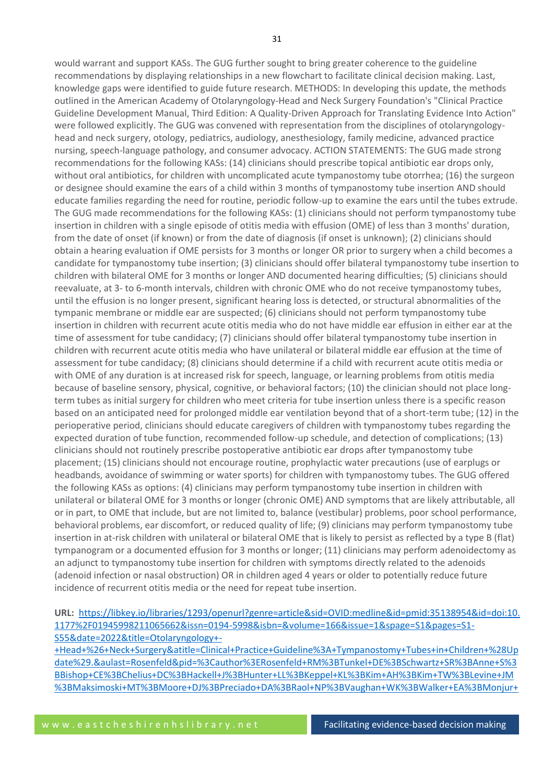would warrant and support KASs. The GUG further sought to bring greater coherence to the guideline recommendations by displaying relationships in a new flowchart to facilitate clinical decision making. Last, knowledge gaps were identified to guide future research. METHODS: In developing this update, the methods outlined in the American Academy of Otolaryngology-Head and Neck Surgery Foundation's "Clinical Practice Guideline Development Manual, Third Edition: A Quality-Driven Approach for Translating Evidence Into Action" were followed explicitly. The GUG was convened with representation from the disciplines of otolaryngologyhead and neck surgery, otology, pediatrics, audiology, anesthesiology, family medicine, advanced practice nursing, speech-language pathology, and consumer advocacy. ACTION STATEMENTS: The GUG made strong recommendations for the following KASs: (14) clinicians should prescribe topical antibiotic ear drops only, without oral antibiotics, for children with uncomplicated acute tympanostomy tube otorrhea; (16) the surgeon or designee should examine the ears of a child within 3 months of tympanostomy tube insertion AND should educate families regarding the need for routine, periodic follow-up to examine the ears until the tubes extrude. The GUG made recommendations for the following KASs: (1) clinicians should not perform tympanostomy tube insertion in children with a single episode of otitis media with effusion (OME) of less than 3 months' duration, from the date of onset (if known) or from the date of diagnosis (if onset is unknown); (2) clinicians should obtain a hearing evaluation if OME persists for 3 months or longer OR prior to surgery when a child becomes a candidate for tympanostomy tube insertion; (3) clinicians should offer bilateral tympanostomy tube insertion to children with bilateral OME for 3 months or longer AND documented hearing difficulties; (5) clinicians should reevaluate, at 3- to 6-month intervals, children with chronic OME who do not receive tympanostomy tubes, until the effusion is no longer present, significant hearing loss is detected, or structural abnormalities of the tympanic membrane or middle ear are suspected; (6) clinicians should not perform tympanostomy tube insertion in children with recurrent acute otitis media who do not have middle ear effusion in either ear at the time of assessment for tube candidacy; (7) clinicians should offer bilateral tympanostomy tube insertion in children with recurrent acute otitis media who have unilateral or bilateral middle ear effusion at the time of assessment for tube candidacy; (8) clinicians should determine if a child with recurrent acute otitis media or with OME of any duration is at increased risk for speech, language, or learning problems from otitis media because of baseline sensory, physical, cognitive, or behavioral factors; (10) the clinician should not place longterm tubes as initial surgery for children who meet criteria for tube insertion unless there is a specific reason based on an anticipated need for prolonged middle ear ventilation beyond that of a short-term tube; (12) in the perioperative period, clinicians should educate caregivers of children with tympanostomy tubes regarding the expected duration of tube function, recommended follow-up schedule, and detection of complications; (13) clinicians should not routinely prescribe postoperative antibiotic ear drops after tympanostomy tube placement; (15) clinicians should not encourage routine, prophylactic water precautions (use of earplugs or headbands, avoidance of swimming or water sports) for children with tympanostomy tubes. The GUG offered the following KASs as options: (4) clinicians may perform tympanostomy tube insertion in children with unilateral or bilateral OME for 3 months or longer (chronic OME) AND symptoms that are likely attributable, all or in part, to OME that include, but are not limited to, balance (vestibular) problems, poor school performance, behavioral problems, ear discomfort, or reduced quality of life; (9) clinicians may perform tympanostomy tube insertion in at-risk children with unilateral or bilateral OME that is likely to persist as reflected by a type B (flat) tympanogram or a documented effusion for 3 months or longer; (11) clinicians may perform adenoidectomy as an adjunct to tympanostomy tube insertion for children with symptoms directly related to the adenoids (adenoid infection or nasal obstruction) OR in children aged 4 years or older to potentially reduce future incidence of recurrent otitis media or the need for repeat tube insertion.

**URL:** [https://libkey.io/libraries/1293/openurl?genre=article&sid=OVID:medline&id=pmid:35138954&id=doi:10.](https://libkey.io/libraries/1293/openurl?genre=article&sid=OVID:medline&id=pmid:35138954&id=doi:10.1177%2F01945998211065662&issn=0194-5998&isbn=&volume=166&issue=1&spage=S1&pages=S1-S55&date=2022&title=Otolaryngology+-+Head+%26+Neck+Surgery&atitle=Clinical+Practice+Guideline%3A+Tympanostomy+Tubes+in+Children+%28Update%29.&aulast=Rosenfeld&pid=%3Cauthor%3ERosenfeld+RM%3BTunkel+DE%3BSchwartz+SR%3BAnne+S%3BBishop+CE%3BChelius+DC%3BHackell+J%3BHunter+LL%3BKeppel+KL%3BKim+AH%3BKim+TW%3BLevine+JM%3BMaksimoski+MT%3BMoore+DJ%3BPreciado+DA%3BRaol+NP%3BVaughan+WK%3BWalker+EA%3BMonjur+TM%3C%2Fauthor%3E%3CAN%3E35138954%3C%2FAN%3E%3CDT%3EJournal+Article%3C%2FDT%3E) [1177%2F01945998211065662&issn=0194-5998&isbn=&volume=166&issue=1&spage=S1&pages=S1-](https://libkey.io/libraries/1293/openurl?genre=article&sid=OVID:medline&id=pmid:35138954&id=doi:10.1177%2F01945998211065662&issn=0194-5998&isbn=&volume=166&issue=1&spage=S1&pages=S1-S55&date=2022&title=Otolaryngology+-+Head+%26+Neck+Surgery&atitle=Clinical+Practice+Guideline%3A+Tympanostomy+Tubes+in+Children+%28Update%29.&aulast=Rosenfeld&pid=%3Cauthor%3ERosenfeld+RM%3BTunkel+DE%3BSchwartz+SR%3BAnne+S%3BBishop+CE%3BChelius+DC%3BHackell+J%3BHunter+LL%3BKeppel+KL%3BKim+AH%3BKim+TW%3BLevine+JM%3BMaksimoski+MT%3BMoore+DJ%3BPreciado+DA%3BRaol+NP%3BVaughan+WK%3BWalker+EA%3BMonjur+TM%3C%2Fauthor%3E%3CAN%3E35138954%3C%2FAN%3E%3CDT%3EJournal+Article%3C%2FDT%3E) [S55&date=2022&title=Otolaryngology+-](https://libkey.io/libraries/1293/openurl?genre=article&sid=OVID:medline&id=pmid:35138954&id=doi:10.1177%2F01945998211065662&issn=0194-5998&isbn=&volume=166&issue=1&spage=S1&pages=S1-S55&date=2022&title=Otolaryngology+-+Head+%26+Neck+Surgery&atitle=Clinical+Practice+Guideline%3A+Tympanostomy+Tubes+in+Children+%28Update%29.&aulast=Rosenfeld&pid=%3Cauthor%3ERosenfeld+RM%3BTunkel+DE%3BSchwartz+SR%3BAnne+S%3BBishop+CE%3BChelius+DC%3BHackell+J%3BHunter+LL%3BKeppel+KL%3BKim+AH%3BKim+TW%3BLevine+JM%3BMaksimoski+MT%3BMoore+DJ%3BPreciado+DA%3BRaol+NP%3BVaughan+WK%3BWalker+EA%3BMonjur+TM%3C%2Fauthor%3E%3CAN%3E35138954%3C%2FAN%3E%3CDT%3EJournal+Article%3C%2FDT%3E)

[+Head+%26+Neck+Surgery&atitle=Clinical+Practice+Guideline%3A+Tympanostomy+Tubes+in+Children+%28Up](https://libkey.io/libraries/1293/openurl?genre=article&sid=OVID:medline&id=pmid:35138954&id=doi:10.1177%2F01945998211065662&issn=0194-5998&isbn=&volume=166&issue=1&spage=S1&pages=S1-S55&date=2022&title=Otolaryngology+-+Head+%26+Neck+Surgery&atitle=Clinical+Practice+Guideline%3A+Tympanostomy+Tubes+in+Children+%28Update%29.&aulast=Rosenfeld&pid=%3Cauthor%3ERosenfeld+RM%3BTunkel+DE%3BSchwartz+SR%3BAnne+S%3BBishop+CE%3BChelius+DC%3BHackell+J%3BHunter+LL%3BKeppel+KL%3BKim+AH%3BKim+TW%3BLevine+JM%3BMaksimoski+MT%3BMoore+DJ%3BPreciado+DA%3BRaol+NP%3BVaughan+WK%3BWalker+EA%3BMonjur+TM%3C%2Fauthor%3E%3CAN%3E35138954%3C%2FAN%3E%3CDT%3EJournal+Article%3C%2FDT%3E) [date%29.&aulast=Rosenfeld&pid=%3Cauthor%3ERosenfeld+RM%3BTunkel+DE%3BSchwartz+SR%3BAnne+S%3](https://libkey.io/libraries/1293/openurl?genre=article&sid=OVID:medline&id=pmid:35138954&id=doi:10.1177%2F01945998211065662&issn=0194-5998&isbn=&volume=166&issue=1&spage=S1&pages=S1-S55&date=2022&title=Otolaryngology+-+Head+%26+Neck+Surgery&atitle=Clinical+Practice+Guideline%3A+Tympanostomy+Tubes+in+Children+%28Update%29.&aulast=Rosenfeld&pid=%3Cauthor%3ERosenfeld+RM%3BTunkel+DE%3BSchwartz+SR%3BAnne+S%3BBishop+CE%3BChelius+DC%3BHackell+J%3BHunter+LL%3BKeppel+KL%3BKim+AH%3BKim+TW%3BLevine+JM%3BMaksimoski+MT%3BMoore+DJ%3BPreciado+DA%3BRaol+NP%3BVaughan+WK%3BWalker+EA%3BMonjur+TM%3C%2Fauthor%3E%3CAN%3E35138954%3C%2FAN%3E%3CDT%3EJournal+Article%3C%2FDT%3E) [BBishop+CE%3BChelius+DC%3BHackell+J%3BHunter+LL%3BKeppel+KL%3BKim+AH%3BKim+TW%3BLevine+JM](https://libkey.io/libraries/1293/openurl?genre=article&sid=OVID:medline&id=pmid:35138954&id=doi:10.1177%2F01945998211065662&issn=0194-5998&isbn=&volume=166&issue=1&spage=S1&pages=S1-S55&date=2022&title=Otolaryngology+-+Head+%26+Neck+Surgery&atitle=Clinical+Practice+Guideline%3A+Tympanostomy+Tubes+in+Children+%28Update%29.&aulast=Rosenfeld&pid=%3Cauthor%3ERosenfeld+RM%3BTunkel+DE%3BSchwartz+SR%3BAnne+S%3BBishop+CE%3BChelius+DC%3BHackell+J%3BHunter+LL%3BKeppel+KL%3BKim+AH%3BKim+TW%3BLevine+JM%3BMaksimoski+MT%3BMoore+DJ%3BPreciado+DA%3BRaol+NP%3BVaughan+WK%3BWalker+EA%3BMonjur+TM%3C%2Fauthor%3E%3CAN%3E35138954%3C%2FAN%3E%3CDT%3EJournal+Article%3C%2FDT%3E) [%3BMaksimoski+MT%3BMoore+DJ%3BPreciado+DA%3BRaol+NP%3BVaughan+WK%3BWalker+EA%3BMonjur+](https://libkey.io/libraries/1293/openurl?genre=article&sid=OVID:medline&id=pmid:35138954&id=doi:10.1177%2F01945998211065662&issn=0194-5998&isbn=&volume=166&issue=1&spage=S1&pages=S1-S55&date=2022&title=Otolaryngology+-+Head+%26+Neck+Surgery&atitle=Clinical+Practice+Guideline%3A+Tympanostomy+Tubes+in+Children+%28Update%29.&aulast=Rosenfeld&pid=%3Cauthor%3ERosenfeld+RM%3BTunkel+DE%3BSchwartz+SR%3BAnne+S%3BBishop+CE%3BChelius+DC%3BHackell+J%3BHunter+LL%3BKeppel+KL%3BKim+AH%3BKim+TW%3BLevine+JM%3BMaksimoski+MT%3BMoore+DJ%3BPreciado+DA%3BRaol+NP%3BVaughan+WK%3BWalker+EA%3BMonjur+TM%3C%2Fauthor%3E%3CAN%3E35138954%3C%2FAN%3E%3CDT%3EJournal+Article%3C%2FDT%3E)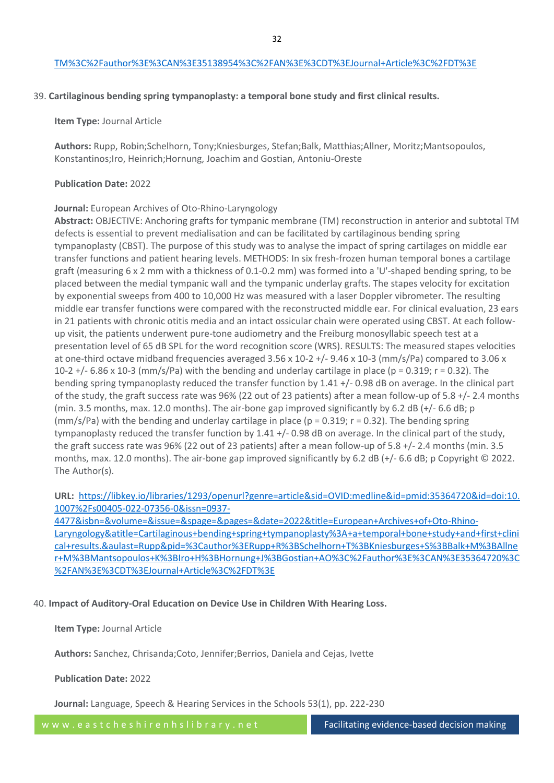#### [TM%3C%2Fauthor%3E%3CAN%3E35138954%3C%2FAN%3E%3CDT%3EJournal+Article%3C%2FDT%3E](https://libkey.io/libraries/1293/openurl?genre=article&sid=OVID:medline&id=pmid:35138954&id=doi:10.1177%2F01945998211065662&issn=0194-5998&isbn=&volume=166&issue=1&spage=S1&pages=S1-S55&date=2022&title=Otolaryngology+-+Head+%26+Neck+Surgery&atitle=Clinical+Practice+Guideline%3A+Tympanostomy+Tubes+in+Children+%28Update%29.&aulast=Rosenfeld&pid=%3Cauthor%3ERosenfeld+RM%3BTunkel+DE%3BSchwartz+SR%3BAnne+S%3BBishop+CE%3BChelius+DC%3BHackell+J%3BHunter+LL%3BKeppel+KL%3BKim+AH%3BKim+TW%3BLevine+JM%3BMaksimoski+MT%3BMoore+DJ%3BPreciado+DA%3BRaol+NP%3BVaughan+WK%3BWalker+EA%3BMonjur+TM%3C%2Fauthor%3E%3CAN%3E35138954%3C%2FAN%3E%3CDT%3EJournal+Article%3C%2FDT%3E)

#### 39. **Cartilaginous bending spring tympanoplasty: a temporal bone study and first clinical results.**

#### **Item Type:** Journal Article

**Authors:** Rupp, Robin;Schelhorn, Tony;Kniesburges, Stefan;Balk, Matthias;Allner, Moritz;Mantsopoulos, Konstantinos;Iro, Heinrich;Hornung, Joachim and Gostian, Antoniu-Oreste

#### **Publication Date:** 2022

## **Journal:** European Archives of Oto-Rhino-Laryngology

**Abstract:** OBJECTIVE: Anchoring grafts for tympanic membrane (TM) reconstruction in anterior and subtotal TM defects is essential to prevent medialisation and can be facilitated by cartilaginous bending spring tympanoplasty (CBST). The purpose of this study was to analyse the impact of spring cartilages on middle ear transfer functions and patient hearing levels. METHODS: In six fresh-frozen human temporal bones a cartilage graft (measuring 6 x 2 mm with a thickness of 0.1-0.2 mm) was formed into a 'U'-shaped bending spring, to be placed between the medial tympanic wall and the tympanic underlay grafts. The stapes velocity for excitation by exponential sweeps from 400 to 10,000 Hz was measured with a laser Doppler vibrometer. The resulting middle ear transfer functions were compared with the reconstructed middle ear. For clinical evaluation, 23 ears in 21 patients with chronic otitis media and an intact ossicular chain were operated using CBST. At each followup visit, the patients underwent pure-tone audiometry and the Freiburg monosyllabic speech test at a presentation level of 65 dB SPL for the word recognition score (WRS). RESULTS: The measured stapes velocities at one-third octave midband frequencies averaged 3.56 x 10-2 +/- 9.46 x 10-3 (mm/s/Pa) compared to 3.06 x 10-2 +/- 6.86 x 10-3 (mm/s/Pa) with the bending and underlay cartilage in place (p = 0.319; r = 0.32). The bending spring tympanoplasty reduced the transfer function by 1.41 +/- 0.98 dB on average. In the clinical part of the study, the graft success rate was 96% (22 out of 23 patients) after a mean follow-up of 5.8 +/- 2.4 months (min. 3.5 months, max. 12.0 months). The air-bone gap improved significantly by 6.2 dB (+/- 6.6 dB; p (mm/s/Pa) with the bending and underlay cartilage in place ( $p = 0.319$ ;  $r = 0.32$ ). The bending spring tympanoplasty reduced the transfer function by 1.41 +/- 0.98 dB on average. In the clinical part of the study, the graft success rate was 96% (22 out of 23 patients) after a mean follow-up of 5.8 +/- 2.4 months (min. 3.5 months, max. 12.0 months). The air-bone gap improved significantly by 6.2 dB (+/- 6.6 dB; p Copyright © 2022. The Author(s).

**URL:** [https://libkey.io/libraries/1293/openurl?genre=article&sid=OVID:medline&id=pmid:35364720&id=doi:10.](https://libkey.io/libraries/1293/openurl?genre=article&sid=OVID:medline&id=pmid:35364720&id=doi:10.1007%2Fs00405-022-07356-0&issn=0937-4477&isbn=&volume=&issue=&spage=&pages=&date=2022&title=European+Archives+of+Oto-Rhino-Laryngology&atitle=Cartilaginous+bending+spring+tympanoplasty%3A+a+temporal+bone+study+and+first+clinical+results.&aulast=Rupp&pid=%3Cauthor%3ERupp+R%3BSchelhorn+T%3BKniesburges+S%3BBalk+M%3BAllner+M%3BMantsopoulos+K%3BIro+H%3BHornung+J%3BGostian+AO%3C%2Fauthor%3E%3CAN%3E35364720%3C%2FAN%3E%3CDT%3EJournal+Article%3C%2FDT%3E) [1007%2Fs00405-022-07356-0&issn=0937-](https://libkey.io/libraries/1293/openurl?genre=article&sid=OVID:medline&id=pmid:35364720&id=doi:10.1007%2Fs00405-022-07356-0&issn=0937-4477&isbn=&volume=&issue=&spage=&pages=&date=2022&title=European+Archives+of+Oto-Rhino-Laryngology&atitle=Cartilaginous+bending+spring+tympanoplasty%3A+a+temporal+bone+study+and+first+clinical+results.&aulast=Rupp&pid=%3Cauthor%3ERupp+R%3BSchelhorn+T%3BKniesburges+S%3BBalk+M%3BAllner+M%3BMantsopoulos+K%3BIro+H%3BHornung+J%3BGostian+AO%3C%2Fauthor%3E%3CAN%3E35364720%3C%2FAN%3E%3CDT%3EJournal+Article%3C%2FDT%3E)

[4477&isbn=&volume=&issue=&spage=&pages=&date=2022&title=European+Archives+of+Oto-Rhino-](https://libkey.io/libraries/1293/openurl?genre=article&sid=OVID:medline&id=pmid:35364720&id=doi:10.1007%2Fs00405-022-07356-0&issn=0937-4477&isbn=&volume=&issue=&spage=&pages=&date=2022&title=European+Archives+of+Oto-Rhino-Laryngology&atitle=Cartilaginous+bending+spring+tympanoplasty%3A+a+temporal+bone+study+and+first+clinical+results.&aulast=Rupp&pid=%3Cauthor%3ERupp+R%3BSchelhorn+T%3BKniesburges+S%3BBalk+M%3BAllner+M%3BMantsopoulos+K%3BIro+H%3BHornung+J%3BGostian+AO%3C%2Fauthor%3E%3CAN%3E35364720%3C%2FAN%3E%3CDT%3EJournal+Article%3C%2FDT%3E)[Laryngology&atitle=Cartilaginous+bending+spring+tympanoplasty%3A+a+temporal+bone+study+and+first+clini](https://libkey.io/libraries/1293/openurl?genre=article&sid=OVID:medline&id=pmid:35364720&id=doi:10.1007%2Fs00405-022-07356-0&issn=0937-4477&isbn=&volume=&issue=&spage=&pages=&date=2022&title=European+Archives+of+Oto-Rhino-Laryngology&atitle=Cartilaginous+bending+spring+tympanoplasty%3A+a+temporal+bone+study+and+first+clinical+results.&aulast=Rupp&pid=%3Cauthor%3ERupp+R%3BSchelhorn+T%3BKniesburges+S%3BBalk+M%3BAllner+M%3BMantsopoulos+K%3BIro+H%3BHornung+J%3BGostian+AO%3C%2Fauthor%3E%3CAN%3E35364720%3C%2FAN%3E%3CDT%3EJournal+Article%3C%2FDT%3E) [cal+results.&aulast=Rupp&pid=%3Cauthor%3ERupp+R%3BSchelhorn+T%3BKniesburges+S%3BBalk+M%3BAllne](https://libkey.io/libraries/1293/openurl?genre=article&sid=OVID:medline&id=pmid:35364720&id=doi:10.1007%2Fs00405-022-07356-0&issn=0937-4477&isbn=&volume=&issue=&spage=&pages=&date=2022&title=European+Archives+of+Oto-Rhino-Laryngology&atitle=Cartilaginous+bending+spring+tympanoplasty%3A+a+temporal+bone+study+and+first+clinical+results.&aulast=Rupp&pid=%3Cauthor%3ERupp+R%3BSchelhorn+T%3BKniesburges+S%3BBalk+M%3BAllner+M%3BMantsopoulos+K%3BIro+H%3BHornung+J%3BGostian+AO%3C%2Fauthor%3E%3CAN%3E35364720%3C%2FAN%3E%3CDT%3EJournal+Article%3C%2FDT%3E) [r+M%3BMantsopoulos+K%3BIro+H%3BHornung+J%3BGostian+AO%3C%2Fauthor%3E%3CAN%3E35364720%3C](https://libkey.io/libraries/1293/openurl?genre=article&sid=OVID:medline&id=pmid:35364720&id=doi:10.1007%2Fs00405-022-07356-0&issn=0937-4477&isbn=&volume=&issue=&spage=&pages=&date=2022&title=European+Archives+of+Oto-Rhino-Laryngology&atitle=Cartilaginous+bending+spring+tympanoplasty%3A+a+temporal+bone+study+and+first+clinical+results.&aulast=Rupp&pid=%3Cauthor%3ERupp+R%3BSchelhorn+T%3BKniesburges+S%3BBalk+M%3BAllner+M%3BMantsopoulos+K%3BIro+H%3BHornung+J%3BGostian+AO%3C%2Fauthor%3E%3CAN%3E35364720%3C%2FAN%3E%3CDT%3EJournal+Article%3C%2FDT%3E) [%2FAN%3E%3CDT%3EJournal+Article%3C%2FDT%3E](https://libkey.io/libraries/1293/openurl?genre=article&sid=OVID:medline&id=pmid:35364720&id=doi:10.1007%2Fs00405-022-07356-0&issn=0937-4477&isbn=&volume=&issue=&spage=&pages=&date=2022&title=European+Archives+of+Oto-Rhino-Laryngology&atitle=Cartilaginous+bending+spring+tympanoplasty%3A+a+temporal+bone+study+and+first+clinical+results.&aulast=Rupp&pid=%3Cauthor%3ERupp+R%3BSchelhorn+T%3BKniesburges+S%3BBalk+M%3BAllner+M%3BMantsopoulos+K%3BIro+H%3BHornung+J%3BGostian+AO%3C%2Fauthor%3E%3CAN%3E35364720%3C%2FAN%3E%3CDT%3EJournal+Article%3C%2FDT%3E)

40. **Impact of Auditory-Oral Education on Device Use in Children With Hearing Loss.**

#### **Item Type:** Journal Article

**Authors:** Sanchez, Chrisanda;Coto, Jennifer;Berrios, Daniela and Cejas, Ivette

#### **Publication Date:** 2022

**Journal:** Language, Speech & Hearing Services in the Schools 53(1), pp. 222-230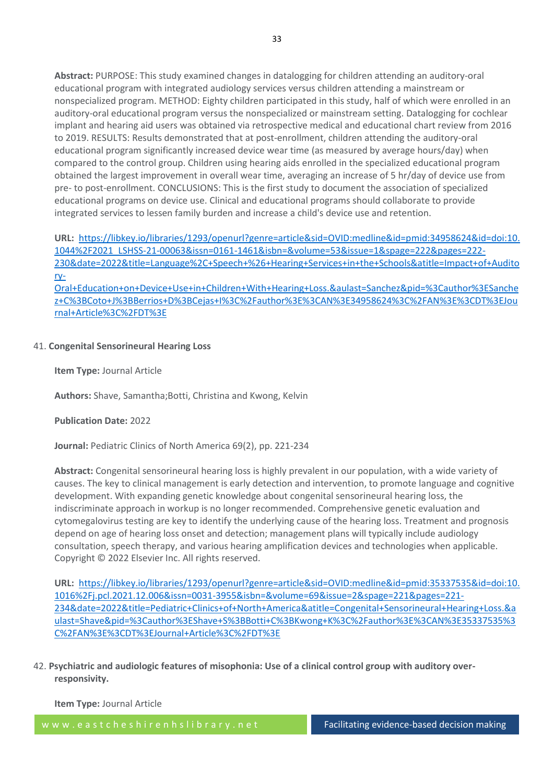**Abstract:** PURPOSE: This study examined changes in datalogging for children attending an auditory-oral educational program with integrated audiology services versus children attending a mainstream or nonspecialized program. METHOD: Eighty children participated in this study, half of which were enrolled in an auditory-oral educational program versus the nonspecialized or mainstream setting. Datalogging for cochlear implant and hearing aid users was obtained via retrospective medical and educational chart review from 2016 to 2019. RESULTS: Results demonstrated that at post-enrollment, children attending the auditory-oral educational program significantly increased device wear time (as measured by average hours/day) when compared to the control group. Children using hearing aids enrolled in the specialized educational program obtained the largest improvement in overall wear time, averaging an increase of 5 hr/day of device use from pre- to post-enrollment. CONCLUSIONS: This is the first study to document the association of specialized educational programs on device use. Clinical and educational programs should collaborate to provide integrated services to lessen family burden and increase a child's device use and retention.

**URL:** [https://libkey.io/libraries/1293/openurl?genre=article&sid=OVID:medline&id=pmid:34958624&id=doi:10.](https://libkey.io/libraries/1293/openurl?genre=article&sid=OVID:medline&id=pmid:34958624&id=doi:10.1044%2F2021_LSHSS-21-00063&issn=0161-1461&isbn=&volume=53&issue=1&spage=222&pages=222-230&date=2022&title=Language%2C+Speech+%26+Hearing+Services+in+the+Schools&atitle=Impact+of+Auditory-Oral+Education+on+Device+Use+in+Children+With+Hearing+Loss.&aulast=Sanchez&pid=%3Cauthor%3ESanchez+C%3BCoto+J%3BBerrios+D%3BCejas+I%3C%2Fauthor%3E%3CAN%3E34958624%3C%2FAN%3E%3CDT%3EJournal+Article%3C%2FDT%3E) [1044%2F2021\\_LSHSS-21-00063&issn=0161-1461&isbn=&volume=53&issue=1&spage=222&pages=222-](https://libkey.io/libraries/1293/openurl?genre=article&sid=OVID:medline&id=pmid:34958624&id=doi:10.1044%2F2021_LSHSS-21-00063&issn=0161-1461&isbn=&volume=53&issue=1&spage=222&pages=222-230&date=2022&title=Language%2C+Speech+%26+Hearing+Services+in+the+Schools&atitle=Impact+of+Auditory-Oral+Education+on+Device+Use+in+Children+With+Hearing+Loss.&aulast=Sanchez&pid=%3Cauthor%3ESanchez+C%3BCoto+J%3BBerrios+D%3BCejas+I%3C%2Fauthor%3E%3CAN%3E34958624%3C%2FAN%3E%3CDT%3EJournal+Article%3C%2FDT%3E) [230&date=2022&title=Language%2C+Speech+%26+Hearing+Services+in+the+Schools&atitle=Impact+of+Audito](https://libkey.io/libraries/1293/openurl?genre=article&sid=OVID:medline&id=pmid:34958624&id=doi:10.1044%2F2021_LSHSS-21-00063&issn=0161-1461&isbn=&volume=53&issue=1&spage=222&pages=222-230&date=2022&title=Language%2C+Speech+%26+Hearing+Services+in+the+Schools&atitle=Impact+of+Auditory-Oral+Education+on+Device+Use+in+Children+With+Hearing+Loss.&aulast=Sanchez&pid=%3Cauthor%3ESanchez+C%3BCoto+J%3BBerrios+D%3BCejas+I%3C%2Fauthor%3E%3CAN%3E34958624%3C%2FAN%3E%3CDT%3EJournal+Article%3C%2FDT%3E) [ry-](https://libkey.io/libraries/1293/openurl?genre=article&sid=OVID:medline&id=pmid:34958624&id=doi:10.1044%2F2021_LSHSS-21-00063&issn=0161-1461&isbn=&volume=53&issue=1&spage=222&pages=222-230&date=2022&title=Language%2C+Speech+%26+Hearing+Services+in+the+Schools&atitle=Impact+of+Auditory-Oral+Education+on+Device+Use+in+Children+With+Hearing+Loss.&aulast=Sanchez&pid=%3Cauthor%3ESanchez+C%3BCoto+J%3BBerrios+D%3BCejas+I%3C%2Fauthor%3E%3CAN%3E34958624%3C%2FAN%3E%3CDT%3EJournal+Article%3C%2FDT%3E)

[Oral+Education+on+Device+Use+in+Children+With+Hearing+Loss.&aulast=Sanchez&pid=%3Cauthor%3ESanche](https://libkey.io/libraries/1293/openurl?genre=article&sid=OVID:medline&id=pmid:34958624&id=doi:10.1044%2F2021_LSHSS-21-00063&issn=0161-1461&isbn=&volume=53&issue=1&spage=222&pages=222-230&date=2022&title=Language%2C+Speech+%26+Hearing+Services+in+the+Schools&atitle=Impact+of+Auditory-Oral+Education+on+Device+Use+in+Children+With+Hearing+Loss.&aulast=Sanchez&pid=%3Cauthor%3ESanchez+C%3BCoto+J%3BBerrios+D%3BCejas+I%3C%2Fauthor%3E%3CAN%3E34958624%3C%2FAN%3E%3CDT%3EJournal+Article%3C%2FDT%3E) [z+C%3BCoto+J%3BBerrios+D%3BCejas+I%3C%2Fauthor%3E%3CAN%3E34958624%3C%2FAN%3E%3CDT%3EJou](https://libkey.io/libraries/1293/openurl?genre=article&sid=OVID:medline&id=pmid:34958624&id=doi:10.1044%2F2021_LSHSS-21-00063&issn=0161-1461&isbn=&volume=53&issue=1&spage=222&pages=222-230&date=2022&title=Language%2C+Speech+%26+Hearing+Services+in+the+Schools&atitle=Impact+of+Auditory-Oral+Education+on+Device+Use+in+Children+With+Hearing+Loss.&aulast=Sanchez&pid=%3Cauthor%3ESanchez+C%3BCoto+J%3BBerrios+D%3BCejas+I%3C%2Fauthor%3E%3CAN%3E34958624%3C%2FAN%3E%3CDT%3EJournal+Article%3C%2FDT%3E) [rnal+Article%3C%2FDT%3E](https://libkey.io/libraries/1293/openurl?genre=article&sid=OVID:medline&id=pmid:34958624&id=doi:10.1044%2F2021_LSHSS-21-00063&issn=0161-1461&isbn=&volume=53&issue=1&spage=222&pages=222-230&date=2022&title=Language%2C+Speech+%26+Hearing+Services+in+the+Schools&atitle=Impact+of+Auditory-Oral+Education+on+Device+Use+in+Children+With+Hearing+Loss.&aulast=Sanchez&pid=%3Cauthor%3ESanchez+C%3BCoto+J%3BBerrios+D%3BCejas+I%3C%2Fauthor%3E%3CAN%3E34958624%3C%2FAN%3E%3CDT%3EJournal+Article%3C%2FDT%3E)

# 41. **Congenital Sensorineural Hearing Loss**

**Item Type:** Journal Article

**Authors:** Shave, Samantha;Botti, Christina and Kwong, Kelvin

## **Publication Date:** 2022

**Journal:** Pediatric Clinics of North America 69(2), pp. 221-234

**Abstract:** Congenital sensorineural hearing loss is highly prevalent in our population, with a wide variety of causes. The key to clinical management is early detection and intervention, to promote language and cognitive development. With expanding genetic knowledge about congenital sensorineural hearing loss, the indiscriminate approach in workup is no longer recommended. Comprehensive genetic evaluation and cytomegalovirus testing are key to identify the underlying cause of the hearing loss. Treatment and prognosis depend on age of hearing loss onset and detection; management plans will typically include audiology consultation, speech therapy, and various hearing amplification devices and technologies when applicable. Copyright © 2022 Elsevier Inc. All rights reserved.

**URL:** [https://libkey.io/libraries/1293/openurl?genre=article&sid=OVID:medline&id=pmid:35337535&id=doi:10.](https://libkey.io/libraries/1293/openurl?genre=article&sid=OVID:medline&id=pmid:35337535&id=doi:10.1016%2Fj.pcl.2021.12.006&issn=0031-3955&isbn=&volume=69&issue=2&spage=221&pages=221-234&date=2022&title=Pediatric+Clinics+of+North+America&atitle=Congenital+Sensorineural+Hearing+Loss.&aulast=Shave&pid=%3Cauthor%3EShave+S%3BBotti+C%3BKwong+K%3C%2Fauthor%3E%3CAN%3E35337535%3C%2FAN%3E%3CDT%3EJournal+Article%3C%2FDT%3E) [1016%2Fj.pcl.2021.12.006&issn=0031-3955&isbn=&volume=69&issue=2&spage=221&pages=221-](https://libkey.io/libraries/1293/openurl?genre=article&sid=OVID:medline&id=pmid:35337535&id=doi:10.1016%2Fj.pcl.2021.12.006&issn=0031-3955&isbn=&volume=69&issue=2&spage=221&pages=221-234&date=2022&title=Pediatric+Clinics+of+North+America&atitle=Congenital+Sensorineural+Hearing+Loss.&aulast=Shave&pid=%3Cauthor%3EShave+S%3BBotti+C%3BKwong+K%3C%2Fauthor%3E%3CAN%3E35337535%3C%2FAN%3E%3CDT%3EJournal+Article%3C%2FDT%3E) [234&date=2022&title=Pediatric+Clinics+of+North+America&atitle=Congenital+Sensorineural+Hearing+Loss.&a](https://libkey.io/libraries/1293/openurl?genre=article&sid=OVID:medline&id=pmid:35337535&id=doi:10.1016%2Fj.pcl.2021.12.006&issn=0031-3955&isbn=&volume=69&issue=2&spage=221&pages=221-234&date=2022&title=Pediatric+Clinics+of+North+America&atitle=Congenital+Sensorineural+Hearing+Loss.&aulast=Shave&pid=%3Cauthor%3EShave+S%3BBotti+C%3BKwong+K%3C%2Fauthor%3E%3CAN%3E35337535%3C%2FAN%3E%3CDT%3EJournal+Article%3C%2FDT%3E) [ulast=Shave&pid=%3Cauthor%3EShave+S%3BBotti+C%3BKwong+K%3C%2Fauthor%3E%3CAN%3E35337535%3](https://libkey.io/libraries/1293/openurl?genre=article&sid=OVID:medline&id=pmid:35337535&id=doi:10.1016%2Fj.pcl.2021.12.006&issn=0031-3955&isbn=&volume=69&issue=2&spage=221&pages=221-234&date=2022&title=Pediatric+Clinics+of+North+America&atitle=Congenital+Sensorineural+Hearing+Loss.&aulast=Shave&pid=%3Cauthor%3EShave+S%3BBotti+C%3BKwong+K%3C%2Fauthor%3E%3CAN%3E35337535%3C%2FAN%3E%3CDT%3EJournal+Article%3C%2FDT%3E) [C%2FAN%3E%3CDT%3EJournal+Article%3C%2FDT%3E](https://libkey.io/libraries/1293/openurl?genre=article&sid=OVID:medline&id=pmid:35337535&id=doi:10.1016%2Fj.pcl.2021.12.006&issn=0031-3955&isbn=&volume=69&issue=2&spage=221&pages=221-234&date=2022&title=Pediatric+Clinics+of+North+America&atitle=Congenital+Sensorineural+Hearing+Loss.&aulast=Shave&pid=%3Cauthor%3EShave+S%3BBotti+C%3BKwong+K%3C%2Fauthor%3E%3CAN%3E35337535%3C%2FAN%3E%3CDT%3EJournal+Article%3C%2FDT%3E)

42. **Psychiatric and audiologic features of misophonia: Use of a clinical control group with auditory overresponsivity.**

**Item Type:** Journal Article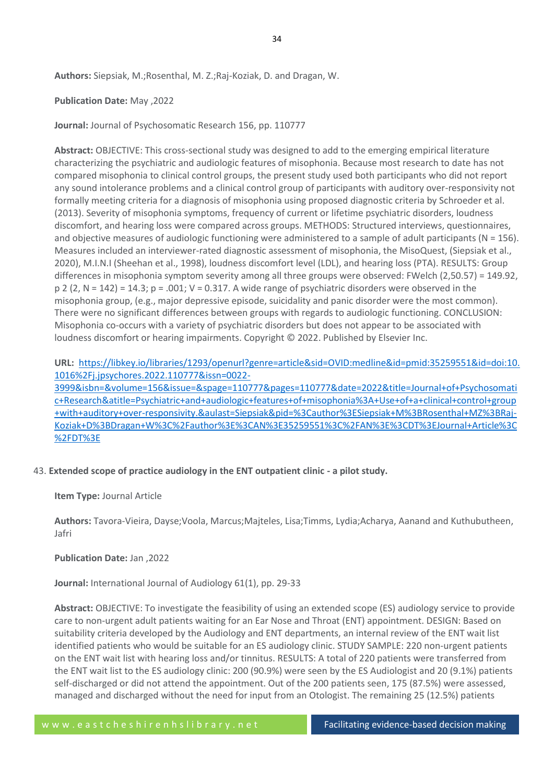**Authors:** Siepsiak, M.;Rosenthal, M. Z.;Raj-Koziak, D. and Dragan, W.

#### **Publication Date:** May ,2022

**Journal:** Journal of Psychosomatic Research 156, pp. 110777

**Abstract:** OBJECTIVE: This cross-sectional study was designed to add to the emerging empirical literature characterizing the psychiatric and audiologic features of misophonia. Because most research to date has not compared misophonia to clinical control groups, the present study used both participants who did not report any sound intolerance problems and a clinical control group of participants with auditory over-responsivity not formally meeting criteria for a diagnosis of misophonia using proposed diagnostic criteria by Schroeder et al. (2013). Severity of misophonia symptoms, frequency of current or lifetime psychiatric disorders, loudness discomfort, and hearing loss were compared across groups. METHODS: Structured interviews, questionnaires, and objective measures of audiologic functioning were administered to a sample of adult participants ( $N = 156$ ). Measures included an interviewer-rated diagnostic assessment of misophonia, the MisoQuest, (Siepsiak et al., 2020), M.I.N.I (Sheehan et al., 1998), loudness discomfort level (LDL), and hearing loss (PTA). RESULTS: Group differences in misophonia symptom severity among all three groups were observed: FWelch (2,50.57) = 149.92,  $p$  2 (2, N = 142) = 14.3;  $p = .001$ ; V = 0.317. A wide range of psychiatric disorders were observed in the misophonia group, (e.g., major depressive episode, suicidality and panic disorder were the most common). There were no significant differences between groups with regards to audiologic functioning. CONCLUSION: Misophonia co-occurs with a variety of psychiatric disorders but does not appear to be associated with loudness discomfort or hearing impairments. Copyright © 2022. Published by Elsevier Inc.

**URL:** [https://libkey.io/libraries/1293/openurl?genre=article&sid=OVID:medline&id=pmid:35259551&id=doi:10.](https://libkey.io/libraries/1293/openurl?genre=article&sid=OVID:medline&id=pmid:35259551&id=doi:10.1016%2Fj.jpsychores.2022.110777&issn=0022-3999&isbn=&volume=156&issue=&spage=110777&pages=110777&date=2022&title=Journal+of+Psychosomatic+Research&atitle=Psychiatric+and+audiologic+features+of+misophonia%3A+Use+of+a+clinical+control+group+with+auditory+over-responsivity.&aulast=Siepsiak&pid=%3Cauthor%3ESiepsiak+M%3BRosenthal+MZ%3BRaj-Koziak+D%3BDragan+W%3C%2Fauthor%3E%3CAN%3E35259551%3C%2FAN%3E%3CDT%3EJournal+Article%3C%2FDT%3E) [1016%2Fj.jpsychores.2022.110777&issn=0022-](https://libkey.io/libraries/1293/openurl?genre=article&sid=OVID:medline&id=pmid:35259551&id=doi:10.1016%2Fj.jpsychores.2022.110777&issn=0022-3999&isbn=&volume=156&issue=&spage=110777&pages=110777&date=2022&title=Journal+of+Psychosomatic+Research&atitle=Psychiatric+and+audiologic+features+of+misophonia%3A+Use+of+a+clinical+control+group+with+auditory+over-responsivity.&aulast=Siepsiak&pid=%3Cauthor%3ESiepsiak+M%3BRosenthal+MZ%3BRaj-Koziak+D%3BDragan+W%3C%2Fauthor%3E%3CAN%3E35259551%3C%2FAN%3E%3CDT%3EJournal+Article%3C%2FDT%3E)

[3999&isbn=&volume=156&issue=&spage=110777&pages=110777&date=2022&title=Journal+of+Psychosomati](https://libkey.io/libraries/1293/openurl?genre=article&sid=OVID:medline&id=pmid:35259551&id=doi:10.1016%2Fj.jpsychores.2022.110777&issn=0022-3999&isbn=&volume=156&issue=&spage=110777&pages=110777&date=2022&title=Journal+of+Psychosomatic+Research&atitle=Psychiatric+and+audiologic+features+of+misophonia%3A+Use+of+a+clinical+control+group+with+auditory+over-responsivity.&aulast=Siepsiak&pid=%3Cauthor%3ESiepsiak+M%3BRosenthal+MZ%3BRaj-Koziak+D%3BDragan+W%3C%2Fauthor%3E%3CAN%3E35259551%3C%2FAN%3E%3CDT%3EJournal+Article%3C%2FDT%3E) [c+Research&atitle=Psychiatric+and+audiologic+features+of+misophonia%3A+Use+of+a+clinical+control+group](https://libkey.io/libraries/1293/openurl?genre=article&sid=OVID:medline&id=pmid:35259551&id=doi:10.1016%2Fj.jpsychores.2022.110777&issn=0022-3999&isbn=&volume=156&issue=&spage=110777&pages=110777&date=2022&title=Journal+of+Psychosomatic+Research&atitle=Psychiatric+and+audiologic+features+of+misophonia%3A+Use+of+a+clinical+control+group+with+auditory+over-responsivity.&aulast=Siepsiak&pid=%3Cauthor%3ESiepsiak+M%3BRosenthal+MZ%3BRaj-Koziak+D%3BDragan+W%3C%2Fauthor%3E%3CAN%3E35259551%3C%2FAN%3E%3CDT%3EJournal+Article%3C%2FDT%3E) [+with+auditory+over-responsivity.&aulast=Siepsiak&pid=%3Cauthor%3ESiepsiak+M%3BRosenthal+MZ%3BRaj-](https://libkey.io/libraries/1293/openurl?genre=article&sid=OVID:medline&id=pmid:35259551&id=doi:10.1016%2Fj.jpsychores.2022.110777&issn=0022-3999&isbn=&volume=156&issue=&spage=110777&pages=110777&date=2022&title=Journal+of+Psychosomatic+Research&atitle=Psychiatric+and+audiologic+features+of+misophonia%3A+Use+of+a+clinical+control+group+with+auditory+over-responsivity.&aulast=Siepsiak&pid=%3Cauthor%3ESiepsiak+M%3BRosenthal+MZ%3BRaj-Koziak+D%3BDragan+W%3C%2Fauthor%3E%3CAN%3E35259551%3C%2FAN%3E%3CDT%3EJournal+Article%3C%2FDT%3E)[Koziak+D%3BDragan+W%3C%2Fauthor%3E%3CAN%3E35259551%3C%2FAN%3E%3CDT%3EJournal+Article%3C](https://libkey.io/libraries/1293/openurl?genre=article&sid=OVID:medline&id=pmid:35259551&id=doi:10.1016%2Fj.jpsychores.2022.110777&issn=0022-3999&isbn=&volume=156&issue=&spage=110777&pages=110777&date=2022&title=Journal+of+Psychosomatic+Research&atitle=Psychiatric+and+audiologic+features+of+misophonia%3A+Use+of+a+clinical+control+group+with+auditory+over-responsivity.&aulast=Siepsiak&pid=%3Cauthor%3ESiepsiak+M%3BRosenthal+MZ%3BRaj-Koziak+D%3BDragan+W%3C%2Fauthor%3E%3CAN%3E35259551%3C%2FAN%3E%3CDT%3EJournal+Article%3C%2FDT%3E) [%2FDT%3E](https://libkey.io/libraries/1293/openurl?genre=article&sid=OVID:medline&id=pmid:35259551&id=doi:10.1016%2Fj.jpsychores.2022.110777&issn=0022-3999&isbn=&volume=156&issue=&spage=110777&pages=110777&date=2022&title=Journal+of+Psychosomatic+Research&atitle=Psychiatric+and+audiologic+features+of+misophonia%3A+Use+of+a+clinical+control+group+with+auditory+over-responsivity.&aulast=Siepsiak&pid=%3Cauthor%3ESiepsiak+M%3BRosenthal+MZ%3BRaj-Koziak+D%3BDragan+W%3C%2Fauthor%3E%3CAN%3E35259551%3C%2FAN%3E%3CDT%3EJournal+Article%3C%2FDT%3E)

## 43. **Extended scope of practice audiology in the ENT outpatient clinic - a pilot study.**

**Item Type:** Journal Article

**Authors:** Tavora-Vieira, Dayse;Voola, Marcus;Majteles, Lisa;Timms, Lydia;Acharya, Aanand and Kuthubutheen, Jafri

**Publication Date:** Jan ,2022

**Journal:** International Journal of Audiology 61(1), pp. 29-33

**Abstract:** OBJECTIVE: To investigate the feasibility of using an extended scope (ES) audiology service to provide care to non-urgent adult patients waiting for an Ear Nose and Throat (ENT) appointment. DESIGN: Based on suitability criteria developed by the Audiology and ENT departments, an internal review of the ENT wait list identified patients who would be suitable for an ES audiology clinic. STUDY SAMPLE: 220 non-urgent patients on the ENT wait list with hearing loss and/or tinnitus. RESULTS: A total of 220 patients were transferred from the ENT wait list to the ES audiology clinic: 200 (90.9%) were seen by the ES Audiologist and 20 (9.1%) patients self-discharged or did not attend the appointment. Out of the 200 patients seen, 175 (87.5%) were assessed, managed and discharged without the need for input from an Otologist. The remaining 25 (12.5%) patients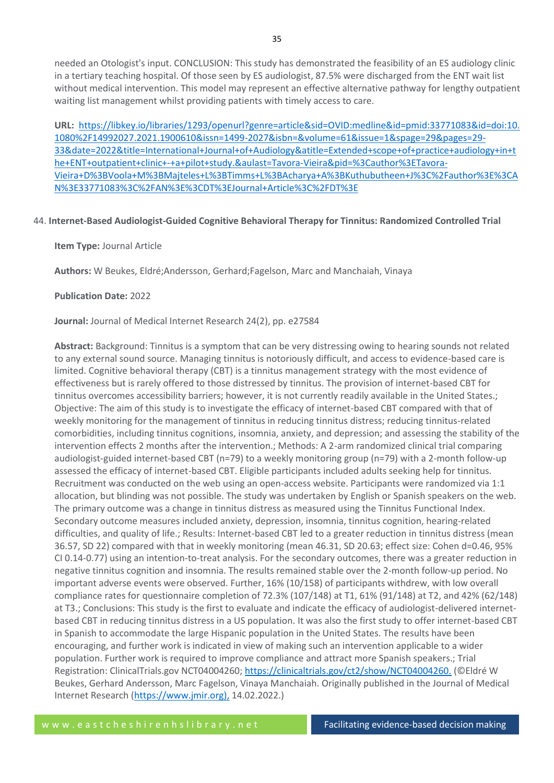needed an Otologist's input. CONCLUSION: This study has demonstrated the feasibility of an ES audiology clinic in a tertiary teaching hospital. Of those seen by ES audiologist, 87.5% were discharged from the ENT wait list without medical intervention. This model may represent an effective alternative pathway for lengthy outpatient waiting list management whilst providing patients with timely access to care.

**URL:** [https://libkey.io/libraries/1293/openurl?genre=article&sid=OVID:medline&id=pmid:33771083&id=doi:10.](https://libkey.io/libraries/1293/openurl?genre=article&sid=OVID:medline&id=pmid:33771083&id=doi:10.1080%2F14992027.2021.1900610&issn=1499-2027&isbn=&volume=61&issue=1&spage=29&pages=29-33&date=2022&title=International+Journal+of+Audiology&atitle=Extended+scope+of+practice+audiology+in+the+ENT+outpatient+clinic+-+a+pilot+study.&aulast=Tavora-Vieira&pid=%3Cauthor%3ETavora-Vieira+D%3BVoola+M%3BMajteles+L%3BTimms+L%3BAcharya+A%3BKuthubutheen+J%3C%2Fauthor%3E%3CAN%3E33771083%3C%2FAN%3E%3CDT%3EJournal+Article%3C%2FDT%3E) [1080%2F14992027.2021.1900610&issn=1499-2027&isbn=&volume=61&issue=1&spage=29&pages=29-](https://libkey.io/libraries/1293/openurl?genre=article&sid=OVID:medline&id=pmid:33771083&id=doi:10.1080%2F14992027.2021.1900610&issn=1499-2027&isbn=&volume=61&issue=1&spage=29&pages=29-33&date=2022&title=International+Journal+of+Audiology&atitle=Extended+scope+of+practice+audiology+in+the+ENT+outpatient+clinic+-+a+pilot+study.&aulast=Tavora-Vieira&pid=%3Cauthor%3ETavora-Vieira+D%3BVoola+M%3BMajteles+L%3BTimms+L%3BAcharya+A%3BKuthubutheen+J%3C%2Fauthor%3E%3CAN%3E33771083%3C%2FAN%3E%3CDT%3EJournal+Article%3C%2FDT%3E) [33&date=2022&title=International+Journal+of+Audiology&atitle=Extended+scope+of+practice+audiology+in+t](https://libkey.io/libraries/1293/openurl?genre=article&sid=OVID:medline&id=pmid:33771083&id=doi:10.1080%2F14992027.2021.1900610&issn=1499-2027&isbn=&volume=61&issue=1&spage=29&pages=29-33&date=2022&title=International+Journal+of+Audiology&atitle=Extended+scope+of+practice+audiology+in+the+ENT+outpatient+clinic+-+a+pilot+study.&aulast=Tavora-Vieira&pid=%3Cauthor%3ETavora-Vieira+D%3BVoola+M%3BMajteles+L%3BTimms+L%3BAcharya+A%3BKuthubutheen+J%3C%2Fauthor%3E%3CAN%3E33771083%3C%2FAN%3E%3CDT%3EJournal+Article%3C%2FDT%3E) [he+ENT+outpatient+clinic+-+a+pilot+study.&aulast=Tavora-Vieira&pid=%3Cauthor%3ETavora-](https://libkey.io/libraries/1293/openurl?genre=article&sid=OVID:medline&id=pmid:33771083&id=doi:10.1080%2F14992027.2021.1900610&issn=1499-2027&isbn=&volume=61&issue=1&spage=29&pages=29-33&date=2022&title=International+Journal+of+Audiology&atitle=Extended+scope+of+practice+audiology+in+the+ENT+outpatient+clinic+-+a+pilot+study.&aulast=Tavora-Vieira&pid=%3Cauthor%3ETavora-Vieira+D%3BVoola+M%3BMajteles+L%3BTimms+L%3BAcharya+A%3BKuthubutheen+J%3C%2Fauthor%3E%3CAN%3E33771083%3C%2FAN%3E%3CDT%3EJournal+Article%3C%2FDT%3E)[Vieira+D%3BVoola+M%3BMajteles+L%3BTimms+L%3BAcharya+A%3BKuthubutheen+J%3C%2Fauthor%3E%3CA](https://libkey.io/libraries/1293/openurl?genre=article&sid=OVID:medline&id=pmid:33771083&id=doi:10.1080%2F14992027.2021.1900610&issn=1499-2027&isbn=&volume=61&issue=1&spage=29&pages=29-33&date=2022&title=International+Journal+of+Audiology&atitle=Extended+scope+of+practice+audiology+in+the+ENT+outpatient+clinic+-+a+pilot+study.&aulast=Tavora-Vieira&pid=%3Cauthor%3ETavora-Vieira+D%3BVoola+M%3BMajteles+L%3BTimms+L%3BAcharya+A%3BKuthubutheen+J%3C%2Fauthor%3E%3CAN%3E33771083%3C%2FAN%3E%3CDT%3EJournal+Article%3C%2FDT%3E) [N%3E33771083%3C%2FAN%3E%3CDT%3EJournal+Article%3C%2FDT%3E](https://libkey.io/libraries/1293/openurl?genre=article&sid=OVID:medline&id=pmid:33771083&id=doi:10.1080%2F14992027.2021.1900610&issn=1499-2027&isbn=&volume=61&issue=1&spage=29&pages=29-33&date=2022&title=International+Journal+of+Audiology&atitle=Extended+scope+of+practice+audiology+in+the+ENT+outpatient+clinic+-+a+pilot+study.&aulast=Tavora-Vieira&pid=%3Cauthor%3ETavora-Vieira+D%3BVoola+M%3BMajteles+L%3BTimms+L%3BAcharya+A%3BKuthubutheen+J%3C%2Fauthor%3E%3CAN%3E33771083%3C%2FAN%3E%3CDT%3EJournal+Article%3C%2FDT%3E)

# 44. **Internet-Based Audiologist-Guided Cognitive Behavioral Therapy for Tinnitus: Randomized Controlled Trial**

## **Item Type:** Journal Article

**Authors:** W Beukes, Eldré;Andersson, Gerhard;Fagelson, Marc and Manchaiah, Vinaya

## **Publication Date:** 2022

**Journal:** Journal of Medical Internet Research 24(2), pp. e27584

**Abstract:** Background: Tinnitus is a symptom that can be very distressing owing to hearing sounds not related to any external sound source. Managing tinnitus is notoriously difficult, and access to evidence-based care is limited. Cognitive behavioral therapy (CBT) is a tinnitus management strategy with the most evidence of effectiveness but is rarely offered to those distressed by tinnitus. The provision of internet-based CBT for tinnitus overcomes accessibility barriers; however, it is not currently readily available in the United States.; Objective: The aim of this study is to investigate the efficacy of internet-based CBT compared with that of weekly monitoring for the management of tinnitus in reducing tinnitus distress; reducing tinnitus-related comorbidities, including tinnitus cognitions, insomnia, anxiety, and depression; and assessing the stability of the intervention effects 2 months after the intervention.; Methods: A 2-arm randomized clinical trial comparing audiologist-guided internet-based CBT (n=79) to a weekly monitoring group (n=79) with a 2-month follow-up assessed the efficacy of internet-based CBT. Eligible participants included adults seeking help for tinnitus. Recruitment was conducted on the web using an open-access website. Participants were randomized via 1:1 allocation, but blinding was not possible. The study was undertaken by English or Spanish speakers on the web. The primary outcome was a change in tinnitus distress as measured using the Tinnitus Functional Index. Secondary outcome measures included anxiety, depression, insomnia, tinnitus cognition, hearing-related difficulties, and quality of life.; Results: Internet-based CBT led to a greater reduction in tinnitus distress (mean 36.57, SD 22) compared with that in weekly monitoring (mean 46.31, SD 20.63; effect size: Cohen d=0.46, 95% CI 0.14-0.77) using an intention-to-treat analysis. For the secondary outcomes, there was a greater reduction in negative tinnitus cognition and insomnia. The results remained stable over the 2-month follow-up period. No important adverse events were observed. Further, 16% (10/158) of participants withdrew, with low overall compliance rates for questionnaire completion of 72.3% (107/148) at T1, 61% (91/148) at T2, and 42% (62/148) at T3.; Conclusions: This study is the first to evaluate and indicate the efficacy of audiologist-delivered internetbased CBT in reducing tinnitus distress in a US population. It was also the first study to offer internet-based CBT in Spanish to accommodate the large Hispanic population in the United States. The results have been encouraging, and further work is indicated in view of making such an intervention applicable to a wider population. Further work is required to improve compliance and attract more Spanish speakers.; Trial Registration: ClinicalTrials.gov NCT04004260; <https://clinicaltrials.gov/ct2/show/NCT04004260.> (©Eldré W Beukes, Gerhard Andersson, Marc Fagelson, Vinaya Manchaiah. Originally published in the Journal of Medical Internet Research (https://www.jmir.org), 14.02.2022.)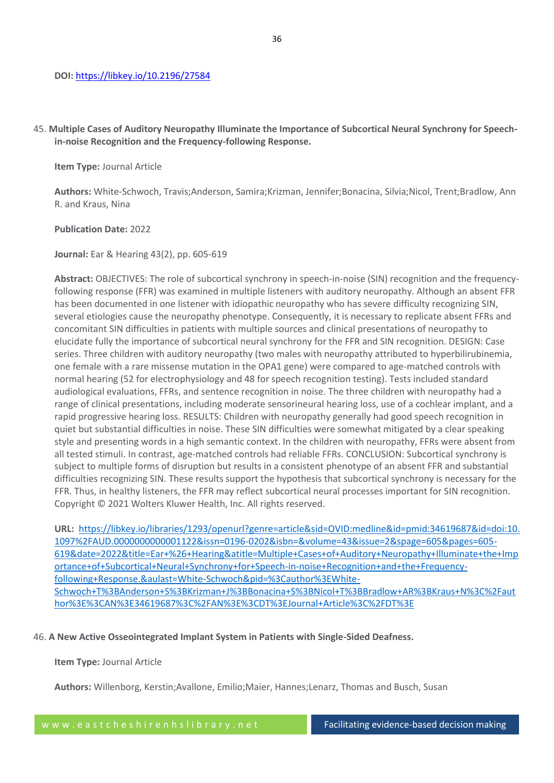# 45. **Multiple Cases of Auditory Neuropathy Illuminate the Importance of Subcortical Neural Synchrony for Speechin-noise Recognition and the Frequency-following Response.**

# **Item Type:** Journal Article

**Authors:** White-Schwoch, Travis;Anderson, Samira;Krizman, Jennifer;Bonacina, Silvia;Nicol, Trent;Bradlow, Ann R. and Kraus, Nina

## **Publication Date:** 2022

**Journal:** Ear & Hearing 43(2), pp. 605-619

**Abstract:** OBJECTIVES: The role of subcortical synchrony in speech-in-noise (SIN) recognition and the frequencyfollowing response (FFR) was examined in multiple listeners with auditory neuropathy. Although an absent FFR has been documented in one listener with idiopathic neuropathy who has severe difficulty recognizing SIN, several etiologies cause the neuropathy phenotype. Consequently, it is necessary to replicate absent FFRs and concomitant SIN difficulties in patients with multiple sources and clinical presentations of neuropathy to elucidate fully the importance of subcortical neural synchrony for the FFR and SIN recognition. DESIGN: Case series. Three children with auditory neuropathy (two males with neuropathy attributed to hyperbilirubinemia, one female with a rare missense mutation in the OPA1 gene) were compared to age-matched controls with normal hearing (52 for electrophysiology and 48 for speech recognition testing). Tests included standard audiological evaluations, FFRs, and sentence recognition in noise. The three children with neuropathy had a range of clinical presentations, including moderate sensorineural hearing loss, use of a cochlear implant, and a rapid progressive hearing loss. RESULTS: Children with neuropathy generally had good speech recognition in quiet but substantial difficulties in noise. These SIN difficulties were somewhat mitigated by a clear speaking style and presenting words in a high semantic context. In the children with neuropathy, FFRs were absent from all tested stimuli. In contrast, age-matched controls had reliable FFRs. CONCLUSION: Subcortical synchrony is subject to multiple forms of disruption but results in a consistent phenotype of an absent FFR and substantial difficulties recognizing SIN. These results support the hypothesis that subcortical synchrony is necessary for the FFR. Thus, in healthy listeners, the FFR may reflect subcortical neural processes important for SIN recognition. Copyright © 2021 Wolters Kluwer Health, Inc. All rights reserved.

**URL:** [https://libkey.io/libraries/1293/openurl?genre=article&sid=OVID:medline&id=pmid:34619687&id=doi:10.](https://libkey.io/libraries/1293/openurl?genre=article&sid=OVID:medline&id=pmid:34619687&id=doi:10.1097%2FAUD.0000000000001122&issn=0196-0202&isbn=&volume=43&issue=2&spage=605&pages=605-619&date=2022&title=Ear+%26+Hearing&atitle=Multiple+Cases+of+Auditory+Neuropathy+Illuminate+the+Importance+of+Subcortical+Neural+Synchrony+for+Speech-in-noise+Recognition+and+the+Frequency-following+Response.&aulast=White-Schwoch&pid=%3Cauthor%3EWhite-Schwoch+T%3BAnderson+S%3BKrizman+J%3BBonacina+S%3BNicol+T%3BBradlow+AR%3BKraus+N%3C%2Fauthor%3E%3CAN%3E34619687%3C%2FAN%3E%3CDT%3EJournal+Article%3C%2FDT%3E) [1097%2FAUD.0000000000001122&issn=0196-0202&isbn=&volume=43&issue=2&spage=605&pages=605-](https://libkey.io/libraries/1293/openurl?genre=article&sid=OVID:medline&id=pmid:34619687&id=doi:10.1097%2FAUD.0000000000001122&issn=0196-0202&isbn=&volume=43&issue=2&spage=605&pages=605-619&date=2022&title=Ear+%26+Hearing&atitle=Multiple+Cases+of+Auditory+Neuropathy+Illuminate+the+Importance+of+Subcortical+Neural+Synchrony+for+Speech-in-noise+Recognition+and+the+Frequency-following+Response.&aulast=White-Schwoch&pid=%3Cauthor%3EWhite-Schwoch+T%3BAnderson+S%3BKrizman+J%3BBonacina+S%3BNicol+T%3BBradlow+AR%3BKraus+N%3C%2Fauthor%3E%3CAN%3E34619687%3C%2FAN%3E%3CDT%3EJournal+Article%3C%2FDT%3E) [619&date=2022&title=Ear+%26+Hearing&atitle=Multiple+Cases+of+Auditory+Neuropathy+Illuminate+the+Imp](https://libkey.io/libraries/1293/openurl?genre=article&sid=OVID:medline&id=pmid:34619687&id=doi:10.1097%2FAUD.0000000000001122&issn=0196-0202&isbn=&volume=43&issue=2&spage=605&pages=605-619&date=2022&title=Ear+%26+Hearing&atitle=Multiple+Cases+of+Auditory+Neuropathy+Illuminate+the+Importance+of+Subcortical+Neural+Synchrony+for+Speech-in-noise+Recognition+and+the+Frequency-following+Response.&aulast=White-Schwoch&pid=%3Cauthor%3EWhite-Schwoch+T%3BAnderson+S%3BKrizman+J%3BBonacina+S%3BNicol+T%3BBradlow+AR%3BKraus+N%3C%2Fauthor%3E%3CAN%3E34619687%3C%2FAN%3E%3CDT%3EJournal+Article%3C%2FDT%3E) [ortance+of+Subcortical+Neural+Synchrony+for+Speech-in-noise+Recognition+and+the+Frequency](https://libkey.io/libraries/1293/openurl?genre=article&sid=OVID:medline&id=pmid:34619687&id=doi:10.1097%2FAUD.0000000000001122&issn=0196-0202&isbn=&volume=43&issue=2&spage=605&pages=605-619&date=2022&title=Ear+%26+Hearing&atitle=Multiple+Cases+of+Auditory+Neuropathy+Illuminate+the+Importance+of+Subcortical+Neural+Synchrony+for+Speech-in-noise+Recognition+and+the+Frequency-following+Response.&aulast=White-Schwoch&pid=%3Cauthor%3EWhite-Schwoch+T%3BAnderson+S%3BKrizman+J%3BBonacina+S%3BNicol+T%3BBradlow+AR%3BKraus+N%3C%2Fauthor%3E%3CAN%3E34619687%3C%2FAN%3E%3CDT%3EJournal+Article%3C%2FDT%3E)[following+Response.&aulast=White-Schwoch&pid=%3Cauthor%3EWhite-](https://libkey.io/libraries/1293/openurl?genre=article&sid=OVID:medline&id=pmid:34619687&id=doi:10.1097%2FAUD.0000000000001122&issn=0196-0202&isbn=&volume=43&issue=2&spage=605&pages=605-619&date=2022&title=Ear+%26+Hearing&atitle=Multiple+Cases+of+Auditory+Neuropathy+Illuminate+the+Importance+of+Subcortical+Neural+Synchrony+for+Speech-in-noise+Recognition+and+the+Frequency-following+Response.&aulast=White-Schwoch&pid=%3Cauthor%3EWhite-Schwoch+T%3BAnderson+S%3BKrizman+J%3BBonacina+S%3BNicol+T%3BBradlow+AR%3BKraus+N%3C%2Fauthor%3E%3CAN%3E34619687%3C%2FAN%3E%3CDT%3EJournal+Article%3C%2FDT%3E)[Schwoch+T%3BAnderson+S%3BKrizman+J%3BBonacina+S%3BNicol+T%3BBradlow+AR%3BKraus+N%3C%2Faut](https://libkey.io/libraries/1293/openurl?genre=article&sid=OVID:medline&id=pmid:34619687&id=doi:10.1097%2FAUD.0000000000001122&issn=0196-0202&isbn=&volume=43&issue=2&spage=605&pages=605-619&date=2022&title=Ear+%26+Hearing&atitle=Multiple+Cases+of+Auditory+Neuropathy+Illuminate+the+Importance+of+Subcortical+Neural+Synchrony+for+Speech-in-noise+Recognition+and+the+Frequency-following+Response.&aulast=White-Schwoch&pid=%3Cauthor%3EWhite-Schwoch+T%3BAnderson+S%3BKrizman+J%3BBonacina+S%3BNicol+T%3BBradlow+AR%3BKraus+N%3C%2Fauthor%3E%3CAN%3E34619687%3C%2FAN%3E%3CDT%3EJournal+Article%3C%2FDT%3E) [hor%3E%3CAN%3E34619687%3C%2FAN%3E%3CDT%3EJournal+Article%3C%2FDT%3E](https://libkey.io/libraries/1293/openurl?genre=article&sid=OVID:medline&id=pmid:34619687&id=doi:10.1097%2FAUD.0000000000001122&issn=0196-0202&isbn=&volume=43&issue=2&spage=605&pages=605-619&date=2022&title=Ear+%26+Hearing&atitle=Multiple+Cases+of+Auditory+Neuropathy+Illuminate+the+Importance+of+Subcortical+Neural+Synchrony+for+Speech-in-noise+Recognition+and+the+Frequency-following+Response.&aulast=White-Schwoch&pid=%3Cauthor%3EWhite-Schwoch+T%3BAnderson+S%3BKrizman+J%3BBonacina+S%3BNicol+T%3BBradlow+AR%3BKraus+N%3C%2Fauthor%3E%3CAN%3E34619687%3C%2FAN%3E%3CDT%3EJournal+Article%3C%2FDT%3E)

## 46. **A New Active Osseointegrated Implant System in Patients with Single-Sided Deafness.**

## **Item Type:** Journal Article

**Authors:** Willenborg, Kerstin;Avallone, Emilio;Maier, Hannes;Lenarz, Thomas and Busch, Susan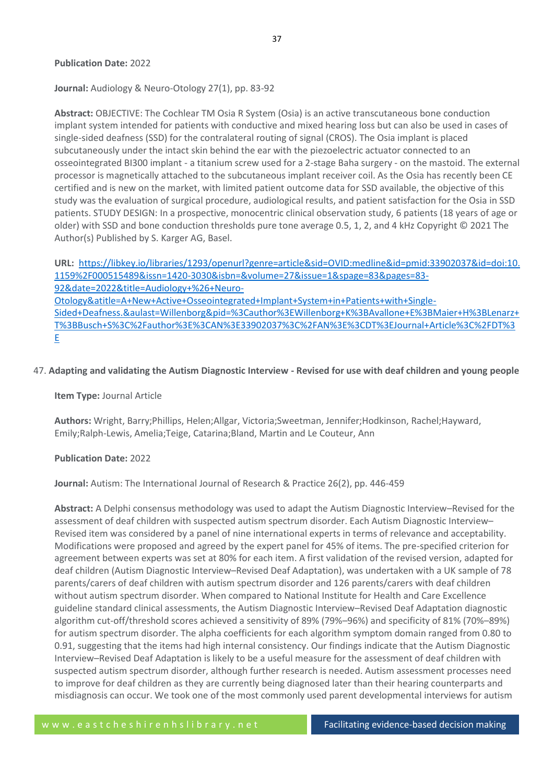#### **Publication Date:** 2022

**Journal:** Audiology & Neuro-Otology 27(1), pp. 83-92

**Abstract:** OBJECTIVE: The Cochlear TM Osia R System (Osia) is an active transcutaneous bone conduction implant system intended for patients with conductive and mixed hearing loss but can also be used in cases of single-sided deafness (SSD) for the contralateral routing of signal (CROS). The Osia implant is placed subcutaneously under the intact skin behind the ear with the piezoelectric actuator connected to an osseointegrated BI300 implant - a titanium screw used for a 2-stage Baha surgery - on the mastoid. The external processor is magnetically attached to the subcutaneous implant receiver coil. As the Osia has recently been CE certified and is new on the market, with limited patient outcome data for SSD available, the objective of this study was the evaluation of surgical procedure, audiological results, and patient satisfaction for the Osia in SSD patients. STUDY DESIGN: In a prospective, monocentric clinical observation study, 6 patients (18 years of age or older) with SSD and bone conduction thresholds pure tone average 0.5, 1, 2, and 4 kHz Copyright © 2021 The Author(s) Published by S. Karger AG, Basel.

**URL:** [https://libkey.io/libraries/1293/openurl?genre=article&sid=OVID:medline&id=pmid:33902037&id=doi:10.](https://libkey.io/libraries/1293/openurl?genre=article&sid=OVID:medline&id=pmid:33902037&id=doi:10.1159%2F000515489&issn=1420-3030&isbn=&volume=27&issue=1&spage=83&pages=83-92&date=2022&title=Audiology+%26+Neuro-Otology&atitle=A+New+Active+Osseointegrated+Implant+System+in+Patients+with+Single-Sided+Deafness.&aulast=Willenborg&pid=%3Cauthor%3EWillenborg+K%3BAvallone+E%3BMaier+H%3BLenarz+T%3BBusch+S%3C%2Fauthor%3E%3CAN%3E33902037%3C%2FAN%3E%3CDT%3EJournal+Article%3C%2FDT%3E) [1159%2F000515489&issn=1420-3030&isbn=&volume=27&issue=1&spage=83&pages=83-](https://libkey.io/libraries/1293/openurl?genre=article&sid=OVID:medline&id=pmid:33902037&id=doi:10.1159%2F000515489&issn=1420-3030&isbn=&volume=27&issue=1&spage=83&pages=83-92&date=2022&title=Audiology+%26+Neuro-Otology&atitle=A+New+Active+Osseointegrated+Implant+System+in+Patients+with+Single-Sided+Deafness.&aulast=Willenborg&pid=%3Cauthor%3EWillenborg+K%3BAvallone+E%3BMaier+H%3BLenarz+T%3BBusch+S%3C%2Fauthor%3E%3CAN%3E33902037%3C%2FAN%3E%3CDT%3EJournal+Article%3C%2FDT%3E) [92&date=2022&title=Audiology+%26+Neuro-](https://libkey.io/libraries/1293/openurl?genre=article&sid=OVID:medline&id=pmid:33902037&id=doi:10.1159%2F000515489&issn=1420-3030&isbn=&volume=27&issue=1&spage=83&pages=83-92&date=2022&title=Audiology+%26+Neuro-Otology&atitle=A+New+Active+Osseointegrated+Implant+System+in+Patients+with+Single-Sided+Deafness.&aulast=Willenborg&pid=%3Cauthor%3EWillenborg+K%3BAvallone+E%3BMaier+H%3BLenarz+T%3BBusch+S%3C%2Fauthor%3E%3CAN%3E33902037%3C%2FAN%3E%3CDT%3EJournal+Article%3C%2FDT%3E)[Otology&atitle=A+New+Active+Osseointegrated+Implant+System+in+Patients+with+Single-](https://libkey.io/libraries/1293/openurl?genre=article&sid=OVID:medline&id=pmid:33902037&id=doi:10.1159%2F000515489&issn=1420-3030&isbn=&volume=27&issue=1&spage=83&pages=83-92&date=2022&title=Audiology+%26+Neuro-Otology&atitle=A+New+Active+Osseointegrated+Implant+System+in+Patients+with+Single-Sided+Deafness.&aulast=Willenborg&pid=%3Cauthor%3EWillenborg+K%3BAvallone+E%3BMaier+H%3BLenarz+T%3BBusch+S%3C%2Fauthor%3E%3CAN%3E33902037%3C%2FAN%3E%3CDT%3EJournal+Article%3C%2FDT%3E)[Sided+Deafness.&aulast=Willenborg&pid=%3Cauthor%3EWillenborg+K%3BAvallone+E%3BMaier+H%3BLenarz+](https://libkey.io/libraries/1293/openurl?genre=article&sid=OVID:medline&id=pmid:33902037&id=doi:10.1159%2F000515489&issn=1420-3030&isbn=&volume=27&issue=1&spage=83&pages=83-92&date=2022&title=Audiology+%26+Neuro-Otology&atitle=A+New+Active+Osseointegrated+Implant+System+in+Patients+with+Single-Sided+Deafness.&aulast=Willenborg&pid=%3Cauthor%3EWillenborg+K%3BAvallone+E%3BMaier+H%3BLenarz+T%3BBusch+S%3C%2Fauthor%3E%3CAN%3E33902037%3C%2FAN%3E%3CDT%3EJournal+Article%3C%2FDT%3E) [T%3BBusch+S%3C%2Fauthor%3E%3CAN%3E33902037%3C%2FAN%3E%3CDT%3EJournal+Article%3C%2FDT%3](https://libkey.io/libraries/1293/openurl?genre=article&sid=OVID:medline&id=pmid:33902037&id=doi:10.1159%2F000515489&issn=1420-3030&isbn=&volume=27&issue=1&spage=83&pages=83-92&date=2022&title=Audiology+%26+Neuro-Otology&atitle=A+New+Active+Osseointegrated+Implant+System+in+Patients+with+Single-Sided+Deafness.&aulast=Willenborg&pid=%3Cauthor%3EWillenborg+K%3BAvallone+E%3BMaier+H%3BLenarz+T%3BBusch+S%3C%2Fauthor%3E%3CAN%3E33902037%3C%2FAN%3E%3CDT%3EJournal+Article%3C%2FDT%3E) [E](https://libkey.io/libraries/1293/openurl?genre=article&sid=OVID:medline&id=pmid:33902037&id=doi:10.1159%2F000515489&issn=1420-3030&isbn=&volume=27&issue=1&spage=83&pages=83-92&date=2022&title=Audiology+%26+Neuro-Otology&atitle=A+New+Active+Osseointegrated+Implant+System+in+Patients+with+Single-Sided+Deafness.&aulast=Willenborg&pid=%3Cauthor%3EWillenborg+K%3BAvallone+E%3BMaier+H%3BLenarz+T%3BBusch+S%3C%2Fauthor%3E%3CAN%3E33902037%3C%2FAN%3E%3CDT%3EJournal+Article%3C%2FDT%3E)

#### 47. **Adapting and validating the Autism Diagnostic Interview - Revised for use with deaf children and young people**

**Item Type:** Journal Article

**Authors:** Wright, Barry;Phillips, Helen;Allgar, Victoria;Sweetman, Jennifer;Hodkinson, Rachel;Hayward, Emily;Ralph-Lewis, Amelia;Teige, Catarina;Bland, Martin and Le Couteur, Ann

#### **Publication Date:** 2022

**Journal:** Autism: The International Journal of Research & Practice 26(2), pp. 446-459

**Abstract:** A Delphi consensus methodology was used to adapt the Autism Diagnostic Interview–Revised for the assessment of deaf children with suspected autism spectrum disorder. Each Autism Diagnostic Interview– Revised item was considered by a panel of nine international experts in terms of relevance and acceptability. Modifications were proposed and agreed by the expert panel for 45% of items. The pre-specified criterion for agreement between experts was set at 80% for each item. A first validation of the revised version, adapted for deaf children (Autism Diagnostic Interview–Revised Deaf Adaptation), was undertaken with a UK sample of 78 parents/carers of deaf children with autism spectrum disorder and 126 parents/carers with deaf children without autism spectrum disorder. When compared to National Institute for Health and Care Excellence guideline standard clinical assessments, the Autism Diagnostic Interview–Revised Deaf Adaptation diagnostic algorithm cut-off/threshold scores achieved a sensitivity of 89% (79%–96%) and specificity of 81% (70%–89%) for autism spectrum disorder. The alpha coefficients for each algorithm symptom domain ranged from 0.80 to 0.91, suggesting that the items had high internal consistency. Our findings indicate that the Autism Diagnostic Interview–Revised Deaf Adaptation is likely to be a useful measure for the assessment of deaf children with suspected autism spectrum disorder, although further research is needed. Autism assessment processes need to improve for deaf children as they are currently being diagnosed later than their hearing counterparts and misdiagnosis can occur. We took one of the most commonly used parent developmental interviews for autism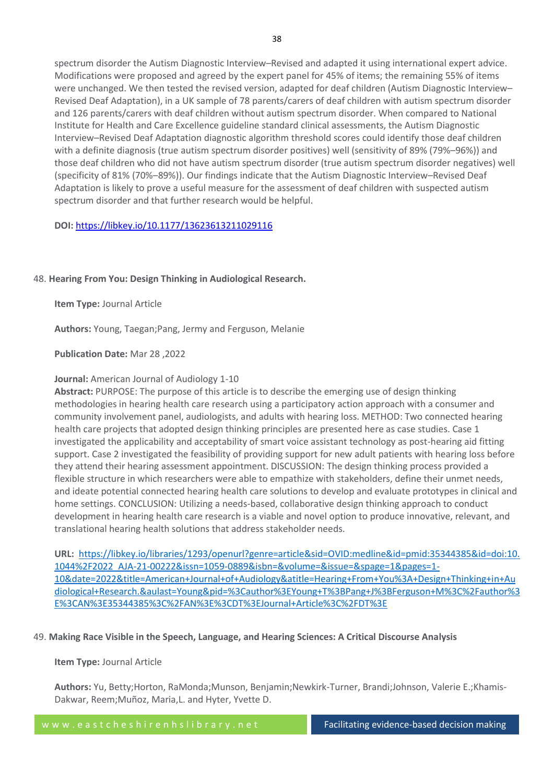spectrum disorder the Autism Diagnostic Interview–Revised and adapted it using international expert advice. Modifications were proposed and agreed by the expert panel for 45% of items; the remaining 55% of items were unchanged. We then tested the revised version, adapted for deaf children (Autism Diagnostic Interview– Revised Deaf Adaptation), in a UK sample of 78 parents/carers of deaf children with autism spectrum disorder and 126 parents/carers with deaf children without autism spectrum disorder. When compared to National Institute for Health and Care Excellence guideline standard clinical assessments, the Autism Diagnostic Interview–Revised Deaf Adaptation diagnostic algorithm threshold scores could identify those deaf children with a definite diagnosis (true autism spectrum disorder positives) well (sensitivity of 89% (79%–96%)) and those deaf children who did not have autism spectrum disorder (true autism spectrum disorder negatives) well (specificity of 81% (70%–89%)). Our findings indicate that the Autism Diagnostic Interview–Revised Deaf Adaptation is likely to prove a useful measure for the assessment of deaf children with suspected autism spectrum disorder and that further research would be helpful.

# **DOI:** <https://libkey.io/10.1177/13623613211029116>

# 48. **Hearing From You: Design Thinking in Audiological Research.**

**Item Type:** Journal Article

**Authors:** Young, Taegan;Pang, Jermy and Ferguson, Melanie

**Publication Date:** Mar 28 ,2022

# **Journal:** American Journal of Audiology 1-10

**Abstract:** PURPOSE: The purpose of this article is to describe the emerging use of design thinking methodologies in hearing health care research using a participatory action approach with a consumer and community involvement panel, audiologists, and adults with hearing loss. METHOD: Two connected hearing health care projects that adopted design thinking principles are presented here as case studies. Case 1 investigated the applicability and acceptability of smart voice assistant technology as post-hearing aid fitting support. Case 2 investigated the feasibility of providing support for new adult patients with hearing loss before they attend their hearing assessment appointment. DISCUSSION: The design thinking process provided a flexible structure in which researchers were able to empathize with stakeholders, define their unmet needs, and ideate potential connected hearing health care solutions to develop and evaluate prototypes in clinical and home settings. CONCLUSION: Utilizing a needs-based, collaborative design thinking approach to conduct development in hearing health care research is a viable and novel option to produce innovative, relevant, and translational hearing health solutions that address stakeholder needs.

**URL:** [https://libkey.io/libraries/1293/openurl?genre=article&sid=OVID:medline&id=pmid:35344385&id=doi:10.](https://libkey.io/libraries/1293/openurl?genre=article&sid=OVID:medline&id=pmid:35344385&id=doi:10.1044%2F2022_AJA-21-00222&issn=1059-0889&isbn=&volume=&issue=&spage=1&pages=1-10&date=2022&title=American+Journal+of+Audiology&atitle=Hearing+From+You%3A+Design+Thinking+in+Audiological+Research.&aulast=Young&pid=%3Cauthor%3EYoung+T%3BPang+J%3BFerguson+M%3C%2Fauthor%3E%3CAN%3E35344385%3C%2FAN%3E%3CDT%3EJournal+Article%3C%2FDT%3E) [1044%2F2022\\_AJA-21-00222&issn=1059-0889&isbn=&volume=&issue=&spage=1&pages=1-](https://libkey.io/libraries/1293/openurl?genre=article&sid=OVID:medline&id=pmid:35344385&id=doi:10.1044%2F2022_AJA-21-00222&issn=1059-0889&isbn=&volume=&issue=&spage=1&pages=1-10&date=2022&title=American+Journal+of+Audiology&atitle=Hearing+From+You%3A+Design+Thinking+in+Audiological+Research.&aulast=Young&pid=%3Cauthor%3EYoung+T%3BPang+J%3BFerguson+M%3C%2Fauthor%3E%3CAN%3E35344385%3C%2FAN%3E%3CDT%3EJournal+Article%3C%2FDT%3E) [10&date=2022&title=American+Journal+of+Audiology&atitle=Hearing+From+You%3A+Design+Thinking+in+Au](https://libkey.io/libraries/1293/openurl?genre=article&sid=OVID:medline&id=pmid:35344385&id=doi:10.1044%2F2022_AJA-21-00222&issn=1059-0889&isbn=&volume=&issue=&spage=1&pages=1-10&date=2022&title=American+Journal+of+Audiology&atitle=Hearing+From+You%3A+Design+Thinking+in+Audiological+Research.&aulast=Young&pid=%3Cauthor%3EYoung+T%3BPang+J%3BFerguson+M%3C%2Fauthor%3E%3CAN%3E35344385%3C%2FAN%3E%3CDT%3EJournal+Article%3C%2FDT%3E) [diological+Research.&aulast=Young&pid=%3Cauthor%3EYoung+T%3BPang+J%3BFerguson+M%3C%2Fauthor%3](https://libkey.io/libraries/1293/openurl?genre=article&sid=OVID:medline&id=pmid:35344385&id=doi:10.1044%2F2022_AJA-21-00222&issn=1059-0889&isbn=&volume=&issue=&spage=1&pages=1-10&date=2022&title=American+Journal+of+Audiology&atitle=Hearing+From+You%3A+Design+Thinking+in+Audiological+Research.&aulast=Young&pid=%3Cauthor%3EYoung+T%3BPang+J%3BFerguson+M%3C%2Fauthor%3E%3CAN%3E35344385%3C%2FAN%3E%3CDT%3EJournal+Article%3C%2FDT%3E) [E%3CAN%3E35344385%3C%2FAN%3E%3CDT%3EJournal+Article%3C%2FDT%3E](https://libkey.io/libraries/1293/openurl?genre=article&sid=OVID:medline&id=pmid:35344385&id=doi:10.1044%2F2022_AJA-21-00222&issn=1059-0889&isbn=&volume=&issue=&spage=1&pages=1-10&date=2022&title=American+Journal+of+Audiology&atitle=Hearing+From+You%3A+Design+Thinking+in+Audiological+Research.&aulast=Young&pid=%3Cauthor%3EYoung+T%3BPang+J%3BFerguson+M%3C%2Fauthor%3E%3CAN%3E35344385%3C%2FAN%3E%3CDT%3EJournal+Article%3C%2FDT%3E)

# 49. **Making Race Visible in the Speech, Language, and Hearing Sciences: A Critical Discourse Analysis**

## **Item Type:** Journal Article

**Authors:** Yu, Betty;Horton, RaMonda;Munson, Benjamin;Newkirk-Turner, Brandi;Johnson, Valerie E.;Khamis-Dakwar, Reem;Muñoz, Maria,L. and Hyter, Yvette D.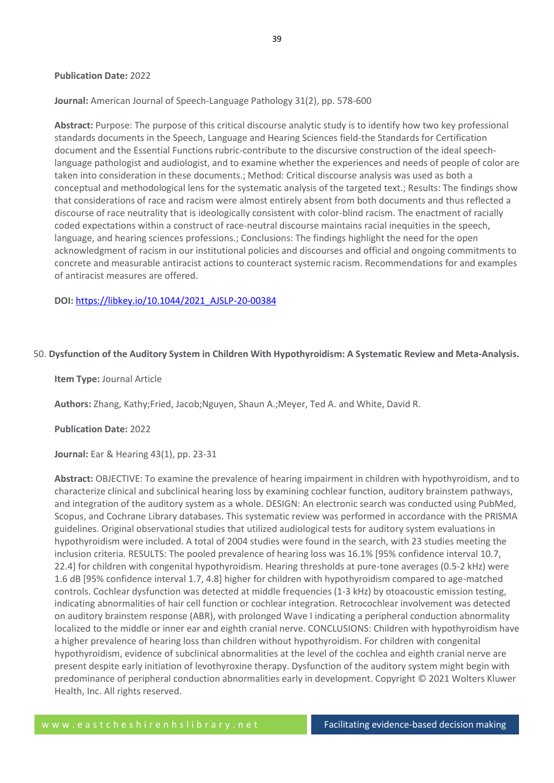## **Publication Date:** 2022

# **Journal:** American Journal of Speech-Language Pathology 31(2), pp. 578-600

**Abstract:** Purpose: The purpose of this critical discourse analytic study is to identify how two key professional standards documents in the Speech, Language and Hearing Sciences field-the Standards for Certification document and the Essential Functions rubric-contribute to the discursive construction of the ideal speechlanguage pathologist and audiologist, and to examine whether the experiences and needs of people of color are taken into consideration in these documents.; Method: Critical discourse analysis was used as both a conceptual and methodological lens for the systematic analysis of the targeted text.; Results: The findings show that considerations of race and racism were almost entirely absent from both documents and thus reflected a discourse of race neutrality that is ideologically consistent with color-blind racism. The enactment of racially coded expectations within a construct of race-neutral discourse maintains racial inequities in the speech, language, and hearing sciences professions.; Conclusions: The findings highlight the need for the open acknowledgment of racism in our institutional policies and discourses and official and ongoing commitments to concrete and measurable antiracist actions to counteract systemic racism. Recommendations for and examples of antiracist measures are offered.

## **DOI:** [https://libkey.io/10.1044/2021\\_AJSLP-20-00384](https://libkey.io/10.1044/2021_AJSLP-20-00384)

## 50. **Dysfunction of the Auditory System in Children With Hypothyroidism: A Systematic Review and Meta-Analysis.**

## **Item Type:** Journal Article

**Authors:** Zhang, Kathy;Fried, Jacob;Nguyen, Shaun A.;Meyer, Ted A. and White, David R.

## **Publication Date:** 2022

**Journal:** Ear & Hearing 43(1), pp. 23-31

**Abstract:** OBJECTIVE: To examine the prevalence of hearing impairment in children with hypothyroidism, and to characterize clinical and subclinical hearing loss by examining cochlear function, auditory brainstem pathways, and integration of the auditory system as a whole. DESIGN: An electronic search was conducted using PubMed, Scopus, and Cochrane Library databases. This systematic review was performed in accordance with the PRISMA guidelines. Original observational studies that utilized audiological tests for auditory system evaluations in hypothyroidism were included. A total of 2004 studies were found in the search, with 23 studies meeting the inclusion criteria. RESULTS: The pooled prevalence of hearing loss was 16.1% [95% confidence interval 10.7, 22.4] for children with congenital hypothyroidism. Hearing thresholds at pure-tone averages (0.5-2 kHz) were 1.6 dB [95% confidence interval 1.7, 4.8] higher for children with hypothyroidism compared to age-matched controls. Cochlear dysfunction was detected at middle frequencies (1-3 kHz) by otoacoustic emission testing, indicating abnormalities of hair cell function or cochlear integration. Retrocochlear involvement was detected on auditory brainstem response (ABR), with prolonged Wave I indicating a peripheral conduction abnormality localized to the middle or inner ear and eighth cranial nerve. CONCLUSIONS: Children with hypothyroidism have a higher prevalence of hearing loss than children without hypothyroidism. For children with congenital hypothyroidism, evidence of subclinical abnormalities at the level of the cochlea and eighth cranial nerve are present despite early initiation of levothyroxine therapy. Dysfunction of the auditory system might begin with predominance of peripheral conduction abnormalities early in development. Copyright © 2021 Wolters Kluwer Health, Inc. All rights reserved.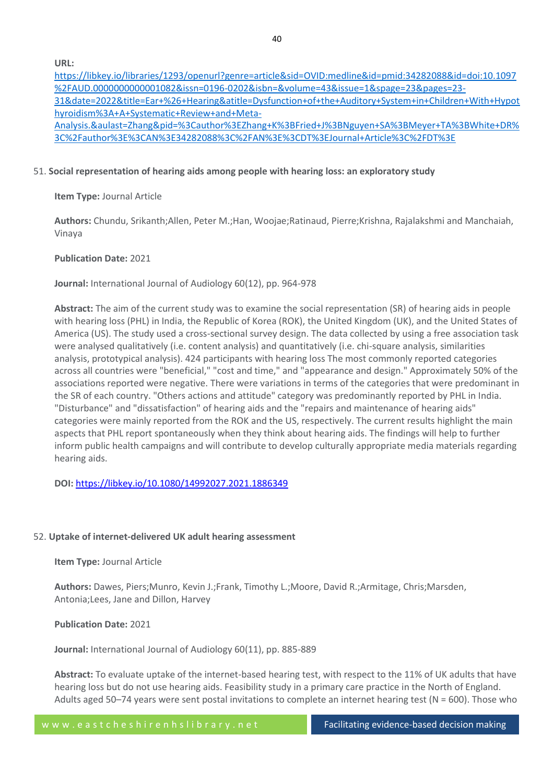40

**URL:**

[https://libkey.io/libraries/1293/openurl?genre=article&sid=OVID:medline&id=pmid:34282088&id=doi:10.1097](https://libkey.io/libraries/1293/openurl?genre=article&sid=OVID:medline&id=pmid:34282088&id=doi:10.1097%2FAUD.0000000000001082&issn=0196-0202&isbn=&volume=43&issue=1&spage=23&pages=23-31&date=2022&title=Ear+%26+Hearing&atitle=Dysfunction+of+the+Auditory+System+in+Children+With+Hypothyroidism%3A+A+Systematic+Review+and+Meta-Analysis.&aulast=Zhang&pid=%3Cauthor%3EZhang+K%3BFried+J%3BNguyen+SA%3BMeyer+TA%3BWhite+DR%3C%2Fauthor%3E%3CAN%3E34282088%3C%2FAN%3E%3CDT%3EJournal+Article%3C%2FDT%3E) [%2FAUD.0000000000001082&issn=0196-0202&isbn=&volume=43&issue=1&spage=23&pages=23-](https://libkey.io/libraries/1293/openurl?genre=article&sid=OVID:medline&id=pmid:34282088&id=doi:10.1097%2FAUD.0000000000001082&issn=0196-0202&isbn=&volume=43&issue=1&spage=23&pages=23-31&date=2022&title=Ear+%26+Hearing&atitle=Dysfunction+of+the+Auditory+System+in+Children+With+Hypothyroidism%3A+A+Systematic+Review+and+Meta-Analysis.&aulast=Zhang&pid=%3Cauthor%3EZhang+K%3BFried+J%3BNguyen+SA%3BMeyer+TA%3BWhite+DR%3C%2Fauthor%3E%3CAN%3E34282088%3C%2FAN%3E%3CDT%3EJournal+Article%3C%2FDT%3E) [31&date=2022&title=Ear+%26+Hearing&atitle=Dysfunction+of+the+Auditory+System+in+Children+With+Hypot](https://libkey.io/libraries/1293/openurl?genre=article&sid=OVID:medline&id=pmid:34282088&id=doi:10.1097%2FAUD.0000000000001082&issn=0196-0202&isbn=&volume=43&issue=1&spage=23&pages=23-31&date=2022&title=Ear+%26+Hearing&atitle=Dysfunction+of+the+Auditory+System+in+Children+With+Hypothyroidism%3A+A+Systematic+Review+and+Meta-Analysis.&aulast=Zhang&pid=%3Cauthor%3EZhang+K%3BFried+J%3BNguyen+SA%3BMeyer+TA%3BWhite+DR%3C%2Fauthor%3E%3CAN%3E34282088%3C%2FAN%3E%3CDT%3EJournal+Article%3C%2FDT%3E) [hyroidism%3A+A+Systematic+Review+and+Meta-](https://libkey.io/libraries/1293/openurl?genre=article&sid=OVID:medline&id=pmid:34282088&id=doi:10.1097%2FAUD.0000000000001082&issn=0196-0202&isbn=&volume=43&issue=1&spage=23&pages=23-31&date=2022&title=Ear+%26+Hearing&atitle=Dysfunction+of+the+Auditory+System+in+Children+With+Hypothyroidism%3A+A+Systematic+Review+and+Meta-Analysis.&aulast=Zhang&pid=%3Cauthor%3EZhang+K%3BFried+J%3BNguyen+SA%3BMeyer+TA%3BWhite+DR%3C%2Fauthor%3E%3CAN%3E34282088%3C%2FAN%3E%3CDT%3EJournal+Article%3C%2FDT%3E)[Analysis.&aulast=Zhang&pid=%3Cauthor%3EZhang+K%3BFried+J%3BNguyen+SA%3BMeyer+TA%3BWhite+DR%](https://libkey.io/libraries/1293/openurl?genre=article&sid=OVID:medline&id=pmid:34282088&id=doi:10.1097%2FAUD.0000000000001082&issn=0196-0202&isbn=&volume=43&issue=1&spage=23&pages=23-31&date=2022&title=Ear+%26+Hearing&atitle=Dysfunction+of+the+Auditory+System+in+Children+With+Hypothyroidism%3A+A+Systematic+Review+and+Meta-Analysis.&aulast=Zhang&pid=%3Cauthor%3EZhang+K%3BFried+J%3BNguyen+SA%3BMeyer+TA%3BWhite+DR%3C%2Fauthor%3E%3CAN%3E34282088%3C%2FAN%3E%3CDT%3EJournal+Article%3C%2FDT%3E) [3C%2Fauthor%3E%3CAN%3E34282088%3C%2FAN%3E%3CDT%3EJournal+Article%3C%2FDT%3E](https://libkey.io/libraries/1293/openurl?genre=article&sid=OVID:medline&id=pmid:34282088&id=doi:10.1097%2FAUD.0000000000001082&issn=0196-0202&isbn=&volume=43&issue=1&spage=23&pages=23-31&date=2022&title=Ear+%26+Hearing&atitle=Dysfunction+of+the+Auditory+System+in+Children+With+Hypothyroidism%3A+A+Systematic+Review+and+Meta-Analysis.&aulast=Zhang&pid=%3Cauthor%3EZhang+K%3BFried+J%3BNguyen+SA%3BMeyer+TA%3BWhite+DR%3C%2Fauthor%3E%3CAN%3E34282088%3C%2FAN%3E%3CDT%3EJournal+Article%3C%2FDT%3E)

# 51. **Social representation of hearing aids among people with hearing loss: an exploratory study**

**Item Type:** Journal Article

**Authors:** Chundu, Srikanth;Allen, Peter M.;Han, Woojae;Ratinaud, Pierre;Krishna, Rajalakshmi and Manchaiah, Vinaya

# **Publication Date:** 2021

**Journal:** International Journal of Audiology 60(12), pp. 964-978

**Abstract:** The aim of the current study was to examine the social representation (SR) of hearing aids in people with hearing loss (PHL) in India, the Republic of Korea (ROK), the United Kingdom (UK), and the United States of America (US). The study used a cross-sectional survey design. The data collected by using a free association task were analysed qualitatively (i.e. content analysis) and quantitatively (i.e. chi-square analysis, similarities analysis, prototypical analysis). 424 participants with hearing loss The most commonly reported categories across all countries were "beneficial," "cost and time," and "appearance and design." Approximately 50% of the associations reported were negative. There were variations in terms of the categories that were predominant in the SR of each country. "Others actions and attitude" category was predominantly reported by PHL in India. "Disturbance" and "dissatisfaction" of hearing aids and the "repairs and maintenance of hearing aids" categories were mainly reported from the ROK and the US, respectively. The current results highlight the main aspects that PHL report spontaneously when they think about hearing aids. The findings will help to further inform public health campaigns and will contribute to develop culturally appropriate media materials regarding hearing aids.

**DOI:** <https://libkey.io/10.1080/14992027.2021.1886349>

# 52. **Uptake of internet-delivered UK adult hearing assessment**

**Item Type:** Journal Article

**Authors:** Dawes, Piers;Munro, Kevin J.;Frank, Timothy L.;Moore, David R.;Armitage, Chris;Marsden, Antonia;Lees, Jane and Dillon, Harvey

**Publication Date:** 2021

**Journal:** International Journal of Audiology 60(11), pp. 885-889

**Abstract:** To evaluate uptake of the internet-based hearing test, with respect to the 11% of UK adults that have hearing loss but do not use hearing aids. Feasibility study in a primary care practice in the North of England. Adults aged 50–74 years were sent postal invitations to complete an internet hearing test (N = 600). Those who